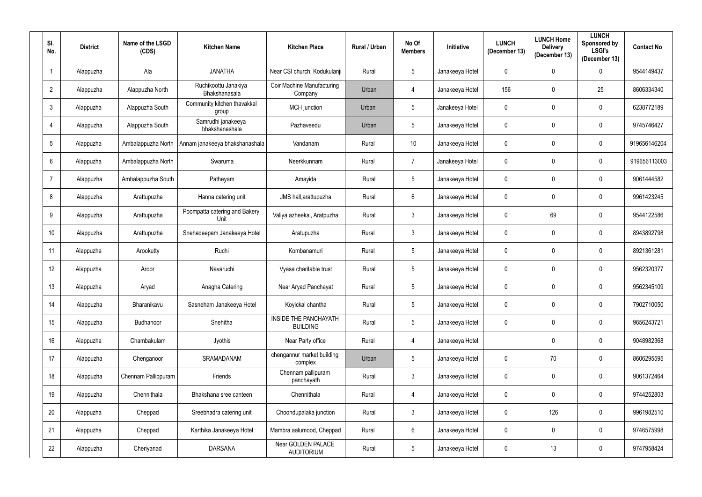| SI.<br>No.     | <b>District</b> | Name of the LSGD<br>(CDS) | <b>Kitchen Name</b>                   | <b>Kitchen Place</b>                            | Rural / Urban | No Of<br><b>Members</b> | <b>Initiative</b> | <b>LUNCH</b><br>(December 13) | <b>LUNCH Home</b><br><b>Delivery</b><br>(December 13) | <b>LUNCH</b><br>Sponsored by<br><b>LSGI's</b><br>(December 13) | <b>Contact No</b> |
|----------------|-----------------|---------------------------|---------------------------------------|-------------------------------------------------|---------------|-------------------------|-------------------|-------------------------------|-------------------------------------------------------|----------------------------------------------------------------|-------------------|
| $\overline{1}$ | Alappuzha       | Ala                       | <b>JANATHA</b>                        | Near CSI church, Kodukulanji                    | Rural         | $5\phantom{.0}$         | Janakeeya Hotel   | $\mathbf 0$                   | $\mathbf 0$                                           | 0                                                              | 9544149437        |
| $\overline{2}$ | Alappuzha       | Alappuzha North           | Ruchikoottu Janakiya<br>Bhakshanasala | <b>Coir Machine Manufacturing</b><br>Company    | Urban         | $\overline{4}$          | Janakeeya Hotel   | 156                           | $\mathbf{0}$                                          | 25                                                             | 8606334340        |
| $\mathfrak{Z}$ | Alappuzha       | Alappuzha South           | Community kitchen thavakkal<br>group  | MCH junction                                    | Urban         | $5\phantom{.0}$         | Janakeeya Hotel   | $\mathbf 0$                   | $\mathbf 0$                                           | $\pmb{0}$                                                      | 6238772189        |
| $\overline{4}$ | Alappuzha       | Alappuzha South           | Samrudhi janakeeya<br>bhakshanashala  | Pazhaveedu                                      | Urban         | 5                       | Janakeeya Hotel   | $\mathbf 0$                   | $\mathbf{0}$                                          | $\mathbf 0$                                                    | 9745746427        |
| $\overline{5}$ | Alappuzha       | Ambalappuzha North        | Annam janakeeya bhakshanashala        | Vandanam                                        | Rural         | 10                      | Janakeeya Hotel   | $\pmb{0}$                     | $\mathbf 0$                                           | $\pmb{0}$                                                      | 919656146204      |
| $6\phantom{.}$ | Alappuzha       | Ambalappuzha North        | Swaruma                               | Neerkkunnam                                     | Rural         | $\overline{7}$          | Janakeeya Hotel   | $\mathbf 0$                   | $\mathbf 0$                                           | $\mathbf 0$                                                    | 919656113003      |
| $\overline{7}$ | Alappuzha       | Ambalappuzha South        | Patheyam                              | Amayida                                         | Rural         | $5\phantom{.0}$         | Janakeeya Hotel   | $\mathbf 0$                   | $\mathbf 0$                                           | $\pmb{0}$                                                      | 9061444582        |
| 8              | Alappuzha       | Arattupuzha               | Hanna catering unit                   | JMS hall, arattupuzha                           | Rural         | $6\phantom{.}$          | Janakeeya Hotel   | $\mathbf 0$                   | 0                                                     | $\mathbf 0$                                                    | 9961423245        |
| 9              | Alappuzha       | Arattupuzha               | Poompatta catering and Bakery<br>Unit | Valiya azheekal, Aratpuzha                      | Rural         | $3\phantom{.0}$         | Janakeeya Hotel   | $\mathbf 0$                   | 69                                                    | $\mathbf 0$                                                    | 9544122586        |
| 10             | Alappuzha       | Arattupuzha               | Snehadeepam Janakeeya Hotel           | Aratupuzha                                      | Rural         | $3\phantom{.0}$         | Janakeeya Hotel   | $\mathbf 0$                   | 0                                                     | $\mathbf 0$                                                    | 8943892798        |
| 11             | Alappuzha       | Arookutty                 | Ruchi                                 | Kombanamuri                                     | Rural         | $5\phantom{.0}$         | Janakeeya Hotel   | $\mathbf 0$                   | 0                                                     | $\mathbf 0$                                                    | 8921361281        |
| 12             | Alappuzha       | Aroor                     | Navaruchi                             | Vyasa charitable trust                          | Rural         | $5\phantom{.0}$         | Janakeeya Hotel   | $\mathbf 0$                   | $\mathbf 0$                                           | $\pmb{0}$                                                      | 9562320377        |
| 13             | Alappuzha       | Aryad                     | Anagha Catering                       | Near Aryad Panchayat                            | Rural         | $5\phantom{.0}$         | Janakeeya Hotel   | $\mathbf 0$                   | $\mathbf 0$                                           | $\mathbf 0$                                                    | 9562345109        |
| 14             | Alappuzha       | Bharanikavu               | Sasneham Janakeeya Hotel              | Koyickal chantha                                | Rural         | $5\phantom{.0}$         | Janakeeya Hotel   | $\mathbf 0$                   | 0                                                     | $\pmb{0}$                                                      | 7902710050        |
| 15             | Alappuzha       | Budhanoor                 | Snehitha                              | <b>INSIDE THE PANCHAYATH</b><br><b>BUILDING</b> | Rural         | $5\phantom{.0}$         | Janakeeya Hotel   | $\mathbf 0$                   | 0                                                     | $\pmb{0}$                                                      | 9656243721        |
| 16             | Alappuzha       | Chambakulam               | Jyothis                               | Near Party office                               | Rural         | 4                       | Janakeeya Hotel   |                               | 0                                                     | $\bf{0}$                                                       | 9048982368        |
| 17             | Alappuzha       | Chenganoor                | SRAMADANAM                            | chengannur market building<br>complex           | Urban         | 5                       | Janakeeya Hotel   | $\mathbf 0$                   | 70                                                    | $\bf{0}$                                                       | 8606295595        |
| 18             | Alappuzha       | Chennam Pallippuram       | Friends                               | Chennam pallipuram<br>panchayath                | Rural         | $3\phantom{.0}$         | Janakeeya Hotel   | $\mathbf 0$                   | $\mathbf 0$                                           | $\overline{0}$                                                 | 9061372464        |
| 19             | Alappuzha       | Chennithala               | Bhakshana sree canteen                | Chennithala                                     | Rural         | 4                       | Janakeeya Hotel   | $\mathbf 0$                   | $\bf{0}$                                              | $\mathbf 0$                                                    | 9744252803        |
| 20             | Alappuzha       | Cheppad                   | Sreebhadra catering unit              | Choondupalaka junction                          | Rural         | $3\phantom{.0}$         | Janakeeya Hotel   | $\mathbf 0$                   | 126                                                   | $\mathbf 0$                                                    | 9961982510        |
| 21             | Alappuzha       | Cheppad                   | Karthika Janakeeya Hotel              | Mambra aalumood, Cheppad                        | Rural         | $6\,$                   | Janakeeya Hotel   | $\pmb{0}$                     | $\bf{0}$                                              | $\pmb{0}$                                                      | 9746575998        |
| 22             | Alappuzha       | Cheriyanad                | <b>DARSANA</b>                        | Near GOLDEN PALACE<br><b>AUDITORIUM</b>         | Rural         | $5\phantom{.0}$         | Janakeeya Hotel   | $\bm{0}$                      | 13                                                    | $\pmb{0}$                                                      | 9747958424        |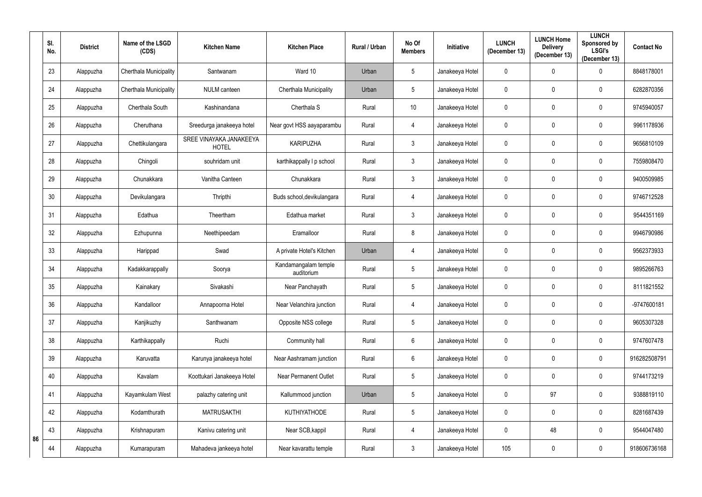|    | SI.<br>No. | <b>District</b> | Name of the LSGD<br>(CDS) | <b>Kitchen Name</b>                     | <b>Kitchen Place</b>               | <b>Rural / Urban</b> | No Of<br><b>Members</b> | <b>Initiative</b> | <b>LUNCH</b><br>(December 13) | <b>LUNCH Home</b><br><b>Delivery</b><br>(December 13) | <b>LUNCH</b><br>Sponsored by<br><b>LSGI's</b><br>(December 13) | <b>Contact No</b> |
|----|------------|-----------------|---------------------------|-----------------------------------------|------------------------------------|----------------------|-------------------------|-------------------|-------------------------------|-------------------------------------------------------|----------------------------------------------------------------|-------------------|
|    | 23         | Alappuzha       | Cherthala Municipality    | Santwanam                               | Ward 10                            | Urban                | $5\phantom{.0}$         | Janakeeya Hotel   | $\mathbf 0$                   | $\mathbf 0$                                           | $\boldsymbol{0}$                                               | 8848178001        |
|    | 24         | Alappuzha       | Cherthala Municipality    | <b>NULM</b> canteen                     | Cherthala Municipality             | Urban                | $5\phantom{.0}$         | Janakeeya Hotel   | $\pmb{0}$                     | $\mathbf{0}$                                          | $\mathbf 0$                                                    | 6282870356        |
|    | 25         | Alappuzha       | Cherthala South           | Kashinandana                            | Cherthala S                        | Rural                | 10                      | Janakeeya Hotel   | $\mathbf 0$                   | $\mathbf 0$                                           | $\pmb{0}$                                                      | 9745940057        |
|    | 26         | Alappuzha       | Cheruthana                | Sreedurga janakeeya hotel               | Near govt HSS aayaparambu          | Rural                | 4                       | Janakeeya Hotel   | $\pmb{0}$                     | $\mathbf 0$                                           | $\mathbf 0$                                                    | 9961178936        |
|    | 27         | Alappuzha       | Chettikulangara           | SREE VINAYAKA JANAKEEYA<br><b>HOTEL</b> | <b>KARIPUZHA</b>                   | Rural                | $\mathfrak{Z}$          | Janakeeya Hotel   | $\mathbf 0$                   | $\mathbf 0$                                           | $\pmb{0}$                                                      | 9656810109        |
|    | 28         | Alappuzha       | Chingoli                  | souhridam unit                          | karthikappally I p school          | Rural                | $\mathfrak{Z}$          | Janakeeya Hotel   | $\pmb{0}$                     | $\mathbf 0$                                           | $\mathbf 0$                                                    | 7559808470        |
|    | 29         | Alappuzha       | Chunakkara                | Vanitha Canteen                         | Chunakkara                         | Rural                | $\mathbf{3}$            | Janakeeya Hotel   | $\mathbf 0$                   | $\mathbf 0$                                           | $\mathbf 0$                                                    | 9400509985        |
|    | 30         | Alappuzha       | Devikulangara             | Thripthi                                | Buds school, devikulangara         | Rural                | 4                       | Janakeeya Hotel   | $\mathbf 0$                   | $\mathbf 0$                                           | $\mathbf 0$                                                    | 9746712528        |
|    | 31         | Alappuzha       | Edathua                   | Theertham                               | Edathua market                     | Rural                | $\mathbf{3}$            | Janakeeya Hotel   | $\mathbf 0$                   | $\mathbf{0}$                                          | $\mathbf 0$                                                    | 9544351169        |
|    | 32         | Alappuzha       | Ezhupunna                 | Neethipeedam                            | Eramalloor                         | Rural                | 8                       | Janakeeya Hotel   | $\mathbf 0$                   | 0                                                     | $\mathbf 0$                                                    | 9946790986        |
|    | 33         | Alappuzha       | Harippad                  | Swad                                    | A private Hotel's Kitchen          | Urban                | 4                       | Janakeeya Hotel   | $\mathbf 0$                   | $\mathbf{0}$                                          | $\mathbf 0$                                                    | 9562373933        |
|    | 34         | Alappuzha       | Kadakkarappally           | Soorya                                  | Kandamangalam temple<br>auditorium | Rural                | $5\phantom{.0}$         | Janakeeya Hotel   | $\overline{0}$                | $\mathbf 0$                                           | $\mathbf 0$                                                    | 9895266763        |
|    | 35         | Alappuzha       | Kainakary                 | Sivakashi                               | Near Panchayath                    | Rural                | $5\phantom{.0}$         | Janakeeya Hotel   | $\pmb{0}$                     | $\mathbf 0$                                           | $\mathbf 0$                                                    | 8111821552        |
|    | 36         | Alappuzha       | Kandalloor                | Annapoorna Hotel                        | Near Velanchira junction           | Rural                | $\overline{4}$          | Janakeeya Hotel   | $\mathbf 0$                   | $\mathbf 0$                                           | $\mathbf 0$                                                    | -9747600181       |
|    | 37         | Alappuzha       | Kanjikuzhy                | Santhwanam                              | Opposite NSS college               | Rural                | $5\,$                   | Janakeeya Hotel   | $\mathbf 0$                   | $\mathbf 0$                                           | $\bf{0}$                                                       | 9605307328        |
|    | 38         | Alappuzha       | Karthikappally            | Ruchi                                   | Community hall                     | Rural                | $6\phantom{.0}$         | Janakeeya Hotel   | $\mathbf 0$                   | $\mathbf 0$                                           | $\mathbf 0$                                                    | 9747607478        |
|    | 39         | Alappuzha       | Karuvatta                 | Karunya janakeeya hotel                 | Near Aashramam junction            | Rural                | $6\phantom{.0}$         | Janakeeya Hotel   | $\mathbf 0$                   | $\mathbf 0$                                           | $\mathbf 0$                                                    | 916282508791      |
|    | 40         | Alappuzha       | Kavalam                   | Koottukari Janakeeya Hotel              | <b>Near Permanent Outlet</b>       | Rural                | $5\,$                   | Janakeeya Hotel   | $\mathbf 0$                   | $\mathbf 0$                                           | $\mathbf 0$                                                    | 9744173219        |
|    | 41         | Alappuzha       | Kayamkulam West           | palazhy catering unit                   | Kallummood junction                | Urban                | $5\,$                   | Janakeeya Hotel   | $\mathbf 0$                   | 97                                                    | $\mathbf 0$                                                    | 9388819110        |
|    | 42         | Alappuzha       | Kodamthurath              | <b>MATRUSAKTHI</b>                      | <b>KUTHIYATHODE</b>                | Rural                | $5\phantom{.0}$         | Janakeeya Hotel   | $\mathbf 0$                   | $\mathbf 0$                                           | $\mathbf 0$                                                    | 8281687439        |
| 86 | 43         | Alappuzha       | Krishnapuram              | Kanivu catering unit                    | Near SCB, kappil                   | Rural                | 4                       | Janakeeya Hotel   | $\mathbf 0$                   | 48                                                    | $\mathbf 0$                                                    | 9544047480        |
|    | 44         | Alappuzha       | Kumarapuram               | Mahadeva jankeeya hotel                 | Near kavarattu temple              | Rural                | $\mathfrak{Z}$          | Janakeeya Hotel   | 105                           | $\boldsymbol{0}$                                      | $\bf{0}$                                                       | 918606736168      |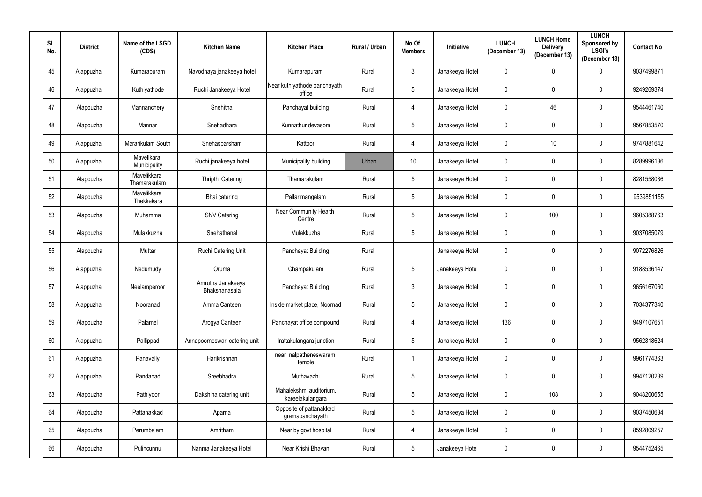| SI.<br>No. | <b>District</b> | Name of the LSGD<br>(CDS)   | <b>Kitchen Name</b>                | <b>Kitchen Place</b>                        | Rural / Urban | No Of<br><b>Members</b> | Initiative      | <b>LUNCH</b><br>(December 13) | <b>LUNCH Home</b><br><b>Delivery</b><br>(December 13) | <b>LUNCH</b><br>Sponsored by<br><b>LSGI's</b><br>(December 13) | <b>Contact No</b> |
|------------|-----------------|-----------------------------|------------------------------------|---------------------------------------------|---------------|-------------------------|-----------------|-------------------------------|-------------------------------------------------------|----------------------------------------------------------------|-------------------|
| 45         | Alappuzha       | Kumarapuram                 | Navodhaya janakeeya hotel          | Kumarapuram                                 | Rural         | $3\overline{3}$         | Janakeeya Hotel | $\mathbf 0$                   | $\mathbf{0}$                                          | 0                                                              | 9037499871        |
| 46         | Alappuzha       | Kuthiyathode                | Ruchi Janakeeya Hotel              | Near kuthiyathode panchayath<br>office      | Rural         | $5\phantom{.0}$         | Janakeeya Hotel | $\pmb{0}$                     | $\mathbf{0}$                                          | $\mathbf 0$                                                    | 9249269374        |
| 47         | Alappuzha       | Mannanchery                 | Snehitha                           | Panchayat building                          | Rural         | 4                       | Janakeeya Hotel | $\pmb{0}$                     | 46                                                    | $\boldsymbol{0}$                                               | 9544461740        |
| 48         | Alappuzha       | Mannar                      | Snehadhara                         | Kunnathur devasom                           | Rural         | $5\phantom{.0}$         | Janakeeya Hotel | $\mathbf 0$                   | $\mathbf 0$                                           | $\boldsymbol{0}$                                               | 9567853570        |
| 49         | Alappuzha       | Mararikulam South           | Snehasparsham                      | Kattoor                                     | Rural         | 4                       | Janakeeya Hotel | $\pmb{0}$                     | 10                                                    | $\mathbf 0$                                                    | 9747881642        |
| 50         | Alappuzha       | Mavelikara<br>Municipality  | Ruchi janakeeya hotel              | Municipality building                       | Urban         | 10                      | Janakeeya Hotel | $\mathbf 0$                   | $\mathbf{0}$                                          | $\mathbf 0$                                                    | 8289996136        |
| 51         | Alappuzha       | Mavelikkara<br>Thamarakulam | <b>Thripthi Catering</b>           | Thamarakulam                                | Rural         | $5\phantom{.0}$         | Janakeeya Hotel | $\pmb{0}$                     | $\boldsymbol{0}$                                      | $\boldsymbol{0}$                                               | 8281558036        |
| 52         | Alappuzha       | Mavelikkara<br>Thekkekara   | Bhai catering                      | Pallarimangalam                             | Rural         | $5\phantom{.0}$         | Janakeeya Hotel | $\mathbf 0$                   | $\mathbf{0}$                                          | $\mathbf 0$                                                    | 9539851155        |
| 53         | Alappuzha       | Muhamma                     | <b>SNV Catering</b>                | <b>Near Community Health</b><br>Centre      | Rural         | $5\phantom{.0}$         | Janakeeya Hotel | $\pmb{0}$                     | 100                                                   | $\mathbf 0$                                                    | 9605388763        |
| 54         | Alappuzha       | Mulakkuzha                  | Snehathanal                        | Mulakkuzha                                  | Rural         | $5\phantom{.0}$         | Janakeeya Hotel | $\pmb{0}$                     | $\mathbf{0}$                                          | $\mathbf 0$                                                    | 9037085079        |
| 55         | Alappuzha       | Muttar                      | Ruchi Catering Unit                | Panchayat Building                          | Rural         |                         | Janakeeya Hotel | $\mathbf 0$                   | $\Omega$                                              | $\mathbf 0$                                                    | 9072276826        |
| 56         | Alappuzha       | Nedumudy                    | Oruma                              | Champakulam                                 | Rural         | $5\phantom{.0}$         | Janakeeya Hotel | $\pmb{0}$                     | $\mathbf 0$                                           | $\mathbf 0$                                                    | 9188536147        |
| 57         | Alappuzha       | Neelamperoor                | Amrutha Janakeeya<br>Bhakshanasala | Panchayat Building                          | Rural         | $\mathfrak{Z}$          | Janakeeya Hotel | $\pmb{0}$                     | $\boldsymbol{0}$                                      | $\mathbf 0$                                                    | 9656167060        |
| 58         | Alappuzha       | Nooranad                    | Amma Canteen                       | Inside market place, Noornad                | Rural         | 5 <sup>5</sup>          | Janakeeya Hotel | $\mathbf 0$                   | $\mathbf 0$                                           | $\mathbf 0$                                                    | 7034377340        |
| 59         | Alappuzha       | Palamel                     | Arogya Canteen                     | Panchayat office compound                   | Rural         | 4                       | Janakeeya Hotel | 136                           | $\mathbf 0$                                           | $\pmb{0}$                                                      | 9497107651        |
| 60         | Alappuzha       | Pallippad                   | Annapoorneswari catering unit      | Irattakulangara junction                    | Rural         | $5\phantom{.0}$         | Janakeeya Hotel | $\pmb{0}$                     | $\mathbf 0$                                           | $\boldsymbol{0}$                                               | 9562318624        |
| 61         | Alappuzha       | Panavally                   | Harikrishnan                       | near nalpatheneswaram<br>temple             | Rural         | -1                      | Janakeeya Hotel | $\pmb{0}$                     | $\mathbf 0$                                           | $\bf{0}$                                                       | 9961774363        |
| 62         | Alappuzha       | Pandanad                    | Sreebhadra                         | Muthavazhi                                  | Rural         | $5\phantom{.0}$         | Janakeeya Hotel | $\pmb{0}$                     | $\mathbf 0$                                           | $\mathbf 0$                                                    | 9947120239        |
| 63         | Alappuzha       | Pathiyoor                   | Dakshina catering unit             | Mahalekshmi auditorium,<br>kareelakulangara | Rural         | $5\phantom{.0}$         | Janakeeya Hotel | $\mathbf 0$                   | 108                                                   | $\mathbf 0$                                                    | 9048200655        |
| 64         | Alappuzha       | Pattanakkad                 | Aparna                             | Opposite of pattanakkad<br>gramapanchayath  | Rural         | $5\phantom{.0}$         | Janakeeya Hotel | $\pmb{0}$                     | $\mathbf 0$                                           | $\pmb{0}$                                                      | 9037450634        |
| 65         | Alappuzha       | Perumbalam                  | Amritham                           | Near by govt hospital                       | Rural         | $\overline{4}$          | Janakeeya Hotel | $\pmb{0}$                     | $\pmb{0}$                                             | $\pmb{0}$                                                      | 8592809257        |
| 66         | Alappuzha       | Pulincunnu                  | Nanma Janakeeya Hotel              | Near Krishi Bhavan                          | Rural         | $5\phantom{.0}$         | Janakeeya Hotel | $\pmb{0}$                     | 0                                                     | $\pmb{0}$                                                      | 9544752465        |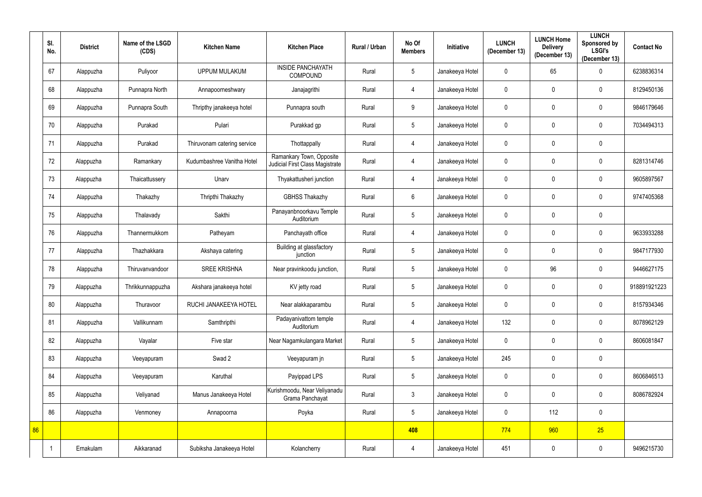|    | SI.<br>No.     | <b>District</b> | Name of the LSGD<br>(CDS) | <b>Kitchen Name</b>         | <b>Kitchen Place</b>                                        | Rural / Urban | No Of<br><b>Members</b> | <b>Initiative</b> | <b>LUNCH</b><br>(December 13) | <b>LUNCH Home</b><br><b>Delivery</b><br>(December 13) | <b>LUNCH</b><br>Sponsored by<br><b>LSGI's</b><br>(December 13) | <b>Contact No</b> |
|----|----------------|-----------------|---------------------------|-----------------------------|-------------------------------------------------------------|---------------|-------------------------|-------------------|-------------------------------|-------------------------------------------------------|----------------------------------------------------------------|-------------------|
|    | 67             | Alappuzha       | Puliyoor                  | <b>UPPUM MULAKUM</b>        | <b>INSIDE PANCHAYATH</b><br><b>COMPOUND</b>                 | Rural         | $5\phantom{.0}$         | Janakeeya Hotel   | $\mathbf 0$                   | 65                                                    | 0                                                              | 6238836314        |
|    | 68             | Alappuzha       | Punnapra North            | Annapoorneshwary            | Janajagrithi                                                | Rural         | 4                       | Janakeeya Hotel   | $\mathbf 0$                   | $\mathbf 0$                                           | $\mathbf 0$                                                    | 8129450136        |
|    | 69             | Alappuzha       | Punnapra South            | Thripthy janakeeya hotel    | Punnapra south                                              | Rural         | 9                       | Janakeeya Hotel   | $\overline{0}$                | $\mathbf 0$                                           | $\mathbf 0$                                                    | 9846179646        |
|    | 70             | Alappuzha       | Purakad                   | Pulari                      | Purakkad gp                                                 | Rural         | $\overline{5}$          | Janakeeya Hotel   | $\mathbf 0$                   | $\mathbf 0$                                           | 0                                                              | 7034494313        |
|    | 71             | Alappuzha       | Purakad                   | Thiruvonam catering service | Thottappally                                                | Rural         | 4                       | Janakeeya Hotel   | $\mathbf 0$                   | $\mathbf 0$                                           | 0                                                              |                   |
|    | 72             | Alappuzha       | Ramankary                 | Kudumbashree Vanitha Hotel  | Ramankary Town, Opposite<br>Judicial First Class Magistrate | Rural         | 4                       | Janakeeya Hotel   | $\mathbf 0$                   | $\mathbf 0$                                           | $\mathbf 0$                                                    | 8281314746        |
|    | 73             | Alappuzha       | Thaicattussery            | Unarv                       | Thyakattusheri junction                                     | Rural         | 4                       | Janakeeya Hotel   | $\mathbf 0$                   | $\mathbf 0$                                           | $\mathbf 0$                                                    | 9605897567        |
|    | 74             | Alappuzha       | Thakazhy                  | Thripthi Thakazhy           | <b>GBHSS Thakazhy</b>                                       | Rural         | $6\phantom{.}$          | Janakeeya Hotel   | $\mathbf 0$                   | $\mathbf 0$                                           | $\mathbf 0$                                                    | 9747405368        |
|    | 75             | Alappuzha       | Thalavady                 | Sakthi                      | Panayanbnoorkavu Temple<br>Auditorium                       | Rural         | $\overline{5}$          | Janakeeya Hotel   | $\mathbf 0$                   | $\mathbf{0}$                                          | 0                                                              |                   |
|    | 76             | Alappuzha       | Thannermukkom             | Patheyam                    | Panchayath office                                           | Rural         | 4                       | Janakeeya Hotel   | $\mathbf 0$                   | $\mathbf 0$                                           | 0                                                              | 9633933288        |
|    | 77             | Alappuzha       | Thazhakkara               | Akshaya catering            | Building at glassfactory<br>junction                        | Rural         | $\overline{5}$          | Janakeeya Hotel   | $\mathbf 0$                   | $\mathbf 0$                                           | $\mathbf 0$                                                    | 9847177930        |
|    | 78             | Alappuzha       | Thiruvanvandoor           | <b>SREE KRISHNA</b>         | Near pravinkoodu junction,                                  | Rural         | $\sqrt{5}$              | Janakeeya Hotel   | $\boldsymbol{0}$              | 96                                                    | 0                                                              | 9446627175        |
|    | 79             | Alappuzha       | Thrikkunnappuzha          | Akshara janakeeya hotel     | KV jetty road                                               | Rural         | $5\phantom{.0}$         | Janakeeya Hotel   | $\mathbf 0$                   | $\mathbf 0$                                           | $\mathbf 0$                                                    | 918891921223      |
|    | 80             | Alappuzha       | Thuravoor                 | RUCHI JANAKEEYA HOTEL       | Near alakkaparambu                                          | Rural         | $\overline{5}$          | Janakeeya Hotel   | $\pmb{0}$                     | $\mathbf 0$                                           | $\mathbf 0$                                                    | 8157934346        |
|    | 81             | Alappuzha       | Vallikunnam               | Samthripthi                 | Padayanivattom temple<br>Auditorium                         | Rural         | $\overline{4}$          | Janakeeya Hotel   | 132                           | $\mathbf 0$                                           | 0                                                              | 8078962129        |
|    | 82             | Alappuzha       | Vayalar                   | Five star                   | Near Nagamkulangara Market                                  | Rural         | $\overline{5}$          | Janakeeya Hotel   | $\overline{0}$                | $\mathbf 0$                                           | $\mathbf 0$                                                    | 8606081847        |
|    | 83             | Alappuzha       | Veeyapuram                | Swad 2                      | Veeyapuram jn                                               | Rural         | $\sqrt{5}$              | Janakeeya Hotel   | 245                           | $\mathbf 0$                                           | $\pmb{0}$                                                      |                   |
|    | 84             | Alappuzha       | Veeyapuram                | Karuthal                    | Payippad LPS                                                | Rural         | $\overline{5}$          | Janakeeya Hotel   | $\pmb{0}$                     | $\mathbf 0$                                           | $\mathbf 0$                                                    | 8606846513        |
|    | 85             | Alappuzha       | Veliyanad                 | Manus Janakeeya Hotel       | Kurishmoodu, Near Veliyanadu<br>Grama Panchayat             | Rural         | $3\phantom{.0}$         | Janakeeya Hotel   | $\mathbf 0$                   | $\mathbf 0$                                           | $\mathbf 0$                                                    | 8086782924        |
|    | 86             | Alappuzha       | Venmoney                  | Annapoorna                  | Poyka                                                       | Rural         | $\overline{5}$          | Janakeeya Hotel   | $\pmb{0}$                     | 112                                                   | $\mathbf 0$                                                    |                   |
| 86 |                |                 |                           |                             |                                                             |               | 408                     |                   | 774                           | 960                                                   | 25                                                             |                   |
|    | $\overline{1}$ | Ernakulam       | Aikkaranad                | Subiksha Janakeeya Hotel    | Kolancherry                                                 | Rural         | 4                       | Janakeeya Hotel   | 451                           | 0                                                     | 0                                                              | 9496215730        |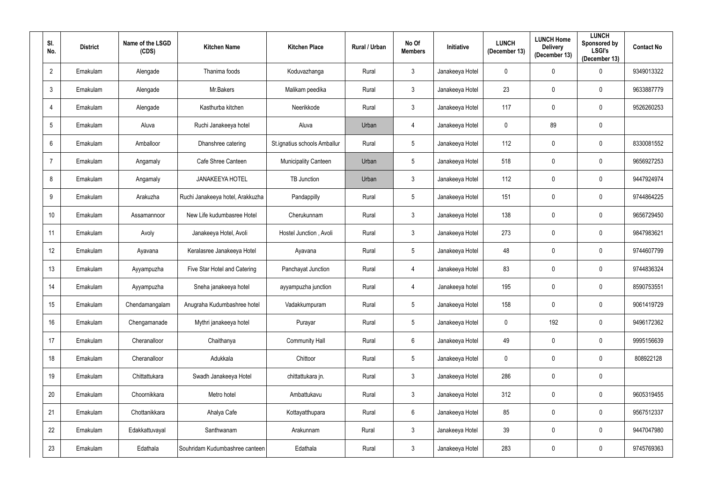| SI.<br>No.       | <b>District</b> | Name of the LSGD<br>(CDS) | <b>Kitchen Name</b>              | <b>Kitchen Place</b>         | Rural / Urban | No Of<br><b>Members</b> | Initiative      | <b>LUNCH</b><br>(December 13) | <b>LUNCH Home</b><br><b>Delivery</b><br>(December 13) | <b>LUNCH</b><br>Sponsored by<br><b>LSGI's</b><br>(December 13) | <b>Contact No</b> |
|------------------|-----------------|---------------------------|----------------------------------|------------------------------|---------------|-------------------------|-----------------|-------------------------------|-------------------------------------------------------|----------------------------------------------------------------|-------------------|
| $\overline{2}$   | Ernakulam       | Alengade                  | Thanima foods                    | Koduvazhanga                 | Rural         | $3\overline{3}$         | Janakeeya Hotel | $\mathbf 0$                   | $\mathbf{0}$                                          | $\mathbf 0$                                                    | 9349013322        |
| $\mathbf{3}$     | Ernakulam       | Alengade                  | Mr.Bakers                        | Malikam peedika              | Rural         | $3\overline{3}$         | Janakeeya Hotel | 23                            | $\mathbf 0$                                           | $\mathbf 0$                                                    | 9633887779        |
| 4                | Ernakulam       | Alengade                  | Kasthurba kitchen                | Neerikkode                   | Rural         | $\mathfrak{Z}$          | Janakeeya Hotel | 117                           | $\mathbf 0$                                           | $\pmb{0}$                                                      | 9526260253        |
| $5\phantom{.0}$  | Ernakulam       | Aluva                     | Ruchi Janakeeya hotel            | Aluva                        | Urban         | 4                       | Janakeeya Hotel | $\pmb{0}$                     | 89                                                    | $\pmb{0}$                                                      |                   |
| $6\phantom{.}$   | Ernakulam       | Amballoor                 | Dhanshree catering               | St.ignatius schools Amballur | Rural         | $5\phantom{.0}$         | Janakeeya Hotel | 112                           | $\mathbf{0}$                                          | $\pmb{0}$                                                      | 8330081552        |
| $\overline{7}$   | Ernakulam       | Angamaly                  | Cafe Shree Canteen               | Municipality Canteen         | Urban         | 5 <sup>5</sup>          | Janakeeya Hotel | 518                           | 0                                                     | $\pmb{0}$                                                      | 9656927253        |
| 8                | Ernakulam       | Angamaly                  | <b>JANAKEEYA HOTEL</b>           | TB Junction                  | Urban         | $3\overline{3}$         | Janakeeya Hotel | 112                           | $\mathbf 0$                                           | $\mathbf 0$                                                    | 9447924974        |
| 9                | Ernakulam       | Arakuzha                  | Ruchi Janakeeya hotel, Arakkuzha | Pandappilly                  | Rural         | $5\phantom{.0}$         | Janakeeya Hotel | 151                           | $\mathbf{0}$                                          | $\mathbf 0$                                                    | 9744864225        |
| 10 <sup>°</sup>  | Ernakulam       | Assamannoor               | New Life kudumbasree Hotel       | Cherukunnam                  | Rural         | $3\overline{3}$         | Janakeeya Hotel | 138                           | $\mathbf{0}$                                          | $\mathbf 0$                                                    | 9656729450        |
| 11               | Ernakulam       | Avoly                     | Janakeeya Hotel, Avoli           | Hostel Junction, Avoli       | Rural         | $\mathfrak{Z}$          | Janakeeya Hotel | 273                           | $\mathbf{0}$                                          | $\mathbf 0$                                                    | 9847983621        |
| 12               | Ernakulam       | Ayavana                   | Keralasree Janakeeya Hotel       | Ayavana                      | Rural         | $5\phantom{.0}$         | Janakeeya Hotel | 48                            | $\mathbf 0$                                           | $\mathbf 0$                                                    | 9744607799        |
| 13 <sup>°</sup>  | Ernakulam       | Ayyampuzha                | Five Star Hotel and Catering     | Panchayat Junction           | Rural         | 4                       | Janakeeya Hotel | 83                            | 0                                                     | $\pmb{0}$                                                      | 9744836324        |
| 14               | Ernakulam       | Ayyampuzha                | Sneha janakeeya hotel            | ayyampuzha junction          | Rural         | 4                       | Janakeeya hotel | 195                           | $\mathbf{0}$                                          | $\mathbf 0$                                                    | 8590753551        |
| 15 <sub>15</sub> | Ernakulam       | Chendamangalam            | Anugraha Kudumbashree hotel      | Vadakkumpuram                | Rural         | $5\phantom{.0}$         | Janakeeya Hotel | 158                           | $\mathbf 0$                                           | $\pmb{0}$                                                      | 9061419729        |
| 16 <sup>°</sup>  | Ernakulam       | Chengamanade              | Mythri janakeeya hotel           | Purayar                      | Rural         | $5\phantom{.0}$         | Janakeeya Hotel | $\mathbf 0$                   | 192                                                   | $\bf{0}$                                                       | 9496172362        |
| 17               | Ernakulam       | Cheranalloor              | Chaithanya                       | <b>Community Hall</b>        | Rural         | $6\phantom{.0}$         | Janakeeya Hotel | 49                            | $\mathbf 0$                                           | $\overline{0}$                                                 | 9995156639        |
| 18               | Ernakulam       | Cheranalloor              | Adukkala                         | Chittoor                     | Rural         | $5\phantom{.0}$         | Janakeeya Hotel | $\overline{0}$                | $\mathbf 0$                                           | $\mathbf 0$                                                    | 808922128         |
| 19               | Ernakulam       | Chittattukara             | Swadh Janakeeya Hotel            | chittattukara jn.            | Rural         | $\mathfrak{Z}$          | Janakeeya Hotel | 286                           | $\mathbf 0$                                           | $\mathbf 0$                                                    |                   |
| 20               | Ernakulam       | Choornikkara              | Metro hotel                      | Ambattukavu                  | Rural         | $\mathfrak{Z}$          | Janakeeya Hotel | 312                           | 0                                                     | $\pmb{0}$                                                      | 9605319455        |
| 21               | Ernakulam       | Chottanikkara             | Ahalya Cafe                      | Kottayatthupara              | Rural         | $6\phantom{.0}$         | Janakeeya Hotel | 85                            | 0                                                     | $\pmb{0}$                                                      | 9567512337        |
| 22               | Ernakulam       | Edakkattuvayal            | Santhwanam                       | Arakunnam                    | Rural         | $\mathfrak{Z}$          | Janakeeya Hotel | 39                            | 0                                                     | $\pmb{0}$                                                      | 9447047980        |
| 23               | Ernakulam       | Edathala                  | Souhridam Kudumbashree canteen   | Edathala                     | Rural         | $\mathfrak{Z}$          | Janakeeya Hotel | 283                           | 0                                                     | $\pmb{0}$                                                      | 9745769363        |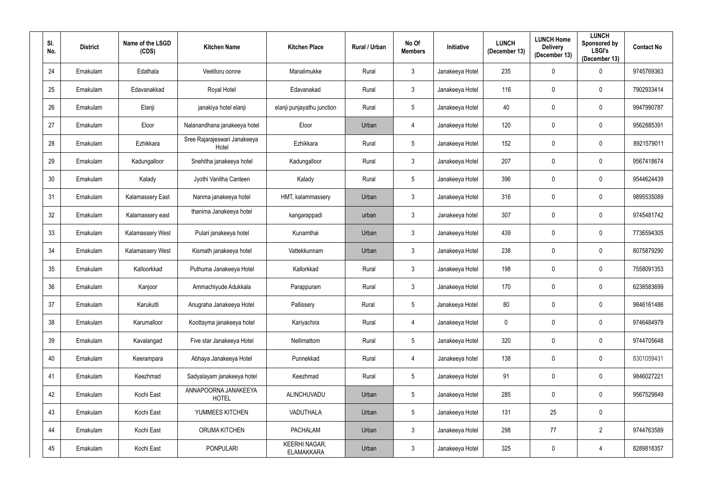| SI.<br>No. | <b>District</b> | Name of the LSGD<br>(CDS) | <b>Kitchen Name</b>                   | <b>Kitchen Place</b>               | Rural / Urban | No Of<br><b>Members</b> | Initiative      | <b>LUNCH</b><br>(December 13) | <b>LUNCH Home</b><br><b>Delivery</b><br>(December 13) | <b>LUNCH</b><br>Sponsored by<br><b>LSGI's</b><br>(December 13) | <b>Contact No</b> |
|------------|-----------------|---------------------------|---------------------------------------|------------------------------------|---------------|-------------------------|-----------------|-------------------------------|-------------------------------------------------------|----------------------------------------------------------------|-------------------|
| 24         | Ernakulam       | Edathala                  | Veetiloru oonne                       | Manalimukke                        | Rural         | $3\overline{3}$         | Janakeeya Hotel | 235                           | $\mathbf 0$                                           | $\mathbf 0$                                                    | 9745769363        |
| 25         | Ernakulam       | Edavanakkad               | Royal Hotel                           | Edavanakad                         | Rural         | $\mathfrak{Z}$          | Janakeeya Hotel | 116                           | $\mathbf{0}$                                          | $\mathbf 0$                                                    | 7902933414        |
| 26         | Ernakulam       | Elanji                    | janakiya hotel elanji                 | elanji punjayathu junction         | Rural         | $5\phantom{.0}$         | Janakeeya Hotel | 40                            | $\mathbf 0$                                           | $\boldsymbol{0}$                                               | 9947990787        |
| 27         | Ernakulam       | Eloor                     | Nalanandhana janakeeya hotel          | Eloor                              | Urban         | 4                       | Janakeeya Hotel | 120                           | $\mathbf 0$                                           | $\pmb{0}$                                                      | 9562885391        |
| 28         | Ernakulam       | Ezhikkara                 | Sree Rajarajeswari Janakeeya<br>Hotel | Ezhikkara                          | Rural         | $5\phantom{.0}$         | Janakeeya Hotel | 152                           | $\mathbf 0$                                           | $\pmb{0}$                                                      | 8921579011        |
| 29         | Ernakulam       | Kadungalloor              | Snehitha janakeeya hotel              | Kadungalloor                       | Rural         | $\mathfrak{Z}$          | Janakeeya Hotel | 207                           | $\mathbf{0}$                                          | $\mathbf 0$                                                    | 9567418674        |
| 30         | Ernakulam       | Kalady                    | Jyothi Vanitha Canteen                | Kalady                             | Rural         | $5\phantom{.0}$         | Janakeeya Hotel | 396                           | $\mathbf{0}$                                          | $\mathbf 0$                                                    | 9544624439        |
| 31         | Ernakulam       | <b>Kalamassery East</b>   | Nanma janakeeya hotel                 | HMT, kalammassery                  | Urban         | $3\overline{3}$         | Janakeeya Hotel | 316                           | $\mathbf{0}$                                          | $\mathbf 0$                                                    | 9895535089        |
| 32         | Ernakulam       | Kalamassery east          | thanima Janakeeya hotel               | kangarappadi                       | urban         | $\mathfrak{Z}$          | Janakeeya hotel | 307                           | $\mathbf{0}$                                          | $\mathbf 0$                                                    | 9745481742        |
| 33         | Ernakulam       | Kalamassery West          | Pulari janakeeya hotel                | Kunamthai                          | Urban         | $3\overline{3}$         | Janakeeya Hotel | 439                           | $\mathbf{0}$                                          | $\mathbf 0$                                                    | 7736594305        |
| 34         | Ernakulam       | Kalamassery West          | Kismath janakeeya hotel               | Vattekkunnam                       | Urban         | $\mathfrak{Z}$          | Janakeeya Hotel | 238                           | $\mathbf{0}$                                          | $\mathbf 0$                                                    | 8075879290        |
| 35         | Ernakulam       | Kalloorkkad               | Puthuma Janakeeya Hotel               | Kallorkkad                         | Rural         | $\mathfrak{Z}$          | Janakeeya Hotel | 198                           | $\mathbf 0$                                           | $\pmb{0}$                                                      | 7558091353        |
| 36         | Ernakulam       | Kanjoor                   | Ammachiyude Adukkala                  | Parappuram                         | Rural         | $\mathfrak{Z}$          | Janakeeya Hotel | 170                           | $\mathbf{0}$                                          | $\mathbf 0$                                                    | 6238583699        |
| 37         | Ernakulam       | Karukutti                 | Anugraha Janakeeya Hotel              | Pallissery                         | Rural         | $5\phantom{.0}$         | Janakeeya Hotel | 80                            | $\mathbf 0$                                           | $\mathbf 0$                                                    | 9846161486        |
| 38         | Ernakulam       | Karumalloor               | Koottayma janakeeya hotel             | Kariyachira                        | Rural         | $\overline{4}$          | Janakeeya Hotel | $\mathbf 0$                   | $\mathbf 0$                                           | $\bf{0}$                                                       | 9746484979        |
| 39         | Ernakulam       | Kavalangad                | Five star Janakeeya Hotel             | Nellimattom                        | Rural         | $5\phantom{.0}$         | Janakeeya Hotel | 320                           | $\mathbf 0$                                           | $\overline{0}$                                                 | 9744705648        |
| 40         | Ernakulam       | Keerampara                | Abhaya Janakeeya Hotel                | Punnekkad                          | Rural         | $\overline{4}$          | Janakeeya hotel | 138                           | $\mathbf 0$                                           | $\bf{0}$                                                       | 8301059431        |
| 41         | Ernakulam       | Keezhmad                  | Sadyalayam janakeeya hotel            | Keezhmad                           | Rural         | $5\phantom{.0}$         | Janakeeya Hotel | 91                            | $\mathbf 0$                                           | $\mathbf 0$                                                    | 9846027221        |
| 42         | Ernakulam       | Kochi East                | ANNAPOORNA JANAKEEYA<br><b>HOTEL</b>  | ALINCHUVADU                        | Urban         | $5\phantom{.0}$         | Janakeeya Hotel | 285                           | $\mathbf 0$                                           | $\mathbf 0$                                                    | 9567529849        |
| 43         | Ernakulam       | Kochi East                | YUMMEES KITCHEN                       | VADUTHALA                          | Urban         | $5\phantom{.0}$         | Janakeeya Hotel | 131                           | 25                                                    | $\mathbf 0$                                                    |                   |
| 44         | Ernakulam       | Kochi East                | ORUMA KITCHEN                         | <b>PACHALAM</b>                    | Urban         | $\mathfrak{Z}$          | Janakeeya Hotel | 298                           | 77                                                    | $2^{\circ}$                                                    | 9744763589        |
| 45         | Ernakulam       | Kochi East                | <b>PONPULARI</b>                      | KEERHI NAGAR,<br><b>ELAMAKKARA</b> | Urban         | $\mathfrak{Z}$          | Janakeeya Hotel | 325                           | $\boldsymbol{0}$                                      |                                                                | 8289818357        |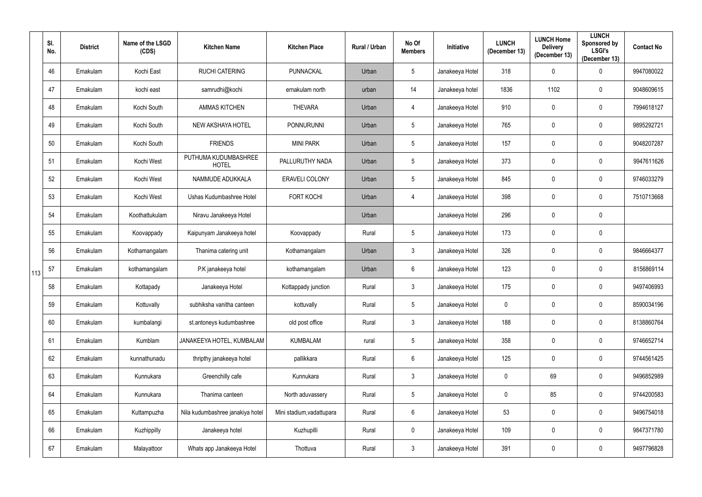|     | SI.<br>No. | <b>District</b> | Name of the LSGD<br>(CDS) | <b>Kitchen Name</b>                  | <b>Kitchen Place</b>      | Rural / Urban | No Of<br><b>Members</b> | Initiative      | <b>LUNCH</b><br>(December 13) | <b>LUNCH Home</b><br><b>Delivery</b><br>(December 13) | <b>LUNCH</b><br><b>Sponsored by</b><br><b>LSGI's</b><br>(December 13) | <b>Contact No</b> |
|-----|------------|-----------------|---------------------------|--------------------------------------|---------------------------|---------------|-------------------------|-----------------|-------------------------------|-------------------------------------------------------|-----------------------------------------------------------------------|-------------------|
|     | 46         | Ernakulam       | Kochi East                | <b>RUCHI CATERING</b>                | PUNNACKAL                 | Urban         | $5\phantom{.0}$         | Janakeeya Hotel | 318                           | $\mathbf 0$                                           | $\mathbf 0$                                                           | 9947080022        |
|     | 47         | Ernakulam       | kochi east                | samrudhi@kochi                       | ernakulam north           | urban         | 14                      | Janakeeya hotel | 1836                          | 1102                                                  | $\mathbf 0$                                                           | 9048609615        |
|     | 48         | Ernakulam       | Kochi South               | <b>AMMAS KITCHEN</b>                 | <b>THEVARA</b>            | Urban         | 4                       | Janakeeya Hotel | 910                           | $\mathbf 0$                                           | $\mathbf 0$                                                           | 7994618127        |
|     | 49         | Ernakulam       | Kochi South               | NEW AKSHAYA HOTEL                    | <b>PONNURUNNI</b>         | Urban         | $5\phantom{.0}$         | Janakeeya Hotel | 765                           | $\mathbf 0$                                           | $\mathbf 0$                                                           | 9895292721        |
|     | 50         | Ernakulam       | Kochi South               | <b>FRIENDS</b>                       | <b>MINI PARK</b>          | Urban         | $5\phantom{.0}$         | Janakeeya Hotel | 157                           | $\mathbf 0$                                           | $\mathbf 0$                                                           | 9048207287        |
|     | 51         | Ernakulam       | Kochi West                | PUTHUMA KUDUMBASHREE<br><b>HOTEL</b> | PALLURUTHY NADA           | Urban         | $5\phantom{.0}$         | Janakeeya Hotel | 373                           | 0                                                     | $\mathbf 0$                                                           | 9947611626        |
|     | 52         | Ernakulam       | Kochi West                | NAMMUDE ADUKKALA                     | <b>ERAVELI COLONY</b>     | Urban         | $5\phantom{.0}$         | Janakeeya Hotel | 845                           | $\mathbf 0$                                           | $\mathbf 0$                                                           | 9746033279        |
|     | 53         | Ernakulam       | Kochi West                | Ushas Kudumbashree Hotel             | <b>FORT KOCHI</b>         | Urban         | 4                       | Janakeeya Hotel | 398                           | $\mathbf 0$                                           | $\mathbf 0$                                                           | 7510713668        |
|     | 54         | Ernakulam       | Koothattukulam            | Niravu Janakeeya Hotel               |                           | Urban         |                         | Janakeeya Hotel | 296                           | $\mathbf{0}$                                          | $\overline{0}$                                                        |                   |
|     | 55         | Ernakulam       | Koovappady                | Kaipunyam Janakeeya hotel            | Koovappady                | Rural         | $\sqrt{5}$              | Janakeeya Hotel | 173                           | 0                                                     | $\overline{0}$                                                        |                   |
|     | 56         | Ernakulam       | Kothamangalam             | Thanima catering unit                | Kothamangalam             | Urban         | $\mathbf{3}$            | Janakeeya Hotel | 326                           | $\mathbf 0$                                           | $\overline{0}$                                                        | 9846664377        |
| 113 | 57         | Ernakulam       | kothamangalam             | P.K janakeeya hotel                  | kothamangalam             | Urban         | $6\phantom{.}6$         | Janakeeya Hotel | 123                           | $\boldsymbol{0}$                                      | $\pmb{0}$                                                             | 8156869114        |
|     | 58         | Ernakulam       | Kottapady                 | Janakeeya Hotel                      | Kottappady junction       | Rural         | $\mathbf{3}$            | Janakeeya Hotel | 175                           | 0                                                     | $\mathbf 0$                                                           | 9497406993        |
|     | 59         | Ernakulam       | Kottuvally                | subhiksha vanitha canteen            | kottuvally                | Rural         | $5\phantom{.0}$         | Janakeeya Hotel | $\mathbf 0$                   | $\mathbf 0$                                           | $\mathbf 0$                                                           | 8590034196        |
|     | 60         | Ernakulam       | kumbalangi                | st.antoneys kudumbashree             | old post office           | Rural         | $\mathbf{3}$            | Janakeeya Hotel | 188                           | $\mathbf 0$                                           | $\bf{0}$                                                              | 8138860764        |
|     | 61         | Ernakulam       | Kumblam                   | JANAKEEYA HOTEL, KUMBALAM            | <b>KUMBALAM</b>           | rural         | $5\phantom{.0}$         | Janakeeya Hotel | 358                           | $\mathbf 0$                                           | $\mathbf 0$                                                           | 9746652714        |
|     | 62         | Ernakulam       | kunnathunadu              | thripthy janakeeya hotel             | pallikkara                | Rural         | $6\,$                   | Janakeeya Hotel | 125                           | $\pmb{0}$                                             | $\mathbf 0$                                                           | 9744561425        |
|     | 63         | Ernakulam       | Kunnukara                 | Greenchilly cafe                     | Kunnukara                 | Rural         | $\mathfrak{Z}$          | Janakeeya Hotel | $\mathbf 0$                   | 69                                                    | $\mathbf 0$                                                           | 9496852989        |
|     | 64         | Ernakulam       | Kunnukara                 | Thanima canteen                      | North aduvassery          | Rural         | $5\phantom{.0}$         | Janakeeya Hotel | $\mathbf 0$                   | 85                                                    | $\mathbf 0$                                                           | 9744200583        |
|     | 65         | Ernakulam       | Kuttampuzha               | Nila kudumbashree janakiya hotel     | Mini stadium, vadattupara | Rural         | $6\,$                   | Janakeeya Hotel | 53                            | $\mathbf 0$                                           | $\mathbf 0$                                                           | 9496754018        |
|     | 66         | Ernakulam       | Kuzhippilly               | Janakeeya hotel                      | Kuzhupilli                | Rural         | $\pmb{0}$               | Janakeeya Hotel | 109                           | $\mathbf 0$                                           | $\mathbf 0$                                                           | 9847371780        |
|     | 67         | Ernakulam       | Malayattoor               | Whats app Janakeeya Hotel            | Thottuva                  | Rural         | $\mathfrak{Z}$          | Janakeeya Hotel | 391                           | 0                                                     | $\boldsymbol{0}$                                                      | 9497796828        |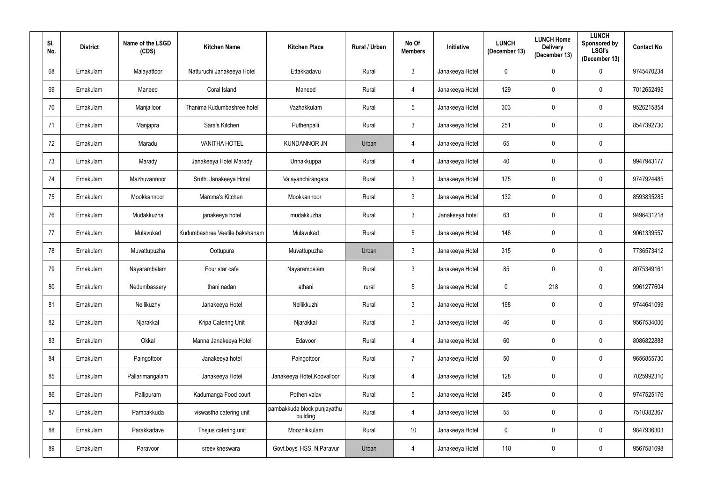| SI.<br>No. | <b>District</b> | Name of the LSGD<br>(CDS) | <b>Kitchen Name</b>            | <b>Kitchen Place</b>                    | Rural / Urban | No Of<br><b>Members</b> | Initiative      | <b>LUNCH</b><br>(December 13) | <b>LUNCH Home</b><br><b>Delivery</b><br>(December 13) | <b>LUNCH</b><br><b>Sponsored by</b><br><b>LSGI's</b><br>(December 13) | <b>Contact No</b> |
|------------|-----------------|---------------------------|--------------------------------|-----------------------------------------|---------------|-------------------------|-----------------|-------------------------------|-------------------------------------------------------|-----------------------------------------------------------------------|-------------------|
| 68         | Ernakulam       | Malayattoor               | Natturuchi Janakeeya Hotel     | Ettakkadavu                             | Rural         | $3\overline{3}$         | Janakeeya Hotel | $\mathbf 0$                   | $\mathbf{0}$                                          | 0                                                                     | 9745470234        |
| 69         | Ernakulam       | Maneed                    | Coral Island                   | Maneed                                  | Rural         | 4                       | Janakeeya Hotel | 129                           | $\mathbf{0}$                                          | $\mathbf 0$                                                           | 7012652495        |
| 70         | Ernakulam       | Manjalloor                | Thanima Kudumbashree hotel     | Vazhakkulam                             | Rural         | $5\phantom{.0}$         | Janakeeya Hotel | 303                           | $\mathbf 0$                                           | $\mathbf 0$                                                           | 9526215854        |
| 71         | Ernakulam       | Manjapra                  | Sara's Kitchen                 | Puthenpalli                             | Rural         | $\mathfrak{Z}$          | Janakeeya Hotel | 251                           | $\mathbf{0}$                                          | $\boldsymbol{0}$                                                      | 8547392730        |
| 72         | Ernakulam       | Maradu                    | <b>VANITHA HOTEL</b>           | <b>KUNDANNOR JN</b>                     | Urban         | 4                       | Janakeeya Hotel | 65                            | $\mathbf 0$                                           | $\mathbf 0$                                                           |                   |
| 73         | Ernakulam       | Marady                    | Janakeeya Hotel Marady         | Unnakkuppa                              | Rural         | 4                       | Janakeeya Hotel | 40                            | 0                                                     | $\mathbf 0$                                                           | 9947943177        |
| 74         | Ernakulam       | Mazhuvannoor              | Sruthi Janakeeya Hotel         | Valayanchirangara                       | Rural         | $3\overline{3}$         | Janakeeya Hotel | 175                           | $\mathbf 0$                                           | $\boldsymbol{0}$                                                      | 9747924485        |
| 75         | Ernakulam       | Mookkannoor               | Mamma's Kitchen                | Mookkannoor                             | Rural         | $3\overline{3}$         | Janakeeya Hotel | 132                           | $\mathbf{0}$                                          | $\mathbf 0$                                                           | 8593835285        |
| 76         | Ernakulam       | Mudakkuzha                | janakeeya hotel                | mudakkuzha                              | Rural         | $\mathfrak{Z}$          | Janakeeya hotel | 63                            | $\mathbf{0}$                                          | $\mathbf 0$                                                           | 9496431218        |
| 77         | Ernakulam       | Mulavukad                 | Kudumbashree Veetile bakshanam | Mulavukad                               | Rural         | $5\phantom{.0}$         | Janakeeya Hotel | 146                           | $\mathbf{0}$                                          | $\mathbf 0$                                                           | 9061339557        |
| 78         | Ernakulam       | Muvattupuzha              | Oottupura                      | Muvattupuzha                            | Urban         | $\mathfrak{Z}$          | Janakeeya Hotel | 315                           | $\mathbf{0}$                                          | $\mathbf 0$                                                           | 7736573412        |
| 79         | Ernakulam       | Nayarambalam              | Four star cafe                 | Nayarambalam                            | Rural         | $\mathfrak{Z}$          | Janakeeya Hotel | 85                            | 0                                                     | $\pmb{0}$                                                             | 8075349161        |
| 80         | Ernakulam       | Nedumbassery              | thani nadan                    | athani                                  | rural         | $5\phantom{.0}$         | Janakeeya Hotel | $\pmb{0}$                     | 218                                                   | $\mathbf 0$                                                           | 9961277604        |
| 81         | Ernakulam       | Nellikuzhy                | Janakeeya Hotel                | Nellikkuzhi                             | Rural         | $\mathbf{3}$            | Janakeeya Hotel | 198                           | $\mathbf 0$                                           | $\mathbf 0$                                                           | 9744641099        |
| 82         | Ernakulam       | Njarakkal                 | Kripa Catering Unit            | Njarakkal                               | Rural         | $\mathfrak{Z}$          | Janakeeya Hotel | 46                            | $\mathbf 0$                                           | $\bf{0}$                                                              | 9567534006        |
| 83         | Ernakulam       | Okkal                     | Manna Janakeeya Hotel          | Edavoor                                 | Rural         | 4                       | Janakeeya Hotel | 60                            | $\mathbf 0$                                           | $\mathbf 0$                                                           | 8086822888        |
| 84         | Ernakulam       | Paingottoor               | Janakeeya hotel                | Paingottoor                             | Rural         | $\overline{7}$          | Janakeeya Hotel | 50                            | $\mathbf 0$                                           | $\mathbf 0$                                                           | 9656855730        |
| 85         | Ernakulam       | Pallarimangalam           | Janakeeya Hotel                | Janakeeya Hotel, Koovalloor             | Rural         | 4                       | Janakeeya Hotel | 128                           | $\mathbf 0$                                           | $\mathbf 0$                                                           | 7025992310        |
| 86         | Ernakulam       | Pallipuram                | Kadumanga Food court           | Pothen valav                            | Rural         | $5\phantom{.0}$         | Janakeeya Hotel | 245                           | $\mathbf 0$                                           | $\mathbf 0$                                                           | 9747525176        |
| 87         | Ernakulam       | Pambakkuda                | viswastha catering unit        | pambakkuda block punjayathu<br>building | Rural         | 4                       | Janakeeya Hotel | 55                            | $\mathbf 0$                                           | $\pmb{0}$                                                             | 7510382367        |
| 88         | Ernakulam       | Parakkadave               | Thejus catering unit           | Moozhikkulam                            | Rural         | 10                      | Janakeeya Hotel | $\pmb{0}$                     | $\mathbf 0$                                           | $\mathbf 0$                                                           | 9847936303        |
| 89         | Ernakulam       | Paravoor                  | sreevikneswara                 | Govt.boys' HSS, N.Paravur               | Urban         | 4                       | Janakeeya Hotel | 118                           | $\boldsymbol{0}$                                      | $\pmb{0}$                                                             | 9567581698        |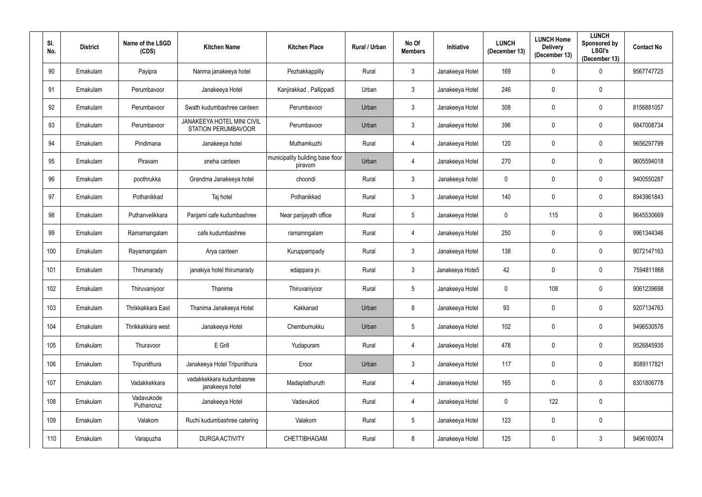| SI.<br>No. | <b>District</b> | Name of the LSGD<br>(CDS) | <b>Kitchen Name</b>                                      | <b>Kitchen Place</b>                        | Rural / Urban | No Of<br><b>Members</b> | <b>Initiative</b> | <b>LUNCH</b><br>(December 13) | <b>LUNCH Home</b><br><b>Delivery</b><br>(December 13) | <b>LUNCH</b><br>Sponsored by<br><b>LSGI's</b><br>(December 13) | <b>Contact No</b> |
|------------|-----------------|---------------------------|----------------------------------------------------------|---------------------------------------------|---------------|-------------------------|-------------------|-------------------------------|-------------------------------------------------------|----------------------------------------------------------------|-------------------|
| 90         | Ernakulam       | Payipra                   | Nanma janakeeya hotel                                    | Pezhakkappilly                              | Rural         | $\mathbf{3}$            | Janakeeya Hotel   | 169                           | $\mathbf 0$                                           | 0                                                              | 9567747725        |
| 91         | Ernakulam       | Perumbayoor               | Janakeeya Hotel                                          | Kanjirakkad, Pallippadi                     | Urban         | $3\phantom{.0}$         | Janakeeya Hotel   | 246                           | $\mathbf 0$                                           | $\mathbf 0$                                                    |                   |
| 92         | Ernakulam       | Perumbavoor               | Swath kudumbashree canteen                               | Perumbavoor                                 | Urban         | $\mathbf{3}$            | Janakeeya Hotel   | 308                           | $\mathbf 0$                                           | $\mathbf 0$                                                    | 8156881057        |
| 93         | Ernakulam       | Perumbavoor               | JANAKEEYA HOTEL MINI CIVIL<br><b>STATION PERUMBAVOOR</b> | Perumbavoor                                 | Urban         | $\mathbf{3}$            | Janakeeya Hotel   | 396                           | $\mathbf 0$                                           | $\mathbf 0$                                                    | 9847008734        |
| 94         | Ernakulam       | Pindimana                 | Janakeeya hotel                                          | Muthamkuzhi                                 | Rural         | 4                       | Janakeeya Hotel   | 120                           | $\mathbf 0$                                           | $\mathbf 0$                                                    | 9656297799        |
| 95         | Ernakulam       | Piravam                   | sneha canteen                                            | municipality building base floor<br>piravom | Urban         | 4                       | Janakeeya Hotel   | 270                           | $\mathbf 0$                                           | $\mathbf 0$                                                    | 9605594018        |
| 96         | Ernakulam       | poothrukka                | Grandma Janakeeya hotel                                  | choondi                                     | Rural         | $3\phantom{.0}$         | Janakeeya hotel   | $\overline{0}$                | $\boldsymbol{0}$                                      | $\pmb{0}$                                                      | 9400550287        |
| 97         | Ernakulam       | Pothanikkad               | Taj hotel                                                | Pothanikkad                                 | Rural         | $3\phantom{.0}$         | Janakeeya Hotel   | 140                           | $\mathbf 0$                                           | $\mathbf 0$                                                    | 8943961843        |
| 98         | Ernakulam       | Puthanvelikkara           | Panjami cafe kudumbashree                                | Near panjayath office                       | Rural         | $5\phantom{.0}$         | Janakeeya Hotel   | $\mathbf 0$                   | 115                                                   | $\mathbf 0$                                                    | 9645530669        |
| 99         | Ernakulam       | Ramamangalam              | cafe kudumbashree                                        | ramamngalam                                 | Rural         | 4                       | Janakeeya Hotel   | 250                           | $\mathbf 0$                                           | $\mathbf 0$                                                    | 9961344346        |
| 100        | Ernakulam       | Rayamangalam              | Arya canteen                                             | Kuruppampady                                | Rural         | $3\phantom{.0}$         | Janakeeya Hotel   | 138                           | $\mathbf 0$                                           | $\mathbf 0$                                                    | 9072147163        |
| 101        | Ernakulam       | Thirumarady               | janakiya hotel thirumarady                               | edappara jn.                                | Rural         | $3\phantom{.0}$         | Janakeeya Hote5   | 42                            | $\mathbf 0$                                           | $\mathbf 0$                                                    | 7594811868        |
| 102        | Ernakulam       | Thiruvaniyoor             | Thanima                                                  | Thiruvaniyoor                               | Rural         | $5\overline{)}$         | Janakeeya Hotel   | $\mathbf 0$                   | 108                                                   | $\mathbf 0$                                                    | 9061239698        |
| 103        | Ernakulam       | Thrikkakkara East         | Thanima Janakeeya Hotel                                  | Kakkanad                                    | Urban         | 8                       | Janakeeya Hotel   | 93                            | $\mathbf 0$                                           | $\mathbf 0$                                                    | 9207134763        |
| 104        | Ernakulam       | Thrikkakkara west         | Janakeeya Hotel                                          | Chembumukku                                 | Urban         | $5\phantom{.0}$         | Janakeeya Hotel   | 102                           | 0                                                     | $\mathbf 0$                                                    | 9496530576        |
| 105        | Ernakulam       | Thuravoor                 | E Grill                                                  | Yudapuram                                   | Rural         | $\overline{4}$          | Janakeeya Hotel   | 478                           | $\mathbf 0$                                           | $\mathbf 0$                                                    | 9526845935        |
| 106        | Ernakulam       | Tripunithura              | Janakeeya Hotel Tripunithura                             | Eroor                                       | Urban         | $\mathfrak{Z}$          | Janakeeya Hotel   | 117                           | $\mathbf 0$                                           | $\overline{0}$                                                 | 8089117821        |
| 107        | Ernakulam       | Vadakkekkara              | vadakkekkara kudumbasree<br>janakeeya hotel              | Madaplathuruth                              | Rural         | $\overline{4}$          | Janakeeya Hotel   | 165                           | 0                                                     | $\mathbf 0$                                                    | 8301806778        |
| 108        | Ernakulam       | Vadavukode<br>Puthancruz  | Janakeeya Hotel                                          | Vadavukod                                   | Rural         | $\overline{4}$          | Janakeeya Hotel   | $\mathbf 0$                   | 122                                                   | $\mathbf 0$                                                    |                   |
| 109        | Ernakulam       | Valakom                   | Ruchi kudumbashree catering                              | Valakom                                     | Rural         | $\overline{5}$          | Janakeeya Hotel   | 123                           | $\mathbf 0$                                           | $\pmb{0}$                                                      |                   |
| 110        | Ernakulam       | Varapuzha                 | <b>DURGA ACTIVITY</b>                                    | CHETTIBHAGAM                                | Rural         | $8\,$                   | Janakeeya Hotel   | 125                           | $\boldsymbol{0}$                                      | $\mathfrak{Z}$                                                 | 9496160074        |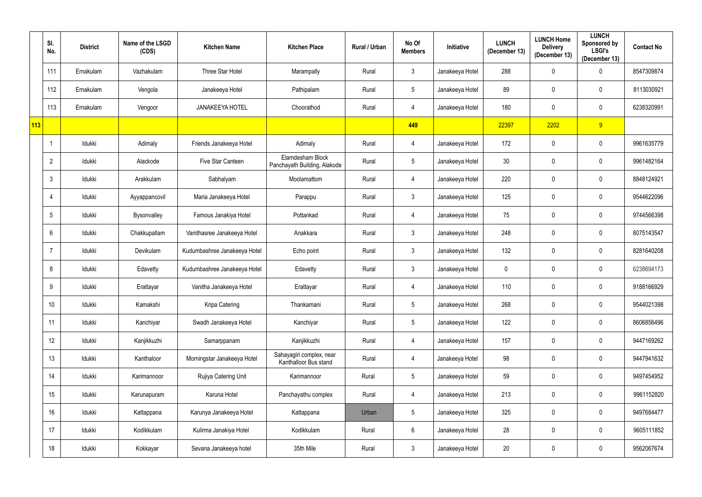|     | SI.<br>No.     | <b>District</b> | Name of the LSGD<br>(CDS) | <b>Kitchen Name</b>          | <b>Kitchen Place</b>                              | Rural / Urban | No Of<br><b>Members</b> | Initiative      | <b>LUNCH</b><br>(December 13) | <b>LUNCH Home</b><br><b>Delivery</b><br>(December 13) | <b>LUNCH</b><br>Sponsored by<br><b>LSGI's</b><br>(December 13) | <b>Contact No</b> |
|-----|----------------|-----------------|---------------------------|------------------------------|---------------------------------------------------|---------------|-------------------------|-----------------|-------------------------------|-------------------------------------------------------|----------------------------------------------------------------|-------------------|
|     | 111            | Ernakulam       | Vazhakulam                | Three Star Hotel             | Marampally                                        | Rural         | 3                       | Janakeeya Hotel | 288                           | $\mathbf 0$                                           | $\mathbf 0$                                                    | 8547309874        |
|     | 112            | Ernakulam       | Vengola                   | Janakeeya Hotel              | Pathipalam                                        | Rural         | $\overline{5}$          | Janakeeya Hotel | 89                            | $\mathbf 0$                                           | $\mathbf 0$                                                    | 8113030921        |
|     | 113            | Ernakulam       | Vengoor                   | <b>JANAKEEYA HOTEL</b>       | Choorathod                                        | Rural         | 4                       | Janakeeya Hotel | 180                           | $\boldsymbol{0}$                                      | $\mathbf 0$                                                    | 6238320991        |
| 113 |                |                 |                           |                              |                                                   |               | 449                     |                 | 22397                         | 2202                                                  | 9                                                              |                   |
|     |                | Idukki          | Adimaly                   | Friends Janakeeya Hotel      | Adimaly                                           | Rural         | 4                       | Janakeeya Hotel | 172                           | $\mathbf 0$                                           | $\mathbf 0$                                                    | 9961635779        |
|     | $\overline{2}$ | Idukki          | Alackode                  | Five Star Canteen            | Elamdesham Block<br>Panchayath Building, Alakode  | Rural         | $5\phantom{.0}$         | Janakeeya Hotel | 30                            | $\mathbf 0$                                           | $\mathbf 0$                                                    | 9961482164        |
|     | $\mathbf{3}$   | Idukki          | Arakkulam                 | Sabhalyam                    | Moolamattom                                       | Rural         | 4                       | Janakeeya Hotel | 220                           | $\mathbf 0$                                           | $\mathbf 0$                                                    | 8848124921        |
|     | 4              | Idukki          | Ayyappancovil             | Maria Janakeeya Hotel        | Parappu                                           | Rural         | $\mathbf{3}$            | Janakeeya Hotel | 125                           | $\mathbf 0$                                           | $\mathbf 0$                                                    | 9544622096        |
|     | 5              | Idukki          | <b>Bysonvalley</b>        | Famous Janakiya Hotel        | Pottankad                                         | Rural         | 4                       | Janakeeya Hotel | 75                            | 0                                                     | $\overline{0}$                                                 | 9744566398        |
|     | 6              | Idukki          | Chakkupallam              | Vanithasree Janakeeya Hotel  | Anakkara                                          | Rural         | $\mathfrak{Z}$          | Janakeeya Hotel | 248                           | $\mathbf 0$                                           | $\mathbf 0$                                                    | 8075143547        |
|     |                | Idukki          | Devikulam                 | Kudumbashree Janakeeya Hotel | Echo point                                        | Rural         | $\mathfrak{Z}$          | Janakeeya Hotel | 132                           | $\mathbf 0$                                           | $\mathbf 0$                                                    | 8281640208        |
|     | 8              | Idukki          | Edavetty                  | Kudumbashree Janakeeya Hotel | Edavetty                                          | Rural         | $\mathfrak{Z}$          | Janakeeya Hotel | $\mathbf 0$                   | $\mathbf 0$                                           | $\pmb{0}$                                                      | 6238694173        |
|     | 9              | Idukki          | Erattayar                 | Vanitha Janakeeya Hotel      | Erattayar                                         | Rural         | 4                       | Janakeeya Hotel | 110                           | $\mathbf 0$                                           | $\mathbf 0$                                                    | 9188166929        |
|     | 10             | Idukki          | Kamakshi                  | Kripa Catering               | Thankamani                                        | Rural         | $\overline{5}$          | Janakeeya Hotel | 268                           | $\boldsymbol{0}$                                      | $\mathbf 0$                                                    | 9544021398        |
|     | 11             | Idukki          | Kanchiyar                 | Swadh Janakeeya Hotel        | Kanchiyar                                         | Rural         | $\overline{5}$          | Janakeeya Hotel | 122                           | $\mathbf 0$                                           | $\mathbf 0$                                                    | 8606856496        |
|     | 12             | Idukki          | Kanjikkuzhi               | Samarppanam                  | Kanjikkuzhi                                       | Rural         | $\overline{4}$          | Janakeeya Hotel | 157                           | $\boldsymbol{0}$                                      | $\mathbf 0$                                                    | 9447169262        |
|     | 13             | Idukki          | Kanthaloor                | Morningstar Janakeeya Hotel  | Sahayagiri complex, near<br>Kanthalloor Bus stand | Rural         | 4                       | Janakeeya Hotel | 98                            | $\mathbf 0$                                           | $\mathbf 0$                                                    | 9447941632        |
|     | 14             | Idukki          | Karimannoor               | Rujiya Catering Unit         | Karimannoor                                       | Rural         | $5\phantom{.0}$         | Janakeeya Hotel | 59                            | $\pmb{0}$                                             | $\mathbf 0$                                                    | 9497454952        |
|     | 15             | Idukki          | Karunapuram               | Karuna Hotel                 | Panchayathu complex                               | Rural         | 4                       | Janakeeya Hotel | 213                           | $\mathbf 0$                                           | $\mathbf 0$                                                    | 9961152820        |
|     | 16             | Idukki          | Kattappana                | Karunya Janakeeya Hotel      | Kattappana                                        | Urban         | $\overline{5}$          | Janakeeya Hotel | 325                           | $\mathbf 0$                                           | $\mathbf 0$                                                    | 9497684477        |
|     | 17             | Idukki          | Kodikkulam                | Kulirma Janakiya Hotel       | Kodikkulam                                        | Rural         | $6\,$                   | Janakeeya Hotel | 28                            | $\pmb{0}$                                             | $\mathbf 0$                                                    | 9605111852        |
|     | 18             | Idukki          | Kokkayar                  | Sevana Janakeeya hotel       | 35th Mile                                         | Rural         | $\mathfrak{Z}$          | Janakeeya Hotel | $20\,$                        | $\mathbf 0$                                           | $\mathbf 0$                                                    | 9562067674        |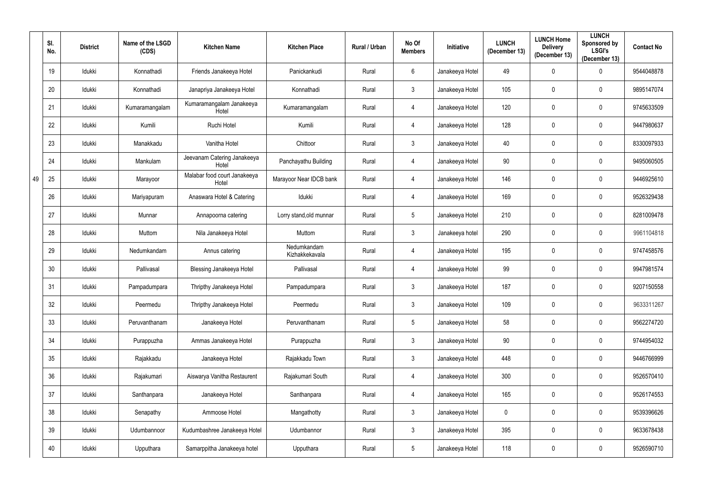|    | SI.<br>No. | <b>District</b> | Name of the LSGD<br>(CDS) | <b>Kitchen Name</b>                   | <b>Kitchen Place</b>          | <b>Rural / Urban</b> | No Of<br><b>Members</b> | <b>Initiative</b> | <b>LUNCH</b><br>(December 13) | <b>LUNCH Home</b><br><b>Delivery</b><br>(December 13) | <b>LUNCH</b><br>Sponsored by<br><b>LSGI's</b><br>(December 13) | <b>Contact No</b> |
|----|------------|-----------------|---------------------------|---------------------------------------|-------------------------------|----------------------|-------------------------|-------------------|-------------------------------|-------------------------------------------------------|----------------------------------------------------------------|-------------------|
|    | 19         | Idukki          | Konnathadi                | Friends Janakeeya Hotel               | Panickankudi                  | Rural                | $6\phantom{.}6$         | Janakeeya Hotel   | 49                            | $\mathbf 0$                                           | $\mathbf 0$                                                    | 9544048878        |
|    | 20         | Idukki          | Konnathadi                | Janapriya Janakeeya Hotel             | Konnathadi                    | Rural                | $\mathbf{3}$            | Janakeeya Hotel   | 105                           | $\mathbf 0$                                           | $\mathbf 0$                                                    | 9895147074        |
|    | 21         | Idukki          | Kumaramangalam            | Kumaramangalam Janakeeya<br>Hotel     | Kumaramangalam                | Rural                | 4                       | Janakeeya Hotel   | 120                           | $\mathbf 0$                                           | $\mathbf 0$                                                    | 9745633509        |
|    | 22         | Idukki          | Kumili                    | Ruchi Hotel                           | Kumili                        | Rural                | 4                       | Janakeeya Hotel   | 128                           | $\mathbf 0$                                           | $\mathbf 0$                                                    | 9447980637        |
|    | 23         | Idukki          | Manakkadu                 | Vanitha Hotel                         | Chittoor                      | Rural                | $\mathfrak{Z}$          | Janakeeya Hotel   | 40                            | $\mathbf 0$                                           | $\pmb{0}$                                                      | 8330097933        |
|    | 24         | Idukki          | Mankulam                  | Jeevanam Catering Janakeeya<br>Hotel  | Panchayathu Building          | Rural                | 4                       | Janakeeya Hotel   | 90                            | $\mathbf 0$                                           | $\mathbf 0$                                                    | 9495060505        |
| 49 | 25         | Idukki          | Marayoor                  | Malabar food court Janakeeya<br>Hotel | Marayoor Near IDCB bank       | Rural                | 4                       | Janakeeya Hotel   | 146                           | $\mathbf 0$                                           | $\mathbf 0$                                                    | 9446925610        |
|    | 26         | Idukki          | Mariyapuram               | Anaswara Hotel & Catering             | Idukki                        | Rural                | 4                       | Janakeeya Hotel   | 169                           | $\mathbf 0$                                           | $\mathbf 0$                                                    | 9526329438        |
|    | 27         | Idukki          | Munnar                    | Annapoorna catering                   | Lorry stand, old munnar       | Rural                | $5\phantom{.0}$         | Janakeeya Hotel   | 210                           | $\mathbf 0$                                           | $\mathbf 0$                                                    | 8281009478        |
|    | 28         | Idukki          | Muttom                    | Nila Janakeeya Hotel                  | Muttom                        | Rural                | $\mathbf{3}$            | Janakeeya hotel   | 290                           | 0                                                     | $\mathbf 0$                                                    | 9961104818        |
|    | 29         | Idukki          | Nedumkandam               | Annus catering                        | Nedumkandam<br>Kizhakkekavala | Rural                | 4                       | Janakeeya Hotel   | 195                           | $\mathbf 0$                                           | $\mathbf 0$                                                    | 9747458576        |
|    | 30         | Idukki          | Pallivasal                | <b>Blessing Janakeeya Hotel</b>       | Pallivasal                    | Rural                | 4                       | Janakeeya Hotel   | 99                            | $\mathbf 0$                                           | $\mathbf 0$                                                    | 9947981574        |
|    | 31         | Idukki          | Pampadumpara              | Thripthy Janakeeya Hotel              | Pampadumpara                  | Rural                | $\mathfrak{Z}$          | Janakeeya Hotel   | 187                           | $\mathbf 0$                                           | $\mathbf 0$                                                    | 9207150558        |
|    | 32         | Idukki          | Peermedu                  | Thripthy Janakeeya Hotel              | Peermedu                      | Rural                | $\mathbf{3}$            | Janakeeya Hotel   | 109                           | $\mathbf 0$                                           | $\mathbf 0$                                                    | 9633311267        |
|    | 33         | Idukki          | Peruvanthanam             | Janakeeya Hotel                       | Peruvanthanam                 | Rural                | $\sqrt{5}$              | Janakeeya Hotel   | 58                            | $\boldsymbol{0}$                                      | $\bf{0}$                                                       | 9562274720        |
|    | 34         | Idukki          | Purappuzha                | Ammas Janakeeya Hotel                 | Purappuzha                    | Rural                | $\mathfrak{Z}$          | Janakeeya Hotel   | 90                            | $\mathbf 0$                                           | $\mathbf 0$                                                    | 9744954032        |
|    | 35         | Idukki          | Rajakkadu                 | Janakeeya Hotel                       | Rajakkadu Town                | Rural                | $\mathbf{3}$            | Janakeeya Hotel   | 448                           | $\mathbf 0$                                           | $\bf{0}$                                                       | 9446766999        |
|    | 36         | Idukki          | Rajakumari                | Aiswarya Vanitha Restaurent           | Rajakumari South              | Rural                | 4                       | Janakeeya Hotel   | 300                           | $\mathbf 0$                                           | $\mathbf 0$                                                    | 9526570410        |
|    | 37         | Idukki          | Santhanpara               | Janakeeya Hotel                       | Santhanpara                   | Rural                | 4                       | Janakeeya Hotel   | 165                           | $\mathbf 0$                                           | $\mathbf 0$                                                    | 9526174553        |
|    | 38         | Idukki          | Senapathy                 | Ammoose Hotel                         | Mangathotty                   | Rural                | $\mathfrak{Z}$          | Janakeeya Hotel   | $\mathbf 0$                   | $\mathbf 0$                                           | $\mathbf 0$                                                    | 9539396626        |
|    | 39         | Idukki          | Udumbannoor               | Kudumbashree Janakeeya Hotel          | Udumbannor                    | Rural                | $\mathfrak{Z}$          | Janakeeya Hotel   | 395                           | $\pmb{0}$                                             | $\mathbf 0$                                                    | 9633678438        |
|    | 40         | Idukki          | Upputhara                 | Samarppitha Janakeeya hotel           | Upputhara                     | Rural                | $\sqrt{5}$              | Janakeeya Hotel   | 118                           | $\boldsymbol{0}$                                      | $\pmb{0}$                                                      | 9526590710        |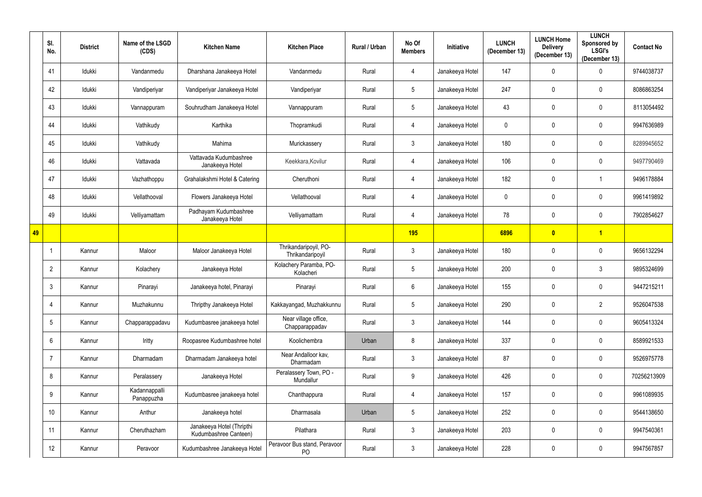|    | SI.<br>No.      | <b>District</b> | Name of the LSGD<br>(CDS)   | <b>Kitchen Name</b>                                | <b>Kitchen Place</b>                      | <b>Rural / Urban</b> | No Of<br><b>Members</b> | <b>Initiative</b> | <b>LUNCH</b><br>(December 13) | <b>LUNCH Home</b><br><b>Delivery</b><br>(December 13) | <b>LUNCH</b><br>Sponsored by<br><b>LSGI's</b><br>(December 13) | <b>Contact No</b> |
|----|-----------------|-----------------|-----------------------------|----------------------------------------------------|-------------------------------------------|----------------------|-------------------------|-------------------|-------------------------------|-------------------------------------------------------|----------------------------------------------------------------|-------------------|
|    | 41              | Idukki          | Vandanmedu                  | Dharshana Janakeeya Hotel                          | Vandanmedu                                | Rural                | 4                       | Janakeeya Hotel   | 147                           | $\mathbf 0$                                           | $\boldsymbol{0}$                                               | 9744038737        |
|    | 42              | Idukki          | Vandiperiyar                | Vandiperiyar Janakeeya Hotel                       | Vandiperiyar                              | Rural                | $5\phantom{.0}$         | Janakeeya Hotel   | 247                           | $\mathbf 0$                                           | $\mathbf 0$                                                    | 8086863254        |
|    | 43              | Idukki          | Vannappuram                 | Souhrudham Janakeeya Hotel                         | Vannappuram                               | Rural                | $5\phantom{.0}$         | Janakeeya Hotel   | 43                            | $\mathbf 0$                                           | $\mathbf 0$                                                    | 8113054492        |
|    | 44              | Idukki          | Vathikudy                   | Karthika                                           | Thopramkudi                               | Rural                | 4                       | Janakeeya Hotel   | $\mathbf 0$                   | $\mathbf 0$                                           | $\mathbf 0$                                                    | 9947636989        |
|    | 45              | Idukki          | Vathikudy                   | Mahima                                             | Murickassery                              | Rural                | $\mathfrak{Z}$          | Janakeeya Hotel   | 180                           | $\mathbf 0$                                           | $\mathbf 0$                                                    | 8289945652        |
|    | 46              | Idukki          | Vattavada                   | Vattavada Kudumbashree<br>Janakeeya Hotel          | Keekkara, Kovilur                         | Rural                | 4                       | Janakeeya Hotel   | 106                           | $\mathbf 0$                                           | $\mathbf 0$                                                    | 9497790469        |
|    | 47              | Idukki          | Vazhathoppu                 | Grahalakshmi Hotel & Catering                      | Cheruthoni                                | Rural                | 4                       | Janakeeya Hotel   | 182                           | $\mathbf 0$                                           |                                                                | 9496178884        |
|    | 48              | Idukki          | Vellathooval                | Flowers Janakeeya Hotel                            | Vellathooval                              | Rural                | 4                       | Janakeeya Hotel   | $\mathbf 0$                   | $\mathbf 0$                                           | $\mathbf 0$                                                    | 9961419892        |
|    | 49              | Idukki          | Velliyamattam               | Padhayam Kudumbashree<br>Janakeeya Hotel           | Velliyamattam                             | Rural                | 4                       | Janakeeya Hotel   | 78                            | $\mathbf 0$                                           | $\mathbf 0$                                                    | 7902854627        |
| 49 |                 |                 |                             |                                                    |                                           |                      | <b>195</b>              |                   | 6896                          | $\overline{\mathbf{0}}$                               | $\vert$ 1                                                      |                   |
|    |                 | Kannur          | Maloor                      | Maloor Janakeeya Hotel                             | Thrikandaripoyil, PO-<br>Thrikandaripoyil | Rural                | $\mathbf{3}$            | Janakeeya Hotel   | 180                           | $\mathbf{0}$                                          | $\mathbf 0$                                                    | 9656132294        |
|    | $\overline{2}$  | Kannur          | Kolachery                   | Janakeeya Hotel                                    | Kolachery Paramba, PO-<br>Kolacheri       | Rural                | $5\phantom{.0}$         | Janakeeya Hotel   | 200                           | $\boldsymbol{0}$                                      | $\mathfrak{Z}$                                                 | 9895324699        |
|    | 3               | Kannur          | Pinarayi                    | Janakeeya hotel, Pinarayi                          | Pinarayi                                  | Rural                | $6\phantom{.}6$         | Janakeeya Hotel   | 155                           | $\mathbf 0$                                           | $\mathbf 0$                                                    | 9447215211        |
|    | 4               | Kannur          | Muzhakunnu                  | Thripthy Janakeeya Hotel                           | Kakkayangad, Muzhakkunnu                  | Rural                | $\overline{5}$          | Janakeeya Hotel   | 290                           | $\mathbf 0$                                           | $\overline{2}$                                                 | 9526047538        |
|    | $5\overline{)}$ | Kannur          | Chapparappadavu             | Kudumbasree janakeeya hotel                        | Near village office,<br>Chapparappadav    | Rural                | $\mathfrak{Z}$          | Janakeeya Hotel   | 144                           | $\mathbf 0$                                           | $\mathbf 0$                                                    | 9605413324        |
|    | 6               | Kannur          | Iritty                      | Roopasree Kudumbashree hotel                       | Koolichembra                              | Urban                | 8                       | Janakeeya Hotel   | 337                           | $\mathbf 0$                                           | $\mathbf 0$                                                    | 8589921533        |
|    | $\overline{7}$  | Kannur          | Dharmadam                   | Dharmadam Janakeeya hotel                          | Near Andalloor kav,<br>Dharmadam          | Rural                | $\mathbf{3}$            | Janakeeya Hotel   | 87                            | $\mathbf 0$                                           | $\bf{0}$                                                       | 9526975778        |
|    | 8               | Kannur          | Peralassery                 | Janakeeya Hotel                                    | Peralassery Town, PO -<br>Mundallur       | Rural                | $9\,$                   | Janakeeya Hotel   | 426                           | $\mathbf 0$                                           | $\mathbf 0$                                                    | 70256213909       |
|    | 9               | Kannur          | Kadannappalli<br>Panappuzha | Kudumbasree janakeeya hotel                        | Chanthappura                              | Rural                | 4                       | Janakeeya Hotel   | 157                           | $\boldsymbol{0}$                                      | $\mathbf 0$                                                    | 9961089935        |
|    | 10 <sup>°</sup> | Kannur          | Anthur                      | Janakeeya hotel                                    | Dharmasala                                | Urban                | $\overline{5}$          | Janakeeya Hotel   | 252                           | $\mathbf 0$                                           | $\mathbf 0$                                                    | 9544138650        |
|    | 11              | Kannur          | Cheruthazham                | Janakeeya Hotel (Thripthi<br>Kudumbashree Canteen) | Pilathara                                 | Rural                | $\mathfrak{Z}$          | Janakeeya Hotel   | 203                           | $\pmb{0}$                                             | $\mathbf 0$                                                    | 9947540361        |
|    | 12              | Kannur          | Peravoor                    | Kudumbashree Janakeeya Hotel                       | Peravoor Bus stand, Peravoor<br>PO        | Rural                | $\mathfrak{Z}$          | Janakeeya Hotel   | 228                           | $\boldsymbol{0}$                                      | $\boldsymbol{0}$                                               | 9947567857        |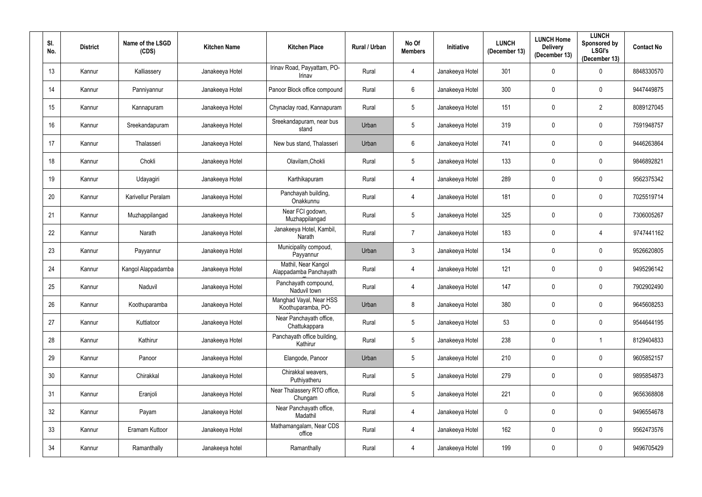| SI.<br>No.      | <b>District</b> | Name of the LSGD<br>(CDS) | <b>Kitchen Name</b> | <b>Kitchen Place</b>                          | Rural / Urban | No Of<br><b>Members</b> | Initiative      | <b>LUNCH</b><br>(December 13) | <b>LUNCH Home</b><br><b>Delivery</b><br>(December 13) | <b>LUNCH</b><br>Sponsored by<br><b>LSGI's</b><br>(December 13) | <b>Contact No</b> |
|-----------------|-----------------|---------------------------|---------------------|-----------------------------------------------|---------------|-------------------------|-----------------|-------------------------------|-------------------------------------------------------|----------------------------------------------------------------|-------------------|
| 13 <sup>°</sup> | Kannur          | Kalliassery               | Janakeeya Hotel     | Irinav Road, Payyattam, PO-<br>Irinav         | Rural         | 4                       | Janakeeya Hotel | 301                           | $\mathbf 0$                                           | $\mathbf 0$                                                    | 8848330570        |
| 14              | Kannur          | Panniyannur               | Janakeeya Hotel     | Panoor Block office compound                  | Rural         | $6\overline{6}$         | Janakeeya Hotel | 300                           | $\mathbf{0}$                                          | $\mathbf 0$                                                    | 9447449875        |
| 15              | Kannur          | Kannapuram                | Janakeeya Hotel     | Chynaclay road, Kannapuram                    | Rural         | $5\phantom{.0}$         | Janakeeya Hotel | 151                           | $\mathbf 0$                                           | $\overline{2}$                                                 | 8089127045        |
| 16              | Kannur          | Sreekandapuram            | Janakeeya Hotel     | Sreekandapuram, near bus<br>stand             | Urban         | $5\phantom{.0}$         | Janakeeya Hotel | 319                           | $\mathbf 0$                                           | $\pmb{0}$                                                      | 7591948757        |
| 17              | Kannur          | Thalasseri                | Janakeeya Hotel     | New bus stand, Thalasseri                     | Urban         | $6\overline{6}$         | Janakeeya Hotel | 741                           | $\mathbf 0$                                           | $\pmb{0}$                                                      | 9446263864        |
| 18              | Kannur          | Chokli                    | Janakeeya Hotel     | Olavilam, Chokli                              | Rural         | $5\phantom{.0}$         | Janakeeya Hotel | 133                           | $\mathbf{0}$                                          | $\mathbf 0$                                                    | 9846892821        |
| 19              | Kannur          | Udayagiri                 | Janakeeya Hotel     | Karthikapuram                                 | Rural         | 4                       | Janakeeya Hotel | 289                           | $\mathbf{0}$                                          | $\pmb{0}$                                                      | 9562375342        |
| 20              | Kannur          | Karivellur Peralam        | Janakeeya Hotel     | Panchayah building,<br>Onakkunnu              | Rural         | 4                       | Janakeeya Hotel | 181                           | $\mathbf{0}$                                          | $\mathbf 0$                                                    | 7025519714        |
| 21              | Kannur          | Muzhappilangad            | Janakeeya Hotel     | Near FCI godown,<br>Muzhappilangad            | Rural         | $5\phantom{.0}$         | Janakeeya Hotel | 325                           | $\mathbf{0}$                                          | $\mathbf 0$                                                    | 7306005267        |
| 22              | Kannur          | Narath                    | Janakeeya Hotel     | Janakeeya Hotel, Kambil,<br>Narath            | Rural         | $\overline{7}$          | Janakeeya Hotel | 183                           | $\mathbf{0}$                                          | 4                                                              | 9747441162        |
| 23              | Kannur          | Payyannur                 | Janakeeya Hotel     | Municipality compoud,<br>Payyannur            | Urban         | $3\overline{3}$         | Janakeeya Hotel | 134                           | $\mathbf{0}$                                          | $\mathbf 0$                                                    | 9526620805        |
| 24              | Kannur          | Kangol Alappadamba        | Janakeeya Hotel     | Mathil, Near Kangol<br>Alappadamba Panchayath | Rural         | 4                       | Janakeeya Hotel | 121                           | $\mathbf 0$                                           | $\mathbf 0$                                                    | 9495296142        |
| 25              | Kannur          | Naduvil                   | Janakeeya Hotel     | Panchayath compound,<br>Naduvil town          | Rural         | 4                       | Janakeeya Hotel | 147                           | 0                                                     | $\mathbf 0$                                                    | 7902902490        |
| 26              | Kannur          | Koothuparamba             | Janakeeya Hotel     | Manghad Vayal, Near HSS<br>Koothuparamba, PO- | Urban         | 8                       | Janakeeya Hotel | 380                           | $\mathbf 0$                                           | $\bf{0}$                                                       | 9645608253        |
| 27              | Kannur          | Kuttiatoor                | Janakeeya Hotel     | Near Panchayath office,<br>Chattukappara      | Rural         | $5\phantom{.0}$         | Janakeeya Hotel | 53                            | 0                                                     | $\pmb{0}$                                                      | 9544644195        |
| 28              | Kannur          | Kathirur                  | Janakeeya Hotel     | Panchayath office building,<br>Kathirur       | Rural         | $5\phantom{.0}$         | Janakeeya Hotel | 238                           | $\mathbf 0$                                           | $\mathbf{1}$                                                   | 8129404833        |
| 29              | Kannur          | Panoor                    | Janakeeya Hotel     | Elangode, Panoor                              | Urban         | $5\phantom{.0}$         | Janakeeya Hotel | 210                           | $\mathbf 0$                                           | $\bm{0}$                                                       | 9605852157        |
| 30              | Kannur          | Chirakkal                 | Janakeeya Hotel     | Chirakkal weavers,<br>Puthiyatheru            | Rural         | $5\phantom{.0}$         | Janakeeya Hotel | 279                           | $\mathbf 0$                                           | $\mathbf 0$                                                    | 9895854873        |
| 31              | Kannur          | Eranjoli                  | Janakeeya Hotel     | Near Thalassery RTO office,<br>Chungam        | Rural         | $5\phantom{.0}$         | Janakeeya Hotel | 221                           | $\mathbf 0$                                           | $\overline{0}$                                                 | 9656368808        |
| 32              | Kannur          | Payam                     | Janakeeya Hotel     | Near Panchayath office,<br>Madathil           | Rural         | $\overline{4}$          | Janakeeya Hotel | $\pmb{0}$                     | $\mathbf 0$                                           | $\mathbf 0$                                                    | 9496554678        |
| 33              | Kannur          | Eramam Kuttoor            | Janakeeya Hotel     | Mathamangalam, Near CDS<br>office             | Rural         | $\overline{4}$          | Janakeeya Hotel | 162                           | $\mathbf 0$                                           | $\pmb{0}$                                                      | 9562473576        |
| 34              | Kannur          | Ramanthally               | Janakeeya hotel     | Ramanthally                                   | Rural         | 4                       | Janakeeya Hotel | 199                           | $\boldsymbol{0}$                                      | $\pmb{0}$                                                      | 9496705429        |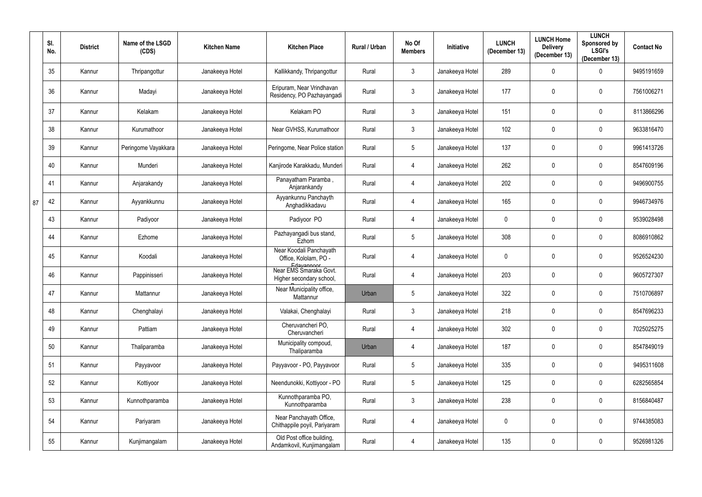|    | SI.<br>No. | <b>District</b> | Name of the LSGD<br>(CDS) | <b>Kitchen Name</b> | <b>Kitchen Place</b>                                             | Rural / Urban | No Of<br><b>Members</b> | Initiative      | <b>LUNCH</b><br>(December 13) | <b>LUNCH Home</b><br><b>Delivery</b><br>(December 13) | <b>LUNCH</b><br>Sponsored by<br><b>LSGI's</b><br>(December 13) | <b>Contact No</b> |
|----|------------|-----------------|---------------------------|---------------------|------------------------------------------------------------------|---------------|-------------------------|-----------------|-------------------------------|-------------------------------------------------------|----------------------------------------------------------------|-------------------|
|    | 35         | Kannur          | Thripangottur             | Janakeeya Hotel     | Kallikkandy, Thripangottur                                       | Rural         | $\mathfrak{Z}$          | Janakeeya Hotel | 289                           | 0                                                     | $\mathbf 0$                                                    | 9495191659        |
|    | 36         | Kannur          | Madayi                    | Janakeeya Hotel     | Eripuram, Near Vrindhavan<br>Residency, PO Pazhayangadi          | Rural         | $\mathfrak{Z}$          | Janakeeya Hotel | 177                           | 0                                                     | $\mathbf 0$                                                    | 7561006271        |
|    | 37         | Kannur          | Kelakam                   | Janakeeya Hotel     | Kelakam PO                                                       | Rural         | $\mathfrak{Z}$          | Janakeeya Hotel | 151                           | $\mathbf 0$                                           | $\mathbf 0$                                                    | 8113866296        |
|    | 38         | Kannur          | Kurumathoor               | Janakeeya Hotel     | Near GVHSS, Kurumathoor                                          | Rural         | $\mathfrak{Z}$          | Janakeeya Hotel | 102                           | $\mathbf 0$                                           | $\mathbf 0$                                                    | 9633816470        |
|    | 39         | Kannur          | Peringome Vayakkara       | Janakeeya Hotel     | Peringome, Near Police station                                   | Rural         | $5\phantom{.0}$         | Janakeeya Hotel | 137                           | $\mathbf 0$                                           | $\mathbf 0$                                                    | 9961413726        |
|    | 40         | Kannur          | Munderi                   | Janakeeya Hotel     | Kanjirode Karakkadu, Munderi                                     | Rural         | 4                       | Janakeeya Hotel | 262                           | $\mathbf 0$                                           | $\mathbf 0$                                                    | 8547609196        |
|    | 41         | Kannur          | Anjarakandy               | Janakeeya Hotel     | Panayatham Paramba,<br>Anjarankandy                              | Rural         | 4                       | Janakeeya Hotel | 202                           | $\mathbf 0$                                           | $\mathbf 0$                                                    | 9496900755        |
| 87 | 42         | Kannur          | Ayyankkunnu               | Janakeeya Hotel     | Ayyankunnu Panchayth<br>Anghadikkadavu                           | Rural         | $\overline{4}$          | Janakeeya Hotel | 165                           | $\mathbf 0$                                           | $\mathbf 0$                                                    | 9946734976        |
|    | 43         | Kannur          | Padiyoor                  | Janakeeya Hotel     | Padiyoor PO                                                      | Rural         | 4                       | Janakeeya Hotel | $\mathbf 0$                   | $\boldsymbol{0}$                                      | $\mathbf 0$                                                    | 9539028498        |
|    | 44         | Kannur          | Ezhome                    | Janakeeya Hotel     | Pazhayangadi bus stand,<br>Ezhom                                 | Rural         | $5\phantom{.0}$         | Janakeeya Hotel | 308                           | $\mathbf 0$                                           | $\mathbf 0$                                                    | 8086910862        |
|    | 45         | Kannur          | Koodali                   | Janakeeya Hotel     | Near Koodali Panchayath<br>Office, Kololam, PO -                 | Rural         | $\overline{4}$          | Janakeeya Hotel | $\pmb{0}$                     | $\mathbf 0$                                           | $\mathbf 0$                                                    | 9526524230        |
|    | 46         | Kannur          | Pappinisseri              | Janakeeya Hotel     | Edavannoor<br>Near EMS Smaraka Govt.<br>Higher secondary school, | Rural         | 4                       | Janakeeya Hotel | 203                           | $\mathbf 0$                                           | $\mathbf 0$                                                    | 9605727307        |
|    | 47         | Kannur          | Mattannur                 | Janakeeya Hotel     | Near Municipality office,<br>Mattannur                           | Urban         |                         | Janakeeya Hotel | 322                           | 0                                                     | 0                                                              | 7510706897        |
|    | 48         | Kannur          | Chenghalayi               | Janakeeya Hotel     | Valakai, Chenghalayi                                             | Rural         | $\mathbf{3}$            | Janakeeya Hotel | 218                           | $\mathbf 0$                                           | $\mathbf 0$                                                    | 8547696233        |
|    | 49         | Kannur          | Pattiam                   | Janakeeya Hotel     | Cheruvancheri PO,<br>Cheruvancheri                               | Rural         | $\overline{4}$          | Janakeeya Hotel | 302                           | $\mathbf 0$                                           | $\mathbf 0$                                                    | 7025025275        |
|    | 50         | Kannur          | Thaliparamba              | Janakeeya Hotel     | Municipality compoud,<br>Thaliparamba                            | Urban         | 4                       | Janakeeya Hotel | 187                           | $\mathbf 0$                                           | $\mathbf 0$                                                    | 8547849019        |
|    | 51         | Kannur          | Payyavoor                 | Janakeeya Hotel     | Payyavoor - PO, Payyavoor                                        | Rural         | $\overline{5}$          | Janakeeya Hotel | 335                           | $\mathbf 0$                                           | $\mathbf 0$                                                    | 9495311608        |
|    | 52         | Kannur          | Kottiyoor                 | Janakeeya Hotel     | Neendunokki, Kottiyoor - PO                                      | Rural         | $\overline{5}$          | Janakeeya Hotel | 125                           | $\mathbf 0$                                           | $\mathbf 0$                                                    | 6282565854        |
|    | 53         | Kannur          | Kunnothparamba            | Janakeeya Hotel     | Kunnothparamba PO,<br>Kunnothparamba                             | Rural         | $\mathfrak{Z}$          | Janakeeya Hotel | 238                           | $\mathbf 0$                                           | $\mathbf 0$                                                    | 8156840487        |
|    | 54         | Kannur          | Pariyaram                 | Janakeeya Hotel     | Near Panchayath Office,<br>Chithappile poyil, Pariyaram          | Rural         | 4                       | Janakeeya Hotel | $\mathbf 0$                   | $\boldsymbol{0}$                                      | $\mathbf 0$                                                    | 9744385083        |
|    | 55         | Kannur          | Kunjimangalam             | Janakeeya Hotel     | Old Post office building,<br>Andamkovil, Kunjimangalam           | Rural         | $\overline{4}$          | Janakeeya Hotel | 135                           | $\mathbf 0$                                           | $\mathbf 0$                                                    | 9526981326        |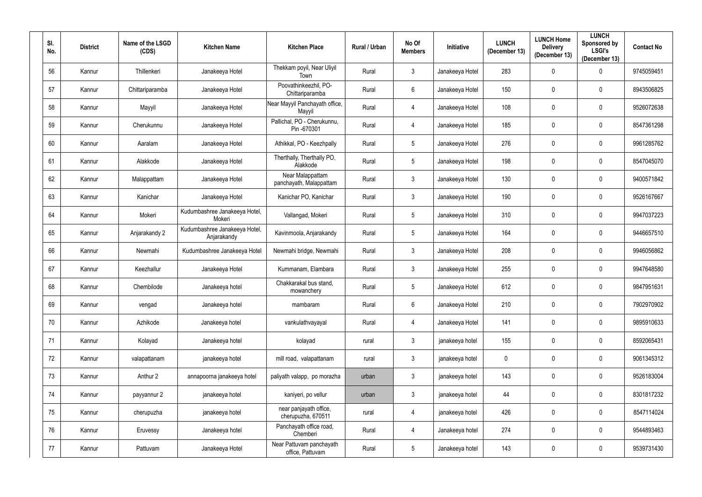| SI.<br>No. | <b>District</b> | Name of the LSGD<br>(CDS) | <b>Kitchen Name</b>                          | <b>Kitchen Place</b>                         | Rural / Urban | No Of<br><b>Members</b> | <b>Initiative</b> | <b>LUNCH</b><br>(December 13) | <b>LUNCH Home</b><br><b>Delivery</b><br>(December 13) | <b>LUNCH</b><br>Sponsored by<br><b>LSGI's</b><br>(December 13) | <b>Contact No</b> |
|------------|-----------------|---------------------------|----------------------------------------------|----------------------------------------------|---------------|-------------------------|-------------------|-------------------------------|-------------------------------------------------------|----------------------------------------------------------------|-------------------|
| 56         | Kannur          | Thillenkeri               | Janakeeya Hotel                              | Thekkam poyil, Near Uliyil<br>Town           | Rural         | $\mathbf{3}$            | Janakeeya Hotel   | 283                           | $\mathbf 0$                                           | $\mathbf 0$                                                    | 9745059451        |
| 57         | Kannur          | Chittariparamba           | Janakeeya Hotel                              | Poovathinkeezhil, PO-<br>Chittariparamba     | Rural         | $6\phantom{.}$          | Janakeeya Hotel   | 150                           | 0                                                     | $\mathbf 0$                                                    | 8943506825        |
| 58         | Kannur          | Mayyil                    | Janakeeya Hotel                              | Near Mayyil Panchayath office,<br>Mayyil     | Rural         | 4                       | Janakeeya Hotel   | 108                           | $\mathbf 0$                                           | $\mathbf 0$                                                    | 9526072638        |
| 59         | Kannur          | Cherukunnu                | Janakeeya Hotel                              | Pallichal, PO - Cherukunnu,<br>Pin -670301   | Rural         | 4                       | Janakeeya Hotel   | 185                           | $\mathbf 0$                                           | $\pmb{0}$                                                      | 8547361298        |
| 60         | Kannur          | Aaralam                   | Janakeeya Hotel                              | Athikkal, PO - Keezhpally                    | Rural         | $5\phantom{.0}$         | Janakeeya Hotel   | 276                           | $\mathbf 0$                                           | $\pmb{0}$                                                      | 9961285762        |
| 61         | Kannur          | Alakkode                  | Janakeeya Hotel                              | Therthally, Therthally PO,<br>Alakkode       | Rural         | 5                       | Janakeeya Hotel   | 198                           | $\mathbf 0$                                           | $\mathbf 0$                                                    | 8547045070        |
| 62         | Kannur          | Malappattam               | Janakeeya Hotel                              | Near Malappattam<br>panchayath, Malappattam  | Rural         | $3\phantom{.0}$         | Janakeeya Hotel   | 130                           | $\mathbf 0$                                           | $\pmb{0}$                                                      | 9400571842        |
| 63         | Kannur          | Kanichar                  | Janakeeya Hotel                              | Kanichar PO, Kanichar                        | Rural         | $\mathbf{3}$            | Janakeeya Hotel   | 190                           | $\mathbf 0$                                           | $\mathbf 0$                                                    | 9526167667        |
| 64         | Kannur          | Mokeri                    | Kudumbashree Janakeeya Hotel,<br>Mokeri      | Vallangad, Mokeri                            | Rural         | $5\phantom{.0}$         | Janakeeya Hotel   | 310                           | $\mathbf{0}$                                          | $\mathbf 0$                                                    | 9947037223        |
| 65         | Kannur          | Anjarakandy 2             | Kudumbashree Janakeeya Hotel,<br>Anjarakandy | Kavinmoola, Anjarakandy                      | Rural         | $5\phantom{.0}$         | Janakeeya Hotel   | 164                           | 0                                                     | $\mathbf 0$                                                    | 9446657510        |
| 66         | Kannur          | Newmahi                   | Kudumbashree Janakeeya Hotel                 | Newmahi bridge, Newmahi                      | Rural         | $\mathfrak{Z}$          | Janakeeya Hotel   | 208                           | 0                                                     | $\mathbf 0$                                                    | 9946056862        |
| 67         | Kannur          | Keezhallur                | Janakeeya Hotel                              | Kummanam, Elambara                           | Rural         | $\mathbf{3}$            | Janakeeya Hotel   | 255                           | $\mathbf 0$                                           | $\mathbf 0$                                                    | 9947648580        |
| 68         | Kannur          | Chembilode                | Janakeeya hotel                              | Chakkarakal bus stand,<br>mowanchery         | Rural         | 5                       | Janakeeya Hotel   | 612                           | 0                                                     | $\mathbf 0$                                                    | 9847951631        |
| 69         | Kannur          | vengad                    | Janakeeya hotel                              | mambaram                                     | Rural         | $6\phantom{.}$          | Janakeeya Hotel   | 210                           | $\mathbf 0$                                           | $\mathbf 0$                                                    | 7902970902        |
| 70         | Kannur          | Azhikode                  | Janakeeya hotel                              | vankulathvayayal                             | Rural         | $\overline{4}$          | Janakeeya Hotel   | 141                           | $\mathbf 0$                                           | $\bf{0}$                                                       | 9895910633        |
| 71         | Kannur          | Kolayad                   | Janakeeya hotel                              | kolayad                                      | rural         | $3\phantom{.0}$         | janakeeya hotel   | 155                           | 0                                                     | $\overline{0}$                                                 | 8592065431        |
| 72         | Kannur          | valapattanam              | janakeeya hotel                              | mill road, valapattanam                      | rural         | $\mathfrak{Z}$          | janakeeya hotel   | $\mathbf 0$                   | $\mathbf 0$                                           | $\bf{0}$                                                       | 9061345312        |
| 73         | Kannur          | Anthur 2                  | annapoorna janakeeya hotel                   | paliyath valapp, po morazha                  | urban         | $\mathfrak{Z}$          | janakeeya hotel   | 143                           | $\mathbf 0$                                           | $\mathbf 0$                                                    | 9526183004        |
| 74         | Kannur          | payyannur 2               | janakeeya hotel                              | kaniyeri, po vellur                          | urban         | $\mathfrak{Z}$          | janakeeya hotel   | 44                            | $\mathbf 0$                                           | $\mathbf 0$                                                    | 8301817232        |
| 75         | Kannur          | cherupuzha                | janakeeya hotel                              | near panjayath office,<br>cherupuzha, 670511 | rural         | 4                       | janakeeya hotel   | 426                           | 0                                                     | $\pmb{0}$                                                      | 8547114024        |
| 76         | Kannur          | Eruvessy                  | Janakeeya hotel                              | Panchayath office road,<br>Chemberi          | Rural         | $\overline{4}$          | Janakeeya hotel   | 274                           | $\mathbf 0$                                           | $\mathbf 0$                                                    | 9544893463        |
| 77         | Kannur          | Pattuvam                  | Janakeeya Hotel                              | Near Pattuvam panchayath<br>office, Pattuvam | Rural         | $\sqrt{5}$              | Janakeeya hotel   | 143                           | $\boldsymbol{0}$                                      | $\pmb{0}$                                                      | 9539731430        |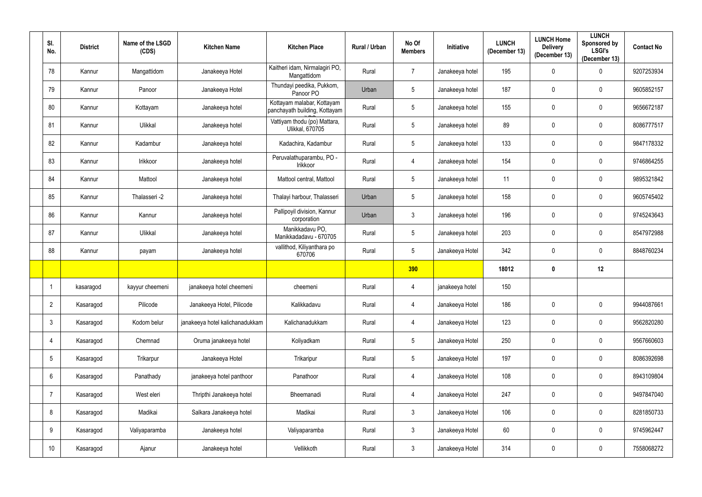| SI.<br>No.      | <b>District</b> | Name of the LSGD<br>(CDS) | <b>Kitchen Name</b>             | <b>Kitchen Place</b>                                        | Rural / Urban | No Of<br><b>Members</b> | <b>Initiative</b> | <b>LUNCH</b><br>(December 13) | <b>LUNCH Home</b><br><b>Delivery</b><br>(December 13) | <b>LUNCH</b><br><b>Sponsored by</b><br><b>LSGI's</b><br>(December 13) | <b>Contact No</b> |
|-----------------|-----------------|---------------------------|---------------------------------|-------------------------------------------------------------|---------------|-------------------------|-------------------|-------------------------------|-------------------------------------------------------|-----------------------------------------------------------------------|-------------------|
| 78              | Kannur          | Mangattidom               | Janakeeya Hotel                 | Kaitheri idam, Nirmalagiri PO,<br>Mangattidom               | Rural         | $\overline{7}$          | Janakeeya hotel   | 195                           | $\mathbf 0$                                           | $\boldsymbol{0}$                                                      | 9207253934        |
| 79              | Kannur          | Panoor                    | Janakeeya Hotel                 | Thundayi peedika, Pukkom,<br>Panoor PO                      | Urban         | $\sqrt{5}$              | Janakeeya hotel   | 187                           | $\mathbf 0$                                           | $\overline{0}$                                                        | 9605852157        |
| 80              | Kannur          | Kottayam                  | Janakeeya hotel                 | Kottayam malabar, Kottayam<br>panchayath building, Kottayam | Rural         | $\overline{5}$          | Janakeeya hotel   | 155                           | $\boldsymbol{0}$                                      | $\mathbf 0$                                                           | 9656672187        |
| 81              | Kannur          | Ulikkal                   | Janakeeya hotel                 | Vattiyam thodu (po) Mattara,<br><b>Ulikkal, 670705</b>      | Rural         | $5\phantom{.0}$         | Janakeeya hotel   | 89                            | $\mathbf 0$                                           | $\overline{0}$                                                        | 8086777517        |
| 82              | Kannur          | Kadambur                  | Janakeeya hotel                 | Kadachira, Kadambur                                         | Rural         | $\overline{5}$          | Janakeeya hotel   | 133                           | $\mathbf 0$                                           | $\mathbf 0$                                                           | 9847178332        |
| 83              | Kannur          | Irikkoor                  | Janakeeya hotel                 | Peruvalathuparambu, PO -<br>Irikkoor                        | Rural         | $\overline{4}$          | Janakeeya hotel   | 154                           | $\mathbf 0$                                           | $\mathbf 0$                                                           | 9746864255        |
| 84              | Kannur          | Mattool                   | Janakeeya hotel                 | Mattool central, Mattool                                    | Rural         | $5\phantom{.0}$         | Janakeeya hotel   | 11                            | $\mathbf 0$                                           | $\mathbf 0$                                                           | 9895321842        |
| 85              | Kannur          | Thalasseri -2             | Janakeeya hotel                 | Thalayi harbour, Thalasseri                                 | Urban         | $5\phantom{.0}$         | Janakeeya hotel   | 158                           | 0                                                     | $\mathbf 0$                                                           | 9605745402        |
| 86              | Kannur          | Kannur                    | Janakeeya hotel                 | Pallipoyil division, Kannur<br>corporation                  | Urban         | $\mathbf{3}$            | Janakeeya hotel   | 196                           | $\mathbf 0$                                           | $\mathbf 0$                                                           | 9745243643        |
| 87              | Kannur          | Ulikkal                   | Janakeeya hotel                 | Manikkadavu PO,<br>Manikkadadavu - 670705                   | Rural         | $\sqrt{5}$              | Janakeeya hotel   | 203                           | $\mathbf 0$                                           | $\mathbf 0$                                                           | 8547972988        |
| 88              | Kannur          | payam                     | Janakeeya hotel                 | vallithod, Kiliyanthara po<br>670706                        | Rural         | $5\phantom{.0}$         | Janakeeya Hotel   | 342                           | $\mathbf 0$                                           | $\mathbf 0$                                                           | 8848760234        |
|                 |                 |                           |                                 |                                                             |               | 390                     |                   | 18012                         | 0                                                     | 12                                                                    |                   |
|                 | kasaragod       | kayyur cheemeni           | janakeeya hotel cheemeni        | cheemeni                                                    | Rural         | $\overline{4}$          | janakeeya hotel   | 150                           |                                                       |                                                                       |                   |
| $\overline{2}$  | Kasaragod       | Pilicode                  | Janakeeya Hotel, Pilicode       | Kalikkadavu                                                 | Rural         | $\overline{4}$          | Janakeeya Hotel   | 186                           | $\boldsymbol{0}$                                      | $\mathbf 0$                                                           | 9944087661        |
| $\mathbf{3}$    | Kasaragod       | Kodom belur               | janakeeya hotel kalichanadukkam | Kalichanadukkam                                             | Rural         | $\overline{4}$          | Janakeeya Hotel   | 123                           | $\mathbf 0$                                           | $\bf{0}$                                                              | 9562820280        |
| 4               | Kasaragod       | Chemnad                   | Oruma janakeeya hotel           | Koliyadkam                                                  | Rural         | $5\phantom{.0}$         | Janakeeya Hotel   | 250                           | $\boldsymbol{0}$                                      | $\mathbf 0$                                                           | 9567660603        |
| $\overline{5}$  | Kasaragod       | Trikarpur                 | Janakeeya Hotel                 | Trikaripur                                                  | Rural         | $5\,$                   | Janakeeya Hotel   | 197                           | $\boldsymbol{0}$                                      | $\mathbf 0$                                                           | 8086392698        |
| $6\phantom{.}$  | Kasaragod       | Panathady                 | janakeeya hotel panthoor        | Panathoor                                                   | Rural         | $\overline{4}$          | Janakeeya Hotel   | 108                           | $\pmb{0}$                                             | $\mathbf 0$                                                           | 8943109804        |
| $\overline{7}$  | Kasaragod       | West eleri                | Thripthi Janakeeya hotel        | Bheemanadi                                                  | Rural         | $\overline{4}$          | Janakeeya Hotel   | 247                           | $\pmb{0}$                                             | $\mathbf 0$                                                           | 9497847040        |
| 8               | Kasaragod       | Madikai                   | Salkara Janakeeya hotel         | Madikai                                                     | Rural         | $\mathbf{3}$            | Janakeeya Hotel   | 106                           | $\mathbf 0$                                           | $\mathbf 0$                                                           | 8281850733        |
| $9\,$           | Kasaragod       | Valiyaparamba             | Janakeeya hotel                 | Valiyaparamba                                               | Rural         | $\mathbf{3}$            | Janakeeya Hotel   | 60                            | $\boldsymbol{0}$                                      | $\mathbf 0$                                                           | 9745962447        |
| 10 <sup>°</sup> | Kasaragod       | Ajanur                    | Janakeeya hotel                 | Vellikkoth                                                  | Rural         | $\mathbf{3}$            | Janakeeya Hotel   | 314                           | 0                                                     | $\boldsymbol{0}$                                                      | 7558068272        |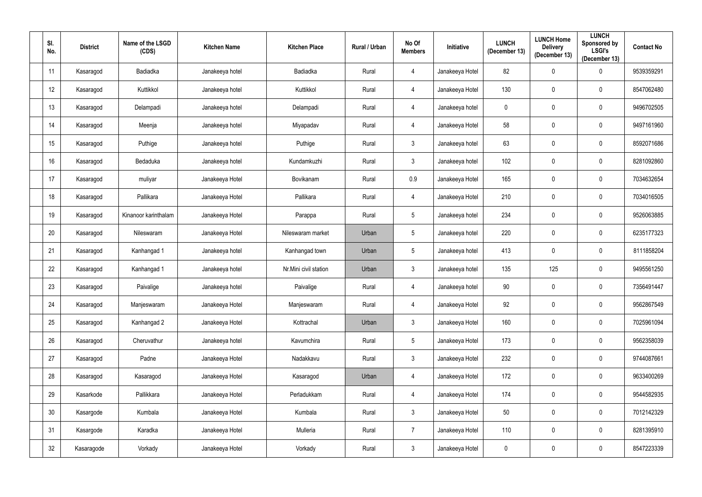| SI.<br>No. | <b>District</b> | Name of the LSGD<br>(CDS) | <b>Kitchen Name</b> | <b>Kitchen Place</b>  | Rural / Urban | No Of<br><b>Members</b> | Initiative      | <b>LUNCH</b><br>(December 13) | <b>LUNCH Home</b><br><b>Delivery</b><br>(December 13) | <b>LUNCH</b><br>Sponsored by<br><b>LSGI's</b><br>(December 13) | <b>Contact No</b> |
|------------|-----------------|---------------------------|---------------------|-----------------------|---------------|-------------------------|-----------------|-------------------------------|-------------------------------------------------------|----------------------------------------------------------------|-------------------|
| 11         | Kasaragod       | <b>Badiadka</b>           | Janakeeya hotel     | Badiadka              | Rural         | 4                       | Janakeeya Hotel | 82                            | 0                                                     | $\mathbf 0$                                                    | 9539359291        |
| 12         | Kasaragod       | Kuttikkol                 | Janakeeya hotel     | Kuttikkol             | Rural         | 4                       | Janakeeya Hotel | 130                           | $\mathbf 0$                                           | $\mathbf 0$                                                    | 8547062480        |
| 13         | Kasaragod       | Delampadi                 | Janakeeya hotel     | Delampadi             | Rural         | 4                       | Janakeeya hotel | $\mathbf 0$                   | 0                                                     | $\mathbf 0$                                                    | 9496702505        |
| 14         | Kasaragod       | Meenja                    | Janakeeya hotel     | Miyapadav             | Rural         | 4                       | Janakeeya Hotel | 58                            | 0                                                     | $\mathbf 0$                                                    | 9497161960        |
| 15         | Kasaragod       | Puthige                   | Janakeeya hotel     | Puthige               | Rural         | $\mathbf{3}$            | Janakeeya hotel | 63                            | $\mathbf 0$                                           | $\mathbf 0$                                                    | 8592071686        |
| 16         | Kasaragod       | Bedaduka                  | Janakeeya hotel     | Kundamkuzhi           | Rural         | $\mathbf{3}$            | Janakeeya hotel | 102                           | 0                                                     | $\mathbf 0$                                                    | 8281092860        |
| 17         | Kasaragod       | muliyar                   | Janakeeya Hotel     | Bovikanam             | Rural         | 0.9                     | Janakeeya Hotel | 165                           | 0                                                     | $\mathbf 0$                                                    | 7034632654        |
| 18         | Kasaragod       | Pallikara                 | Janakeeya Hotel     | Pallikara             | Rural         | 4                       | Janakeeya Hotel | 210                           | 0                                                     | $\mathbf 0$                                                    | 7034016505        |
| 19         | Kasaragod       | Kinanoor karinthalam      | Janakeeya Hotel     | Parappa               | Rural         | $5\phantom{.0}$         | Janakeeya hotel | 234                           | 0                                                     | $\mathbf 0$                                                    | 9526063885        |
| 20         | Kasaragod       | Nileswaram                | Janakeeya Hotel     | Nileswaram market     | Urban         | $5\phantom{.0}$         | Janakeeya hotel | 220                           | 0                                                     | $\mathbf 0$                                                    | 6235177323        |
| 21         | Kasaragod       | Kanhangad 1               | Janakeeya hotel     | Kanhangad town        | Urban         | $5\phantom{.0}$         | Janakeeya hotel | 413                           | 0                                                     | $\mathbf 0$                                                    | 8111858204        |
| 22         | Kasaragod       | Kanhangad 1               | Janakeeya hotel     | Nr.Mini civil station | Urban         | $\mathfrak{Z}$          | Janakeeya hotel | 135                           | 125                                                   | $\mathbf 0$                                                    | 9495561250        |
| 23         | Kasaragod       | Paivalige                 | Janakeeya hotel     | Paivalige             | Rural         | 4                       | Janakeeya hotel | $90\,$                        | 0                                                     | $\mathbf 0$                                                    | 7356491447        |
| 24         | Kasaragod       | Manjeswaram               | Janakeeya Hotel     | Manjeswaram           | Rural         | $\overline{4}$          | Janakeeya Hotel | 92                            | $\mathbf 0$                                           | $\mathbf 0$                                                    | 9562867549        |
| 25         | Kasaragod       | Kanhangad 2               | Janakeeya Hotel     | Kottrachal            | Urban         | $\mathbf{3}$            | Janakeeya Hotel | 160                           | $\mathbf 0$                                           | $\mathbf 0$                                                    | 7025961094        |
| 26         | Kasaragod       | Cheruvathur               | Janakeeya hotel     | Kavumchira            | Rural         | $5\phantom{.0}$         | Janakeeya Hotel | 173                           | 0                                                     | $\mathbf 0$                                                    | 9562358039        |
| 27         | Kasaragod       | Padne                     | Janakeeya Hotel     | Nadakkavu             | Rural         | 3 <sup>1</sup>          | Janakeeya Hotel | 232                           | $\mathbf 0$                                           | $\mathbf 0$                                                    | 9744087661        |
| 28         | Kasaragod       | Kasaragod                 | Janakeeya Hotel     | Kasaragod             | Urban         | $\overline{4}$          | Janakeeya Hotel | 172                           | $\mathbf 0$                                           | $\mathbf 0$                                                    | 9633400269        |
| 29         | Kasarkode       | Pallikkara                | Janakeeya Hotel     | Perladukkam           | Rural         | $\overline{4}$          | Janakeeya Hotel | 174                           | $\mathbf 0$                                           | $\mathbf 0$                                                    | 9544582935        |
| $30\,$     | Kasargode       | Kumbala                   | Janakeeya Hotel     | Kumbala               | Rural         | $\mathfrak{Z}$          | Janakeeya Hotel | $50\,$                        | 0                                                     | $\mathbf 0$                                                    | 7012142329        |
| 31         | Kasargode       | Karadka                   | Janakeeya Hotel     | Mulleria              | Rural         | $\overline{7}$          | Janakeeya Hotel | 110                           | $\mathbf 0$                                           | $\mathbf 0$                                                    | 8281395910        |
| 32         | Kasaragode      | Vorkady                   | Janakeeya Hotel     | Vorkady               | Rural         | $\mathfrak{Z}$          | Janakeeya Hotel | $\mathsf{O}$                  | 0                                                     | 0                                                              | 8547223339        |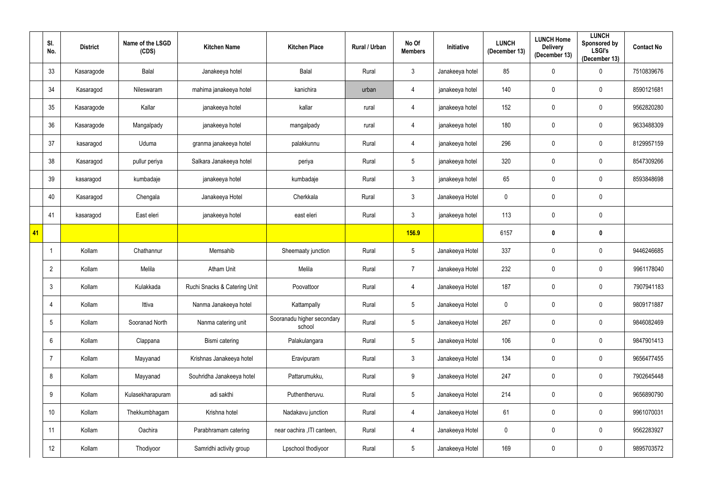|             | SI.<br>No.      | <b>District</b> | Name of the LSGD<br>(CDS) | <b>Kitchen Name</b>          | <b>Kitchen Place</b>                 | Rural / Urban | No Of<br><b>Members</b> | Initiative      | <b>LUNCH</b><br>(December 13) | <b>LUNCH Home</b><br><b>Delivery</b><br>(December 13) | <b>LUNCH</b><br>Sponsored by<br><b>LSGI's</b><br>(December 13) | <b>Contact No</b> |
|-------------|-----------------|-----------------|---------------------------|------------------------------|--------------------------------------|---------------|-------------------------|-----------------|-------------------------------|-------------------------------------------------------|----------------------------------------------------------------|-------------------|
|             | 33              | Kasaragode      | <b>Balal</b>              | Janakeeya hotel              | Balal                                | Rural         | $\mathfrak{Z}$          | Janakeeya hotel | 85                            | $\mathbf 0$                                           | $\mathbf 0$                                                    | 7510839676        |
|             | 34              | Kasaragod       | Nileswaram                | mahima janakeeya hotel       | kanichira                            | urban         | 4                       | janakeeya hotel | 140                           | $\mathbf 0$                                           | $\mathbf 0$                                                    | 8590121681        |
|             | 35              | Kasaragode      | Kallar                    | janakeeya hotel              | kallar                               | rural         | 4                       | janakeeya hotel | 152                           | $\pmb{0}$                                             | $\mathbf 0$                                                    | 9562820280        |
|             | 36              | Kasaragode      | Mangalpady                | janakeeya hotel              | mangalpady                           | rural         | 4                       | janakeeya hotel | 180                           | $\mathbf 0$                                           | $\mathbf 0$                                                    | 9633488309        |
|             | 37              | kasaragod       | Uduma                     | granma janakeeya hotel       | palakkunnu                           | Rural         | 4                       | janakeeya hotel | 296                           | $\pmb{0}$                                             | $\mathbf 0$                                                    | 8129957159        |
|             | 38              | Kasaragod       | pullur periya             | Salkara Janakeeya hotel      | periya                               | Rural         | $5\phantom{.0}$         | janakeeya hotel | 320                           | $\mathbf 0$                                           | $\mathbf 0$                                                    | 8547309266        |
|             | 39              | kasaragod       | kumbadaje                 | janakeeya hotel              | kumbadaje                            | Rural         | $\mathfrak{Z}$          | janakeeya hotel | 65                            | $\mathbf 0$                                           | $\mathbf 0$                                                    | 8593848698        |
|             | 40              | Kasaragod       | Chengala                  | Janakeeya Hotel              | Cherkkala                            | Rural         | $\mathbf{3}$            | Janakeeya Hotel | $\mathbf 0$                   | $\mathbf 0$                                           | $\mathbf 0$                                                    |                   |
|             | 41              | kasaragod       | East eleri                | janakeeya hotel              | east eleri                           | Rural         | $\mathbf{3}$            | janakeeya hotel | 113                           | $\mathbf 0$                                           | $\mathbf 0$                                                    |                   |
| $\sqrt{41}$ |                 |                 |                           |                              |                                      |               | <b>156.9</b>            |                 | 6157                          | 0                                                     | $\boldsymbol{0}$                                               |                   |
|             |                 | Kollam          | Chathannur                | Memsahib                     | Sheemaaty junction                   | Rural         | $\sqrt{5}$              | Janakeeya Hotel | 337                           | $\mathbf 0$                                           | $\mathbf 0$                                                    | 9446246685        |
|             | $\overline{2}$  | Kollam          | Melila                    | <b>Atham Unit</b>            | Melila                               | Rural         | $\overline{7}$          | Janakeeya Hotel | 232                           | $\pmb{0}$                                             | $\mathbf 0$                                                    | 9961178040        |
|             | 3               | Kollam          | Kulakkada                 | Ruchi Snacks & Catering Unit | Poovattoor                           | Rural         | 4                       | Janakeeya Hotel | 187                           | $\mathbf 0$                                           | $\mathbf 0$                                                    | 7907941183        |
|             | 4               | Kollam          | Ittiva                    | Nanma Janakeeya hotel        | Kattampally                          | Rural         | $\overline{5}$          | Janakeeya Hotel | $\overline{0}$                | $\mathbf 0$                                           | $\mathbf 0$                                                    | 9809171887        |
|             | $5\overline{)}$ | Kollam          | Sooranad North            | Nanma catering unit          | Sooranadu higher secondary<br>school | Rural         | $\overline{5}$          | Janakeeya Hotel | 267                           | $\mathbf 0$                                           | $\mathbf 0$                                                    | 9846082469        |
|             | 6               | Kollam          | Clappana                  | Bismi catering               | Palakulangara                        | Rural         | $\overline{5}$          | Janakeeya Hotel | 106                           | $\mathbf 0$                                           | $\mathbf 0$                                                    | 9847901413        |
|             | 7               | Kollam          | Mayyanad                  | Krishnas Janakeeya hotel     | Eravipuram                           | Rural         | $\mathfrak{Z}$          | Janakeeya Hotel | 134                           | $\mathbf 0$                                           | $\mathbf 0$                                                    | 9656477455        |
|             | 8               | Kollam          | Mayyanad                  | Souhridha Janakeeya hotel    | Pattarumukku,                        | Rural         | $9\,$                   | Janakeeya Hotel | 247                           | $\mathbf 0$                                           | $\mathbf 0$                                                    | 7902645448        |
|             | 9               | Kollam          | Kulasekharapuram          | adi sakthi                   | Puthentheruvu.                       | Rural         | $\sqrt{5}$              | Janakeeya Hotel | 214                           | $\mathbf 0$                                           | $\mathbf 0$                                                    | 9656890790        |
|             | 10              | Kollam          | Thekkumbhagam             | Krishna hotel                | Nadakavu junction                    | Rural         | 4                       | Janakeeya Hotel | 61                            | $\pmb{0}$                                             | $\mathbf 0$                                                    | 9961070031        |
|             | 11              | Kollam          | Oachira                   | Parabhramam catering         | near oachira , ITI canteen,          | Rural         | 4                       | Janakeeya Hotel | $\pmb{0}$                     | $\pmb{0}$                                             | $\boldsymbol{0}$                                               | 9562283927        |
|             | $12 \,$         | Kollam          | Thodiyoor                 | Samridhi activity group      | Lpschool thodiyoor                   | Rural         | $5\,$                   | Janakeeya Hotel | 169                           | $\pmb{0}$                                             | $\mathbf 0$                                                    | 9895703572        |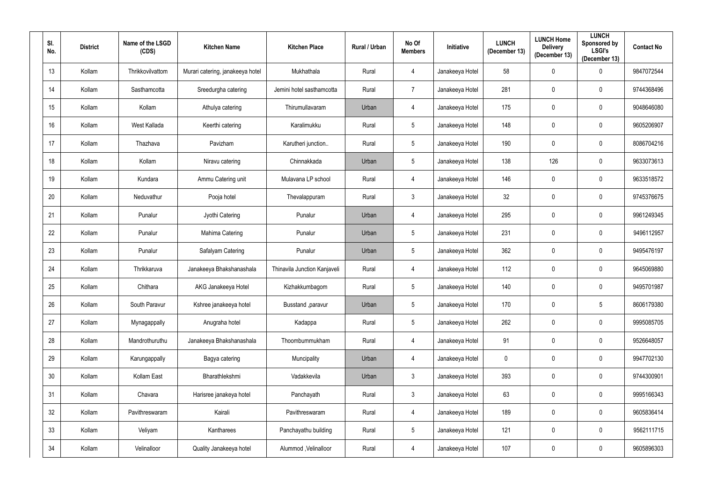| SI.<br>No. | <b>District</b> | Name of the LSGD<br>(CDS) | <b>Kitchen Name</b>              | <b>Kitchen Place</b>         | Rural / Urban | No Of<br><b>Members</b> | Initiative      | <b>LUNCH</b><br>(December 13) | <b>LUNCH Home</b><br><b>Delivery</b><br>(December 13) | <b>LUNCH</b><br>Sponsored by<br><b>LSGI's</b><br>(December 13) | <b>Contact No</b> |
|------------|-----------------|---------------------------|----------------------------------|------------------------------|---------------|-------------------------|-----------------|-------------------------------|-------------------------------------------------------|----------------------------------------------------------------|-------------------|
| 13         | Kollam          | Thrikkovilvattom          | Murari catering, janakeeya hotel | Mukhathala                   | Rural         | 4                       | Janakeeya Hotel | 58                            | $\mathbf{0}$                                          | $\mathbf 0$                                                    | 9847072544        |
| 14         | Kollam          | Sasthamcotta              | Sreedurgha catering              | Jemini hotel sasthamcotta    | Rural         | $\overline{7}$          | Janakeeya Hotel | 281                           | $\mathbf{0}$                                          | $\mathbf 0$                                                    | 9744368496        |
| 15         | Kollam          | Kollam                    | Athulya catering                 | Thirumullavaram              | Urban         | 4                       | Janakeeya Hotel | 175                           | $\mathbf 0$                                           | $\bf{0}$                                                       | 9048646080        |
| 16         | Kollam          | West Kallada              | Keerthi catering                 | Karalimukku                  | Rural         | $5\phantom{.0}$         | Janakeeya Hotel | 148                           | $\mathbf{0}$                                          | $\boldsymbol{0}$                                               | 9605206907        |
| 17         | Kollam          | Thazhava                  | Pavizham                         | Karutheri junction           | Rural         | $5\phantom{.0}$         | Janakeeya Hotel | 190                           | $\mathbf 0$                                           | $\mathbf 0$                                                    | 8086704216        |
| 18         | Kollam          | Kollam                    | Niravu catering                  | Chinnakkada                  | Urban         | $5\phantom{.0}$         | Janakeeya Hotel | 138                           | 126                                                   | $\boldsymbol{0}$                                               | 9633073613        |
| 19         | Kollam          | Kundara                   | Ammu Catering unit               | Mulavana LP school           | Rural         | 4                       | Janakeeya Hotel | 146                           | $\mathbf{0}$                                          | $\bf{0}$                                                       | 9633518572        |
| 20         | Kollam          | Neduvathur                | Pooja hotel                      | Thevalappuram                | Rural         | $\mathbf{3}$            | Janakeeya Hotel | 32                            | $\mathbf{0}$                                          | $\mathbf 0$                                                    | 9745376675        |
| 21         | Kollam          | Punalur                   | Jyothi Catering                  | Punalur                      | Urban         | 4                       | Janakeeya Hotel | 295                           | $\mathbf{0}$                                          | $\mathbf 0$                                                    | 9961249345        |
| 22         | Kollam          | Punalur                   | Mahima Catering                  | Punalur                      | Urban         | $5\phantom{.0}$         | Janakeeya Hotel | 231                           | $\mathbf{0}$                                          | $\mathbf 0$                                                    | 9496112957        |
| 23         | Kollam          | Punalur                   | Safalyam Catering                | Punalur                      | Urban         | $5\phantom{.0}$         | Janakeeya Hotel | 362                           | $\mathbf{0}$                                          | $\mathbf 0$                                                    | 9495476197        |
| 24         | Kollam          | Thrikkaruva               | Janakeeya Bhakshanashala         | Thinavila Junction Kanjaveli | Rural         | 4                       | Janakeeya Hotel | 112                           | 0                                                     | $\pmb{0}$                                                      | 9645069880        |
| 25         | Kollam          | Chithara                  | AKG Janakeeya Hotel              | Kizhakkumbagom               | Rural         | $5\phantom{.0}$         | Janakeeya Hotel | 140                           | $\boldsymbol{0}$                                      | $\mathbf 0$                                                    | 9495701987        |
| 26         | Kollam          | South Paravur             | Kshree janakeeya hotel           | Busstand , paravur           | Urban         | $5\phantom{.0}$         | Janakeeya Hotel | 170                           | $\overline{0}$                                        | $5\phantom{.0}$                                                | 8606179380        |
| 27         | Kollam          | Mynagappally              | Anugraha hotel                   | Kadappa                      | Rural         | $5\phantom{.0}$         | Janakeeya Hotel | 262                           | $\mathbf 0$                                           | $\pmb{0}$                                                      | 9995085705        |
| 28         | Kollam          | Mandrothuruthu            | Janakeeya Bhakshanashala         | Thoombummukham               | Rural         | 4                       | Janakeeya Hotel | 91                            | $\mathbf 0$                                           | $\mathbf 0$                                                    | 9526648057        |
| 29         | Kollam          | Karungappally             | Bagya catering                   | Muncipality                  | Urban         | 4                       | Janakeeya Hotel | $\pmb{0}$                     | $\mathbf 0$                                           | $\mathbf 0$                                                    | 9947702130        |
| $30\,$     | Kollam          | Kollam East               | Bharathlekshmi                   | Vadakkevila                  | Urban         | $\mathfrak{Z}$          | Janakeeya Hotel | 393                           | $\mathbf 0$                                           | $\mathbf 0$                                                    | 9744300901        |
| 31         | Kollam          | Chavara                   | Harisree janakeya hotel          | Panchayath                   | Rural         | $\mathfrak{Z}$          | Janakeeya Hotel | 63                            | $\mathbf 0$                                           | $\mathbf 0$                                                    | 9995166343        |
| 32         | Kollam          | Pavithreswaram            | Kairali                          | Pavithreswaram               | Rural         | $\overline{4}$          | Janakeeya Hotel | 189                           | $\mathbf 0$                                           | $\pmb{0}$                                                      | 9605836414        |
| 33         | Kollam          | Veliyam                   | Kantharees                       | Panchayathu building         | Rural         | $5\phantom{.0}$         | Janakeeya Hotel | 121                           | $\mathbf 0$                                           | $\pmb{0}$                                                      | 9562111715        |
| 34         | Kollam          | Velinalloor               | Quality Janakeeya hotel          | Alummod, Velinalloor         | Rural         | 4                       | Janakeeya Hotel | 107                           | $\mathbf 0$                                           | $\pmb{0}$                                                      | 9605896303        |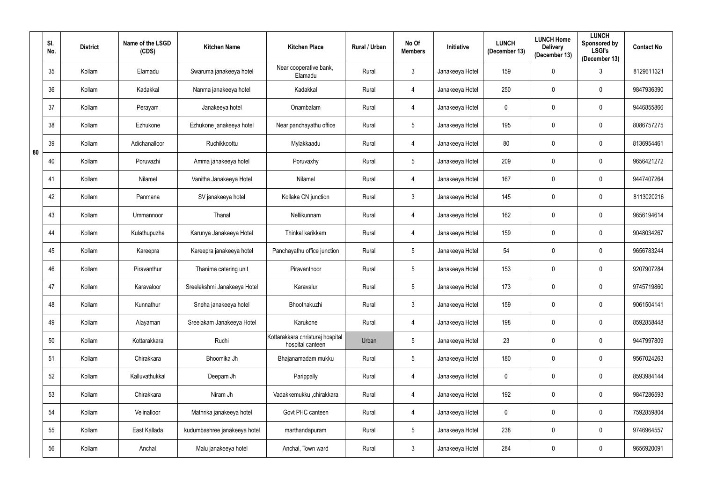|    | SI.<br>No. | <b>District</b> | Name of the LSGD<br>(CDS) | <b>Kitchen Name</b>          | <b>Kitchen Place</b>                                 | Rural / Urban | No Of<br><b>Members</b> | <b>Initiative</b> | <b>LUNCH</b><br>(December 13) | <b>LUNCH Home</b><br><b>Delivery</b><br>(December 13) | <b>LUNCH</b><br>Sponsored by<br><b>LSGI's</b><br>(December 13) | <b>Contact No</b> |
|----|------------|-----------------|---------------------------|------------------------------|------------------------------------------------------|---------------|-------------------------|-------------------|-------------------------------|-------------------------------------------------------|----------------------------------------------------------------|-------------------|
|    | 35         | Kollam          | Elamadu                   | Swaruma janakeeya hotel      | Near cooperative bank,<br>Elamadu                    | Rural         | $\mathbf{3}$            | Janakeeya Hotel   | 159                           | $\mathbf 0$                                           | 3                                                              | 8129611321        |
|    | 36         | Kollam          | Kadakkal                  | Nanma janakeeya hotel        | Kadakkal                                             | Rural         | 4                       | Janakeeya Hotel   | 250                           | $\mathbf 0$                                           | $\mathbf 0$                                                    | 9847936390        |
|    | 37         | Kollam          | Perayam                   | Janakeeya hotel              | Onambalam                                            | Rural         | 4                       | Janakeeya Hotel   | $\mathbf 0$                   | $\mathbf 0$                                           | $\pmb{0}$                                                      | 9446855866        |
|    | 38         | Kollam          | Ezhukone                  | Ezhukone janakeeya hotel     | Near panchayathu office                              | Rural         | $5\phantom{.0}$         | Janakeeya Hotel   | 195                           | $\mathbf 0$                                           | $\mathbf 0$                                                    | 8086757275        |
| 80 | 39         | Kollam          | Adichanalloor             | Ruchikkoottu                 | Mylakkaadu                                           | Rural         | 4                       | Janakeeya Hotel   | 80                            | $\boldsymbol{0}$                                      | $\overline{0}$                                                 | 8136954461        |
|    | 40         | Kollam          | Poruvazhi                 | Amma janakeeya hotel         | Poruvaxhy                                            | Rural         | $5\phantom{.0}$         | Janakeeya Hotel   | 209                           | $\mathbf 0$                                           | $\mathbf 0$                                                    | 9656421272        |
|    | 41         | Kollam          | Nilamel                   | Vanitha Janakeeya Hotel      | Nilamel                                              | Rural         | 4                       | Janakeeya Hotel   | 167                           | $\mathbf 0$                                           | $\pmb{0}$                                                      | 9447407264        |
|    | 42         | Kollam          | Panmana                   | SV janakeeya hotel           | Kollaka CN junction                                  | Rural         | $\mathbf{3}$            | Janakeeya Hotel   | 145                           | $\mathbf 0$                                           | $\mathbf 0$                                                    | 8113020216        |
|    | 43         | Kollam          | Ummannoor                 | Thanal                       | Nellikunnam                                          | Rural         | $\overline{4}$          | Janakeeya Hotel   | 162                           | $\mathbf 0$                                           | $\mathbf 0$                                                    | 9656194614        |
|    | 44         | Kollam          | Kulathupuzha              | Karunya Janakeeya Hotel      | Thinkal karikkam                                     | Rural         | 4                       | Janakeeya Hotel   | 159                           | $\mathbf 0$                                           | $\mathbf 0$                                                    | 9048034267        |
|    | 45         | Kollam          | Kareepra                  | Kareepra janakeeya hotel     | Panchayathu office junction                          | Rural         | $5\phantom{.0}$         | Janakeeya Hotel   | 54                            | $\mathbf 0$                                           | $\mathbf 0$                                                    | 9656783244        |
|    | 46         | Kollam          | Piravanthur               | Thanima catering unit        | Piravanthoor                                         | Rural         | $5\phantom{.0}$         | Janakeeya Hotel   | 153                           | $\boldsymbol{0}$                                      | $\pmb{0}$                                                      | 9207907284        |
|    | 47         | Kollam          | Karavaloor                | Sreelekshmi Janakeeya Hotel  | Karavalur                                            | Rural         | $5\phantom{.0}$         | Janakeeya Hotel   | 173                           | $\mathbf 0$                                           | $\mathbf 0$                                                    | 9745719860        |
|    | 48         | Kollam          | Kunnathur                 | Sneha janakeeya hotel        | Bhoothakuzhi                                         | Rural         | $\mathbf{3}$            | Janakeeya Hotel   | 159                           | $\pmb{0}$                                             | $\pmb{0}$                                                      | 9061504141        |
|    | 49         | Kollam          | Alayaman                  | Sreelakam Janakeeya Hotel    | Karukone                                             | Rural         | $\overline{4}$          | Janakeeya Hotel   | 198                           | $\mathbf 0$                                           | $\bf{0}$                                                       | 8592858448        |
|    | 50         | Kollam          | Kottarakkara              | Ruchi                        | Kottarakkara christuraj hospital<br>hospital canteen | Urban         | $5\phantom{.0}$         | Janakeeya Hotel   | 23                            | $\mathbf 0$                                           | $\mathbf 0$                                                    | 9447997809        |
|    | 51         | Kollam          | Chirakkara                | Bhoomika Jh                  | Bhajanamadam mukku                                   | Rural         | $5\phantom{.0}$         | Janakeeya Hotel   | 180                           | $\mathbf 0$                                           | $\bf{0}$                                                       | 9567024263        |
|    | 52         | Kollam          | Kalluvathukkal            | Deepam Jh                    | Parippally                                           | Rural         | 4                       | Janakeeya Hotel   | $\mathbf 0$                   | $\mathbf 0$                                           | $\mathbf 0$                                                    | 8593984144        |
|    | 53         | Kollam          | Chirakkara                | Niram Jh                     | Vadakkemukku ,chirakkara                             | Rural         | 4                       | Janakeeya Hotel   | 192                           | $\mathbf 0$                                           | $\mathbf 0$                                                    | 9847286593        |
|    | 54         | Kollam          | Velinalloor               | Mathrika janakeeya hotel     | Govt PHC canteen                                     | Rural         | $\overline{4}$          | Janakeeya Hotel   | $\mathbf 0$                   | $\mathbf 0$                                           | $\mathbf 0$                                                    | 7592859804        |
|    | 55         | Kollam          | East Kallada              | kudumbashree janakeeya hotel | marthandapuram                                       | Rural         | $5\phantom{.0}$         | Janakeeya Hotel   | 238                           | $\pmb{0}$                                             | $\pmb{0}$                                                      | 9746964557        |
|    | 56         | Kollam          | Anchal                    | Malu janakeeya hotel         | Anchal, Town ward                                    | Rural         | $\mathfrak{Z}$          | Janakeeya Hotel   | 284                           | $\boldsymbol{0}$                                      | $\boldsymbol{0}$                                               | 9656920091        |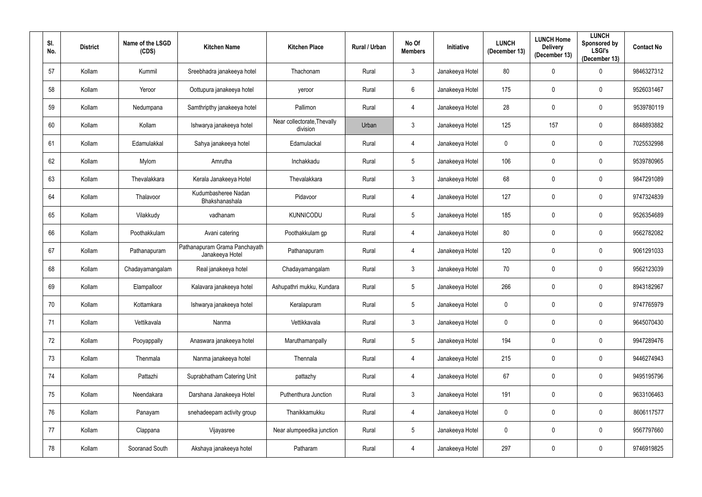| SI.<br>No. | <b>District</b> | Name of the LSGD<br>(CDS) | <b>Kitchen Name</b>                              | <b>Kitchen Place</b>                    | <b>Rural / Urban</b> | No Of<br><b>Members</b> | <b>Initiative</b> | <b>LUNCH</b><br>(December 13) | <b>LUNCH Home</b><br><b>Delivery</b><br>(December 13) | <b>LUNCH</b><br>Sponsored by<br><b>LSGI's</b><br>(December 13) | <b>Contact No</b> |
|------------|-----------------|---------------------------|--------------------------------------------------|-----------------------------------------|----------------------|-------------------------|-------------------|-------------------------------|-------------------------------------------------------|----------------------------------------------------------------|-------------------|
| 57         | Kollam          | Kummil                    | Sreebhadra janakeeya hotel                       | Thachonam                               | Rural                | $\mathbf{3}$            | Janakeeya Hotel   | 80                            | $\mathbf 0$                                           | $\boldsymbol{0}$                                               | 9846327312        |
| 58         | Kollam          | Yeroor                    | Oottupura janakeeya hotel                        | yeroor                                  | Rural                | $6\phantom{.}6$         | Janakeeya Hotel   | 175                           | $\mathbf 0$                                           | $\mathbf 0$                                                    | 9526031467        |
| 59         | Kollam          | Nedumpana                 | Samthripthy janakeeya hotel                      | Pallimon                                | Rural                | 4                       | Janakeeya Hotel   | 28                            | $\mathbf 0$                                           | $\pmb{0}$                                                      | 9539780119        |
| 60         | Kollam          | Kollam                    | Ishwarya janakeeya hotel                         | Near collectorate, Thevally<br>division | Urban                | $\mathbf{3}$            | Janakeeya Hotel   | 125                           | 157                                                   | $\mathbf 0$                                                    | 8848893882        |
| 61         | Kollam          | Edamulakkal               | Sahya janakeeya hotel                            | Edamulackal                             | Rural                | 4                       | Janakeeya Hotel   | $\mathbf 0$                   | $\mathbf 0$                                           | $\overline{0}$                                                 | 7025532998        |
| 62         | Kollam          | Mylom                     | Amrutha                                          | Inchakkadu                              | Rural                | $5\phantom{.0}$         | Janakeeya Hotel   | 106                           | $\mathbf 0$                                           | $\mathbf 0$                                                    | 9539780965        |
| 63         | Kollam          | Thevalakkara              | Kerala Janakeeya Hotel                           | Thevalakkara                            | Rural                | $\mathbf{3}$            | Janakeeya Hotel   | 68                            | $\mathbf 0$                                           | $\mathbf 0$                                                    | 9847291089        |
| 64         | Kollam          | Thalavoor                 | Kudumbasheree Nadan<br>Bhakshanashala            | Pidavoor                                | Rural                | 4                       | Janakeeya Hotel   | 127                           | $\mathbf 0$                                           | $\mathbf 0$                                                    | 9747324839        |
| 65         | Kollam          | Vilakkudy                 | vadhanam                                         | <b>KUNNICODU</b>                        | Rural                | $5\phantom{.0}$         | Janakeeya Hotel   | 185                           | $\mathbf 0$                                           | $\mathbf 0$                                                    | 9526354689        |
| 66         | Kollam          | Poothakkulam              | Avani catering                                   | Poothakkulam gp                         | Rural                | 4                       | Janakeeya Hotel   | 80                            | $\mathbf 0$                                           | $\mathbf 0$                                                    | 9562782082        |
| 67         | Kollam          | Pathanapuram              | Pathanapuram Grama Panchayath<br>Janakeeya Hotel | Pathanapuram                            | Rural                | $\overline{4}$          | Janakeeya Hotel   | 120                           | $\mathbf 0$                                           | $\mathbf 0$                                                    | 9061291033        |
| 68         | Kollam          | Chadayamangalam           | Real janakeeya hotel                             | Chadayamangalam                         | Rural                | $\mathbf{3}$            | Janakeeya Hotel   | 70                            | $\mathbf 0$                                           | $\pmb{0}$                                                      | 9562123039        |
| 69         | Kollam          | Elampalloor               | Kalavara janakeeya hotel                         | Ashupathri mukku, Kundara               | Rural                | $5\phantom{.0}$         | Janakeeya Hotel   | 266                           | $\mathbf 0$                                           | $\overline{0}$                                                 | 8943182967        |
| 70         | Kollam          | Kottamkara                | Ishwarya janakeeya hotel                         | Keralapuram                             | Rural                | $5\phantom{.0}$         | Janakeeya Hotel   | $\mathbf 0$                   | $\pmb{0}$                                             | $\pmb{0}$                                                      | 9747765979        |
| 71         | Kollam          | Vettikavala               | Nanma                                            | Vettikkavala                            | Rural                | $\mathbf{3}$            | Janakeeya Hotel   | $\mathbf 0$                   | $\boldsymbol{0}$                                      | $\bf{0}$                                                       | 9645070430        |
| 72         | Kollam          | Pooyappally               | Anaswara janakeeya hotel                         | Maruthamanpally                         | Rural                | $5\phantom{.0}$         | Janakeeya Hotel   | 194                           | $\mathbf 0$                                           | $\overline{0}$                                                 | 9947289476        |
| 73         | Kollam          | Thenmala                  | Nanma janakeeya hotel                            | Thennala                                | Rural                | $\overline{4}$          | Janakeeya Hotel   | 215                           | $\mathbf 0$                                           | $\bf{0}$                                                       | 9446274943        |
| 74         | Kollam          | Pattazhi                  | Suprabhatham Catering Unit                       | pattazhy                                | Rural                | 4                       | Janakeeya Hotel   | 67                            | $\mathbf 0$                                           | $\overline{0}$                                                 | 9495195796        |
| 75         | Kollam          | Neendakara                | Darshana Janakeeya Hotel                         | Puthenthura Junction                    | Rural                | $\mathbf{3}$            | Janakeeya Hotel   | 191                           | $\mathbf 0$                                           | $\mathbf 0$                                                    | 9633106463        |
| 76         | Kollam          | Panayam                   | snehadeepam activity group                       | Thanikkamukku                           | Rural                | 4                       | Janakeeya Hotel   | $\mathbf 0$                   | $\mathbf 0$                                           | $\mathbf 0$                                                    | 8606117577        |
| 77         | Kollam          | Clappana                  | Vijayasree                                       | Near alumpeedika junction               | Rural                | $5\phantom{.0}$         | Janakeeya Hotel   | $\mathbf 0$                   | $\pmb{0}$                                             | $\pmb{0}$                                                      | 9567797660        |
| 78         | Kollam          | Sooranad South            | Akshaya janakeeya hotel                          | Patharam                                | Rural                | $\overline{4}$          | Janakeeya Hotel   | 297                           | $\boldsymbol{0}$                                      | $\boldsymbol{0}$                                               | 9746919825        |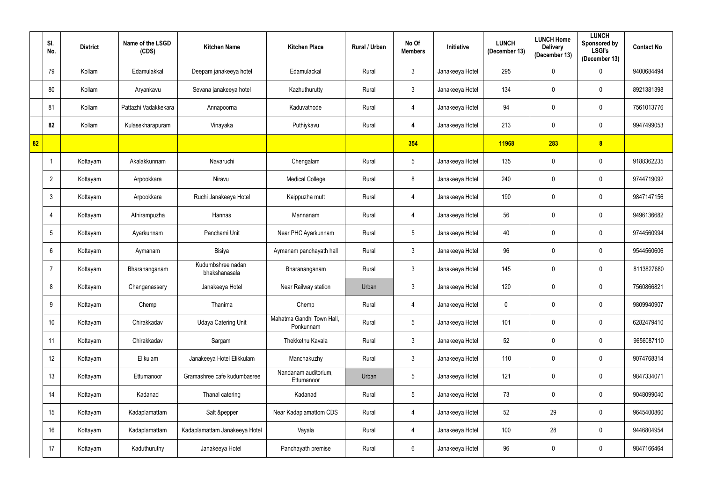|    | SI.<br>No.      | <b>District</b> | Name of the LSGD<br>(CDS) | <b>Kitchen Name</b>                | <b>Kitchen Place</b>                   | Rural / Urban | No Of<br><b>Members</b> | Initiative      | <b>LUNCH</b><br>(December 13) | <b>LUNCH Home</b><br><b>Delivery</b><br>(December 13) | <b>LUNCH</b><br>Sponsored by<br><b>LSGI's</b><br>(December 13) | <b>Contact No</b> |
|----|-----------------|-----------------|---------------------------|------------------------------------|----------------------------------------|---------------|-------------------------|-----------------|-------------------------------|-------------------------------------------------------|----------------------------------------------------------------|-------------------|
|    | 79              | Kollam          | Edamulakkal               | Deepam janakeeya hotel             | Edamulackal                            | Rural         | $\mathbf{3}$            | Janakeeya Hotel | 295                           | $\mathbf 0$                                           | $\mathbf 0$                                                    | 9400684494        |
|    | 80              | Kollam          | Aryankavu                 | Sevana janakeeya hotel             | Kazhuthurutty                          | Rural         | $\mathfrak{Z}$          | Janakeeya Hotel | 134                           | $\mathbf 0$                                           | $\mathbf 0$                                                    | 8921381398        |
|    | 81              | Kollam          | Pattazhi Vadakkekara      | Annapoorna                         | Kaduvathode                            | Rural         | 4                       | Janakeeya Hotel | 94                            | $\boldsymbol{0}$                                      | $\mathbf 0$                                                    | 7561013776        |
|    | 82              | Kollam          | Kulasekharapuram          | Vinayaka                           | Puthiykavu                             | Rural         | 4                       | Janakeeya Hotel | 213                           | 0                                                     | $\mathbf 0$                                                    | 9947499053        |
| 82 |                 |                 |                           |                                    |                                        |               | 354                     |                 | 11968                         | 283                                                   | 8                                                              |                   |
|    |                 | Kottayam        | Akalakkunnam              | Navaruchi                          | Chengalam                              | Rural         | $\overline{5}$          | Janakeeya Hotel | 135                           | 0                                                     | $\mathbf 0$                                                    | 9188362235        |
|    | $\overline{2}$  | Kottayam        | Arpookkara                | Niravu                             | <b>Medical College</b>                 | Rural         | 8                       | Janakeeya Hotel | 240                           | $\mathbf 0$                                           | $\mathbf 0$                                                    | 9744719092        |
|    | $\mathbf{3}$    | Kottayam        | Arpookkara                | Ruchi Janakeeya Hotel              | Kaippuzha mutt                         | Rural         | 4                       | Janakeeya Hotel | 190                           | $\mathbf 0$                                           | $\mathbf 0$                                                    | 9847147156        |
|    | $\overline{4}$  | Kottayam        | Athirampuzha              | Hannas                             | Mannanam                               | Rural         | 4                       | Janakeeya Hotel | 56                            | 0                                                     | $\overline{0}$                                                 | 9496136682        |
|    | $5\overline{)}$ | Kottayam        | Ayarkunnam                | Panchami Unit                      | Near PHC Ayarkunnam                    | Rural         | $\sqrt{5}$              | Janakeeya Hotel | 40                            | $\mathbf 0$                                           | $\mathbf 0$                                                    | 9744560994        |
|    | 6               | Kottayam        | Aymanam                   | Bisiya                             | Aymanam panchayath hall                | Rural         | $\mathfrak{Z}$          | Janakeeya Hotel | 96                            | $\mathbf 0$                                           | $\mathbf 0$                                                    | 9544560606        |
|    |                 | Kottayam        | Bharananganam             | Kudumbshree nadan<br>bhakshanasala | Bharananganam                          | Rural         | $\mathfrak{Z}$          | Janakeeya Hotel | 145                           | $\boldsymbol{0}$                                      | $\pmb{0}$                                                      | 8113827680        |
|    | 8               | Kottayam        | Changanassery             | Janakeeya Hotel                    | Near Railway station                   | Urban         | 3                       | Janakeeya Hotel | 120                           | $\mathbf 0$                                           | $\overline{0}$                                                 | 7560866821        |
|    | 9               | Kottayam        | Chemp                     | Thanima                            | Chemp                                  | Rural         | 4                       | Janakeeya Hotel | $\mathbf 0$                   | $\mathbf 0$                                           | $\mathbf 0$                                                    | 9809940907        |
|    | 10              | Kottayam        | Chirakkadav               | <b>Udaya Catering Unit</b>         | Mahatma Gandhi Town Hall,<br>Ponkunnam | Rural         | $\overline{5}$          | Janakeeya Hotel | 101                           | $\mathbf 0$                                           | $\mathbf 0$                                                    | 6282479410        |
|    | 11              | Kottayam        | Chirakkadav               | Sargam                             | Thekkethu Kavala                       | Rural         | $\mathfrak{Z}$          | Janakeeya Hotel | 52                            | $\mathbf 0$                                           | $\mathbf 0$                                                    | 9656087110        |
|    | 12              | Kottayam        | Elikulam                  | Janakeeya Hotel Elikkulam          | Manchakuzhy                            | Rural         | $\mathfrak{Z}$          | Janakeeya Hotel | 110                           | $\boldsymbol{0}$                                      | $\mathbf 0$                                                    | 9074768314        |
|    | 13              | Kottayam        | Ettumanoor                | Gramashree cafe kudumbasree        | Nandanam auditorium,<br>Ettumanoor     | Urban         | $5\phantom{.0}$         | Janakeeya Hotel | 121                           | $\pmb{0}$                                             | $\mathbf 0$                                                    | 9847334071        |
|    | 14              | Kottayam        | Kadanad                   | Thanal catering                    | Kadanad                                | Rural         | $5\phantom{.0}$         | Janakeeya Hotel | 73                            | $\pmb{0}$                                             | $\mathbf 0$                                                    | 9048099040        |
|    | 15              | Kottayam        | Kadaplamattam             | Salt &pepper                       | Near Kadaplamattom CDS                 | Rural         | $\overline{4}$          | Janakeeya Hotel | 52                            | 29                                                    | $\mathbf 0$                                                    | 9645400860        |
|    | 16              | Kottayam        | Kadaplamattam             | Kadaplamattam Janakeeya Hotel      | Vayala                                 | Rural         | 4                       | Janakeeya Hotel | 100                           | 28                                                    | $\mathbf 0$                                                    | 9446804954        |
|    | 17              | Kottayam        | Kaduthuruthy              | Janakeeya Hotel                    | Panchayath premise                     | Rural         | $6\,$                   | Janakeeya Hotel | 96                            | 0                                                     | $\mathbf 0$                                                    | 9847166464        |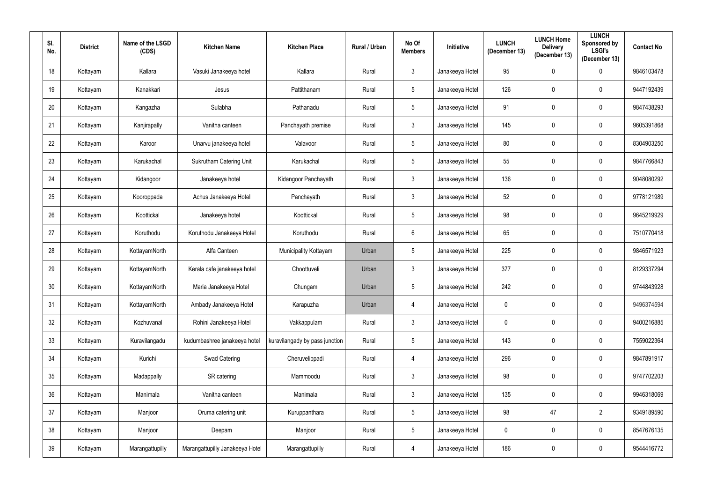| SI.<br>No. | <b>District</b> | Name of the LSGD<br>(CDS) | <b>Kitchen Name</b>             | <b>Kitchen Place</b>           | Rural / Urban | No Of<br><b>Members</b> | Initiative      | <b>LUNCH</b><br>(December 13) | <b>LUNCH Home</b><br><b>Delivery</b><br>(December 13) | <b>LUNCH</b><br>Sponsored by<br><b>LSGI's</b><br>(December 13) | <b>Contact No</b> |
|------------|-----------------|---------------------------|---------------------------------|--------------------------------|---------------|-------------------------|-----------------|-------------------------------|-------------------------------------------------------|----------------------------------------------------------------|-------------------|
| 18         | Kottayam        | Kallara                   | Vasuki Janakeeya hotel          | Kallara                        | Rural         | $\mathfrak{Z}$          | Janakeeya Hotel | 95                            | 0                                                     | $\boldsymbol{0}$                                               | 9846103478        |
| 19         | Kottayam        | Kanakkari                 | Jesus                           | Pattithanam                    | Rural         | $5\phantom{.0}$         | Janakeeya Hotel | 126                           | $\mathbf 0$                                           | $\mathbf 0$                                                    | 9447192439        |
| 20         | Kottayam        | Kangazha                  | Sulabha                         | Pathanadu                      | Rural         | $5\phantom{.0}$         | Janakeeya Hotel | 91                            | $\mathbf 0$                                           | $\pmb{0}$                                                      | 9847438293        |
| 21         | Kottayam        | Kanjirapally              | Vanitha canteen                 | Panchayath premise             | Rural         | $3\overline{3}$         | Janakeeya Hotel | 145                           | $\mathbf 0$                                           | $\mathbf 0$                                                    | 9605391868        |
| 22         | Kottayam        | Karoor                    | Unarvu janakeeya hotel          | Valavoor                       | Rural         | $5\phantom{.0}$         | Janakeeya Hotel | 80                            | $\mathbf 0$                                           | $\pmb{0}$                                                      | 8304903250        |
| 23         | Kottayam        | Karukachal                | <b>Sukrutham Catering Unit</b>  | Karukachal                     | Rural         | $5\phantom{.0}$         | Janakeeya Hotel | 55                            | $\mathbf 0$                                           | $\mathbf 0$                                                    | 9847766843        |
| 24         | Kottayam        | Kidangoor                 | Janakeeya hotel                 | Kidangoor Panchayath           | Rural         | $\mathfrak{Z}$          | Janakeeya Hotel | 136                           | 0                                                     | $\pmb{0}$                                                      | 9048080292        |
| 25         | Kottayam        | Kooroppada                | Achus Janakeeya Hotel           | Panchayath                     | Rural         | $\mathfrak{Z}$          | Janakeeya Hotel | 52                            | $\mathbf{0}$                                          | $\mathbf 0$                                                    | 9778121989        |
| 26         | Kottayam        | Koottickal                | Janakeeya hotel                 | Koottickal                     | Rural         | $5\phantom{.0}$         | Janakeeya Hotel | 98                            | $\mathbf{0}$                                          | $\mathbf 0$                                                    | 9645219929        |
| 27         | Kottayam        | Koruthodu                 | Koruthodu Janakeeya Hotel       | Koruthodu                      | Rural         | $6\phantom{.0}$         | Janakeeya Hotel | 65                            | $\mathbf{0}$                                          | $\mathbf 0$                                                    | 7510770418        |
| 28         | Kottayam        | KottayamNorth             | Alfa Canteen                    | Municipality Kottayam          | Urban         | $5\phantom{.0}$         | Janakeeya Hotel | 225                           | $\mathbf{0}$                                          | $\mathbf 0$                                                    | 9846571923        |
| 29         | Kottayam        | KottayamNorth             | Kerala cafe janakeeya hotel     | Choottuveli                    | Urban         | $\mathfrak{Z}$          | Janakeeya Hotel | 377                           | $\mathbf 0$                                           | $\mathbf 0$                                                    | 8129337294        |
| 30         | Kottayam        | KottayamNorth             | Maria Janakeeya Hotel           | Chungam                        | Urban         | $5\phantom{.0}$         | Janakeeya Hotel | 242                           | $\mathbf 0$                                           | $\mathbf 0$                                                    | 9744843928        |
| 31         | Kottayam        | KottayamNorth             | Ambady Janakeeya Hotel          | Karapuzha                      | Urban         | 4                       | Janakeeya Hotel | $\pmb{0}$                     | $\mathbf 0$                                           | $\pmb{0}$                                                      | 9496374594        |
| 32         | Kottayam        | Kozhuvanal                | Rohini Janakeeya Hotel          | Vakkappulam                    | Rural         | $3\overline{3}$         | Janakeeya Hotel | $\pmb{0}$                     | $\mathbf 0$                                           | $\pmb{0}$                                                      | 9400216885        |
| 33         | Kottayam        | Kuravilangadu             | kudumbashree janakeeya hotel    | kuravilangady by pass junction | Rural         | $5\phantom{.0}$         | Janakeeya Hotel | 143                           | $\mathbf 0$                                           | $\boldsymbol{0}$                                               | 7559022364        |
| 34         | Kottayam        | Kurichi                   | Swad Catering                   | Cheruvelippadi                 | Rural         | $\overline{4}$          | Janakeeya Hotel | 296                           | $\mathbf 0$                                           | $\mathbf 0$                                                    | 9847891917        |
| $35\,$     | Kottayam        | Madappally                | SR catering                     | Mammoodu                       | Rural         | $\mathfrak{Z}$          | Janakeeya Hotel | 98                            | $\mathbf 0$                                           | $\overline{0}$                                                 | 9747702203        |
| 36         | Kottayam        | Manimala                  | Vanitha canteen                 | Manimala                       | Rural         | $\mathfrak{Z}$          | Janakeeya Hotel | 135                           | $\mathbf 0$                                           | $\mathbf 0$                                                    | 9946318069        |
| 37         | Kottayam        | Manjoor                   | Oruma catering unit             | Kuruppanthara                  | Rural         | $5\phantom{.0}$         | Janakeeya Hotel | 98                            | 47                                                    | $\overline{2}$                                                 | 9349189590        |
| 38         | Kottayam        | Manjoor                   | Deepam                          | Manjoor                        | Rural         | $5\phantom{.0}$         | Janakeeya Hotel | $\pmb{0}$                     | $\mathbf 0$                                           | $\pmb{0}$                                                      | 8547676135        |
| 39         | Kottayam        | Marangattupilly           | Marangattupilly Janakeeya Hotel | Marangattupilly                | Rural         | 4                       | Janakeeya Hotel | 186                           | $\mathbf 0$                                           | $\pmb{0}$                                                      | 9544416772        |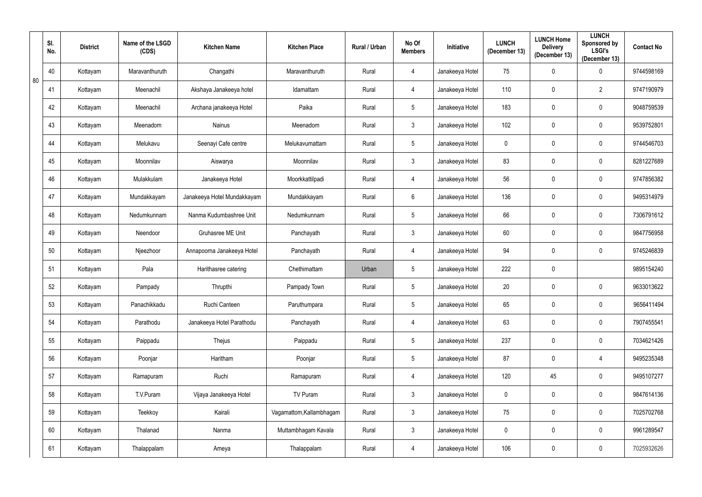|    | SI.<br>No. | <b>District</b> | Name of the LSGD<br>(CDS) | <b>Kitchen Name</b>         | <b>Kitchen Place</b>     | Rural / Urban | No Of<br><b>Members</b> | Initiative      | <b>LUNCH</b><br>(December 13) | <b>LUNCH Home</b><br><b>Delivery</b><br>(December 13) | <b>LUNCH</b><br><b>Sponsored by</b><br><b>LSGI's</b><br>(December 13) | <b>Contact No</b> |
|----|------------|-----------------|---------------------------|-----------------------------|--------------------------|---------------|-------------------------|-----------------|-------------------------------|-------------------------------------------------------|-----------------------------------------------------------------------|-------------------|
| 80 | 40         | Kottayam        | Maravanthuruth            | Changathi                   | Maravanthuruth           | Rural         | 4                       | Janakeeya Hotel | 75                            | $\mathbf 0$                                           | $\boldsymbol{0}$                                                      | 9744598169        |
|    | 41         | Kottayam        | Meenachil                 | Akshaya Janakeeya hotel     | Idamattam                | Rural         | 4                       | Janakeeya Hotel | 110                           | $\mathbf 0$                                           | $\overline{2}$                                                        | 9747190979        |
|    | 42         | Kottayam        | Meenachil                 | Archana janakeeya Hotel     | Paika                    | Rural         | $5\phantom{.0}$         | Janakeeya Hotel | 183                           | $\mathbf 0$                                           | $\pmb{0}$                                                             | 9048759539        |
|    | 43         | Kottayam        | Meenadom                  | Nainus                      | Meenadom                 | Rural         | $3\overline{3}$         | Janakeeya Hotel | 102                           | $\mathbf 0$                                           | $\mathbf 0$                                                           | 9539752801        |
|    | 44         | Kottayam        | Melukavu                  | Seenayi Cafe centre         | Melukavumattam           | Rural         | $5\phantom{.0}$         | Janakeeya Hotel | $\mathbf 0$                   | $\mathbf 0$                                           | $\bm{0}$                                                              | 9744546703        |
|    | 45         | Kottayam        | Moonnilav                 | Aiswarya                    | Moonnilav                | Rural         | $\mathfrak{Z}$          | Janakeeya Hotel | 83                            | $\mathbf 0$                                           | $\pmb{0}$                                                             | 8281227689        |
|    | 46         | Kottayam        | Mulakkulam                | Janakeeya Hotel             | Moorkkattilpadi          | Rural         | 4                       | Janakeeya Hotel | 56                            | 0                                                     | $\pmb{0}$                                                             | 9747856382        |
|    | 47         | Kottayam        | Mundakkayam               | Janakeeya Hotel Mundakkayam | Mundakkayam              | Rural         | $6\overline{6}$         | Janakeeya Hotel | 136                           | 0                                                     | $\pmb{0}$                                                             | 9495314979        |
|    | 48         | Kottayam        | Nedumkunnam               | Nanma Kudumbashree Unit     | Nedumkunnam              | Rural         | $5\phantom{.0}$         | Janakeeya Hotel | 66                            | $\mathbf 0$                                           | $\boldsymbol{0}$                                                      | 7306791612        |
|    | 49         | Kottayam        | Neendoor                  | Gruhasree ME Unit           | Panchayath               | Rural         | $\mathfrak{Z}$          | Janakeeya Hotel | 60                            | $\mathbf{0}$                                          | $\mathbf 0$                                                           | 9847756958        |
|    | 50         | Kottayam        | Njeezhoor                 | Annapoorna Janakeeya Hotel  | Panchayath               | Rural         | 4                       | Janakeeya Hotel | 94                            | $\mathbf{0}$                                          | $\mathbf 0$                                                           | 9745246839        |
|    | 51         | Kottayam        | Pala                      | Harithasree catering        | Chethimattam             | Urban         | $5\phantom{.0}$         | Janakeeya Hotel | 222                           | $\mathbf 0$                                           |                                                                       | 9895154240        |
|    | 52         | Kottayam        | Pampady                   | Thrupthi                    | Pampady Town             | Rural         | $5\phantom{.0}$         | Janakeeya Hotel | 20                            | $\mathbf 0$                                           | $\mathbf 0$                                                           | 9633013622        |
|    | 53         | Kottayam        | Panachikkadu              | Ruchi Canteen               | Paruthumpara             | Rural         | $5\phantom{.0}$         | Janakeeya Hotel | 65                            | 0                                                     | $\pmb{0}$                                                             | 9656411494        |
|    | 54         | Kottayam        | Parathodu                 | Janakeeya Hotel Parathodu   | Panchayath               | Rural         | 4                       | Janakeeya Hotel | 63                            | 0                                                     | $\boldsymbol{0}$                                                      | 7907455541        |
|    | 55         | Kottayam        | Paippadu                  | Thejus                      | Paippadu                 | Rural         | $5\phantom{.0}$         | Janakeeya Hotel | 237                           | 0                                                     | $\boldsymbol{0}$                                                      | 7034621426        |
|    | 56         | Kottayam        | Poonjar                   | Haritham                    | Poonjar                  | Rural         | $5\phantom{.0}$         | Janakeeya Hotel | 87                            | $\mathbf 0$                                           | $\overline{4}$                                                        | 9495235348        |
|    | 57         | Kottayam        | Ramapuram                 | Ruchi                       | Ramapuram                | Rural         | 4                       | Janakeeya Hotel | 120                           | 45                                                    | $\overline{0}$                                                        | 9495107277        |
|    | 58         | Kottayam        | T.V.Puram                 | Vijaya Janakeeya Hotel      | TV Puram                 | Rural         | $\mathfrak{Z}$          | Janakeeya Hotel | $\overline{0}$                | $\mathbf 0$                                           | $\mathbf 0$                                                           | 9847614136        |
|    | 59         | Kottayam        | Teekkoy                   | Kairali                     | Vagamattom, Kallambhagam | Rural         | $\mathfrak{Z}$          | Janakeeya Hotel | 75                            | $\mathbf 0$                                           | $\mathbf 0$                                                           | 7025702768        |
|    | 60         | Kottayam        | Thalanad                  | Nanma                       | Muttambhagam Kavala      | Rural         | $\mathfrak{Z}$          | Janakeeya Hotel | $\pmb{0}$                     | $\pmb{0}$                                             | $\pmb{0}$                                                             | 9961289547        |
|    | 61         | Kottayam        | Thalappalam               | Ameya                       | Thalappalam              | Rural         | $\overline{4}$          | Janakeeya Hotel | 106                           | 0                                                     | $\pmb{0}$                                                             | 7025932626        |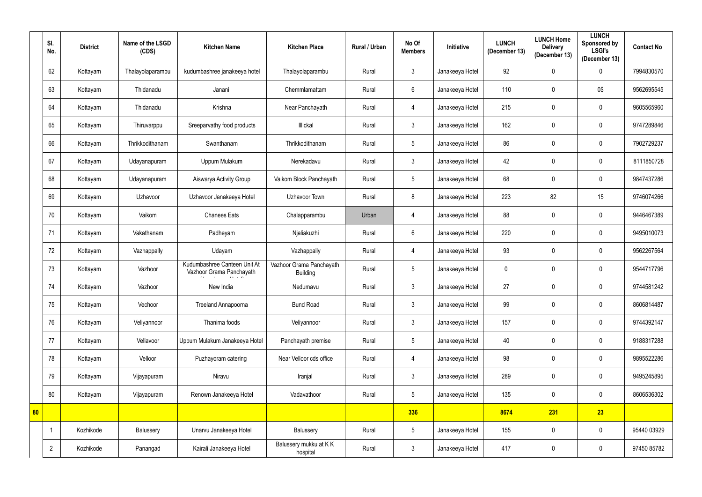|    | SI.<br>No.     | <b>District</b> | Name of the LSGD<br>(CDS) | <b>Kitchen Name</b>                                      | <b>Kitchen Place</b>                        | Rural / Urban | No Of<br><b>Members</b> | Initiative      | <b>LUNCH</b><br>(December 13) | <b>LUNCH Home</b><br><b>Delivery</b><br>(December 13) | <b>LUNCH</b><br>Sponsored by<br><b>LSGI's</b><br>(December 13) | <b>Contact No</b> |
|----|----------------|-----------------|---------------------------|----------------------------------------------------------|---------------------------------------------|---------------|-------------------------|-----------------|-------------------------------|-------------------------------------------------------|----------------------------------------------------------------|-------------------|
|    | 62             | Kottayam        | Thalayolaparambu          | kudumbashree janakeeya hotel                             | Thalayolaparambu                            | Rural         | 3                       | Janakeeya Hotel | 92                            | $\mathbf 0$                                           | $\mathbf 0$                                                    | 7994830570        |
|    | 63             | Kottayam        | Thidanadu                 | Janani                                                   | Chemmlamattam                               | Rural         | $6\phantom{.}6$         | Janakeeya Hotel | 110                           | $\mathbf 0$                                           | 0\$                                                            | 9562695545        |
|    | 64             | Kottayam        | Thidanadu                 | Krishna                                                  | Near Panchayath                             | Rural         | 4                       | Janakeeya Hotel | 215                           | $\mathbf 0$                                           | $\mathbf 0$                                                    | 9605565960        |
|    | 65             | Kottayam        | Thiruvarppu               | Sreeparvathy food products                               | Illickal                                    | Rural         | $\mathfrak{Z}$          | Janakeeya Hotel | 162                           | $\mathbf 0$                                           | $\mathbf 0$                                                    | 9747289846        |
|    | 66             | Kottayam        | Thrikkodithanam           | Swanthanam                                               | Thrikkodithanam                             | Rural         | $\overline{5}$          | Janakeeya Hotel | 86                            | $\mathbf 0$                                           | $\mathbf 0$                                                    | 7902729237        |
|    | 67             | Kottayam        | Udayanapuram              | Uppum Mulakum                                            | Nerekadavu                                  | Rural         | $\mathfrak{Z}$          | Janakeeya Hotel | 42                            | $\mathbf 0$                                           | $\mathbf 0$                                                    | 8111850728        |
|    | 68             | Kottayam        | Udayanapuram              | Aiswarya Activity Group                                  | Vaikom Block Panchayath                     | Rural         | $\overline{5}$          | Janakeeya Hotel | 68                            | $\mathbf 0$                                           | $\mathbf 0$                                                    | 9847437286        |
|    | 69             | Kottayam        | Uzhavoor                  | Uzhavoor Janakeeya Hotel                                 | Uzhavoor Town                               | Rural         | 8                       | Janakeeya Hotel | 223                           | 82                                                    | 15                                                             | 9746074266        |
|    | 70             | Kottayam        | Vaikom                    | <b>Chanees Eats</b>                                      | Chalapparambu                               | Urban         | $\overline{4}$          | Janakeeya Hotel | 88                            | $\mathbf{0}$                                          | $\mathbf 0$                                                    | 9446467389        |
|    | 71             | Kottayam        | Vakathanam                | Padheyam                                                 | Njaliakuzhi                                 | Rural         | $6\phantom{.}6$         | Janakeeya Hotel | 220                           | $\mathbf 0$                                           | $\mathbf 0$                                                    | 9495010073        |
|    | 72             | Kottayam        | Vazhappally               | Udayam                                                   | Vazhappally                                 | Rural         | 4                       | Janakeeya Hotel | 93                            | $\mathbf 0$                                           | $\mathbf 0$                                                    | 9562267564        |
|    | 73             | Kottayam        | Vazhoor                   | Kudumbashree Canteen Unit At<br>Vazhoor Grama Panchayath | Vazhoor Grama Panchayath<br><b>Building</b> | Rural         | $\overline{5}$          | Janakeeya Hotel | $\mathbf 0$                   | $\mathbf 0$                                           | $\mathbf 0$                                                    | 9544717796        |
|    | 74             | Kottayam        | Vazhoor                   | New India                                                | Nedumavu                                    | Rural         | $\mathfrak{Z}$          | Janakeeya Hotel | 27                            | $\mathbf 0$                                           | $\mathbf 0$                                                    | 9744581242        |
|    | 75             | Kottayam        | Vechoor                   | Treeland Annapoorna                                      | <b>Bund Road</b>                            | Rural         | $\mathfrak{Z}$          | Janakeeya Hotel | 99                            | $\pmb{0}$                                             | $\mathbf 0$                                                    | 8606814487        |
|    | 76             | Kottayam        | Veliyannoor               | Thanima foods                                            | Veliyannoor                                 | Rural         | $\mathfrak{Z}$          | Janakeeya Hotel | 157                           | $\mathbf 0$                                           | $\mathbf 0$                                                    | 9744392147        |
|    | 77             | Kottayam        | Vellavoor                 | Uppum Mulakum Janakeeya Hotel                            | Panchayath premise                          | Rural         | $\overline{5}$          | Janakeeya Hotel | 40                            | $\boldsymbol{0}$                                      | $\mathbf 0$                                                    | 9188317288        |
|    | 78             | Kottayam        | Velloor                   | Puzhayoram catering                                      | Near Velloor cds office                     | Rural         | 4                       | Janakeeya Hotel | 98                            | $\mathbf 0$                                           | $\mathbf 0$                                                    | 9895522286        |
|    | 79             | Kottayam        | Vijayapuram               | Niravu                                                   | Iranjal                                     | Rural         | $\mathfrak{Z}$          | Janakeeya Hotel | 289                           | $\boldsymbol{0}$                                      | $\mathbf 0$                                                    | 9495245895        |
|    | 80             | Kottayam        | Vijayapuram               | Renown Janakeeya Hotel                                   | Vadavathoor                                 | Rural         | $5\phantom{.0}$         | Janakeeya Hotel | 135                           | $\mathbf 0$                                           | $\mathbf 0$                                                    | 8606536302        |
| 80 |                |                 |                           |                                                          |                                             |               | 336                     |                 | 8674                          | 231                                                   | 23                                                             |                   |
|    | $\overline{1}$ | Kozhikode       | Balussery                 | Unarvu Janakeeya Hotel                                   | Balussery                                   | Rural         | $\sqrt{5}$              | Janakeeya Hotel | 155                           | $\pmb{0}$                                             | $\mathbf 0$                                                    | 95440 03929       |
|    | $\overline{2}$ | Kozhikode       | Panangad                  | Kairali Janakeeya Hotel                                  | Balussery mukku at KK<br>hospital           | Rural         | $\mathbf{3}$            | Janakeeya Hotel | 417                           | $\boldsymbol{0}$                                      | $\mathbf 0$                                                    | 97450 85782       |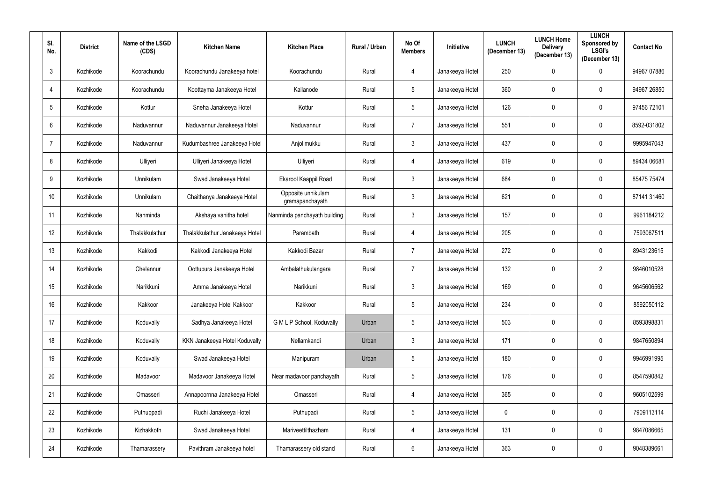| SI.<br>No.      | <b>District</b> | Name of the LSGD<br>(CDS) | <b>Kitchen Name</b>            | <b>Kitchen Place</b>                  | Rural / Urban | No Of<br><b>Members</b> | Initiative      | <b>LUNCH</b><br>(December 13) | <b>LUNCH Home</b><br><b>Delivery</b><br>(December 13) | <b>LUNCH</b><br>Sponsored by<br><b>LSGI's</b><br>(December 13) | <b>Contact No</b> |
|-----------------|-----------------|---------------------------|--------------------------------|---------------------------------------|---------------|-------------------------|-----------------|-------------------------------|-------------------------------------------------------|----------------------------------------------------------------|-------------------|
| $\mathbf{3}$    | Kozhikode       | Koorachundu               | Koorachundu Janakeeya hotel    | Koorachundu                           | Rural         | 4                       | Janakeeya Hotel | 250                           | $\mathbf 0$                                           | $\mathbf 0$                                                    | 94967 07886       |
| $\overline{4}$  | Kozhikode       | Koorachundu               | Koottayma Janakeeya Hotel      | Kallanode                             | Rural         | $5\phantom{.0}$         | Janakeeya Hotel | 360                           | $\mathbf{0}$                                          | $\mathbf 0$                                                    | 94967 26850       |
| $5\overline{)}$ | Kozhikode       | Kottur                    | Sneha Janakeeya Hotel          | Kottur                                | Rural         | $5\phantom{.0}$         | Janakeeya Hotel | 126                           | $\mathbf 0$                                           | $\mathbf 0$                                                    | 97456 72101       |
| $6\phantom{.0}$ | Kozhikode       | Naduvannur                | Naduvannur Janakeeya Hotel     | Naduvannur                            | Rural         | $\overline{7}$          | Janakeeya Hotel | 551                           | $\mathbf{0}$                                          | $\pmb{0}$                                                      | 8592-031802       |
| $\overline{7}$  | Kozhikode       | Naduvannur                | Kudumbashree Janakeeya Hotel   | Anjolimukku                           | Rural         | $\mathfrak{Z}$          | Janakeeya Hotel | 437                           | $\mathbf 0$                                           | $\pmb{0}$                                                      | 9995947043        |
| 8               | Kozhikode       | Ulliyeri                  | Ulliyeri Janakeeya Hotel       | Ulliyeri                              | Rural         | 4                       | Janakeeya Hotel | 619                           | $\mathbf{0}$                                          | $\mathbf 0$                                                    | 89434 06681       |
| 9               | Kozhikode       | Unnikulam                 | Swad Janakeeya Hotel           | Ekarool Kaappil Road                  | Rural         | $\mathfrak{Z}$          | Janakeeya Hotel | 684                           | $\mathbf{0}$                                          | $\mathbf 0$                                                    | 85475 75474       |
| 10 <sup>°</sup> | Kozhikode       | Unnikulam                 | Chaithanya Janakeeya Hotel     | Opposite unnikulam<br>gramapanchayath | Rural         | $\mathbf{3}$            | Janakeeya Hotel | 621                           | $\mathbf{0}$                                          | $\mathbf 0$                                                    | 87141 31460       |
| 11              | Kozhikode       | Nanminda                  | Akshaya vanitha hotel          | Nanminda panchayath building          | Rural         | $\mathfrak{Z}$          | Janakeeya Hotel | 157                           | $\mathbf{0}$                                          | $\mathbf 0$                                                    | 9961184212        |
| 12              | Kozhikode       | Thalakkulathur            | Thalakkulathur Janakeeya Hotel | Parambath                             | Rural         | 4                       | Janakeeya Hotel | 205                           | $\mathbf{0}$                                          | $\mathbf 0$                                                    | 7593067511        |
| 13              | Kozhikode       | Kakkodi                   | Kakkodi Janakeeya Hotel        | Kakkodi Bazar                         | Rural         | $\overline{7}$          | Janakeeya Hotel | 272                           | $\mathbf{0}$                                          | $\mathbf 0$                                                    | 8943123615        |
| 14              | Kozhikode       | Chelannur                 | Oottupura Janakeeya Hotel      | Ambalathukulangara                    | Rural         | $\overline{7}$          | Janakeeya Hotel | 132                           | $\mathbf 0$                                           | $\overline{2}$                                                 | 9846010528        |
| 15              | Kozhikode       | Narikkuni                 | Amma Janakeeya Hotel           | Narikkuni                             | Rural         | $\mathfrak{Z}$          | Janakeeya Hotel | 169                           | $\mathbf{0}$                                          | $\mathbf 0$                                                    | 9645606562        |
| 16 <sup>°</sup> | Kozhikode       | Kakkoor                   | Janakeeya Hotel Kakkoor        | Kakkoor                               | Rural         | 5 <sup>5</sup>          | Janakeeya Hotel | 234                           | $\mathbf 0$                                           | $\mathbf 0$                                                    | 8592050112        |
| 17              | Kozhikode       | Koduvally                 | Sadhya Janakeeya Hotel         | G M L P School, Koduvally             | Urban         | $5\phantom{.0}$         | Janakeeya Hotel | 503                           | $\mathbf 0$                                           | $\pmb{0}$                                                      | 8593898831        |
| 18              | Kozhikode       | Koduvally                 | KKN Janakeeya Hotel Koduvally  | Nellamkandi                           | Urban         | $\mathfrak{Z}$          | Janakeeya Hotel | 171                           | $\mathbf 0$                                           | $\overline{0}$                                                 | 9847650894        |
| 19              | Kozhikode       | Koduvally                 | Swad Janakeeya Hotel           | Manipuram                             | Urban         | $5\phantom{.0}$         | Janakeeya Hotel | 180                           | $\mathbf 0$                                           | $\bf{0}$                                                       | 9946991995        |
| 20              | Kozhikode       | Madavoor                  | Madavoor Janakeeya Hotel       | Near madavoor panchayath              | Rural         | $5\phantom{.0}$         | Janakeeya Hotel | 176                           | $\mathbf 0$                                           | $\mathbf 0$                                                    | 8547590842        |
| 21              | Kozhikode       | Omasseri                  | Annapoornna Janakeeya Hotel    | Omasseri                              | Rural         | $\overline{4}$          | Janakeeya Hotel | 365                           | $\mathbf 0$                                           | $\mathbf 0$                                                    | 9605102599        |
| 22              | Kozhikode       | Puthuppadi                | Ruchi Janakeeya Hotel          | Puthupadi                             | Rural         | $5\phantom{.0}$         | Janakeeya Hotel | $\pmb{0}$                     | $\mathbf 0$                                           | $\pmb{0}$                                                      | 7909113114        |
| 23              | Kozhikode       | Kizhakkoth                | Swad Janakeeya Hotel           | Mariveettilthazham                    | Rural         | 4                       | Janakeeya Hotel | 131                           | $\mathbf 0$                                           | $\pmb{0}$                                                      | 9847086665        |
| 24              | Kozhikode       | Thamarassery              | Pavithram Janakeeya hotel      | Thamarassery old stand                | Rural         | $6\phantom{.0}$         | Janakeeya Hotel | 363                           | $\mathbf 0$                                           | $\pmb{0}$                                                      | 9048389661        |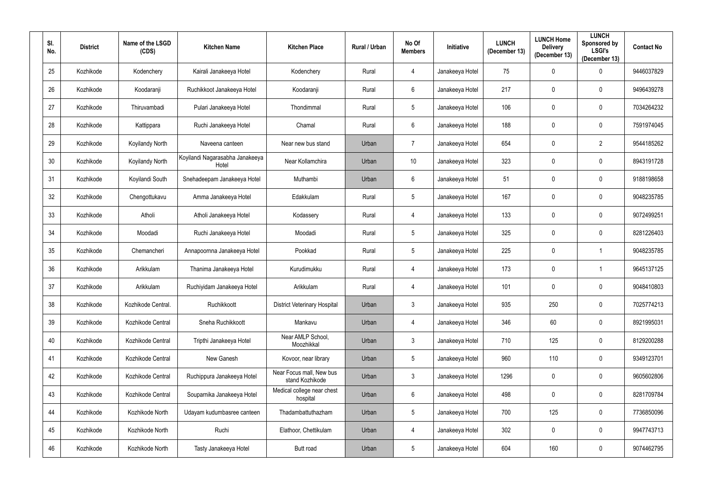| SI.<br>No. | <b>District</b> | Name of the LSGD<br>(CDS) | <b>Kitchen Name</b>                      | <b>Kitchen Place</b>                        | Rural / Urban | No Of<br><b>Members</b> | Initiative      | <b>LUNCH</b><br>(December 13) | <b>LUNCH Home</b><br><b>Delivery</b><br>(December 13) | <b>LUNCH</b><br>Sponsored by<br><b>LSGI's</b><br>(December 13) | <b>Contact No</b> |
|------------|-----------------|---------------------------|------------------------------------------|---------------------------------------------|---------------|-------------------------|-----------------|-------------------------------|-------------------------------------------------------|----------------------------------------------------------------|-------------------|
| 25         | Kozhikode       | Kodenchery                | Kairali Janakeeya Hotel                  | Kodenchery                                  | Rural         | 4                       | Janakeeya Hotel | 75                            | $\mathbf 0$                                           | $\mathbf 0$                                                    | 9446037829        |
| 26         | Kozhikode       | Koodaranji                | Ruchikkoot Janakeeya Hotel               | Koodaranji                                  | Rural         | $6\overline{6}$         | Janakeeya Hotel | 217                           | $\mathbf 0$                                           | $\mathbf 0$                                                    | 9496439278        |
| 27         | Kozhikode       | Thiruvambadi              | Pulari Janakeeya Hotel                   | Thondimmal                                  | Rural         | $5\phantom{.0}$         | Janakeeya Hotel | 106                           | $\mathbf 0$                                           | $\mathbf 0$                                                    | 7034264232        |
| 28         | Kozhikode       | Kattippara                | Ruchi Janakeeya Hotel                    | Chamal                                      | Rural         | $6\overline{6}$         | Janakeeya Hotel | 188                           | $\mathbf{0}$                                          | $\mathbf 0$                                                    | 7591974045        |
| 29         | Kozhikode       | Koyilandy North           | Naveena canteen                          | Near new bus stand                          | Urban         | $\overline{7}$          | Janakeeya Hotel | 654                           | $\mathbf 0$                                           | $\overline{2}$                                                 | 9544185262        |
| 30         | Kozhikode       | Koyilandy North           | Koyilandi Nagarasabha Janakeeya<br>Hotel | Near Kollamchira                            | Urban         | 10                      | Janakeeya Hotel | 323                           | $\mathbf 0$                                           | $\mathbf 0$                                                    | 8943191728        |
| 31         | Kozhikode       | Koyilandi South           | Snehadeepam Janakeeya Hotel              | Muthambi                                    | Urban         | 6                       | Janakeeya Hotel | 51                            | $\mathbf{0}$                                          | $\mathbf 0$                                                    | 9188198658        |
| 32         | Kozhikode       | Chengottukavu             | Amma Janakeeya Hotel                     | Edakkulam                                   | Rural         | $5\phantom{.0}$         | Janakeeya Hotel | 167                           | $\mathbf{0}$                                          | $\mathbf 0$                                                    | 9048235785        |
| 33         | Kozhikode       | Atholi                    | Atholi Janakeeya Hotel                   | Kodassery                                   | Rural         | $\overline{4}$          | Janakeeya Hotel | 133                           | $\mathbf{0}$                                          | $\mathbf 0$                                                    | 9072499251        |
| 34         | Kozhikode       | Moodadi                   | Ruchi Janakeeya Hotel                    | Moodadi                                     | Rural         | $5\phantom{.0}$         | Janakeeya Hotel | 325                           | $\mathbf 0$                                           | $\mathbf 0$                                                    | 8281226403        |
| 35         | Kozhikode       | Chemancheri               | Annapoornna Janakeeya Hotel              | Pookkad                                     | Rural         | $5\phantom{.0}$         | Janakeeya Hotel | 225                           | $\mathbf 0$                                           | -1                                                             | 9048235785        |
| 36         | Kozhikode       | Arikkulam                 | Thanima Janakeeya Hotel                  | Kurudimukku                                 | Rural         | 4                       | Janakeeya Hotel | 173                           | $\mathbf 0$                                           |                                                                | 9645137125        |
| 37         | Kozhikode       | Arikkulam                 | Ruchiyidam Janakeeya Hotel               | Arikkulam                                   | Rural         | 4                       | Janakeeya Hotel | 101                           | $\boldsymbol{0}$                                      | $\mathbf 0$                                                    | 9048410803        |
| 38         | Kozhikode       | Kozhikode Central.        | Ruchikkoott                              | <b>District Veterinary Hospital</b>         | Urban         | $\mathfrak{Z}$          | Janakeeya Hotel | 935                           | 250                                                   | $\boldsymbol{0}$                                               | 7025774213        |
| 39         | Kozhikode       | Kozhikode Central         | Sneha Ruchikkoott                        | Mankavu                                     | Urban         | 4                       | Janakeeya Hotel | 346                           | 60                                                    | $\boldsymbol{0}$                                               | 8921995031        |
| 40         | Kozhikode       | Kozhikode Central         | Tripthi Janakeeya Hotel                  | Near AMLP School,<br>Moozhikkal             | Urban         | 3 <sup>1</sup>          | Janakeeya Hotel | 710                           | 125                                                   | $\mathbf 0$                                                    | 8129200288        |
| 41         | Kozhikode       | Kozhikode Central         | New Ganesh                               | Kovoor, near library                        | Urban         | $5\phantom{.0}$         | Janakeeya Hotel | 960                           | 110                                                   | $\mathbf 0$                                                    | 9349123701        |
| 42         | Kozhikode       | Kozhikode Central         | Ruchippura Janakeeya Hotel               | Near Focus mall, New bus<br>stand Kozhikode | Urban         | $\mathfrak{Z}$          | Janakeeya Hotel | 1296                          | $\mathbf 0$                                           | $\mathbf 0$                                                    | 9605602806        |
| 43         | Kozhikode       | Kozhikode Central         | Souparnika Janakeeya Hotel               | Medical college near chest<br>hospital      | Urban         | $6\phantom{.0}$         | Janakeeya Hotel | 498                           | $\mathbf 0$                                           | $\pmb{0}$                                                      | 8281709784        |
| 44         | Kozhikode       | Kozhikode North           | Udayam kudumbasree canteen               | Thadambattuthazham                          | Urban         | $5\phantom{.0}$         | Janakeeya Hotel | 700                           | 125                                                   | $\mathbf 0$                                                    | 7736850096        |
| 45         | Kozhikode       | Kozhikode North           | Ruchi                                    | Elathoor, Chettikulam                       | Urban         | $\overline{4}$          | Janakeeya Hotel | 302                           | $\mathbf 0$                                           | $\pmb{0}$                                                      | 9947743713        |
| 46         | Kozhikode       | Kozhikode North           | Tasty Janakeeya Hotel                    | Butt road                                   | Urban         | $5\phantom{.0}$         | Janakeeya Hotel | 604                           | 160                                                   | $\pmb{0}$                                                      | 9074462795        |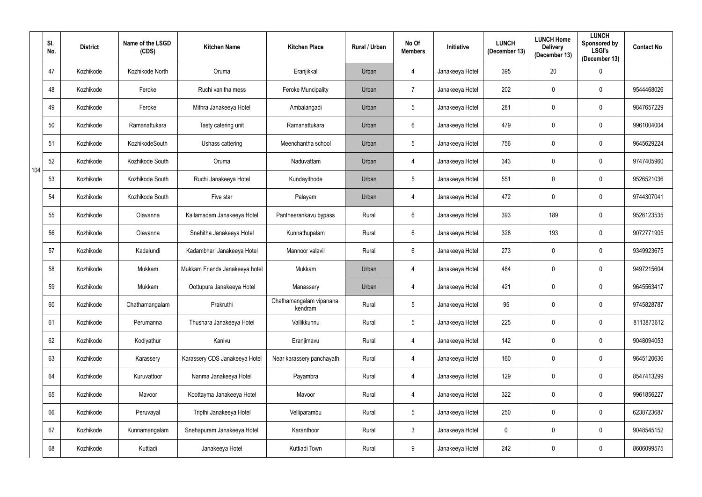|     | SI.<br>No. | <b>District</b> | Name of the LSGD<br>(CDS) | <b>Kitchen Name</b>            | <b>Kitchen Place</b>               | <b>Rural / Urban</b> | No Of<br><b>Members</b> | <b>Initiative</b> | <b>LUNCH</b><br>(December 13) | <b>LUNCH Home</b><br><b>Delivery</b><br>(December 13) | <b>LUNCH</b><br>Sponsored by<br><b>LSGI's</b><br>(December 13) | <b>Contact No</b> |
|-----|------------|-----------------|---------------------------|--------------------------------|------------------------------------|----------------------|-------------------------|-------------------|-------------------------------|-------------------------------------------------------|----------------------------------------------------------------|-------------------|
|     | 47         | Kozhikode       | Kozhikode North           | Oruma                          | Eranjikkal                         | Urban                | 4                       | Janakeeya Hotel   | 395                           | 20                                                    | $\boldsymbol{0}$                                               |                   |
|     | 48         | Kozhikode       | Feroke                    | Ruchi vanitha mess             | <b>Feroke Muncipality</b>          | Urban                | $\overline{7}$          | Janakeeya Hotel   | 202                           | $\mathbf 0$                                           | $\mathbf 0$                                                    | 9544468026        |
|     | 49         | Kozhikode       | Feroke                    | Mithra Janakeeya Hotel         | Ambalangadi                        | Urban                | $5\phantom{.0}$         | Janakeeya Hotel   | 281                           | $\mathbf 0$                                           | $\pmb{0}$                                                      | 9847657229        |
|     | 50         | Kozhikode       | Ramanattukara             | Tasty catering unit            | Ramanattukara                      | Urban                | 6                       | Janakeeya Hotel   | 479                           | $\mathbf 0$                                           | $\mathbf 0$                                                    | 9961004004        |
|     | 51         | Kozhikode       | KozhikodeSouth            | Ushass cattering               | Meenchantha school                 | Urban                | $5\phantom{.0}$         | Janakeeya Hotel   | 756                           | $\boldsymbol{0}$                                      | $\overline{0}$                                                 | 9645629224        |
| 104 | 52         | Kozhikode       | Kozhikode South           | Oruma                          | Naduvattam                         | Urban                | 4                       | Janakeeya Hotel   | 343                           | $\mathbf 0$                                           | $\mathbf 0$                                                    | 9747405960        |
|     | 53         | Kozhikode       | Kozhikode South           | Ruchi Janakeeya Hotel          | Kundayithode                       | Urban                | $5\phantom{.0}$         | Janakeeya Hotel   | 551                           | $\mathbf 0$                                           | $\mathbf 0$                                                    | 9526521036        |
|     | 54         | Kozhikode       | Kozhikode South           | Five star                      | Palayam                            | Urban                | 4                       | Janakeeya Hotel   | 472                           | 0                                                     | $\mathbf 0$                                                    | 9744307041        |
|     | 55         | Kozhikode       | Olavanna                  | Kailamadam Janakeeya Hotel     | Pantheerankavu bypass              | Rural                | $6\phantom{.}6$         | Janakeeya Hotel   | 393                           | 189                                                   | $\mathbf 0$                                                    | 9526123535        |
|     | 56         | Kozhikode       | Olavanna                  | Snehitha Janakeeya Hotel       | Kunnathupalam                      | Rural                | $6\phantom{.}6$         | Janakeeya Hotel   | 328                           | 193                                                   | $\boldsymbol{0}$                                               | 9072771905        |
|     | 57         | Kozhikode       | Kadalundi                 | Kadambhari Janakeeya Hotel     | Mannoor valavil                    | Rural                | $6\phantom{.}6$         | Janakeeya Hotel   | 273                           | $\mathbf 0$                                           | $\mathbf 0$                                                    | 9349923675        |
|     | 58         | Kozhikode       | Mukkam                    | Mukkam Friends Janakeeya hotel | Mukkam                             | Urban                | 4                       | Janakeeya Hotel   | 484                           | $\boldsymbol{0}$                                      | $\overline{0}$                                                 | 9497215604        |
|     | 59         | Kozhikode       | Mukkam                    | Oottupura Janakeeya Hotel      | Manassery                          | Urban                | 4                       | Janakeeya Hotel   | 421                           | $\mathbf 0$                                           | $\mathbf 0$                                                    | 9645563417        |
|     | 60         | Kozhikode       | Chathamangalam            | Prakruthi                      | Chathamangalam vipanana<br>kendram | Rural                | $5\phantom{.0}$         | Janakeeya Hotel   | 95                            | $\pmb{0}$                                             | $\pmb{0}$                                                      | 9745828787        |
|     | 61         | Kozhikode       | Perumanna                 | Thushara Janakeeya Hotel       | Vallikkunnu                        | Rural                | $5\phantom{.0}$         | Janakeeya Hotel   | 225                           | $\mathbf 0$                                           | $\bf{0}$                                                       | 8113873612        |
|     | 62         | Kozhikode       | Kodiyathur                | Kanivu                         | Eranjimavu                         | Rural                | $\overline{4}$          | Janakeeya Hotel   | 142                           | $\mathbf 0$                                           | $\mathbf 0$                                                    | 9048094053        |
|     | 63         | Kozhikode       | Karassery                 | Karassery CDS Janakeeya Hotel  | Near karassery panchayath          | Rural                | $\overline{4}$          | Janakeeya Hotel   | 160                           | $\mathbf 0$                                           | $\bf{0}$                                                       | 9645120636        |
|     | 64         | Kozhikode       | Kuruvattoor               | Nanma Janakeeya Hotel          | Payambra                           | Rural                | 4                       | Janakeeya Hotel   | 129                           | $\mathbf 0$                                           | $\mathbf 0$                                                    | 8547413299        |
|     | 65         | Kozhikode       | Mavoor                    | Koottayma Janakeeya Hotel      | Mavoor                             | Rural                | 4                       | Janakeeya Hotel   | 322                           | $\pmb{0}$                                             | $\mathbf 0$                                                    | 9961856227        |
|     | 66         | Kozhikode       | Peruvayal                 | Tripthi Janakeeya Hotel        | Velliparambu                       | Rural                | $5\phantom{.0}$         | Janakeeya Hotel   | 250                           | $\mathbf 0$                                           | $\mathbf 0$                                                    | 6238723687        |
|     | 67         | Kozhikode       | Kunnamangalam             | Snehapuram Janakeeya Hotel     | Karanthoor                         | Rural                | $\mathfrak{Z}$          | Janakeeya Hotel   | $\mathbf 0$                   | $\pmb{0}$                                             | $\pmb{0}$                                                      | 9048545152        |
|     | 68         | Kozhikode       | Kuttiadi                  | Janakeeya Hotel                | Kuttiadi Town                      | Rural                | 9                       | Janakeeya Hotel   | 242                           | $\boldsymbol{0}$                                      | $\boldsymbol{0}$                                               | 8606099575        |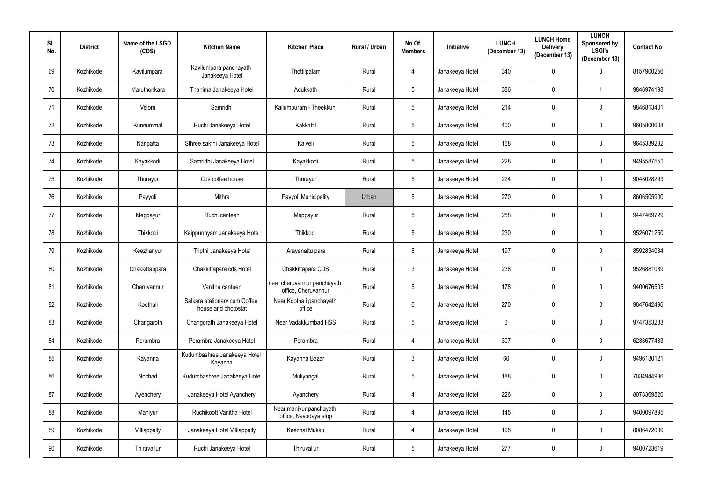| SI.<br>No. | <b>District</b> | Name of the LSGD<br>(CDS) | <b>Kitchen Name</b>                                  | <b>Kitchen Place</b>                               | Rural / Urban | No Of<br><b>Members</b> | Initiative      | <b>LUNCH</b><br>(December 13) | <b>LUNCH Home</b><br><b>Delivery</b><br>(December 13) | <b>LUNCH</b><br>Sponsored by<br><b>LSGI's</b><br>(December 13) | <b>Contact No</b> |
|------------|-----------------|---------------------------|------------------------------------------------------|----------------------------------------------------|---------------|-------------------------|-----------------|-------------------------------|-------------------------------------------------------|----------------------------------------------------------------|-------------------|
| 69         | Kozhikode       | Kavilumpara               | Kavilumpara panchayath<br>Janakeeya Hotel            | Thottilpalam                                       | Rural         | 4                       | Janakeeya Hotel | 340                           | 0                                                     | $\mathbf 0$                                                    | 8157900256        |
| 70         | Kozhikode       | Maruthonkara              | Thanima Janakeeya Hotel                              | Adukkath                                           | Rural         | 5 <sub>5</sub>          | Janakeeya Hotel | 386                           | $\mathbf 0$                                           |                                                                | 9846974198        |
| 71         | Kozhikode       | Velom                     | Samridhi                                             | Kallumpuram - Theekkuni                            | Rural         | $\overline{5}$          | Janakeeya Hotel | 214                           | $\mathbf 0$                                           | $\pmb{0}$                                                      | 9846813401        |
| 72         | Kozhikode       | Kunnummal                 | Ruchi Janakeeya Hotel                                | Kakkattil                                          | Rural         | $5\phantom{.0}$         | Janakeeya Hotel | 400                           | $\mathbf{0}$                                          | $\pmb{0}$                                                      | 9605800608        |
| 73         | Kozhikode       | Naripatta                 | Sthree sakthi Janakeeya Hotel                        | Kaiveli                                            | Rural         | $\overline{5}$          | Janakeeya Hotel | 168                           | $\mathbf{0}$                                          | $\pmb{0}$                                                      | 9645339232        |
| 74         | Kozhikode       | Kayakkodi                 | Samridhi Janakeeya Hotel                             | Kayakkodi                                          | Rural         | $5\phantom{.0}$         | Janakeeya Hotel | 228                           | $\boldsymbol{0}$                                      | $\mathbf 0$                                                    | 9495587551        |
| 75         | Kozhikode       | Thurayur                  | Cds coffee house                                     | Thurayur                                           | Rural         | 5 <sup>5</sup>          | Janakeeya Hotel | 224                           | $\mathbf{0}$                                          | $\mathbf 0$                                                    | 9048028293        |
| 76         | Kozhikode       | Payyoli                   | Mithra                                               | Payyoli Municipality                               | Urban         | $\overline{5}$          | Janakeeya Hotel | 270                           | $\mathbf{0}$                                          | $\mathbf 0$                                                    | 8606505900        |
| 77         | Kozhikode       | Meppayur                  | Ruchi canteen                                        | Meppayur                                           | Rural         | 5 <sup>5</sup>          | Janakeeya Hotel | 288                           | $\mathbf 0$                                           | $\mathbf 0$                                                    | 9447469729        |
| 78         | Kozhikode       | Thikkodi                  | Kaippunnyam Janakeeya Hotel                          | Thikkodi                                           | Rural         | $\overline{5}$          | Janakeeya Hotel | 230                           | $\mathbf{0}$                                          | $\mathbf 0$                                                    | 9526071250        |
| 79         | Kozhikode       | Keezhariyur               | Tripthi Janakeeya Hotel                              | Arayanattu para                                    | Rural         | 8                       | Janakeeya Hotel | 197                           | $\mathbf{0}$                                          | $\mathbf 0$                                                    | 8592834034        |
| 80         | Kozhikode       | Chakkittappara            | Chakkittapara cds Hotel                              | Chakkittapara CDS                                  | Rural         | $\mathfrak{Z}$          | Janakeeya Hotel | 238                           | 0                                                     | $\boldsymbol{0}$                                               | 9526881089        |
| 81         | Kozhikode       | Cheruvannur               | Vanitha canteen                                      | near cheruvannur panchayath<br>office, Cheruvannur | Rural         | $5\phantom{.0}$         | Janakeeya Hotel | 178                           | $\boldsymbol{0}$                                      | $\overline{0}$                                                 | 9400676505        |
| 82         | Kozhikode       | Koothali                  | Salkara stationary cum Coffee<br>house and photostat | Near Koothali panchayath<br>office                 | Rural         | $6\phantom{.0}$         | Janakeeya Hotel | 270                           | $\mathbf 0$                                           | $\mathbf 0$                                                    | 9847642496        |
| 83         | Kozhikode       | Changaroth                | Changorath Janakeeya Hotel                           | Near Vadakkumbad HSS                               | Rural         | $5\phantom{.0}$         | Janakeeya Hotel | $\mathbf 0$                   | $\mathbf 0$                                           | $\overline{0}$                                                 | 9747353283        |
| 84         | Kozhikode       | Perambra                  | Perambra Janakeeya Hotel                             | Perambra                                           | Rural         | $\overline{4}$          | Janakeeya Hotel | 307                           | $\mathbf 0$                                           | $\overline{0}$                                                 | 6238677483        |
| 85         | Kozhikode       | Kayanna                   | Kudumbashree Janakeeya Hotel<br>Kayanna              | Kayanna Bazar                                      | Rural         | $\mathfrak{Z}$          | Janakeeya Hotel | 60                            | $\mathbf 0$                                           | $\mathbf 0$                                                    | 9496130121        |
| 86         | Kozhikode       | Nochad                    | Kudumbashree Janakeeya Hotel                         | Muliyangal                                         | Rural         | $5\phantom{.0}$         | Janakeeya Hotel | 188                           | $\mathbf 0$                                           | $\mathbf 0$                                                    | 7034944936        |
| 87         | Kozhikode       | Ayenchery                 | Janakeeya Hotel Ayanchery                            | Ayanchery                                          | Rural         | $\overline{4}$          | Janakeeya Hotel | 226                           | $\mathbf 0$                                           | $\pmb{0}$                                                      | 8078369520        |
| 88         | Kozhikode       | Maniyur                   | Ruchikoott Vanitha Hotel                             | Near maniyur panchayath<br>office, Navodaya stop   | Rural         | $\overline{4}$          | Janakeeya Hotel | 145                           | $\mathbf 0$                                           | $\mathbf 0$                                                    | 9400097895        |
| 89         | Kozhikode       | Villiappally              | Janakeeya Hotel Villiappally                         | Keezhal Mukku                                      | Rural         | $\overline{4}$          | Janakeeya Hotel | 195                           | $\mathbf 0$                                           | $\mathbf 0$                                                    | 8086472039        |
| 90         | Kozhikode       | Thiruvallur               | Ruchi Janakeeya Hotel                                | Thiruvallur                                        | Rural         | $5\phantom{.0}$         | Janakeeya Hotel | 277                           | $\mathbf 0$                                           | $\boldsymbol{0}$                                               | 9400723619        |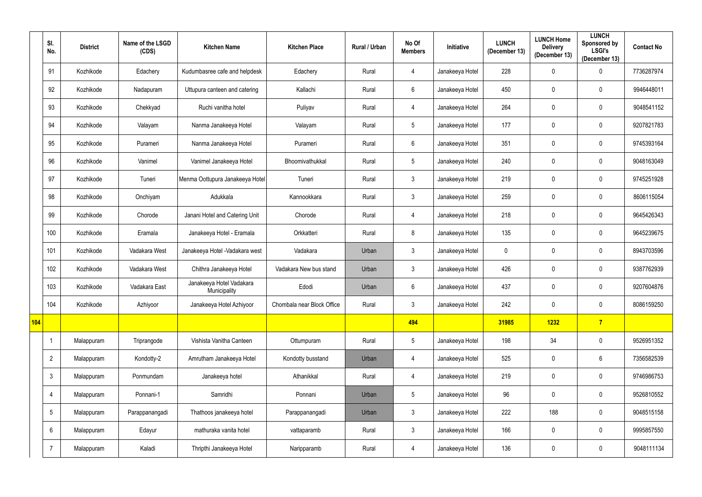|     | SI.<br>No.      | <b>District</b> | Name of the LSGD<br>(CDS) | <b>Kitchen Name</b>                      | <b>Kitchen Place</b>       | Rural / Urban | No Of<br><b>Members</b> | Initiative      | <b>LUNCH</b><br>(December 13) | <b>LUNCH Home</b><br><b>Delivery</b><br>(December 13) | <b>LUNCH</b><br>Sponsored by<br><b>LSGI's</b><br>(December 13) | <b>Contact No</b> |
|-----|-----------------|-----------------|---------------------------|------------------------------------------|----------------------------|---------------|-------------------------|-----------------|-------------------------------|-------------------------------------------------------|----------------------------------------------------------------|-------------------|
|     | 91              | Kozhikode       | Edachery                  | Kudumbasree cafe and helpdesk            | Edachery                   | Rural         | 4                       | Janakeeya Hotel | 228                           | $\mathbf 0$                                           | $\mathbf 0$                                                    | 7736287974        |
|     | 92              | Kozhikode       | Nadapuram                 | Uttupura canteen and catering            | Kallachi                   | Rural         | $6\phantom{.}$          | Janakeeya Hotel | 450                           | $\mathbf 0$                                           | $\mathbf 0$                                                    | 9946448011        |
|     | 93              | Kozhikode       | Chekkyad                  | Ruchi vanitha hotel                      | Puliyav                    | Rural         | 4                       | Janakeeya Hotel | 264                           | $\boldsymbol{0}$                                      | $\mathbf 0$                                                    | 9048541152        |
|     | 94              | Kozhikode       | Valayam                   | Nanma Janakeeya Hotel                    | Valayam                    | Rural         | $\overline{5}$          | Janakeeya Hotel | 177                           | $\mathbf 0$                                           | $\mathbf 0$                                                    | 9207821783        |
|     | 95              | Kozhikode       | Purameri                  | Nanma Janakeeya Hotel                    | Purameri                   | Rural         | $6\phantom{.}$          | Janakeeya Hotel | 351                           | $\mathbf 0$                                           | $\mathbf 0$                                                    | 9745393164        |
|     | 96              | Kozhikode       | Vanimel                   | Vanimel Janakeeya Hotel                  | Bhoomivathukkal            | Rural         | $5\phantom{.0}$         | Janakeeya Hotel | 240                           | $\mathbf 0$                                           | $\mathbf 0$                                                    | 9048163049        |
|     | 97              | Kozhikode       | Tuneri                    | Menma Oottupura Janakeeya Hotel          | Tuneri                     | Rural         | $\mathbf{3}$            | Janakeeya Hotel | 219                           | $\mathbf 0$                                           | $\mathbf 0$                                                    | 9745251928        |
|     | 98              | Kozhikode       | Onchiyam                  | Adukkala                                 | Kannookkara                | Rural         | $\mathfrak{Z}$          | Janakeeya Hotel | 259                           | $\mathbf 0$                                           | $\mathbf 0$                                                    | 8606115054        |
|     | 99              | Kozhikode       | Chorode                   | Janani Hotel and Catering Unit           | Chorode                    | Rural         | 4                       | Janakeeya Hotel | 218                           | $\mathbf 0$                                           | $\mathbf 0$                                                    | 9645426343        |
|     | 100             | Kozhikode       | Eramala                   | Janakeeya Hotel - Eramala                | Orkkatteri                 | Rural         | 8                       | Janakeeya Hotel | 135                           | $\mathbf 0$                                           | $\mathbf 0$                                                    | 9645239675        |
|     | 101             | Kozhikode       | Vadakara West             | Janakeeya Hotel - Vadakara west          | Vadakara                   | Urban         | $\mathfrak{Z}$          | Janakeeya Hotel | $\mathbf 0$                   | $\mathbf 0$                                           | $\mathbf 0$                                                    | 8943703596        |
|     | 102             | Kozhikode       | Vadakara West             | Chithra Janakeeya Hotel                  | Vadakara New bus stand     | Urban         | $\mathfrak{Z}$          | Janakeeya Hotel | 426                           | $\mathbf 0$                                           | $\mathbf 0$                                                    | 9387762939        |
|     | 103             | Kozhikode       | Vadakara East             | Janakeeya Hotel Vadakara<br>Municipality | Edodi                      | Urban         | $6\phantom{.}$          | Janakeeya Hotel | 437                           | $\mathbf 0$                                           | $\mathbf 0$                                                    | 9207604876        |
|     | 104             | Kozhikode       | Azhiyoor                  | Janakeeya Hotel Azhiyoor                 | Chombala near Block Office | Rural         | $\mathfrak{Z}$          | Janakeeya Hotel | 242                           | $\mathbf 0$                                           | $\mathbf 0$                                                    | 8086159250        |
| 104 |                 |                 |                           |                                          |                            |               | 494                     |                 | 31985                         | 1232                                                  | $7\phantom{.}$                                                 |                   |
|     | -1              | Malappuram      | Triprangode               | Vishista Vanitha Canteen                 | Ottumpuram                 | Rural         | $5\,$                   | Janakeeya Hotel | 198                           | 34                                                    | $\mathbf 0$                                                    | 9526951352        |
|     | $\overline{2}$  | Malappuram      | Kondotty-2                | Amrutham Janakeeya Hotel                 | Kondotty busstand          | Urban         | 4                       | Janakeeya Hotel | 525                           | $\mathbf 0$                                           | $6\overline{6}$                                                | 7356582539        |
|     | $\mathbf{3}$    | Malappuram      | Ponmundam                 | Janakeeya hotel                          | Athanikkal                 | Rural         | 4                       | Janakeeya Hotel | 219                           | $\mathbf 0$                                           | $\mathbf 0$                                                    | 9746986753        |
|     | $\overline{4}$  | Malappuram      | Ponnani-1                 | Samridhi                                 | Ponnani                    | Urban         | $\sqrt{5}$              | Janakeeya Hotel | 96                            | $\mathbf 0$                                           | $\mathbf 0$                                                    | 9526810552        |
|     | $5\overline{)}$ | Malappuram      | Parappanangadi            | Thathoos janakeeya hotel                 | Parappanangadi             | Urban         | $\mathfrak{Z}$          | Janakeeya Hotel | 222                           | 188                                                   | $\mathbf 0$                                                    | 9048515158        |
|     | 6               | Malappuram      | Edayur                    | mathuraka vanita hotel                   | vattaparamb                | Rural         | $\mathfrak{Z}$          | Janakeeya Hotel | 166                           | $\mathbf 0$                                           | $\mathbf 0$                                                    | 9995857550        |
|     | $\overline{7}$  | Malappuram      | Kaladi                    | Thripthi Janakeeya Hotel                 | Naripparamb                | Rural         | $\overline{4}$          | Janakeeya Hotel | 136                           | $\boldsymbol{0}$                                      | $\mathbf 0$                                                    | 9048111134        |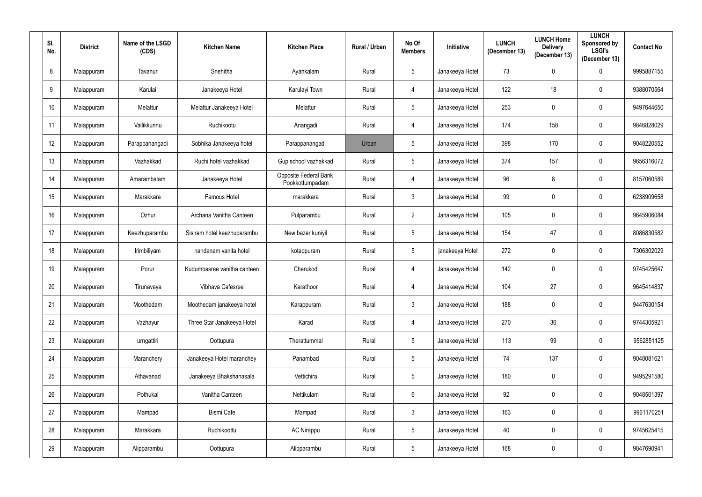| SI.<br>No. | <b>District</b> | Name of the LSGD<br>(CDS) | <b>Kitchen Name</b>         | <b>Kitchen Place</b>                     | Rural / Urban | No Of<br><b>Members</b> | <b>Initiative</b> | <b>LUNCH</b><br>(December 13) | <b>LUNCH Home</b><br><b>Delivery</b><br>(December 13) | <b>LUNCH</b><br>Sponsored by<br><b>LSGI's</b><br>(December 13) | <b>Contact No</b> |
|------------|-----------------|---------------------------|-----------------------------|------------------------------------------|---------------|-------------------------|-------------------|-------------------------------|-------------------------------------------------------|----------------------------------------------------------------|-------------------|
| 8          | Malappuram      | Tavanur                   | Snehitha                    | Ayankalam                                | Rural         | $5\phantom{.0}$         | Janakeeya Hotel   | 73                            | $\mathbf{0}$                                          | 0                                                              | 9995887155        |
| 9          | Malappuram      | Karulai                   | Janakeeya Hotel             | Karulayi Town                            | Rural         | 4                       | Janakeeya Hotel   | 122                           | 18                                                    | $\mathbf 0$                                                    | 9388070564        |
| 10         | Malappuram      | Melattur                  | Melattur Janakeeya Hotel    | Melattur                                 | Rural         | $5\phantom{.0}$         | Janakeeya Hotel   | 253                           | $\mathbf{0}$                                          | $\mathbf 0$                                                    | 9497644650        |
| 11         | Malappuram      | Vallikkunnu               | Ruchikootu                  | Anangadi                                 | Rural         | 4                       | Janakeeya Hotel   | 174                           | 158                                                   | $\mathbf 0$                                                    | 9846828029        |
| 12         | Malappuram      | Parappanangadi            | Sobhika Janakeeya hotel     | Parappanangadi                           | Urban         | $\overline{5}$          | Janakeeya Hotel   | 398                           | 170                                                   | $\mathbf 0$                                                    | 9048220552        |
| 13         | Malappuram      | Vazhakkad                 | Ruchi hotel vazhakkad       | Gup school vazhakkad                     | Rural         | 5 <sup>5</sup>          | Janakeeya Hotel   | 374                           | 157                                                   | $\mathbf 0$                                                    | 9656316072        |
| 14         | Malappuram      | Amarambalam               | Janakeeya Hotel             | Opposite Federal Bank<br>Pookkottumpadam | Rural         | 4                       | Janakeeya Hotel   | 96                            | 8                                                     | $\mathbf 0$                                                    | 8157060589        |
| 15         | Malappuram      | Marakkara                 | Famous Hotel                | marakkara                                | Rural         | $\mathfrak{Z}$          | Janakeeya Hotel   | 99                            | $\boldsymbol{0}$                                      | $\mathbf 0$                                                    | 6238909658        |
| 16         | Malappuram      | Ozhur                     | Archana Vanitha Canteen     | Pulparambu                               | Rural         | $\overline{2}$          | Janakeeya Hotel   | 105                           | $\mathbf{0}$                                          | $\mathbf 0$                                                    | 9645906084        |
| 17         | Malappuram      | Keezhuparambu             | Sisiram hotel keezhuparambu | New bazar kuniyil                        | Rural         | $5\phantom{.0}$         | Janakeeya Hotel   | 154                           | 47                                                    | $\mathbf 0$                                                    | 8086830582        |
| 18         | Malappuram      | Irimbiliyam               | nandanam vanita hotel       | kotappuram                               | Rural         | 5 <sup>5</sup>          | janakeeya Hotel   | 272                           | $\mathbf 0$                                           | $\mathbf 0$                                                    | 7306302029        |
| 19         | Malappuram      | Porur                     | Kudumbasree vanitha canteen | Cherukod                                 | Rural         | 4                       | Janakeeya Hotel   | 142                           | $\mathbf{0}$                                          | $\mathbf 0$                                                    | 9745425647        |
| 20         | Malappuram      | Tirunavaya                | Vibhava Cafesree            | Karathoor                                | Rural         | 4                       | Janakeeya Hotel   | 104                           | 27                                                    | $\mathbf 0$                                                    | 9645414837        |
| 21         | Malappuram      | Moothedam                 | Moothedam janakeeya hotel   | Karappuram                               | Rural         | $\mathfrak{Z}$          | Janakeeya Hotel   | 188                           | $\mathbf 0$                                           | $\mathbf 0$                                                    | 9447630154        |
| 22         | Malappuram      | Vazhayur                  | Three Star Janakeeya Hotel  | Karad                                    | Rural         | $\overline{4}$          | Janakeeya Hotel   | 270                           | 36                                                    | $\overline{0}$                                                 | 9744305921        |
| 23         | Malappuram      | urngattiri                | Oottupura                   | Therattummal                             | Rural         | $5\phantom{.0}$         | Janakeeya Hotel   | 113                           | 99                                                    | $\mathbf 0$                                                    | 9562851125        |
| 24         | Malappuram      | Maranchery                | Janakeeya Hotel maranchey   | Panambad                                 | Rural         | $5\phantom{.0}$         | Janakeeya Hotel   | 74                            | 137                                                   | $\mathbf 0$                                                    | 9048081621        |
| 25         | Malappuram      | Athavanad                 | Janakeeya Bhakshanasala     | Vettichira                               | Rural         | $5\phantom{.0}$         | Janakeeya Hotel   | 180                           | $\mathbf 0$                                           | $\overline{0}$                                                 | 9495291580        |
| 26         | Malappuram      | Pothukal                  | Vanitha Canteen             | Nettikulam                               | Rural         | $6\phantom{.0}$         | Janakeeya Hotel   | 92                            | $\mathbf 0$                                           | $\mathbf 0$                                                    | 9048501397        |
| 27         | Malappuram      | Mampad                    | <b>Bismi Cafe</b>           | Mampad                                   | Rural         | $\mathfrak{Z}$          | Janakeeya Hotel   | 163                           | $\mathbf 0$                                           | $\mathbf 0$                                                    | 9961170251        |
| 28         | Malappuram      | Marakkara                 | Ruchikoottu                 | <b>AC Nirappu</b>                        | Rural         | $5\phantom{.0}$         | Janakeeya Hotel   | 40                            | $\mathbf 0$                                           | $\pmb{0}$                                                      | 9745625415        |
| 29         | Malappuram      | Alipparambu               | Oottupura                   | Alipparambu                              | Rural         | $5\phantom{.0}$         | Janakeeya Hotel   | 168                           | $\boldsymbol{0}$                                      | $\pmb{0}$                                                      | 9847690941        |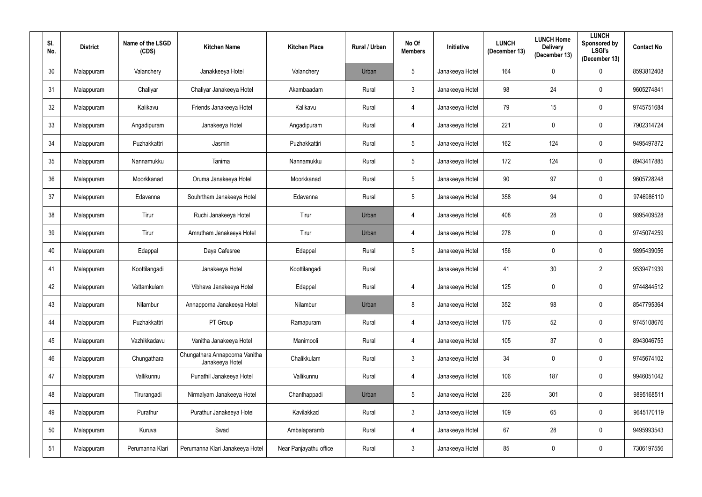| SI.<br>No. | <b>District</b> | Name of the LSGD<br>(CDS) | <b>Kitchen Name</b>                               | <b>Kitchen Place</b>   | Rural / Urban | No Of<br><b>Members</b> | Initiative      | <b>LUNCH</b><br>(December 13) | <b>LUNCH Home</b><br><b>Delivery</b><br>(December 13) | <b>LUNCH</b><br>Sponsored by<br><b>LSGI's</b><br>(December 13) | <b>Contact No</b> |
|------------|-----------------|---------------------------|---------------------------------------------------|------------------------|---------------|-------------------------|-----------------|-------------------------------|-------------------------------------------------------|----------------------------------------------------------------|-------------------|
| 30         | Malappuram      | Valanchery                | Janakkeeya Hotel                                  | Valanchery             | Urban         | $5\phantom{.0}$         | Janakeeya Hotel | 164                           | $\mathbf{0}$                                          | $\boldsymbol{0}$                                               | 8593812408        |
| 31         | Malappuram      | Chaliyar                  | Chaliyar Janakeeya Hotel                          | Akambaadam             | Rural         | 3 <sup>1</sup>          | Janakeeya Hotel | 98                            | 24                                                    | $\mathbf 0$                                                    | 9605274841        |
| 32         | Malappuram      | Kalikavu                  | Friends Janakeeya Hotel                           | Kalikavu               | Rural         | $\overline{4}$          | Janakeeya Hotel | 79                            | 15                                                    | $\mathbf 0$                                                    | 9745751684        |
| 33         | Malappuram      | Angadipuram               | Janakeeya Hotel                                   | Angadipuram            | Rural         | 4                       | Janakeeya Hotel | 221                           | $\mathbf{0}$                                          | $\mathbf 0$                                                    | 7902314724        |
| 34         | Malappuram      | Puzhakkattri              | Jasmin                                            | Puzhakkattiri          | Rural         | $5\overline{)}$         | Janakeeya Hotel | 162                           | 124                                                   | $\mathbf 0$                                                    | 9495497872        |
| 35         | Malappuram      | Nannamukku                | Tanima                                            | Nannamukku             | Rural         | $5\phantom{.0}$         | Janakeeya Hotel | 172                           | 124                                                   | $\mathbf 0$                                                    | 8943417885        |
| 36         | Malappuram      | Moorkkanad                | Oruma Janakeeya Hotel                             | Moorkkanad             | Rural         | $5\phantom{.0}$         | Janakeeya Hotel | 90                            | 97                                                    | $\mathbf 0$                                                    | 9605728248        |
| 37         | Malappuram      | Edavanna                  | Souhrtham Janakeeya Hotel                         | Edavanna               | Rural         | $5\phantom{.0}$         | Janakeeya Hotel | 358                           | 94                                                    | $\bf{0}$                                                       | 9746986110        |
| 38         | Malappuram      | Tirur                     | Ruchi Janakeeya Hotel                             | Tirur                  | Urban         | 4                       | Janakeeya Hotel | 408                           | 28                                                    | $\mathbf 0$                                                    | 9895409528        |
| 39         | Malappuram      | Tirur                     | Amrutham Janakeeya Hotel                          | Tirur                  | Urban         | 4                       | Janakeeya Hotel | 278                           | $\mathbf{0}$                                          | $\mathbf 0$                                                    | 9745074259        |
| 40         | Malappuram      | Edappal                   | Daya Cafesree                                     | Edappal                | Rural         | $5\overline{)}$         | Janakeeya Hotel | 156                           | $\mathbf 0$                                           | $\mathbf 0$                                                    | 9895439056        |
| 41         | Malappuram      | Koottilangadi             | Janakeeya Hotel                                   | Koottilangadi          | Rural         |                         | Janakeeya Hotel | 41                            | 30                                                    | $\overline{2}$                                                 | 9539471939        |
| 42         | Malappuram      | Vattamkulam               | Vibhava Janakeeya Hotel                           | Edappal                | Rural         | $\overline{4}$          | Janakeeya Hotel | 125                           | $\mathbf 0$                                           | $\mathbf 0$                                                    | 9744844512        |
| 43         | Malappuram      | Nilambur                  | Annapporna Janakeeya Hotel                        | Nilambur               | Urban         | 8                       | Janakeeya Hotel | 352                           | 98                                                    | $\mathbf 0$                                                    | 8547795364        |
| 44         | Malappuram      | Puzhakkattri              | PT Group                                          | Ramapuram              | Rural         | 4                       | Janakeeya Hotel | 176                           | 52                                                    | $\overline{0}$                                                 | 9745108676        |
| 45         | Malappuram      | Vazhikkadavu              | Vanitha Janakeeya Hotel                           | Manimooli              | Rural         | 4                       | Janakeeya Hotel | 105                           | 37                                                    | $\mathbf 0$                                                    | 8943046755        |
| 46         | Malappuram      | Chungathara               | Chungathara Annapoorna Vanitha<br>Janakeeya Hotel | Chalikkulam            | Rural         | $\mathfrak{Z}$          | Janakeeya Hotel | 34                            | $\mathbf 0$                                           | $\mathbf 0$                                                    | 9745674102        |
| 47         | Malappuram      | Vallikunnu                | Punathil Janakeeya Hotel                          | Vallikunnu             | Rural         | 4                       | Janakeeya Hotel | 106                           | 187                                                   | $\mathbf 0$                                                    | 9946051042        |
| 48         | Malappuram      | Tirurangadi               | Nirmalyam Janakeeya Hotel                         | Chanthappadi           | Urban         | $5\phantom{.0}$         | Janakeeya Hotel | 236                           | 301                                                   | $\mathbf 0$                                                    | 9895168511        |
| 49         | Malappuram      | Purathur                  | Purathur Janakeeya Hotel                          | Kavilakkad             | Rural         | $\mathfrak{Z}$          | Janakeeya Hotel | 109                           | 65                                                    | $\pmb{0}$                                                      | 9645170119        |
| 50         | Malappuram      | Kuruva                    | Swad                                              | Ambalaparamb           | Rural         | $\overline{4}$          | Janakeeya Hotel | 67                            | 28                                                    | $\mathbf 0$                                                    | 9495993543        |
| 51         | Malappuram      | Perumanna Klari           | Perumanna Klari Janakeeya Hotel                   | Near Panjayathu office | Rural         | $\mathfrak{Z}$          | Janakeeya Hotel | 85                            | 0                                                     | $\pmb{0}$                                                      | 7306197556        |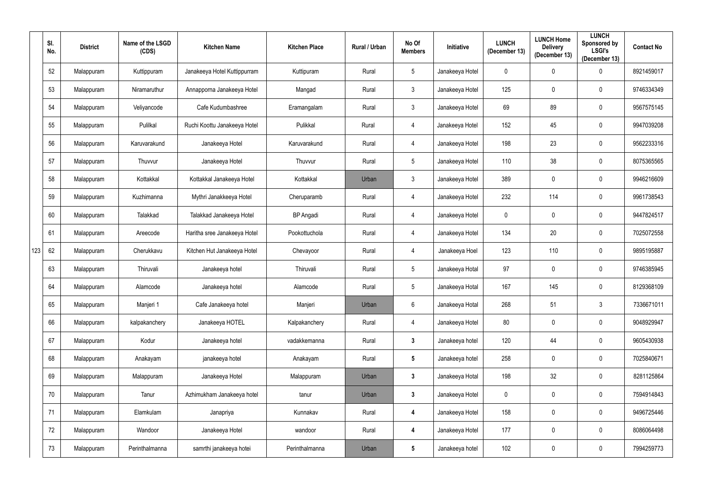|     | SI.<br>No. | <b>District</b> | Name of the LSGD<br>(CDS) | <b>Kitchen Name</b>          | <b>Kitchen Place</b> | <b>Rural / Urban</b> | No Of<br><b>Members</b> | <b>Initiative</b> | <b>LUNCH</b><br>(December 13) | <b>LUNCH Home</b><br><b>Delivery</b><br>(December 13) | <b>LUNCH</b><br>Sponsored by<br><b>LSGI's</b><br>(December 13) | <b>Contact No</b> |
|-----|------------|-----------------|---------------------------|------------------------------|----------------------|----------------------|-------------------------|-------------------|-------------------------------|-------------------------------------------------------|----------------------------------------------------------------|-------------------|
|     | 52         | Malappuram      | Kuttippuram               | Janakeeya Hotel Kuttippurram | Kuttipuram           | Rural                | $5\phantom{.0}$         | Janakeeya Hotel   | $\mathbf 0$                   | $\mathbf 0$                                           | $\boldsymbol{0}$                                               | 8921459017        |
|     | 53         | Malappuram      | Niramaruthur              | Annapporna Janakeeya Hotel   | Mangad               | Rural                | $\mathbf{3}$            | Janakeeya Hotel   | 125                           | $\mathbf 0$                                           | $\mathbf 0$                                                    | 9746334349        |
|     | 54         | Malappuram      | Veliyancode               | Cafe Kudumbashree            | Eramangalam          | Rural                | 3 <sup>2</sup>          | Janakeeya Hotel   | 69                            | 89                                                    | $\mathbf 0$                                                    | 9567575145        |
|     | 55         | Malappuram      | Pulilkal                  | Ruchi Koottu Janakeeya Hotel | Pulikkal             | Rural                | 4                       | Janakeeya Hotel   | 152                           | 45                                                    | $\mathbf 0$                                                    | 9947039208        |
|     | 56         | Malappuram      | Karuvarakund              | Janakeeya Hotel              | Karuvarakund         | Rural                | 4                       | Janakeeya Hotel   | 198                           | 23                                                    | $\mathbf 0$                                                    | 9562233316        |
|     | 57         | Malappuram      | Thuvvur                   | Janakeeya Hotel              | Thuvvur              | Rural                | $5\phantom{.0}$         | Janakeeya Hotel   | 110                           | 38                                                    | $\mathbf 0$                                                    | 8075365565        |
|     | 58         | Malappuram      | Kottakkal                 | Kottakkal Janakeeya Hotel    | Kottakkal            | Urban                | $\mathfrak{Z}$          | Janakeeya Hotel   | 389                           | $\mathbf 0$                                           | $\mathbf 0$                                                    | 9946216609        |
|     | 59         | Malappuram      | Kuzhimanna                | Mythri Janakkeeya Hotel      | Cheruparamb          | Rural                | 4                       | Janakeeya Hotel   | 232                           | 114                                                   | $\mathbf 0$                                                    | 9961738543        |
|     | 60         | Malappuram      | Talakkad                  | Talakkad Janakeeya Hotel     | <b>BP</b> Angadi     | Rural                | 4                       | Janakeeya Hotel   | $\mathbf 0$                   | $\mathbf 0$                                           | $\mathbf 0$                                                    | 9447824517        |
|     | 61         | Malappuram      | Areecode                  | Haritha sree Janakeeya Hotel | Pookottuchola        | Rural                | 4                       | Janakeeya Hotel   | 134                           | 20                                                    | $\mathbf 0$                                                    | 7025072558        |
| 123 | 62         | Malappuram      | Cherukkavu                | Kitchen Hut Janakeeya Hotel  | Chevayoor            | Rural                | 4                       | Janakeeya Hoel    | 123                           | 110                                                   | $\overline{0}$                                                 | 9895195887        |
|     | 63         | Malappuram      | Thiruvali                 | Janakeeya hotel              | Thiruvali            | Rural                | $5\phantom{.0}$         | Janakeeya Hotal   | 97                            | $\boldsymbol{0}$                                      | $\mathbf 0$                                                    | 9746385945        |
|     | 64         | Malappuram      | Alamcode                  | Janakeeya hotel              | Alamcode             | Rural                | $5\phantom{.0}$         | Janakeeya Hotal   | 167                           | 145                                                   | $\mathbf 0$                                                    | 8129368109        |
|     | 65         | Malappuram      | Manjeri 1                 | Cafe Janakeeya hotel         | Manjeri              | Urban                | $6\phantom{.0}$         | Janakeeya Hotal   | 268                           | 51                                                    | $3\phantom{.0}$                                                | 7336671011        |
|     | 66         | Malappuram      | kalpakanchery             | Janakeeya HOTEL              | Kalpakanchery        | Rural                | 4                       | Janakeeya Hotel   | 80                            | $\pmb{0}$                                             | $\bf{0}$                                                       | 9048929947        |
|     | 67         | Malappuram      | Kodur                     | Janakeeya hotel              | vadakkemanna         | Rural                | $\mathbf{3}$            | Janakeeya hotel   | 120                           | 44                                                    | $\mathbf 0$                                                    | 9605430938        |
|     | 68         | Malappuram      | Anakayam                  | janakeeya hotel              | Anakayam             | Rural                | $5\phantom{.0}$         | Janakeeya hotel   | 258                           | $\pmb{0}$                                             | $\mathbf 0$                                                    | 7025840671        |
|     | 69         | Malappuram      | Malappuram                | Janakeeya Hotel              | Malappuram           | Urban                | $\mathbf{3}$            | Janakeeya Hotal   | 198                           | 32                                                    | $\mathbf 0$                                                    | 8281125864        |
|     | 70         | Malappuram      | Tanur                     | Azhimukham Janakeeya hotel   | tanur                | Urban                | $\mathbf{3}$            | Janakeeya Hotel   | $\mathbf 0$                   | $\boldsymbol{0}$                                      | $\mathbf 0$                                                    | 7594914843        |
|     | 71         | Malappuram      | Elamkulam                 | Janapriya                    | Kunnakav             | Rural                | $\boldsymbol{4}$        | Janakeeya Hotel   | 158                           | $\mathbf 0$                                           | $\mathbf 0$                                                    | 9496725446        |
|     | 72         | Malappuram      | Wandoor                   | Janakeeya Hotel              | wandoor              | Rural                | 4                       | Janakeeya Hotel   | 177                           | $\pmb{0}$                                             | $\mathbf 0$                                                    | 8086064498        |
|     | 73         | Malappuram      | Perinthalmanna            | samrthi janakeeya hotei      | Perinthalmanna       | Urban                | $5\phantom{.0}$         | Janakeeya hotel   | 102                           | $\boldsymbol{0}$                                      | $\boldsymbol{0}$                                               | 7994259773        |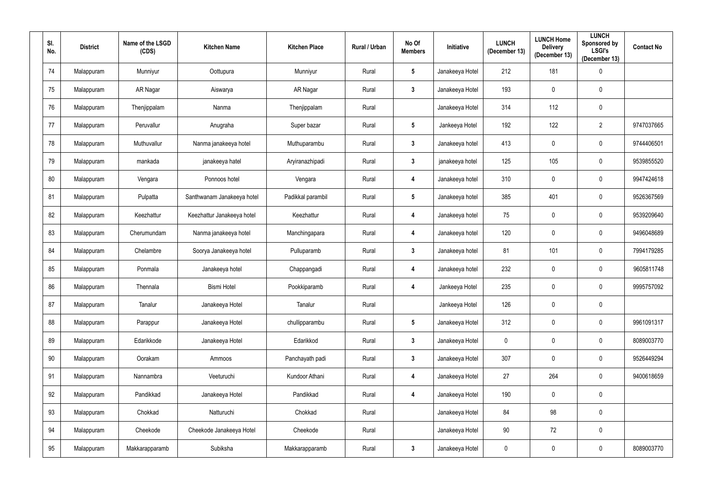| SI.<br>No. | <b>District</b> | Name of the LSGD<br>(CDS) | <b>Kitchen Name</b>        | <b>Kitchen Place</b> | Rural / Urban | No Of<br><b>Members</b> | Initiative      | <b>LUNCH</b><br>(December 13) | <b>LUNCH Home</b><br><b>Delivery</b><br>(December 13) | <b>LUNCH</b><br>Sponsored by<br><b>LSGI's</b><br>(December 13) | <b>Contact No</b> |
|------------|-----------------|---------------------------|----------------------------|----------------------|---------------|-------------------------|-----------------|-------------------------------|-------------------------------------------------------|----------------------------------------------------------------|-------------------|
| 74         | Malappuram      | Munniyur                  | Oottupura                  | Munniyur             | Rural         | $5\phantom{.0}$         | Janakeeya Hotel | 212                           | 181                                                   | $\overline{0}$                                                 |                   |
| 75         | Malappuram      | AR Nagar                  | Aiswarya                   | AR Nagar             | Rural         | $3\phantom{a}$          | Janakeeya Hotel | 193                           | $\mathbf 0$                                           | $\mathbf 0$                                                    |                   |
| 76         | Malappuram      | Thenjippalam              | Nanma                      | Thenjippalam         | Rural         |                         | Janakeeya Hotel | 314                           | 112                                                   | $\mathbf 0$                                                    |                   |
| 77         | Malappuram      | Peruvallur                | Anugraha                   | Super bazar          | Rural         | $5\phantom{.0}$         | Jankeeya Hotel  | 192                           | 122                                                   | $\overline{2}$                                                 | 9747037665        |
| 78         | Malappuram      | Muthuvallur               | Nanma janakeeya hotel      | Muthuparambu         | Rural         | $\mathbf{3}$            | Janakeeya hotel | 413                           | $\mathbf 0$                                           | $\mathbf 0$                                                    | 9744406501        |
| 79         | Malappuram      | mankada                   | janakeeya hatel            | Aryiranazhipadi      | Rural         | $\mathbf{3}$            | janakeeya hotel | 125                           | 105                                                   | $\mathbf 0$                                                    | 9539855520        |
| 80         | Malappuram      | Vengara                   | Ponnoos hotel              | Vengara              | Rural         | $\boldsymbol{4}$        | Janakeeya hotel | 310                           | $\mathbf 0$                                           | $\mathbf 0$                                                    | 9947424618        |
| 81         | Malappuram      | Pulpatta                  | Santhwanam Janakeeya hotel | Padikkal parambil    | Rural         | $5\phantom{.0}$         | Janakeeya hotel | 385                           | 401                                                   | $\mathbf 0$                                                    | 9526367569        |
| 82         | Malappuram      | Keezhattur                | Keezhattur Janakeeya hotel | Keezhattur           | Rural         | 4                       | Janakeeya hotel | 75                            | $\mathbf 0$                                           | $\mathbf 0$                                                    | 9539209640        |
| 83         | Malappuram      | Cherumundam               | Nanma janakeeya hotel      | Manchingapara        | Rural         | $\boldsymbol{4}$        | Janakeeya hotel | 120                           | $\mathbf 0$                                           | $\mathbf 0$                                                    | 9496048689        |
| 84         | Malappuram      | Chelambre                 | Soorya Janakeeya hotel     | Pulluparamb          | Rural         | $\mathbf{3}$            | Janakeeya hotel | 81                            | 101                                                   | $\mathbf 0$                                                    | 7994179285        |
| 85         | Malappuram      | Ponmala                   | Janakeeya hotel            | Chappangadi          | Rural         | $\boldsymbol{4}$        | Janakeeya hotel | 232                           | $\mathbf 0$                                           | $\mathbf 0$                                                    | 9605811748        |
| 86         | Malappuram      | Thennala                  | <b>Bismi Hotel</b>         | Pookkiparamb         | Rural         | $\boldsymbol{4}$        | Jankeeya Hotel  | 235                           | $\mathbf 0$                                           | $\mathbf 0$                                                    | 9995757092        |
| 87         | Malappuram      | Tanalur                   | Janakeeya Hotel            | Tanalur              | Rural         |                         | Jankeeya Hotel  | 126                           | $\mathbf 0$                                           | $\mathbf 0$                                                    |                   |
| 88         | Malappuram      | Parappur                  | Janakeeya Hotel            | chullipparambu       | Rural         | $5\phantom{.0}$         | Janakeeya Hotel | 312                           | $\pmb{0}$                                             | $\boldsymbol{0}$                                               | 9961091317        |
| 89         | Malappuram      | Edarikkode                | Janakeeya Hotel            | Edarikkod            | Rural         | $\mathbf{3}$            | Janakeeya Hotel | $\mathbf 0$                   | $\pmb{0}$                                             | $\mathbf 0$                                                    | 8089003770        |
| $90\,$     | Malappuram      | Oorakam                   | Ammoos                     | Panchayath padi      | Rural         | $3\phantom{a}$          | Janakeeya Hotel | 307                           | $\pmb{0}$                                             | $\mathbf 0$                                                    | 9526449294        |
| 91         | Malappuram      | Nannambra                 | Veeturuchi                 | Kundoor Athani       | Rural         | $\overline{\mathbf{4}}$ | Janakeeya Hotel | 27                            | 264                                                   | $\mathbf 0$                                                    | 9400618659        |
| 92         | Malappuram      | Pandikkad                 | Janakeeya Hotel            | Pandikkad            | Rural         | $\overline{\mathbf{4}}$ | Janakeeya Hotel | 190                           | $\mathbf 0$                                           | $\mathbf 0$                                                    |                   |
| 93         | Malappuram      | Chokkad                   | Natturuchi                 | Chokkad              | Rural         |                         | Janakeeya Hotel | 84                            | 98                                                    | $\mathbf 0$                                                    |                   |
| 94         | Malappuram      | Cheekode                  | Cheekode Janakeeya Hotel   | Cheekode             | Rural         |                         | Janakeeya Hotel | $90\,$                        | 72                                                    | $\mathbf 0$                                                    |                   |
| 95         | Malappuram      | Makkarapparamb            | Subiksha                   | Makkarapparamb       | Rural         | $\mathbf{3}$            | Janakeeya Hotel | $\mathbf 0$                   | $\boldsymbol{0}$                                      | $\boldsymbol{0}$                                               | 8089003770        |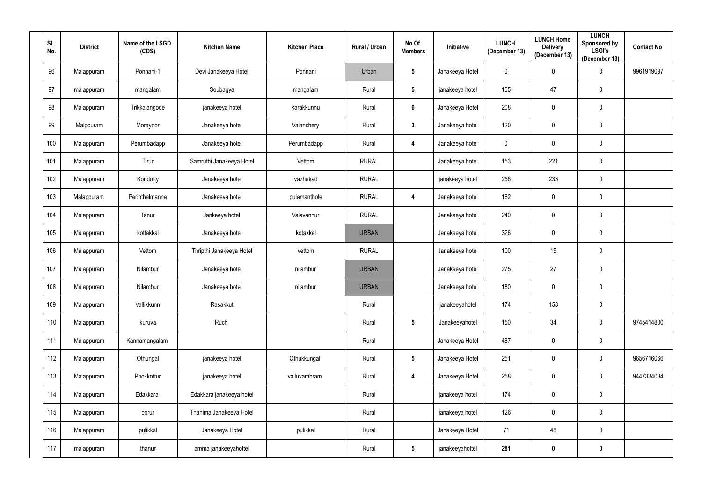| SI.<br>No. | <b>District</b> | Name of the LSGD<br>(CDS) | <b>Kitchen Name</b>      | <b>Kitchen Place</b> | Rural / Urban | No Of<br><b>Members</b> | Initiative      | <b>LUNCH</b><br>(December 13) | <b>LUNCH Home</b><br><b>Delivery</b><br>(December 13) | <b>LUNCH</b><br><b>Sponsored by</b><br><b>LSGI's</b><br>(December 13) | <b>Contact No</b> |
|------------|-----------------|---------------------------|--------------------------|----------------------|---------------|-------------------------|-----------------|-------------------------------|-------------------------------------------------------|-----------------------------------------------------------------------|-------------------|
| 96         | Malappuram      | Ponnani-1                 | Devi Janakeeya Hotel     | Ponnani              | Urban         | $5\phantom{.0}$         | Janakeeya Hotel | $\mathbf 0$                   | 0                                                     | $\overline{0}$                                                        | 9961919097        |
| 97         | malappuram      | mangalam                  | Soubagya                 | mangalam             | Rural         | $5\phantom{.0}$         | janakeeya hotel | 105                           | 47                                                    | $\mathbf 0$                                                           |                   |
| 98         | Malappuram      | Trikkalangode             | janakeeya hotel          | karakkunnu           | Rural         | $6\phantom{a}$          | Janakeeya Hotel | 208                           | $\mathbf 0$                                           | $\boldsymbol{0}$                                                      |                   |
| 99         | Malppuram       | Morayoor                  | Janakeeya hotel          | Valanchery           | Rural         | 3 <sup>1</sup>          | Janakeeya hotel | 120                           | $\mathbf 0$                                           | $\mathbf 0$                                                           |                   |
| 100        | Malappuram      | Perumbadapp               | Janakeeya hotel          | Perumbadapp          | Rural         | $\overline{\mathbf{4}}$ | Janakeeya hotel | $\pmb{0}$                     | $\mathbf 0$                                           | $\pmb{0}$                                                             |                   |
| 101        | Malappuram      | Tirur                     | Samruthi Janakeeya Hotel | Vettom               | <b>RURAL</b>  |                         | Janakeeya hotel | 153                           | 221                                                   | $\boldsymbol{0}$                                                      |                   |
| 102        | Malappuram      | Kondotty                  | Janakeeya hotel          | vazhakad             | <b>RURAL</b>  |                         | janakeeya hotel | 256                           | 233                                                   | $\boldsymbol{0}$                                                      |                   |
| 103        | Malappuram      | Perinthalmanna            | Janakeeya hotel          | pulamanthole         | <b>RURAL</b>  | 4                       | Janakeeya hotel | 162                           | $\mathbf 0$                                           | $\mathbf 0$                                                           |                   |
| 104        | Malappuram      | Tanur                     | Jankeeya hotel           | Valavannur           | <b>RURAL</b>  |                         | Janakeeya hotel | 240                           | 0                                                     | $\mathbf 0$                                                           |                   |
| 105        | Malappuram      | kottakkal                 | Janakeeya hotel          | kotakkal             | <b>URBAN</b>  |                         | Janakeeya hotel | 326                           | 0                                                     | $\mathbf 0$                                                           |                   |
| 106        | Malappuram      | Vettom                    | Thripthi Janakeeya Hotel | vettom               | <b>RURAL</b>  |                         | Janakeeya hotel | 100                           | 15                                                    | $\mathbf 0$                                                           |                   |
| 107        | Malappuram      | Nilambur                  | Janakeeya hotel          | nilambur             | <b>URBAN</b>  |                         | Janakeeya hotel | 275                           | 27                                                    | $\mathbf 0$                                                           |                   |
| 108        | Malappuram      | Nilambur                  | Janakeeya hotel          | nilambur             | <b>URBAN</b>  |                         | Janakeeya hotel | 180                           | $\mathbf 0$                                           | $\mathbf 0$                                                           |                   |
| 109        | Malappuram      | Vallikkunn                | Rasakkut                 |                      | Rural         |                         | janakeeyahotel  | 174                           | 158                                                   | $\pmb{0}$                                                             |                   |
| 110        | Malappuram      | kuruva                    | Ruchi                    |                      | Rural         | $5\phantom{.0}$         | Janakeeyahotel  | 150                           | 34                                                    | $\mathbf 0$                                                           | 9745414800        |
| 111        | Malappuram      | Kannamangalam             |                          |                      | Rural         |                         | Janakeeya Hotel | 487                           | $\mathbf 0$                                           | $\mathbf 0$                                                           |                   |
| 112        | Malappuram      | Othungal                  | janakeeya hotel          | Othukkungal          | Rural         | $5\phantom{.0}$         | Janakeeya Hotel | 251                           | $\mathbf 0$                                           | $\mathbf 0$                                                           | 9656716066        |
| 113        | Malappuram      | Pookkottur                | janakeeya hotel          | valluvambram         | Rural         | $\overline{\mathbf{4}}$ | Janakeeya Hotel | 258                           | $\mathbf 0$                                           | $\mathbf 0$                                                           | 9447334084        |
| 114        | Malappuram      | Edakkara                  | Edakkara janakeeya hotel |                      | Rural         |                         | janakeeya hotel | 174                           | $\mathbf 0$                                           | $\mathbf 0$                                                           |                   |
| 115        | Malappuram      | porur                     | Thanima Janakeeya Hotel  |                      | Rural         |                         | janakeeya hotel | 126                           | $\mathbf 0$                                           | $\mathbf 0$                                                           |                   |
| 116        | Malappuram      | pulikkal                  | Janakeeya Hotel          | pulikkal             | Rural         |                         | Janakeeya Hotel | 71                            | 48                                                    | $\mathbf 0$                                                           |                   |
| 117        | malappuram      | thanur                    | amma janakeeyahottel     |                      | Rural         | $5\phantom{.0}$         | janakeeyahottel | 281                           | $\boldsymbol{0}$                                      | $\mathbf 0$                                                           |                   |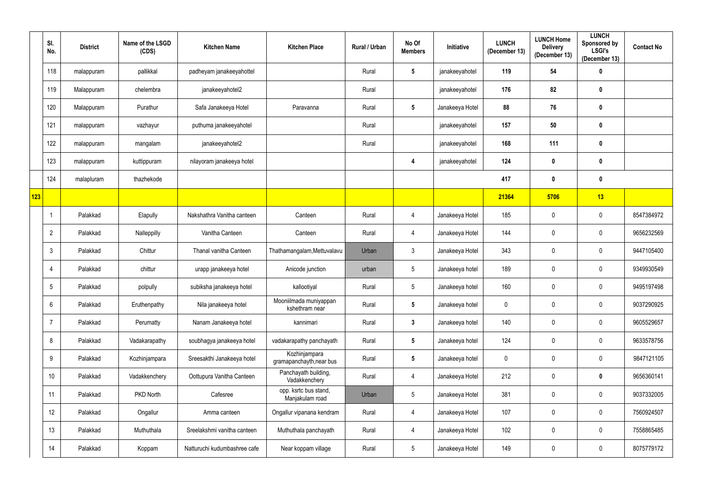|     | SI.<br>No.      | <b>District</b> | Name of the LSGD<br>(CDS) | <b>Kitchen Name</b>          | <b>Kitchen Place</b>                      | Rural / Urban | No Of<br><b>Members</b> | Initiative      | <b>LUNCH</b><br>(December 13) | <b>LUNCH Home</b><br><b>Delivery</b><br>(December 13) | <b>LUNCH</b><br>Sponsored by<br><b>LSGI's</b><br>(December 13) | <b>Contact No</b> |
|-----|-----------------|-----------------|---------------------------|------------------------------|-------------------------------------------|---------------|-------------------------|-----------------|-------------------------------|-------------------------------------------------------|----------------------------------------------------------------|-------------------|
|     | 118             | malappuram      | pallikkal                 | padheyam janakeeyahottel     |                                           | Rural         | $5\phantom{.0}$         | janakeeyahotel  | 119                           | 54                                                    | $\boldsymbol{0}$                                               |                   |
|     | 119             | Malappuram      | chelembra                 | janakeeyahotel2              |                                           | Rural         |                         | janakeeyahotel  | 176                           | 82                                                    | $\boldsymbol{0}$                                               |                   |
|     | 120             | Malappuram      | Purathur                  | Safa Janakeeya Hotel         | Paravanna                                 | Rural         | $5\phantom{.0}$         | Janakeeya Hotel | 88                            | 76                                                    | $\boldsymbol{0}$                                               |                   |
|     | 121             | malappuram      | vazhayur                  | puthuma janakeeyahotel       |                                           | Rural         |                         | janakeeyahotel  | 157                           | 50                                                    | $\boldsymbol{0}$                                               |                   |
|     | 122             | malappuram      | mangalam                  | janakeeyahotel2              |                                           | Rural         |                         | janakeeyahotel  | 168                           | 111                                                   | $\mathbf 0$                                                    |                   |
|     | 123             | malappuram      | kuttippuram               | nilayoram janakeeya hotel    |                                           |               | 4                       | janakeeyahotel  | 124                           | 0                                                     | $\boldsymbol{0}$                                               |                   |
|     | 124             | malapluram      | thazhekode                |                              |                                           |               |                         |                 | 417                           | $\boldsymbol{0}$                                      | $\boldsymbol{0}$                                               |                   |
| 123 |                 |                 |                           |                              |                                           |               |                         |                 | 21364                         | 5706                                                  | 13                                                             |                   |
|     |                 | Palakkad        | Elapully                  | Nakshathra Vanitha canteen   | Canteen                                   | Rural         | 4                       | Janakeeya Hotel | 185                           | $\mathbf 0$                                           | $\mathbf 0$                                                    | 8547384972        |
|     | $\overline{2}$  | Palakkad        | Nalleppilly               | Vanitha Canteen              | Canteen                                   | Rural         | 4                       | Janakeeya Hotel | 144                           | $\mathbf 0$                                           | $\mathbf 0$                                                    | 9656232569        |
|     | 3               | Palakkad        | Chittur                   | Thanal vanitha Canteen       | Thathamangalam, Mettuvalavu               | Urban         | $\mathfrak{Z}$          | Janakeeya Hotel | 343                           | $\mathbf 0$                                           | $\mathbf 0$                                                    | 9447105400        |
|     | 4               | Palakkad        | chittur                   | urapp janakeeya hotel        | Anicode junction                          | urban         | $\overline{5}$          | Janakeeya hotel | 189                           | $\pmb{0}$                                             | $\mathbf 0$                                                    | 9349930549        |
|     | 5               | Palakkad        | polpully                  | subiksha janakeeya hotel     | kallootiyal                               | Rural         | $5\phantom{.0}$         | Janakeeya hotel | 160                           | $\mathbf 0$                                           | $\mathbf 0$                                                    | 9495197498        |
|     | 6               | Palakkad        | Eruthenpathy              | Nila janakeeya hotel         | Mooniilmada muniyappan<br>kshethram near  | Rural         | $5\phantom{.0}$         | Janakeeya hotel | $\pmb{0}$                     | $\mathbf 0$                                           | $\mathbf 0$                                                    | 9037290925        |
|     | 7               | Palakkad        | Perumatty                 | Nanam Janakeeya hotel        | kannimari                                 | Rural         | $\mathbf{3}$            | Janakeeya hotel | 140                           | $\boldsymbol{0}$                                      | $\mathbf 0$                                                    | 9605529657        |
|     | 8               | Palakkad        | Vadakarapathy             | soubhagya janakeeya hotel    | vadakarapathy panchayath                  | Rural         | $5\phantom{.0}$         | Janakeeya hotel | 124                           | $\boldsymbol{0}$                                      | $\mathbf 0$                                                    | 9633578756        |
|     | 9               | Palakkad        | Kozhinjampara             | Sreesakthi Janakeeya hotel   | Kozhinjampara<br>gramapanchayth, near bus | Rural         | $5\phantom{.0}$         | Janakeeya hotel | $\mathbf 0$                   | $\boldsymbol{0}$                                      | $\mathbf 0$                                                    | 9847121105        |
|     | 10 <sup>°</sup> | Palakkad        | Vadakkenchery             | Oottupura Vanitha Canteen    | Panchayath building,<br>Vadakkenchery     | Rural         | 4                       | Janakeeya Hotel | 212                           | $\mathbf 0$                                           | $\mathbf 0$                                                    | 9656360141        |
|     | 11              | Palakkad        | PKD North                 | Cafesree                     | opp. ksrtc bus stand,<br>Manjakulam road  | Urban         | $\sqrt{5}$              | Janakeeya Hotel | 381                           | $\mathbf 0$                                           | $\mathbf 0$                                                    | 9037332005        |
|     | 12              | Palakkad        | Ongallur                  | Amma canteen                 | Ongallur vipanana kendram                 | Rural         | 4                       | Janakeeya Hotel | 107                           | $\pmb{0}$                                             | $\mathbf 0$                                                    | 7560924507        |
|     | 13              | Palakkad        | Muthuthala                | Sreelakshmi vanitha canteen  | Muthuthala panchayath                     | Rural         | 4                       | Janakeeya Hotel | 102                           | $\pmb{0}$                                             | $\mathbf 0$                                                    | 7558865485        |
|     | 14              | Palakkad        | Koppam                    | Natturuchi kudumbashree cafe | Near koppam village                       | Rural         | $5\,$                   | Janakeeya Hotel | 149                           | 0                                                     | $\boldsymbol{0}$                                               | 8075779172        |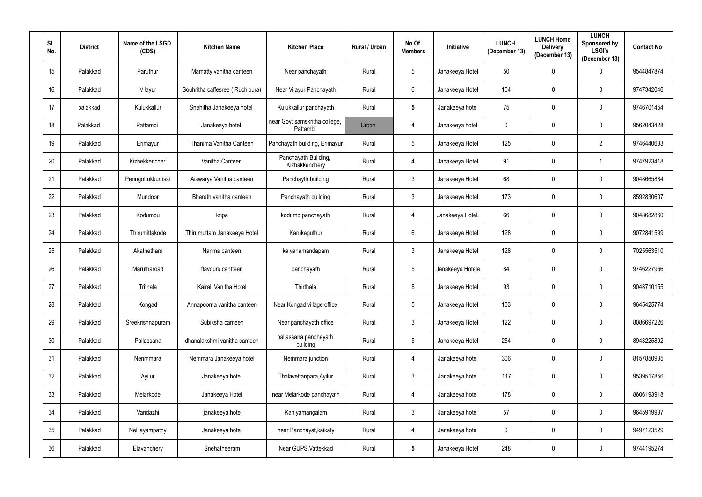| SI.<br>No.       | <b>District</b> | Name of the LSGD<br>(CDS) | <b>Kitchen Name</b>             | <b>Kitchen Place</b>                      | Rural / Urban | No Of<br><b>Members</b> | Initiative       | <b>LUNCH</b><br>(December 13) | <b>LUNCH Home</b><br><b>Delivery</b><br>(December 13) | <b>LUNCH</b><br>Sponsored by<br><b>LSGI's</b><br>(December 13) | <b>Contact No</b> |
|------------------|-----------------|---------------------------|---------------------------------|-------------------------------------------|---------------|-------------------------|------------------|-------------------------------|-------------------------------------------------------|----------------------------------------------------------------|-------------------|
| 15 <sub>15</sub> | Palakkad        | Paruthur                  | Mamatty vanitha canteen         | Near panchayath                           | Rural         | 5 <sup>5</sup>          | Janakeeya Hotel  | 50                            | $\mathbf{0}$                                          | $\mathbf 0$                                                    | 9544847874        |
| 16               | Palakkad        | Vilayur                   | Souhritha caffesree (Ruchipura) | Near Vilayur Panchayath                   | Rural         | $6\overline{6}$         | Janakeeya Hotel  | 104                           | $\mathbf{0}$                                          | $\mathbf 0$                                                    | 9747342046        |
| 17               | palakkad        | Kulukkallur               | Snehitha Janakeeya hotel        | Kulukkallur panchayath                    | Rural         | $5\phantom{.0}$         | Janakeeya hotel  | 75                            | $\mathbf 0$                                           | $\mathbf 0$                                                    | 9746701454        |
| 18               | Palakkad        | Pattambi                  | Janakeeya hotel                 | near Govt samskritha college,<br>Pattambi | Urban         | 4                       | Janakeeya hotel  | $\mathbf 0$                   | $\mathbf 0$                                           | $\pmb{0}$                                                      | 9562043428        |
| 19               | Palakkad        | Erimayur                  | Thanima Vanitha Canteen         | Panchayath building, Erimayur             | Rural         | $5\phantom{.0}$         | Janakeeya Hotel  | 125                           | $\mathbf 0$                                           | $\overline{2}$                                                 | 9746440633        |
| 20               | Palakkad        | Kizhekkencheri            | Vanitha Canteen                 | Panchayath Building,<br>Kizhakkenchery    | Rural         | 4                       | Janakeeya Hotel  | 91                            | $\mathbf{0}$                                          |                                                                | 9747923418        |
| 21               | Palakkad        | Peringottukkurrissi       | Aiswarya Vanitha canteen        | Panchayth building                        | Rural         | $3\overline{3}$         | Janakeeya Hotel  | 68                            | $\mathbf{0}$                                          | $\pmb{0}$                                                      | 9048665884        |
| 22               | Palakkad        | Mundoor                   | Bharath vanitha canteen         | Panchayath building                       | Rural         | $3\overline{3}$         | Janakeeya Hotel  | 173                           | $\mathbf{0}$                                          | $\mathbf 0$                                                    | 8592830607        |
| 23               | Palakkad        | Kodumbu                   | kripa                           | kodumb panchayath                         | Rural         | 4                       | Janakeeya HoteL  | 66                            | $\mathbf{0}$                                          | $\mathbf 0$                                                    | 9048682860        |
| 24               | Palakkad        | Thirumittakode            | Thirumuttam Janakeeya Hotel     | Karukaputhur                              | Rural         | $6\overline{6}$         | Janakeeya Hotel  | 128                           | $\mathbf{0}$                                          | $\mathbf 0$                                                    | 9072841599        |
| 25               | Palakkad        | Akathethara               | Nanma canteen                   | kalyanamandapam                           | Rural         | $\mathfrak{Z}$          | Janakeeya Hotel  | 128                           | $\mathbf{0}$                                          | $\mathbf 0$                                                    | 7025563510        |
| 26               | Palakkad        | Marutharoad               | flavours cantteen               | panchayath                                | Rural         | $5\phantom{.0}$         | Janakeeya Hotela | 84                            | $\mathbf 0$                                           | $\mathbf 0$                                                    | 9746227966        |
| 27               | Palakkad        | Trithala                  | Kairali Vanitha Hotel           | Thirthala                                 | Rural         | $5\phantom{.0}$         | Janakeeya Hotel  | 93                            | $\mathbf{0}$                                          | $\mathbf 0$                                                    | 9048710155        |
| 28               | Palakkad        | Kongad                    | Annapoorna vanitha canteen      | Near Kongad village office                | Rural         | $5\phantom{.0}$         | Janakeeya Hotel  | 103                           | $\mathbf 0$                                           | $\mathbf 0$                                                    | 9645425774        |
| 29               | Palakkad        | Sreekrishnapuram          | Subiksha canteen                | Near panchayath office                    | Rural         | $\mathfrak{Z}$          | Janakeeya Hotel  | 122                           | $\mathbf 0$                                           | $\pmb{0}$                                                      | 8086697226        |
| 30               | Palakkad        | Pallassana                | dhanalakshmi vanitha canteen    | pallassana panchayath<br>building         | Rural         | $5\phantom{.0}$         | Janakeeya Hotel  | 254                           | $\mathbf 0$                                           | $\overline{0}$                                                 | 8943225892        |
| 31               | Palakkad        | Nenmmara                  | Nemmara Janakeeya hotel         | Nemmara junction                          | Rural         | $\overline{4}$          | Janakeeya hotel  | 306                           | $\mathbf 0$                                           | $\bf{0}$                                                       | 8157850935        |
| 32               | Palakkad        | Ayilur                    | Janakeeya hotel                 | Thalavettanpara, Ayilur                   | Rural         | $\mathfrak{Z}$          | Janakeeya hotel  | 117                           | $\mathbf 0$                                           | $\mathbf 0$                                                    | 9539517856        |
| 33               | Palakkad        | Melarkode                 | Janakeeya Hotel                 | near Melarkode panchayath                 | Rural         | 4                       | Janakeeya hotel  | 178                           | $\mathbf 0$                                           | $\mathbf 0$                                                    | 8606193918        |
| 34               | Palakkad        | Vandazhi                  | janakeeya hotel                 | Kaniyamangalam                            | Rural         | $\mathfrak{Z}$          | Janakeeya hotel  | 57                            | 0                                                     | $\pmb{0}$                                                      | 9645919937        |
| 35               | Palakkad        | Nelliayampathy            | Janakeeya hotel                 | near Panchayat, kaikaty                   | Rural         | 4                       | Janakeeya hotel  | $\mathbf 0$                   | $\mathbf 0$                                           | $\pmb{0}$                                                      | 9497123529        |
| 36               | Palakkad        | Elavanchery               | Snehatheeram                    | Near GUPS, Vattekkad                      | Rural         | $5\phantom{.0}$         | Janakeeya Hotel  | 248                           | $\mathbf 0$                                           | $\pmb{0}$                                                      | 9744195274        |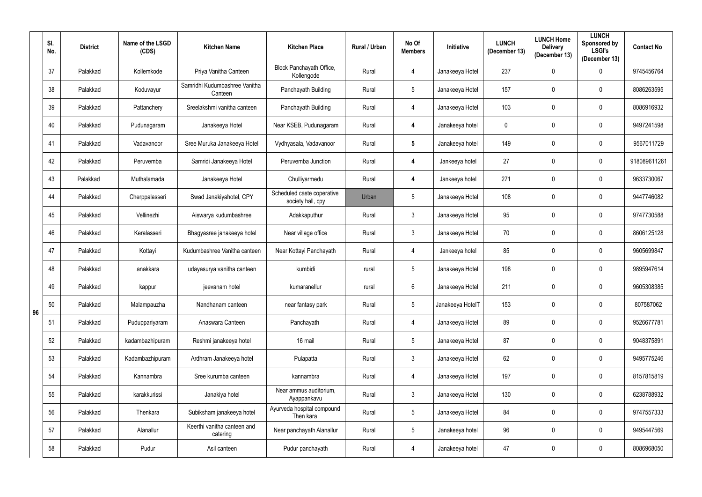|    | SI.<br>No. | <b>District</b> | Name of the LSGD<br>(CDS) | <b>Kitchen Name</b>                      | <b>Kitchen Place</b>                            | Rural / Urban | No Of<br><b>Members</b> | <b>Initiative</b> | <b>LUNCH</b><br>(December 13) | <b>LUNCH Home</b><br><b>Delivery</b><br>(December 13) | <b>LUNCH</b><br>Sponsored by<br><b>LSGI's</b><br>(December 13) | <b>Contact No</b> |
|----|------------|-----------------|---------------------------|------------------------------------------|-------------------------------------------------|---------------|-------------------------|-------------------|-------------------------------|-------------------------------------------------------|----------------------------------------------------------------|-------------------|
|    | 37         | Palakkad        | Kollemkode                | Priya Vanitha Canteen                    | Block Panchayath Office,<br>Kollengode          | Rural         | 4                       | Janakeeya Hotel   | 237                           | 0                                                     | $\mathbf 0$                                                    | 9745456764        |
|    | 38         | Palakkad        | Koduvayur                 | Samridhi Kudumbashree Vanitha<br>Canteen | Panchayath Building                             | Rural         | $5\phantom{.0}$         | Janakeeya Hotel   | 157                           | $\mathbf 0$                                           | $\mathbf 0$                                                    | 8086263595        |
|    | 39         | Palakkad        | Pattanchery               | Sreelakshmi vanitha canteen              | Panchayath Building                             | Rural         | 4                       | Janakeeya Hotel   | 103                           | $\mathbf 0$                                           | $\pmb{0}$                                                      | 8086916932        |
|    | 40         | Palakkad        | Pudunagaram               | Janakeeya Hotel                          | Near KSEB, Pudunagaram                          | Rural         | 4                       | Janakeeya hotel   | $\mathbf 0$                   | $\mathbf 0$                                           | $\mathbf 0$                                                    | 9497241598        |
|    | 41         | Palakkad        | Vadavanoor                | Sree Muruka Janakeeya Hotel              | Vydhyasala, Vadavanoor                          | Rural         | $5\phantom{.0}$         | Janakeeya hotel   | 149                           | $\mathbf 0$                                           | $\mathbf 0$                                                    | 9567011729        |
|    | 42         | Palakkad        | Peruvemba                 | Samridi Janakeeya Hotel                  | Peruvemba Junction                              | Rural         | $\overline{\mathbf{4}}$ | Jankeeya hotel    | 27                            | 0                                                     | $\mathbf 0$                                                    | 918089611261      |
|    | 43         | Palakkad        | Muthalamada               | Janakeeya Hotel                          | Chulliyarmedu                                   | Rural         | $\overline{\mathbf{4}}$ | Jankeeya hotel    | 271                           | $\mathbf 0$                                           | $\mathbf 0$                                                    | 9633730067        |
|    | 44         | Palakkad        | Cherppalasseri            | Swad Janakiyahotel, CPY                  | Scheduled caste coperative<br>society hall, cpy | Urban         | $5\phantom{.0}$         | Janakeeya Hotel   | 108                           | 0                                                     | $\mathbf 0$                                                    | 9447746082        |
|    | 45         | Palakkad        | Vellinezhi                | Aiswarya kudumbashree                    | Adakkaputhur                                    | Rural         | $\mathbf{3}$            | Janakeeya Hotel   | 95                            | $\mathbf 0$                                           | $\mathbf 0$                                                    | 9747730588        |
|    | 46         | Palakkad        | Keralasseri               | Bhagyasree janakeeya hotel               | Near village office                             | Rural         | 3                       | Janakeeya Hotel   | 70                            | 0                                                     | $\mathbf 0$                                                    | 8606125128        |
|    | 47         | Palakkad        | Kottayi                   | Kudumbashree Vanitha canteen             | Near Kottayi Panchayath                         | Rural         | 4                       | Jankeeya hotel    | 85                            | $\mathbf 0$                                           | $\overline{0}$                                                 | 9605699847        |
|    | 48         | Palakkad        | anakkara                  | udayasurya vanitha canteen               | kumbidi                                         | rural         | $5\phantom{.0}$         | Janakeeya Hotel   | 198                           | 0                                                     | $\pmb{0}$                                                      | 9895947614        |
|    | 49         | Palakkad        | kappur                    | jeevanam hotel                           | kumaranellur                                    | rural         | 6                       | Janakeeya Hotel   | 211                           | $\mathbf 0$                                           | $\mathbf 0$                                                    | 9605308385        |
| 96 | 50         | Palakkad        | Malampauzha               | Nandhanam canteen                        | near fantasy park                               | Rural         | $5\phantom{.0}$         | Janakeeya HotelT  | 153                           | $\mathbf 0$                                           | $\mathbf 0$                                                    | 807587062         |
|    | 51         | Palakkad        | Puduppariyaram            | Anaswara Canteen                         | Panchayath                                      | Rural         | $\overline{4}$          | Janakeeya Hotel   | 89                            | $\mathbf 0$                                           | $\bf{0}$                                                       | 9526677781        |
|    | 52         | Palakkad        | kadambazhipuram           | Reshmi janakeeya hotel                   | 16 mail                                         | Rural         | $5\phantom{.0}$         | Janakeeya Hotel   | 87                            | $\mathbf 0$                                           | $\mathbf 0$                                                    | 9048375891        |
|    | 53         | Palakkad        | Kadambazhipuram           | Ardhram Janakeeya hotel                  | Pulapatta                                       | Rural         | $\mathfrak{Z}$          | Janakeeya Hotel   | 62                            | $\pmb{0}$                                             | $\mathbf 0$                                                    | 9495775246        |
|    | 54         | Palakkad        | Kannambra                 | Sree kurumba canteen                     | kannambra                                       | Rural         | 4                       | Janakeeya Hotel   | 197                           | $\mathbf 0$                                           | $\mathbf 0$                                                    | 8157815819        |
|    | 55         | Palakkad        | karakkurissi              | Janakiya hotel                           | Near ammus auditorium,<br>Ayappankavu           | Rural         | $\mathfrak{Z}$          | Janakeeya Hotel   | 130                           | $\pmb{0}$                                             | $\mathbf 0$                                                    | 6238788932        |
|    | 56         | Palakkad        | Thenkara                  | Subiksham janakeeya hotel                | Ayurveda hospital compound<br>Then kara         | Rural         | $5\phantom{.0}$         | Janakeeya Hotel   | 84                            | $\mathbf 0$                                           | $\mathbf 0$                                                    | 9747557333        |
|    | 57         | Palakkad        | Alanallur                 | Keerthi vanitha canteen and<br>catering  | Near panchayath Alanallur                       | Rural         | $5\phantom{.0}$         | Janakeeya hotel   | 96                            | $\mathbf 0$                                           | $\mathbf 0$                                                    | 9495447569        |
|    | 58         | Palakkad        | Pudur                     | Asil canteen                             | Pudur panchayath                                | Rural         | $\overline{4}$          | Janakeeya hotel   | 47                            | 0                                                     | $\mathbf 0$                                                    | 8086968050        |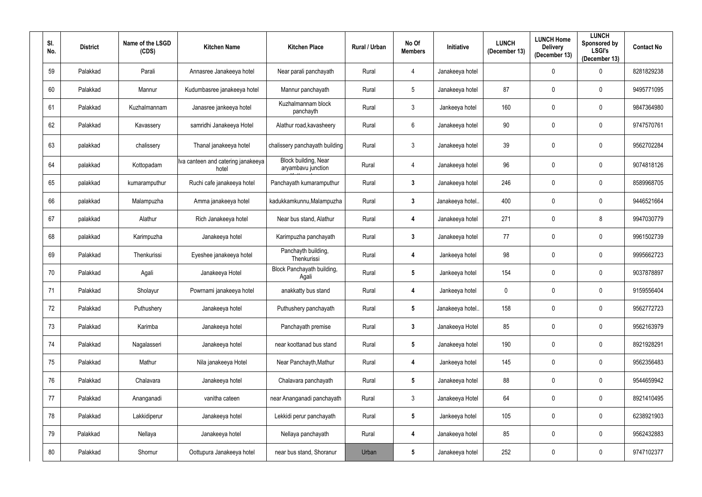| SI.<br>No. | <b>District</b> | Name of the LSGD<br>(CDS) | <b>Kitchen Name</b>                         | <b>Kitchen Place</b>                       | Rural / Urban | No Of<br><b>Members</b> | <b>Initiative</b> | <b>LUNCH</b><br>(December 13) | <b>LUNCH Home</b><br><b>Delivery</b><br>(December 13) | <b>LUNCH</b><br>Sponsored by<br><b>LSGI's</b><br>(December 13) | <b>Contact No</b> |
|------------|-----------------|---------------------------|---------------------------------------------|--------------------------------------------|---------------|-------------------------|-------------------|-------------------------------|-------------------------------------------------------|----------------------------------------------------------------|-------------------|
| 59         | Palakkad        | Parali                    | Annasree Janakeeya hotel                    | Near parali panchayath                     | Rural         | 4                       | Janakeeya hotel   |                               | $\mathbf 0$                                           | $\mathbf 0$                                                    | 8281829238        |
| 60         | Palakkad        | Mannur                    | Kudumbasree janakeeya hotel                 | Mannur panchayath                          | Rural         | $5\phantom{.0}$         | Janakeeya hotel   | 87                            | $\mathbf{0}$                                          | $\mathbf 0$                                                    | 9495771095        |
| 61         | Palakkad        | Kuzhalmannam              | Janasree jankeeya hotel                     | Kuzhalmannam block<br>panchayth            | Rural         | $\mathfrak{Z}$          | Jankeeya hotel    | 160                           | $\boldsymbol{0}$                                      | $\mathbf 0$                                                    | 9847364980        |
| 62         | Palakkad        | Kavassery                 | samridhi Janakeeya Hotel                    | Alathur road, kavasheery                   | Rural         | 6                       | Janakeeya hotel   | 90                            | $\mathbf 0$                                           | $\mathbf 0$                                                    | 9747570761        |
| 63         | palakkad        | chalissery                | Thanal janakeeya hotel                      | chalissery panchayath building             | Rural         | $\mathfrak{Z}$          | Janakeeya hotel   | 39                            | $\mathbf 0$                                           | $\mathbf 0$                                                    | 9562702284        |
| 64         | palakkad        | Kottopadam                | Iva canteen and catering janakeeya<br>hotel | Block building, Near<br>aryambavu junction | Rural         | 4                       | Janakeeya hotel   | 96                            | $\mathbf 0$                                           | $\mathbf 0$                                                    | 9074818126        |
| 65         | palakkad        | kumaramputhur             | Ruchi cafe janakeeya hotel                  | Panchayath kumaramputhur                   | Rural         | $\mathbf{3}$            | Janakeeya hotel   | 246                           | $\mathbf 0$                                           | $\mathbf 0$                                                    | 8589968705        |
| 66         | palakkad        | Malampuzha                | Amma janakeeya hotel                        | kadukkamkunnu, Malampuzha                  | Rural         | $\mathbf{3}$            | Janakeeya hotel.  | 400                           | $\mathbf{0}$                                          | $\mathbf 0$                                                    | 9446521664        |
| 67         | palakkad        | Alathur                   | Rich Janakeeya hotel                        | Near bus stand, Alathur                    | Rural         | 4                       | Janakeeya hotel   | 271                           | 0                                                     | 8                                                              | 9947030779        |
| 68         | palakkad        | Karimpuzha                | Janakeeya hotel                             | Karimpuzha panchayath                      | Rural         | $\mathbf{3}$            | Janakeeya hotel   | 77                            | $\mathbf 0$                                           | $\mathbf 0$                                                    | 9961502739        |
| 69         | Palakkad        | Thenkurissi               | Eyeshee janakeeya hotel                     | Panchayth building,<br>Thenkurissi         | Rural         | 4                       | Jankeeya hotel    | 98                            | $\mathbf 0$                                           | $\mathbf 0$                                                    | 9995662723        |
| 70         | Palakkad        | Agali                     | Janakeeya Hotel                             | Block Panchayath building,<br>Agali        | Rural         | $5\phantom{.0}$         | Jankeeya hotel    | 154                           | 0                                                     | $\mathbf 0$                                                    | 9037878897        |
| 71         | Palakkad        | Sholayur                  | Powrnami janakeeya hotel                    | anakkatty bus stand                        | Rural         | 4                       | Jankeeya hotel    | $\mathbf 0$                   | 0                                                     | $\mathbf 0$                                                    | 9159556404        |
| 72         | Palakkad        | Puthushery                | Janakeeya hotel                             | Puthushery panchayath                      | Rural         | $5\phantom{.0}$         | Janakeeya hotel   | 158                           | $\boldsymbol{0}$                                      | $\mathbf 0$                                                    | 9562772723        |
| 73         | Palakkad        | Karimba                   | Janakeeya hotel                             | Panchayath premise                         | Rural         | $\mathbf{3}$            | Janakeeya Hotel   | 85                            | $\boldsymbol{0}$                                      | $\mathbf 0$                                                    | 9562163979        |
| 74         | Palakkad        | Nagalasseri               | Janakeeya hotel                             | near koottanad bus stand                   | Rural         | $5\phantom{.0}$         | Janakeeya hotel   | 190                           | $\mathbf 0$                                           | $\mathbf 0$                                                    | 8921928291        |
| 75         | Palakkad        | Mathur                    | Nila janakeeya Hotel                        | Near Panchayth, Mathur                     | Rural         | 4                       | Jankeeya hotel    | 145                           | $\boldsymbol{0}$                                      | $\mathbf 0$                                                    | 9562356483        |
| 76         | Palakkad        | Chalavara                 | Janakeeya hotel                             | Chalavara panchayath                       | Rural         | $5\phantom{.0}$         | Janakeeya hotel   | 88                            | $\mathbf 0$                                           | $\mathbf 0$                                                    | 9544659942        |
| 77         | Palakkad        | Ananganadi                | vanitha cateen                              | near Ananganadi panchayath                 | Rural         | $\mathfrak{Z}$          | Janakeeya Hotel   | 64                            | $\mathbf 0$                                           | $\mathbf 0$                                                    | 8921410495        |
| 78         | Palakkad        | Lakkidiperur              | Janakeeya hotel                             | Lekkidi perur panchayath                   | Rural         | $5\phantom{.0}$         | Jankeeya hotel    | 105                           | $\pmb{0}$                                             | $\mathbf 0$                                                    | 6238921903        |
| 79         | Palakkad        | Nellaya                   | Janakeeya hotel                             | Nellaya panchayath                         | Rural         | $\overline{\mathbf{4}}$ | Janakeeya hotel   | 85                            | $\mathbf 0$                                           | $\mathbf 0$                                                    | 9562432883        |
| 80         | Palakkad        | Shornur                   | Oottupura Janakeeya hotel                   | near bus stand, Shoranur                   | Urban         | $5\phantom{.0}$         | Janakeeya hotel   | 252                           | $\boldsymbol{0}$                                      | $\mathbf 0$                                                    | 9747102377        |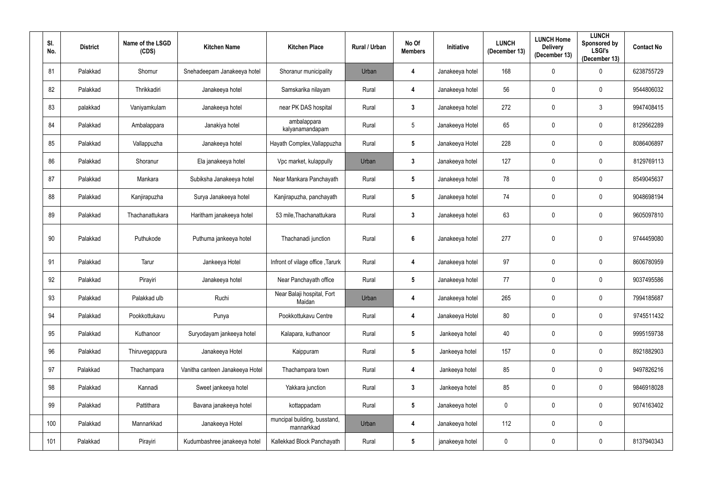| SI.<br>No. | <b>District</b> | Name of the LSGD<br>(CDS) | <b>Kitchen Name</b>             | <b>Kitchen Place</b>                       | Rural / Urban | No Of<br><b>Members</b> | Initiative      | <b>LUNCH</b><br>(December 13) | <b>LUNCH Home</b><br><b>Delivery</b><br>(December 13) | <b>LUNCH</b><br>Sponsored by<br><b>LSGI's</b><br>(December 13) | <b>Contact No</b> |
|------------|-----------------|---------------------------|---------------------------------|--------------------------------------------|---------------|-------------------------|-----------------|-------------------------------|-------------------------------------------------------|----------------------------------------------------------------|-------------------|
| 81         | Palakkad        | Shornur                   | Snehadeepam Janakeeya hotel     | Shoranur municipality                      | Urban         | 4                       | Janakeeya hotel | 168                           | 0                                                     | $\mathbf 0$                                                    | 6238755729        |
| 82         | Palakkad        | Thrikkadiri               | Janakeeya hotel                 | Samskarika nilayam                         | Rural         | 4                       | Janakeeya hotel | 56                            | 0                                                     | $\mathbf 0$                                                    | 9544806032        |
| 83         | palakkad        | Vaniyamkulam              | Janakeeya hotel                 | near PK DAS hospital                       | Rural         | $\mathbf{3}$            | Janakeeya hotel | 272                           | $\mathbf 0$                                           | $\mathfrak{Z}$                                                 | 9947408415        |
| 84         | Palakkad        | Ambalappara               | Janakiya hotel                  | ambalappara<br>kalyanamandapam             | Rural         | $5\phantom{.0}$         | Janakeeya Hotel | 65                            | $\mathbf 0$                                           | $\mathbf 0$                                                    | 8129562289        |
| 85         | Palakkad        | Vallappuzha               | Janakeeya hotel                 | Hayath Complex, Vallappuzha                | Rural         | $5\phantom{.0}$         | Janakeeya Hotel | 228                           | $\mathbf 0$                                           | $\mathbf 0$                                                    | 8086406897        |
| 86         | Palakkad        | Shoranur                  | Ela janakeeya hotel             | Vpc market, kulappully                     | Urban         | $\mathbf{3}$            | Janakeeya hotel | 127                           | $\mathbf 0$                                           | $\mathbf 0$                                                    | 8129769113        |
| 87         | Palakkad        | Mankara                   | Subiksha Janakeeya hotel        | Near Mankara Panchayath                    | Rural         | $5\phantom{.0}$         | Janakeeya hotel | 78                            | $\mathbf 0$                                           | $\mathbf 0$                                                    | 8549045637        |
| 88         | Palakkad        | Kanjirapuzha              | Surya Janakeeya hotel           | Kanjirapuzha, panchayath                   | Rural         | $5\phantom{.0}$         | Janakeeya hotel | 74                            | $\mathbf 0$                                           | $\mathbf 0$                                                    | 9048698194        |
| 89         | Palakkad        | Thachanattukara           | Haritham janakeeya hotel        | 53 mile, Thachanattukara                   | Rural         | $\mathbf{3}$            | Janakeeya hotel | 63                            | $\mathbf 0$                                           | $\mathbf 0$                                                    | 9605097810        |
| 90         | Palakkad        | Puthukode                 | Puthuma jankeeya hotel          | Thachanadi junction                        | Rural         | $6\phantom{1}$          | Janakeeya hotel | 277                           | $\mathbf 0$                                           | $\mathbf 0$                                                    | 9744459080        |
| 91         | Palakkad        | Tarur                     | Jankeeya Hotel                  | Infront of vilage office, Tarurk           | Rural         | 4                       | Janakeeya hotel | 97                            | $\mathbf 0$                                           | $\mathbf 0$                                                    | 8606780959        |
| 92         | Palakkad        | Pirayiri                  | Janakeeya hotel                 | Near Panchayath office                     | Rural         | $5\phantom{.0}$         | Janakeeya hotel | 77                            | 0                                                     | $\mathbf 0$                                                    | 9037495586        |
| 93         | Palakkad        | Palakkad ulb              | Ruchi                           | Near Balaji hospital, Fort<br>Maidan       | Urban         | $\overline{4}$          | Janakeeya hotel | 265                           | 0                                                     | $\mathbf 0$                                                    | 7994185687        |
| 94         | Palakkad        | Pookkottukavu             | Punya                           | Pookkottukavu Centre                       | Rural         | $\overline{\mathbf{4}}$ | Janakeeya Hotel | 80                            | $\mathbf 0$                                           | $\mathbf 0$                                                    | 9745511432        |
| 95         | Palakkad        | Kuthanoor                 | Suryodayam jankeeya hotel       | Kalapara, kuthanoor                        | Rural         | $5\phantom{.0}$         | Jankeeya hotel  | 40                            | $\mathbf 0$                                           | $\mathbf 0$                                                    | 9995159738        |
| 96         | Palakkad        | Thiruvegappura            | Janakeeya Hotel                 | Kaippuram                                  | Rural         | ${\bf 5}$               | Jankeeya hotel  | 157                           | $\mathbf 0$                                           | $\mathbf 0$                                                    | 8921882903        |
| 97         | Palakkad        | Thachampara               | Vanitha canteen Janakeeya Hotel | Thachampara town                           | Rural         | $\boldsymbol{4}$        | Jankeeya hotel  | 85                            | $\mathbf 0$                                           | $\mathbf 0$                                                    | 9497826216        |
| 98         | Palakkad        | Kannadi                   | Sweet jankeeya hotel            | Yakkara junction                           | Rural         | $\mathbf{3}$            | Jankeeya hotel  | 85                            | $\mathbf 0$                                           | $\mathbf 0$                                                    | 9846918028        |
| 99         | Palakkad        | Pattithara                | Bavana janakeeya hotel          | kottappadam                                | Rural         | $5\phantom{.0}$         | Janakeeya hotel | $\pmb{0}$                     | $\mathbf 0$                                           | $\mathbf 0$                                                    | 9074163402        |
| 100        | Palakkad        | Mannarkkad                | Janakeeya Hotel                 | muncipal building, busstand,<br>mannarkkad | Urban         | $\boldsymbol{4}$        | Janakeeya hotel | 112                           | $\mathbf 0$                                           | $\boldsymbol{0}$                                               |                   |
| 101        | Palakkad        | Pirayiri                  | Kudumbashree janakeeya hotel    | Kallekkad Block Panchayath                 | Rural         | $\sqrt{5}$              | janakeeya hotel | $\overline{0}$                | 0                                                     | $\mathbf 0$                                                    | 8137940343        |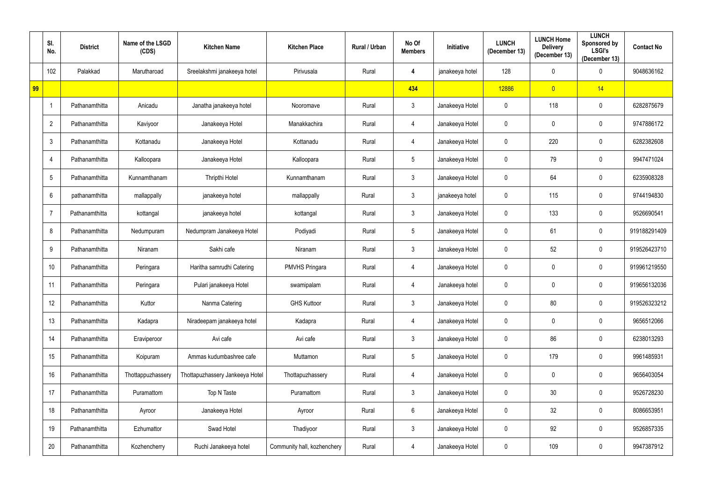|    | SI.<br>No.     | <b>District</b> | Name of the LSGD<br>(CDS) | <b>Kitchen Name</b>             | <b>Kitchen Place</b>        | Rural / Urban | No Of<br><b>Members</b> | <b>Initiative</b> | <b>LUNCH</b><br>(December 13) | <b>LUNCH Home</b><br><b>Delivery</b><br>(December 13) | <b>LUNCH</b><br>Sponsored by<br><b>LSGI's</b><br>(December 13) | <b>Contact No</b> |
|----|----------------|-----------------|---------------------------|---------------------------------|-----------------------------|---------------|-------------------------|-------------------|-------------------------------|-------------------------------------------------------|----------------------------------------------------------------|-------------------|
|    | 102            | Palakkad        | Marutharoad               | Sreelakshmi janakeeya hotel     | Pirivusala                  | Rural         | 4                       | janakeeya hotel   | 128                           | $\mathbf 0$                                           | $\mathbf 0$                                                    | 9048636162        |
| 99 |                |                 |                           |                                 |                             |               | 434                     |                   | 12886                         | $\overline{0}$                                        | 14                                                             |                   |
|    |                | Pathanamthitta  | Anicadu                   | Janatha janakeeya hotel         | Nooromave                   | Rural         | $\mathfrak{Z}$          | Janakeeya Hotel   | $\overline{0}$                | 118                                                   | $\mathbf 0$                                                    | 6282875679        |
|    | $\overline{2}$ | Pathanamthitta  | Kaviyoor                  | Janakeeya Hotel                 | Manakkachira                | Rural         | 4                       | Janakeeya Hotel   | $\mathbf 0$                   | $\mathbf 0$                                           | $\mathbf 0$                                                    | 9747886172        |
|    | 3              | Pathanamthitta  | Kottanadu                 | Janakeeya Hotel                 | Kottanadu                   | Rural         | 4                       | Janakeeya Hotel   | $\pmb{0}$                     | 220                                                   | $\mathbf 0$                                                    | 6282382608        |
|    | 4              | Pathanamthitta  | Kalloopara                | Janakeeya Hotel                 | Kalloopara                  | Rural         | $5\phantom{.0}$         | Janakeeya Hotel   | $\mathbf 0$                   | 79                                                    | $\mathbf 0$                                                    | 9947471024        |
|    | 5              | Pathanamthitta  | Kunnamthanam              | Thripthi Hotel                  | Kunnamthanam                | Rural         | $\mathfrak{Z}$          | Janakeeya Hotel   | $\mathbf 0$                   | 64                                                    | $\mathbf 0$                                                    | 6235908328        |
|    | 6              | pathanamthitta  | mallappally               | janakeeya hotel                 | mallappally                 | Rural         | $\mathfrak{Z}$          | janakeeya hotel   | $\overline{0}$                | 115                                                   | $\mathbf 0$                                                    | 9744194830        |
|    | $\overline{7}$ | Pathanamthitta  | kottangal                 | janakeeya hotel                 | kottangal                   | Rural         | $\mathfrak{Z}$          | Janakeeya Hotel   | $\mathbf 0$                   | 133                                                   | $\mathbf 0$                                                    | 9526690541        |
|    | 8              | Pathanamthitta  | Nedumpuram                | Nedumpram Janakeeya Hotel       | Podiyadi                    | Rural         | $\overline{5}$          | Janakeeya Hotel   | $\mathbf 0$                   | 61                                                    | $\mathbf 0$                                                    | 919188291409      |
|    | 9              | Pathanamthitta  | Niranam                   | Sakhi cafe                      | Niranam                     | Rural         | $\mathfrak{Z}$          | Janakeeya Hotel   | $\overline{0}$                | 52                                                    | $\mathbf 0$                                                    | 919526423710      |
|    | 10             | Pathanamthitta  | Peringara                 | Haritha samrudhi Catering       | <b>PMVHS Pringara</b>       | Rural         | 4                       | Janakeeya Hotel   | $\boldsymbol{0}$              | 0                                                     | $\mathbf 0$                                                    | 919961219550      |
|    | 11             | Pathanamthitta  | Peringara                 | Pulari janakeeya Hotel          | swamipalam                  | Rural         | 4                       | Janakeeya hotel   | $\mathbf 0$                   | $\boldsymbol{0}$                                      | $\mathbf 0$                                                    | 919656132036      |
|    | 12             | Pathanamthitta  | Kuttor                    | Nanma Catering                  | <b>GHS Kuttoor</b>          | Rural         | $\mathbf{3}$            | Janakeeya Hotel   | $\mathbf 0$                   | 80                                                    | $\mathbf 0$                                                    | 919526323212      |
|    | 13             | Pathanamthitta  | Kadapra                   | Niradeepam janakeeya hotel      | Kadapra                     | Rural         | 4                       | Janakeeya Hotel   | $\pmb{0}$                     | $\mathbf 0$                                           | $\mathbf 0$                                                    | 9656512066        |
|    | 14             | Pathanamthitta  | Eraviperoor               | Avi cafe                        | Avi cafe                    | Rural         | $\mathfrak{Z}$          | Janakeeya Hotel   | $\mathbf 0$                   | 86                                                    | $\mathbf 0$                                                    | 6238013293        |
|    | 15             | Pathanamthitta  | Koipuram                  | Ammas kudumbashree cafe         | Muttamon                    | Rural         | $\sqrt{5}$              | Janakeeya Hotel   | $\mathbf 0$                   | 179                                                   | $\mathbf 0$                                                    | 9961485931        |
|    | 16             | Pathanamthitta  | Thottappuzhassery         | Thottapuzhassery Jankeeya Hotel | Thottapuzhassery            | Rural         | $\overline{4}$          | Janakeeya Hotel   | $\mathbf 0$                   | $\boldsymbol{0}$                                      | $\overline{0}$                                                 | 9656403054        |
|    | 17             | Pathanamthitta  | Puramattom                | Top N Taste                     | Puramattom                  | Rural         | $\mathfrak{Z}$          | Janakeeya Hotel   | $\pmb{0}$                     | 30 <sup>°</sup>                                       | $\mathbf 0$                                                    | 9526728230        |
|    | 18             | Pathanamthitta  | Ayroor                    | Janakeeya Hotel                 | Ayroor                      | Rural         | $6\,$                   | Janakeeya Hotel   | $\pmb{0}$                     | 32                                                    | $\mathbf 0$                                                    | 8086653951        |
|    | 19             | Pathanamthitta  | Ezhumattor                | Swad Hotel                      | Thadiyoor                   | Rural         | $\mathfrak{Z}$          | Janakeeya Hotel   | $\mathbf 0$                   | 92                                                    | $\mathbf 0$                                                    | 9526857335        |
|    | 20             | Pathanamthitta  | Kozhencherry              | Ruchi Janakeeya hotel           | Community hall, kozhenchery | Rural         | $\overline{4}$          | Janakeeya Hotel   | $\pmb{0}$                     | 109                                                   | $\mathbf 0$                                                    | 9947387912        |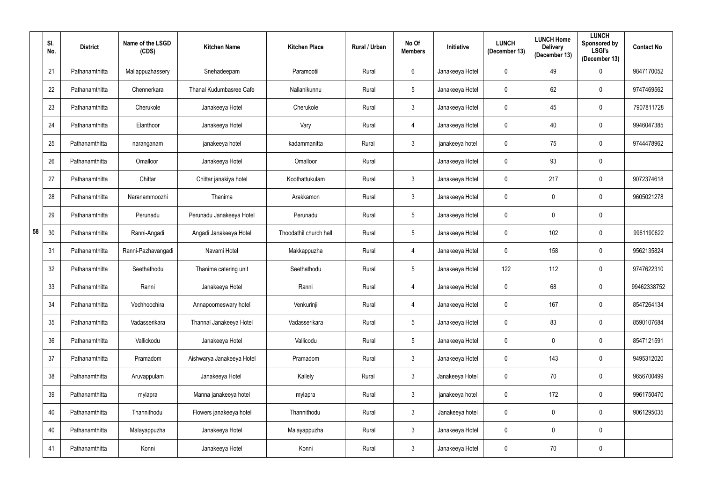|    | SI.<br>No. | <b>District</b> | Name of the LSGD<br>(CDS) | <b>Kitchen Name</b>       | <b>Kitchen Place</b>   | <b>Rural / Urban</b> | No Of<br><b>Members</b> | <b>Initiative</b> | <b>LUNCH</b><br>(December 13) | <b>LUNCH Home</b><br><b>Delivery</b><br>(December 13) | <b>LUNCH</b><br>Sponsored by<br><b>LSGI's</b><br>(December 13) | <b>Contact No</b> |
|----|------------|-----------------|---------------------------|---------------------------|------------------------|----------------------|-------------------------|-------------------|-------------------------------|-------------------------------------------------------|----------------------------------------------------------------|-------------------|
|    | 21         | Pathanamthitta  | Mallappuzhassery          | Snehadeepam               | Paramootil             | Rural                | 6                       | Janakeeya Hotel   | $\mathbf 0$                   | 49                                                    | $\mathbf 0$                                                    | 9847170052        |
|    | 22         | Pathanamthitta  | Chennerkara               | Thanal Kudumbasree Cafe   | Nallanikunnu           | Rural                | $5\phantom{.0}$         | Janakeeya Hotel   | $\mathbf 0$                   | 62                                                    | $\mathbf 0$                                                    | 9747469562        |
|    | 23         | Pathanamthitta  | Cherukole                 | Janakeeya Hotel           | Cherukole              | Rural                | $3\overline{3}$         | Janakeeya Hotel   | $\mathbf 0$                   | 45                                                    | $\mathbf 0$                                                    | 7907811728        |
|    | 24         | Pathanamthitta  | Elanthoor                 | Janakeeya Hotel           | Vary                   | Rural                | 4                       | Janakeeya Hotel   | $\mathbf 0$                   | 40                                                    | $\mathbf 0$                                                    | 9946047385        |
|    | 25         | Pathanamthitta  | naranganam                | janakeeya hotel           | kadammanitta           | Rural                | $\mathfrak{Z}$          | janakeeya hotel   | $\mathbf 0$                   | 75                                                    | $\mathbf 0$                                                    | 9744478962        |
|    | 26         | Pathanamthitta  | Omalloor                  | Janakeeya Hotel           | Omalloor               | Rural                |                         | Janakeeya Hotel   | $\mathbf 0$                   | 93                                                    | $\mathbf 0$                                                    |                   |
|    | 27         | Pathanamthitta  | Chittar                   | Chittar janakiya hotel    | Koothattukulam         | Rural                | $\mathfrak{Z}$          | Janakeeya Hotel   | $\mathbf 0$                   | 217                                                   | $\mathbf 0$                                                    | 9072374618        |
|    | 28         | Pathanamthitta  | Naranammoozhi             | Thanima                   | Arakkamon              | Rural                | $\mathbf{3}$            | Janakeeya Hotel   | $\pmb{0}$                     | $\mathbf 0$                                           | $\mathbf 0$                                                    | 9605021278        |
|    | 29         | Pathanamthitta  | Perunadu                  | Perunadu Janakeeya Hotel  | Perunadu               | Rural                | $5\phantom{.0}$         | Janakeeya Hotel   | $\mathbf 0$                   | $\mathbf 0$                                           | $\mathbf 0$                                                    |                   |
| 58 | 30         | Pathanamthitta  | Ranni-Angadi              | Angadi Janakeeya Hotel    | Thoodathil church hall | Rural                | $\sqrt{5}$              | Janakeeya Hotel   | $\mathbf 0$                   | 102                                                   | $\mathbf 0$                                                    | 9961190622        |
|    | 31         | Pathanamthitta  | Ranni-Pazhavangadi        | Navami Hotel              | Makkappuzha            | Rural                | 4                       | Janakeeya Hotel   | $\mathbf 0$                   | 158                                                   | $\mathbf 0$                                                    | 9562135824        |
|    | 32         | Pathanamthitta  | Seethathodu               | Thanima catering unit     | Seethathodu            | Rural                | $\overline{5}$          | Janakeeya Hotel   | 122                           | 112                                                   | $\mathbf 0$                                                    | 9747622310        |
|    | 33         | Pathanamthitta  | Ranni                     | Janakeeya Hotel           | Ranni                  | Rural                | 4                       | Janakeeya Hotel   | $\mathbf 0$                   | 68                                                    | $\mathbf 0$                                                    | 99462338752       |
|    | 34         | Pathanamthitta  | Vechhoochira              | Annapoorneswary hotel     | Venkurinji             | Rural                | 4                       | Janakeeya Hotel   | $\mathbf 0$                   | 167                                                   | $\mathbf 0$                                                    | 8547264134        |
|    | 35         | Pathanamthitta  | Vadasserikara             | Thannal Janakeeya Hotel   | Vadasserikara          | Rural                | $5\phantom{.0}$         | Janakeeya Hotel   | $\mathbf 0$                   | 83                                                    | $\mathbf 0$                                                    | 8590107684        |
|    | 36         | Pathanamthitta  | Vallickodu                | Janakeeya Hotel           | Vallicodu              | Rural                | $\sqrt{5}$              | Janakeeya Hotel   | $\mathbf 0$                   | $\mathbf 0$                                           | $\mathbf 0$                                                    | 8547121591        |
|    | 37         | Pathanamthitta  | Pramadom                  | Aishwarya Janakeeya Hotel | Pramadom               | Rural                | $\mathbf{3}$            | Janakeeya Hotel   | $\mathbf 0$                   | 143                                                   | $\mathbf 0$                                                    | 9495312020        |
|    | 38         | Pathanamthitta  | Aruvappulam               | Janakeeya Hotel           | Kallely                | Rural                | $\mathbf{3}$            | Janakeeya Hotel   | $\mathbf 0$                   | 70                                                    | $\mathbf 0$                                                    | 9656700499        |
|    | 39         | Pathanamthitta  | mylapra                   | Manna janakeeya hotel     | mylapra                | Rural                | $\mathbf{3}$            | janakeeya hotel   | $\mathbf 0$                   | 172                                                   | $\mathbf 0$                                                    | 9961750470        |
|    | 40         | Pathanamthitta  | Thannithodu               | Flowers janakeeya hotel   | Thannithodu            | Rural                | $\mathbf{3}$            | Janakeeya hotel   | $\mathbf 0$                   | $\mathbf 0$                                           | $\mathbf 0$                                                    | 9061295035        |
|    | 40         | Pathanamthitta  | Malayappuzha              | Janakeeya Hotel           | Malayappuzha           | Rural                | $\mathfrak{Z}$          | Janakeeya Hotel   | $\pmb{0}$                     | $\mathbf 0$                                           | $\mathbf 0$                                                    |                   |
|    | 41         | Pathanamthitta  | Konni                     | Janakeeya Hotel           | Konni                  | Rural                | $\mathfrak{Z}$          | Janakeeya Hotel   | $\pmb{0}$                     | $70\,$                                                | $\mathbf 0$                                                    |                   |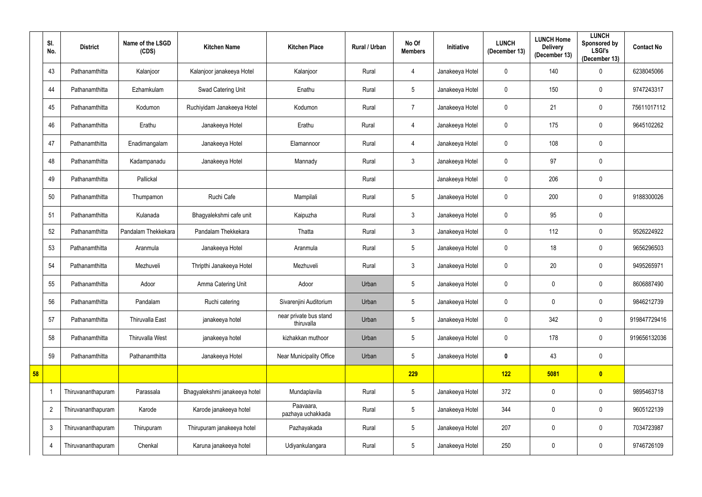|    | SI.<br>No.     | <b>District</b>    | Name of the LSGD<br>(CDS) | <b>Kitchen Name</b>           | <b>Kitchen Place</b>                 | Rural / Urban | No Of<br><b>Members</b> | <b>Initiative</b> | <b>LUNCH</b><br>(December 13) | <b>LUNCH Home</b><br><b>Delivery</b><br>(December 13) | <b>LUNCH</b><br>Sponsored by<br><b>LSGI's</b><br>(December 13) | <b>Contact No</b> |
|----|----------------|--------------------|---------------------------|-------------------------------|--------------------------------------|---------------|-------------------------|-------------------|-------------------------------|-------------------------------------------------------|----------------------------------------------------------------|-------------------|
|    | 43             | Pathanamthitta     | Kalanjoor                 | Kalanjoor janakeeya Hotel     | Kalanjoor                            | Rural         | 4                       | Janakeeya Hotel   | $\mathbf 0$                   | 140                                                   | 0                                                              | 6238045066        |
|    | 44             | Pathanamthitta     | Ezhamkulam                | Swad Catering Unit            | Enathu                               | Rural         | $\overline{5}$          | Janakeeya Hotel   | $\mathbf 0$                   | 150                                                   | $\mathbf 0$                                                    | 9747243317        |
|    | 45             | Pathanamthitta     | Kodumon                   | Ruchiyidam Janakeeya Hotel    | Kodumon                              | Rural         | $\overline{7}$          | Janakeeya Hotel   | $\mathbf 0$                   | 21                                                    | $\mathbf 0$                                                    | 75611017112       |
|    | 46             | Pathanamthitta     | Erathu                    | Janakeeya Hotel               | Erathu                               | Rural         | $\overline{4}$          | Janakeeya Hotel   | $\mathbf 0$                   | 175                                                   | $\mathbf 0$                                                    | 9645102262        |
|    | 47             | Pathanamthitta     | Enadimangalam             | Janakeeya Hotel               | Elamannoor                           | Rural         | 4                       | Janakeeya Hotel   | $\mathbf 0$                   | 108                                                   | $\mathbf 0$                                                    |                   |
|    | 48             | Pathanamthitta     | Kadampanadu               | Janakeeya Hotel               | Mannady                              | Rural         | $\mathfrak{Z}$          | Janakeeya Hotel   | $\mathbf 0$                   | 97                                                    | 0                                                              |                   |
|    | 49             | Pathanamthitta     | Pallickal                 |                               |                                      | Rural         |                         | Janakeeya Hotel   | $\pmb{0}$                     | 206                                                   | 0                                                              |                   |
|    | 50             | Pathanamthitta     | Thumpamon                 | Ruchi Cafe                    | Mampilali                            | Rural         | $\overline{5}$          | Janakeeya Hotel   | $\mathbf 0$                   | 200                                                   | $\mathbf 0$                                                    | 9188300026        |
|    | 51             | Pathanamthitta     | Kulanada                  | Bhagyalekshmi cafe unit       | Kaipuzha                             | Rural         | $\mathfrak{Z}$          | Janakeeya Hotel   | $\mathbf 0$                   | 95                                                    | 0                                                              |                   |
|    | 52             | Pathanamthitta     | Pandalam Thekkekara       | Pandalam Thekkekara           | Thatta                               | Rural         | $\mathfrak{Z}$          | Janakeeya Hotel   | $\mathbf 0$                   | 112                                                   | $\mathbf 0$                                                    | 9526224922        |
|    | 53             | Pathanamthitta     | Aranmula                  | Janakeeya Hotel               | Aranmula                             | Rural         | $\sqrt{5}$              | Janakeeya Hotel   | $\pmb{0}$                     | 18                                                    | 0                                                              | 9656296503        |
|    | 54             | Pathanamthitta     | Mezhuveli                 | Thripthi Janakeeya Hotel      | Mezhuveli                            | Rural         | 3                       | Janakeeya Hotel   | $\mathbf 0$                   | 20                                                    | 0                                                              | 9495265971        |
|    | 55             | Pathanamthitta     | Adoor                     | Amma Catering Unit            | Adoor                                | Urban         | $\sqrt{5}$              | Janakeeya Hotel   | $\pmb{0}$                     | $\mathbf 0$                                           | 0                                                              | 8606887490        |
|    | 56             | Pathanamthitta     | Pandalam                  | Ruchi catering                | Sivarenjini Auditorium               | Urban         | $\sqrt{5}$              | Janakeeya Hotel   | $\overline{0}$                | $\mathbf 0$                                           | 0                                                              | 9846212739        |
|    | 57             | Pathanamthitta     | Thiruvalla East           | janakeeya hotel               | near private bus stand<br>thiruvalla | Urban         | $\sqrt{5}$              | Janakeeya Hotel   | $\mathbf 0$                   | 342                                                   | $\mathbf 0$                                                    | 919847729416      |
|    | 58             | Pathanamthitta     | Thiruvalla West           | janakeeya hotel               | kizhakkan muthoor                    | Urban         | $\sqrt{5}$              | Janakeeya Hotel   | $\overline{0}$                | 178                                                   | $\mathbf 0$                                                    | 919656132036      |
|    | 59             | Pathanamthitta     | Pathanamthitta            | Janakeeya Hotel               | Near Municipality Office             | Urban         | $\sqrt{5}$              | Janakeeya Hotel   | $\pmb{0}$                     | 43                                                    | $\mathbf 0$                                                    |                   |
| 58 |                |                    |                           |                               |                                      |               | 229                     |                   | 122                           | 5081                                                  | $\bullet$                                                      |                   |
|    |                | Thiruvananthapuram | Parassala                 | Bhagyalekshmi janakeeya hotel | Mundaplavila                         | Rural         | $\sqrt{5}$              | Janakeeya Hotel   | 372                           | $\mathbf 0$                                           | 0                                                              | 9895463718        |
|    | $\overline{2}$ | Thiruvananthapuram | Karode                    | Karode janakeeya hotel        | Paavaara,<br>pazhaya uchakkada       | Rural         | $\sqrt{5}$              | Janakeeya Hotel   | 344                           | $\mathbf 0$                                           | $\mathbf 0$                                                    | 9605122139        |
|    | $\mathfrak{Z}$ | Thiruvananthapuram | Thirupuram                | Thirupuram janakeeya hotel    | Pazhayakada                          | Rural         | $\sqrt{5}$              | Janakeeya Hotel   | 207                           | $\mathbf 0$                                           | 0                                                              | 7034723987        |
|    | 4              | Thiruvananthapuram | Chenkal                   | Karuna janakeeya hotel        | Udiyankulangara                      | Rural         | $\sqrt{5}$              | Janakeeya Hotel   | 250                           | $\mathbf 0$                                           | 0                                                              | 9746726109        |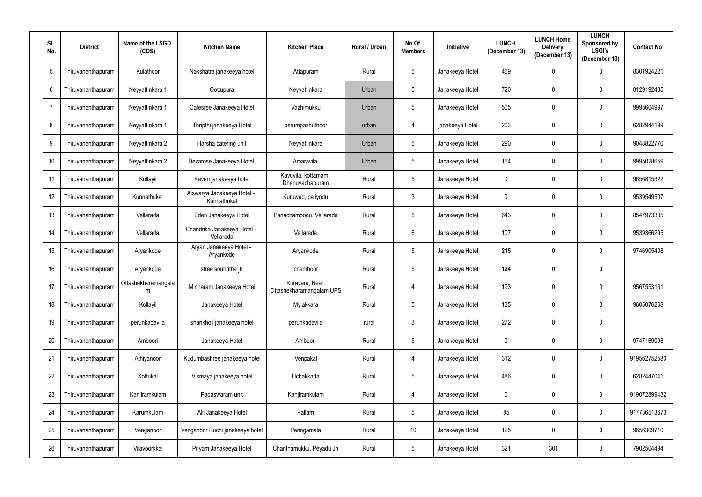| SI.<br>No.      | <b>District</b>    | Name of the LSGD<br>(CDS) | <b>Kitchen Name</b>                       | <b>Kitchen Place</b>                       | Rural / Urban | No Of<br><b>Members</b> | Initiative      | <b>LUNCH</b><br>(December 13) | <b>LUNCH Home</b><br><b>Delivery</b><br>(December 13) | <b>LUNCH</b><br>Sponsored by<br><b>LSGI's</b><br>(December 13) | <b>Contact No</b> |
|-----------------|--------------------|---------------------------|-------------------------------------------|--------------------------------------------|---------------|-------------------------|-----------------|-------------------------------|-------------------------------------------------------|----------------------------------------------------------------|-------------------|
| $5\phantom{.0}$ | Thiruvananthapuram | Kulathoor                 | Nakshatra janakeeya hotel                 | Attapuram                                  | Rural         | $5\phantom{.0}$         | Janakeeya Hotel | 469                           | $\mathbf{0}$                                          | $\overline{0}$                                                 | 8301924221        |
| $6\phantom{.}6$ | Thiruvananthapuram | Neyyattinkara 1           | Oottupura                                 | Neyyattinkara                              | Urban         | $5\phantom{.0}$         | Janakeeya Hotel | 720                           | $\mathbf{0}$                                          | $\mathbf 0$                                                    | 8129192485        |
| $\overline{7}$  | Thiruvananthapuram | Neyyattinkara 1           | Cafesree Janakeeya Hotel                  | Vazhimukku                                 | Urban         | $5\phantom{.0}$         | Janakeeya Hotel | 505                           | $\mathbf 0$                                           | $\boldsymbol{0}$                                               | 9995604997        |
| 8               | Thiruvananthapuram | Neyyattinkara 1           | Thripthi janakeeya Hotel                  | perumpazhuthoor                            | urban         | 4                       | janakeeya Hotel | 203                           | $\mathbf{0}$                                          | $\boldsymbol{0}$                                               | 6282944199        |
| 9               | Thiruvananthapuram | Neyyattinkara 2           | Harsha catering unit                      | Neyyattinkara                              | Urban         | $5\phantom{.0}$         | Janakeeya Hotel | 290                           | $\mathbf{0}$                                          | $\boldsymbol{0}$                                               | 9048822770        |
| 10              | Thiruvananthapuram | Neyyattinkara 2           | Devarose Janakeeya Hotel                  | Amaravila                                  | Urban         | $5\phantom{.0}$         | Janakeeya Hotel | 164                           | $\Omega$                                              | $\mathbf 0$                                                    | 9995028659        |
| 11              | Thiruvananthapuram | Kollayil                  | Kaveri janakeeya hotel                    | Kavuvila, kottamam,<br>Dhanuvachapuram     | Rural         | $5\phantom{.0}$         | Janakeeya Hotel | $\pmb{0}$                     | $\boldsymbol{0}$                                      | $\boldsymbol{0}$                                               | 9656815322        |
| 12              | Thiruvananthapuram | Kunnathukal               | Aiswarya Janakeeya Hotel -<br>Kunnathukal | Kuruwad, paliyodu                          | Rural         | $\mathfrak{Z}$          | Janakeeya Hotel | $\pmb{0}$                     | $\boldsymbol{0}$                                      | $\mathbf 0$                                                    | 9539549507        |
| 13              | Thiruvananthapuram | Vellarada                 | Eden Janakeeya Hotel                      | Panachamoodu, Vellarada                    | Rural         | $5\phantom{.0}$         | Janakeeya Hotel | 643                           | $\boldsymbol{0}$                                      | $\mathbf 0$                                                    | 8547973305        |
| 14              | Thiruvananthapuram | Vellarada                 | Chandrika Janakeeya Hotel -<br>Vellarada  | Vellarada                                  | Rural         | $6\overline{6}$         | Janakeeya Hotel | 107                           | $\mathbf 0$                                           | $\mathbf 0$                                                    | 9539366295        |
| 15              | Thiruvananthapuram | Aryankode                 | Aryan Janakeeya Hotel -<br>Aryankode      | Aryankode                                  | Rural         | $5\phantom{.0}$         | Janakeeya Hotel | 215                           | $\mathbf 0$                                           | $\mathbf 0$                                                    | 9746905408        |
| 16              | Thiruvananthapuram | Aryankode                 | stree souhritha jh                        | chemboor                                   | Rural         | $5\phantom{.0}$         | Janakeeya Hotel | 124                           | $\mathbf{0}$                                          | $\mathbf 0$                                                    |                   |
| 17              | Thiruvananthapuram | Ottashekharamangala<br>m  | Minnaram Janakeeya Hotel                  | Kuravara, Near<br>Ottashekharamangalam UPS | Rural         | 4                       | Janakeeya Hotel | 193                           |                                                       | $\boldsymbol{0}$                                               | 9567553161        |
| 18              | Thiruvananthapuram | Kollayil                  | Janakeeya Hotel                           | Mylakkara                                  | Rural         | $5\phantom{.0}$         | Janakeeya Hotel | 135                           | $\mathbf 0$                                           | $\mathbf 0$                                                    | 9605076268        |
| 19              | Thiruvananthapuram | perunkadavila             | shankholi janakeeya hotel                 | perunkadavila                              | rural         | $\mathfrak{Z}$          | Janakeeya Hotel | 272                           | $\mathbf 0$                                           | $\bm{0}$                                                       |                   |
| 20              | Thiruvananthapuram | Amboori                   | Janakeeya Hotel                           | Amboori                                    | Rural         | $5\phantom{.0}$         | Janakeeya Hotel | $\pmb{0}$                     | $\mathbf 0$                                           | $\boldsymbol{0}$                                               | 9747169098        |
| 21              | Thiruvananthapuram | Athiyanoor                | Kudumbashree janakeeya hotel              | Venpakal                                   | Rural         | $\overline{4}$          | Janakeeya Hotel | 312                           | $\mathbf 0$                                           | $\mathbf 0$                                                    | 919562752580      |
| 22              | Thiruvananthapuram | Kottukal                  | Vismaya janakeeya hotel                   | Uchakkada                                  | Rural         | $5\phantom{.0}$         | Janakeeya Hotel | 486                           | $\mathbf 0$                                           | $\mathbf 0$                                                    | 6282447041        |
| 23              | Thiruvananthapuram | Kanjiramkulam             | Padaswaram unit                           | Kanjiramkulam                              | Rural         | $\overline{4}$          | Janakeeya Hotel | $\pmb{0}$                     | $\mathbf 0$                                           | $\pmb{0}$                                                      | 919072899432      |
| 24              | Thiruvananthapuram | Karumkulam                | Alil Janakeeya Hotel                      | Pallam                                     | Rural         | $5\phantom{.0}$         | Janakeeya Hotel | 85                            | $\mathbf 0$                                           | $\mathbf 0$                                                    | 917736513673      |
| 25              | Thiruvananthapuram | Venganoor                 | Venganoor Ruchi janakeeya hotel           | Peringamala                                | Rural         | 10                      | Janakeeya Hotel | 125                           | 0                                                     | $\bf{0}$                                                       | 9656309710        |
| 26              | Thiruvananthapuram | Vilavoorkkal              | Priyam Janakeeya Hotel                    | Chanthamukku, Peyadu Jn                    | Rural         | $5\phantom{.0}$         | Janakeeya Hotel | 321                           | 301                                                   | $\pmb{0}$                                                      | 7902504494        |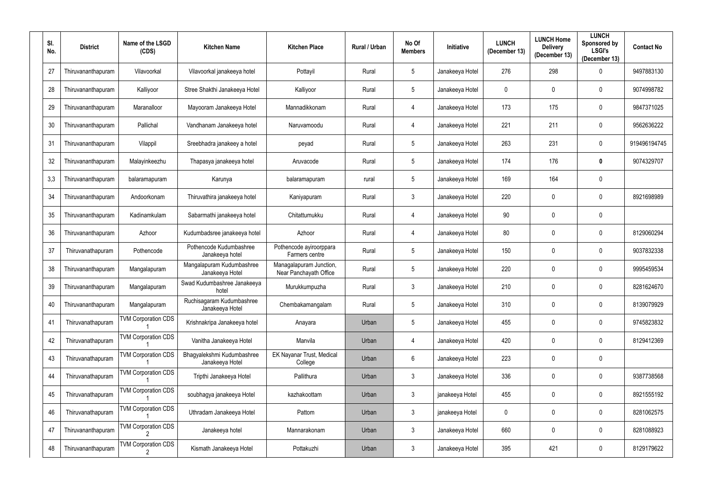| SI.<br>No. | <b>District</b>    | Name of the LSGD<br>(CDS)       | <b>Kitchen Name</b>                           | <b>Kitchen Place</b>                              | Rural / Urban | No Of<br><b>Members</b> | Initiative      | <b>LUNCH</b><br>(December 13) | <b>LUNCH Home</b><br><b>Delivery</b><br>(December 13) | <b>LUNCH</b><br>Sponsored by<br><b>LSGI's</b><br>(December 13) | <b>Contact No</b> |
|------------|--------------------|---------------------------------|-----------------------------------------------|---------------------------------------------------|---------------|-------------------------|-----------------|-------------------------------|-------------------------------------------------------|----------------------------------------------------------------|-------------------|
| 27         | Thiruvananthapuram | Vilavoorkal                     | Vilavoorkal janakeeya hotel                   | Pottayil                                          | Rural         | $5\phantom{.0}$         | Janakeeya Hotel | 276                           | 298                                                   | 0                                                              | 9497883130        |
| 28         | Thiruvananthapuram | Kalliyoor                       | Stree Shakthi Janakeeya Hotel                 | Kalliyoor                                         | Rural         | $5\phantom{.0}$         | Janakeeya Hotel | $\mathbf 0$                   | $\mathbf{0}$                                          | $\mathbf 0$                                                    | 9074998782        |
| 29         | Thiruvananthapuram | Maranalloor                     | Mayooram Janakeeya Hotel                      | Mannadikkonam                                     | Rural         | 4                       | Janakeeya Hotel | 173                           | 175                                                   | $\mathbf 0$                                                    | 9847371025        |
| 30         | Thiruvananthapuram | Pallichal                       | Vandhanam Janakeeya hotel                     | Naruvamoodu                                       | Rural         | 4                       | Janakeeya Hotel | 221                           | 211                                                   | $\mathbf 0$                                                    | 9562636222        |
| 31         | Thiruvananthapuram | Vilappil                        | Sreebhadra janakeey a hotel                   | peyad                                             | Rural         | $\overline{5}$          | Janakeeya Hotel | 263                           | 231                                                   | $\mathbf 0$                                                    | 919496194745      |
| 32         | Thiruvananthapuram | Malayinkeezhu                   | Thapasya janakeeya hotel                      | Aruvacode                                         | Rural         | $5\phantom{.0}$         | Janakeeya Hotel | 174                           | 176                                                   | $\mathbf 0$                                                    | 9074329707        |
| 3,3        | Thiruvananthapuram | balaramapuram                   | Karunya                                       | balaramapuram                                     | rural         | $5\phantom{.0}$         | Janakeeya Hotel | 169                           | 164                                                   | $\boldsymbol{0}$                                               |                   |
| 34         | Thiruvananthapuram | Andoorkonam                     | Thiruvathira janakeeya hotel                  | Kaniyapuram                                       | Rural         | $\mathfrak{Z}$          | Janakeeya Hotel | 220                           | $\boldsymbol{0}$                                      | $\boldsymbol{0}$                                               | 8921698989        |
| 35         | Thiruvananthapuram | Kadinamkulam                    | Sabarmathi janakeeya hotel                    | Chitattumukku                                     | Rural         | 4                       | Janakeeya Hotel | 90                            | $\mathbf{0}$                                          | $\overline{0}$                                                 |                   |
| 36         | Thiruvananthapuram | Azhoor                          | Kudumbadsree janakeeya hotel                  | Azhoor                                            | Rural         | 4                       | Janakeeya Hotel | 80                            | $\mathbf{0}$                                          | $\mathbf 0$                                                    | 8129060294        |
| 37         | Thiruvanathapuram  | Pothencode                      | Pothencode Kudumbashree<br>Janakeeya hotel    | Pothencode ayiroorppara<br>Farmers centre         | Rural         | 5 <sup>5</sup>          | Janakeeya Hotel | 150                           | $\mathbf 0$                                           | $\mathbf 0$                                                    | 9037832338        |
| 38         | Thiruvananthapuram | Mangalapuram                    | Mangalapuram Kudumbashree<br>Janakeeya Hotel  | Managalapuram Junction,<br>Near Panchayath Office | Rural         | $\overline{5}$          | Janakeeya Hotel | 220                           | $\mathbf{0}$                                          | $\boldsymbol{0}$                                               | 9995459534        |
| 39         | Thiruvananthapuram | Mangalapuram                    | Swad Kudumbashree Janakeeya<br>hotel          | Murukkumpuzha                                     | Rural         | $\mathfrak{Z}$          | Janakeeya Hotel | 210                           | $\mathbf{0}$                                          | $\mathbf 0$                                                    | 8281624670        |
| 40         | Thiruvananthapuram | Mangalapuram                    | Ruchisagaram Kudumbashree<br>Janakeeya Hotel  | Chembakamangalam                                  | Rural         | $\overline{5}$          | Janakeeya Hotel | 310                           | $\mathbf{0}$                                          | $\pmb{0}$                                                      | 8139079929        |
| 41         | Thiruvanathapuram  | <b>TVM Corporation CDS</b>      | Krishnakripa Janakeeya hotel                  | Anayara                                           | Urban         | $5\phantom{.0}$         | Janakeeya Hotel | 455                           | $\mathbf{0}$                                          | $\pmb{0}$                                                      | 9745823832        |
| 42         | Thiruvanathapuram  | <b>TVM Corporation CDS</b>      | Vanitha Janakeeya Hotel                       | Manvila                                           | Urban         | 4                       | Janakeeya Hotel | 420                           | $\mathbf{0}$                                          | $\mathbf 0$                                                    | 8129412369        |
| 43         | Thiruvanathapuram  | <b>TVM Corporation CDS</b>      | Bhagyalekshmi Kudumbashree<br>Janakeeya Hotel | EK Nayanar Trust, Medical<br>College              | Urban         | $6^{\circ}$             | Janakeeya Hotel | 223                           | $\mathbf 0$                                           | $\pmb{0}$                                                      |                   |
| 44         | Thiruvanathapuram  | <b>TVM Corporation CDS</b>      | Tripthi Janakeeya Hotel                       | Pallithura                                        | Urban         | $\mathbf{3}$            | Janakeeya Hotel | 336                           | $\mathbf{0}$                                          | $\mathbf 0$                                                    | 9387738568        |
| 45         | Thiruvanathapuram  | <b>TVM Corporation CDS</b>      | soubhagya janakeeya Hotel                     | kazhakoottam                                      | Urban         | $\mathfrak{Z}$          | janakeeya Hotel | 455                           | $\mathbf 0$                                           | $\pmb{0}$                                                      | 8921555192        |
| 46         | Thiruvanathapuram  | <b>TVM Corporation CDS</b>      | Uthradam Janakeeya Hotel                      | Pattom                                            | Urban         | $\mathfrak{Z}$          | janakeeya Hotel | $\pmb{0}$                     | $\mathbf 0$                                           | $\mathbf 0$                                                    | 8281062575        |
| 47         | Thiruvananthapuram | <b>TVM Corporation CDS</b>      | Janakeeya hotel                               | Mannarakonam                                      | Urban         | $\mathfrak{Z}$          | Janakeeya Hotel | 660                           | $\mathbf 0$                                           | $\pmb{0}$                                                      | 8281088923        |
| 48         | Thiruvananthapuram | <b>TVM Corporation CDS</b><br>2 | Kismath Janakeeya Hotel                       | Pottakuzhi                                        | Urban         | $\mathbf{3}$            | Janakeeya Hotel | 395                           | 421                                                   | $\pmb{0}$                                                      | 8129179622        |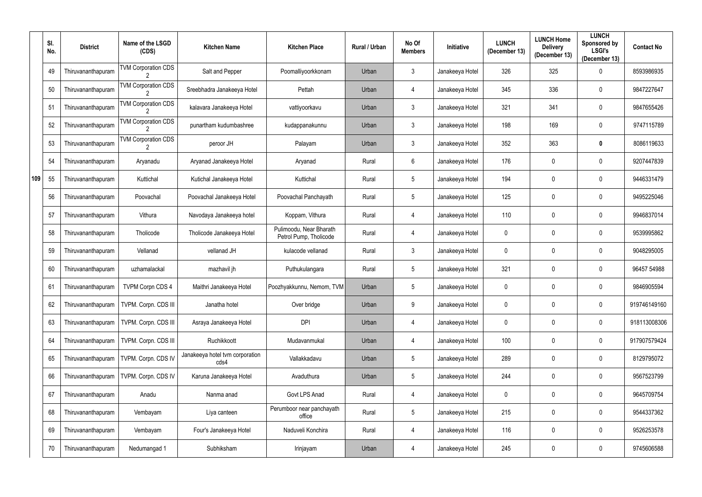|     | SI.<br>No. | <b>District</b>    | Name of the LSGD<br>(CDS)  | <b>Kitchen Name</b>                     | <b>Kitchen Place</b>                              | Rural / Urban | No Of<br><b>Members</b> | Initiative      | <b>LUNCH</b><br>(December 13) | <b>LUNCH Home</b><br><b>Delivery</b><br>(December 13) | <b>LUNCH</b><br>Sponsored by<br><b>LSGI's</b><br>(December 13) | <b>Contact No</b> |
|-----|------------|--------------------|----------------------------|-----------------------------------------|---------------------------------------------------|---------------|-------------------------|-----------------|-------------------------------|-------------------------------------------------------|----------------------------------------------------------------|-------------------|
|     | 49         | Thiruvananthapuram | <b>TVM Corporation CDS</b> | Salt and Pepper                         | Poomalliyoorkkonam                                | Urban         | 3                       | Janakeeya Hotel | 326                           | 325                                                   | $\mathbf 0$                                                    | 8593986935        |
|     | 50         | Thiruvananthapuram | <b>TVM Corporation CDS</b> | Sreebhadra Janakeeya Hotel              | Pettah                                            | Urban         | 4                       | Janakeeya Hotel | 345                           | 336                                                   | $\mathbf 0$                                                    | 9847227647        |
|     | 51         | Thiruvananthapuram | <b>TVM Corporation CDS</b> | kalavara Janakeeya Hotel                | vattiyoorkavu                                     | Urban         | 3                       | Janakeeya Hotel | 321                           | 341                                                   | $\mathbf 0$                                                    | 9847655426        |
|     | 52         | Thiruvananthapuram | <b>TVM Corporation CDS</b> | punartham kudumbashree                  | kudappanakunnu                                    | Urban         | 3                       | Janakeeya Hotel | 198                           | 169                                                   | $\mathbf 0$                                                    | 9747115789        |
|     | 53         | Thiruvananthapuram | <b>TVM Corporation CDS</b> | peroor JH                               | Palayam                                           | Urban         | $\mathfrak{Z}$          | Janakeeya Hotel | 352                           | 363                                                   | 0                                                              | 8086119633        |
|     | 54         | Thiruvananthapuram | Aryanadu                   | Aryanad Janakeeya Hotel                 | Aryanad                                           | Rural         | $6\phantom{.}$          | Janakeeya Hotel | 176                           | 0                                                     | $\mathbf 0$                                                    | 9207447839        |
| 109 | 55         | Thiruvananthapuram | Kuttichal                  | Kutichal Janakeeya Hotel                | Kuttichal                                         | Rural         | $5\phantom{.0}$         | Janakeeya Hotel | 194                           | $\mathbf 0$                                           | $\mathbf 0$                                                    | 9446331479        |
|     | 56         | Thiruvananthapuram | Poovachal                  | Poovachal Janakeeya Hotel               | Poovachal Panchayath                              | Rural         | $5\phantom{.0}$         | Janakeeya Hotel | 125                           | 0                                                     | $\mathbf 0$                                                    | 9495225046        |
|     | 57         | Thiruvananthapuram | Vithura                    | Navodaya Janakeeya hotel                | Koppam, Vithura                                   | Rural         | 4                       | Janakeeya Hotel | 110                           | 0                                                     | $\mathbf 0$                                                    | 9946837014        |
|     | 58         | Thiruvananthapuram | Tholicode                  | Tholicode Janakeeya Hotel               | Pulimoodu, Near Bharath<br>Petrol Pump, Tholicode | Rural         | 4                       | Janakeeya Hotel | $\mathbf 0$                   | 0                                                     | $\mathbf 0$                                                    | 9539995862        |
|     | 59         | Thiruvananthapuram | Vellanad                   | vellanad JH                             | kulacode vellanad                                 | Rural         | $\mathfrak{Z}$          | Janakeeya Hotel | $\overline{0}$                | $\mathbf 0$                                           | $\mathbf 0$                                                    | 9048295005        |
|     | 60         | Thiruvananthapuram | uzhamalackal               | mazhavil jh                             | Puthukulangara                                    | Rural         | $\overline{5}$          | Janakeeya Hotel | 321                           | $\mathbf 0$                                           | $\mathbf 0$                                                    | 96457 54988       |
|     | 61         | Thiruvananthapuram | <b>TVPM Corpn CDS 4</b>    | Maithri Janakeeya Hotel                 | Poozhyakkunnu, Nemom, TVM                         | Urban         | $5\phantom{.0}$         | Janakeeya Hotel | $\mathbf 0$                   | 0                                                     | $\mathbf 0$                                                    | 9846905594        |
|     | 62         | Thiruvananthapuram | TVPM. Corpn. CDS III       | Janatha hotel                           | Over bridge                                       | Urban         | 9                       | Janakeeya Hotel | $\overline{0}$                | $\mathbf 0$                                           | $\mathbf 0$                                                    | 919746149160      |
|     | 63         | Thiruvananthapuram | TVPM. Corpn. CDS III       | Asraya Janakeeya Hotel                  | <b>DPI</b>                                        | Urban         | 4                       | Janakeeya Hotel | $\bf{0}$                      | $\mathbf 0$                                           | $\mathbf 0$                                                    | 918113008306      |
|     | 64         | Thiruvananthapuram | TVPM. Corpn. CDS III       | Ruchikkoott                             | Mudavanmukal                                      | Urban         | 4                       | Janakeeya Hotel | 100                           | $\mathbf 0$                                           | $\mathbf 0$                                                    | 917907579424      |
|     | 65         | Thiruvananthapuram | TVPM. Corpn. CDS IV        | Janakeeya hotel tvm corporation<br>cds4 | Vallakkadavu                                      | Urban         | $5\,$                   | Janakeeya Hotel | 289                           | $\boldsymbol{0}$                                      | $\mathbf 0$                                                    | 8129795072        |
|     | 66         | Thiruvananthapuram | TVPM. Corpn. CDS IV        | Karuna Janakeeya Hotel                  | Avaduthura                                        | Urban         | $\sqrt{5}$              | Janakeeya Hotel | 244                           | $\mathbf 0$                                           | $\mathbf 0$                                                    | 9567523799        |
|     | 67         | Thiruvananthapuram | Anadu                      | Nanma anad                              | Govt LPS Anad                                     | Rural         | $\overline{4}$          | Janakeeya Hotel | $\mathbf 0$                   | $\boldsymbol{0}$                                      | $\mathbf 0$                                                    | 9645709754        |
|     | 68         | Thiruvananthapuram | Vembayam                   | Liya canteen                            | Perumboor near panchayath<br>office               | Rural         | $\overline{5}$          | Janakeeya Hotel | 215                           | $\mathbf 0$                                           | $\mathbf 0$                                                    | 9544337362        |
|     | 69         | Thiruvananthapuram | Vembayam                   | Four's Janakeeya Hotel                  | Naduveli Konchira                                 | Rural         | 4                       | Janakeeya Hotel | 116                           | $\mathbf 0$                                           | $\mathbf 0$                                                    | 9526253578        |
|     | 70         | Thiruvananthapuram | Nedumangad 1               | Subhiksham                              | Irinjayam                                         | Urban         | $\overline{4}$          | Janakeeya Hotel | 245                           | $\boldsymbol{0}$                                      | $\mathbf 0$                                                    | 9745606588        |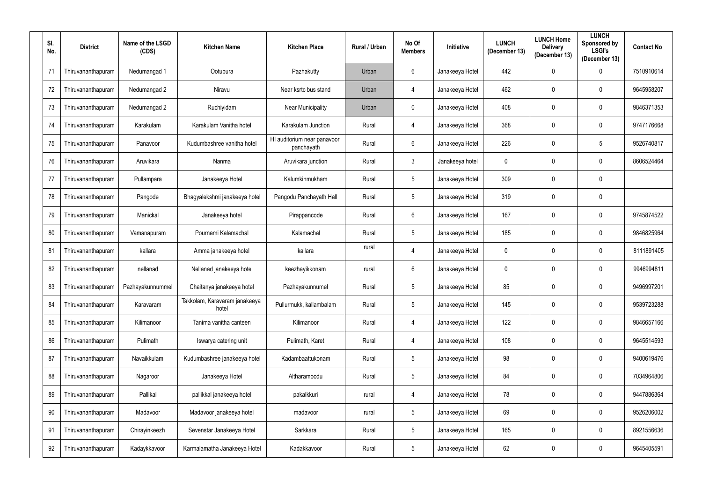| SI.<br>No. | <b>District</b>    | Name of the LSGD<br>(CDS) | <b>Kitchen Name</b>                    | <b>Kitchen Place</b>                      | Rural / Urban | No Of<br><b>Members</b> | Initiative      | <b>LUNCH</b><br>(December 13) | <b>LUNCH Home</b><br><b>Delivery</b><br>(December 13) | <b>LUNCH</b><br>Sponsored by<br><b>LSGI's</b><br>(December 13) | <b>Contact No</b> |
|------------|--------------------|---------------------------|----------------------------------------|-------------------------------------------|---------------|-------------------------|-----------------|-------------------------------|-------------------------------------------------------|----------------------------------------------------------------|-------------------|
| 71         | Thiruvananthapuram | Nedumangad 1              | Ootupura                               | Pazhakutty                                | Urban         | 6                       | Janakeeya Hotel | 442                           | $\mathbf{0}$                                          | 0                                                              | 7510910614        |
| 72         | Thiruvananthapuram | Nedumangad 2              | Niravu                                 | Near ksrtc bus stand                      | Urban         | 4                       | Janakeeya Hotel | 462                           | $\mathbf{0}$                                          | $\mathbf 0$                                                    | 9645958207        |
| 73         | Thiruvananthapuram | Nedumangad 2              | Ruchiyidam                             | <b>Near Municipality</b>                  | Urban         | $\mathbf 0$             | Janakeeya Hotel | 408                           | $\mathbf 0$                                           | $\mathbf 0$                                                    | 9846371353        |
| 74         | Thiruvananthapuram | Karakulam                 | Karakulam Vanitha hotel                | Karakulam Junction                        | Rural         | 4                       | Janakeeya Hotel | 368                           | $\mathbf{0}$                                          | $\boldsymbol{0}$                                               | 9747176668        |
| 75         | Thiruvananthapuram | Panavoor                  | Kudumbashree vanitha hotel             | HI auditorium near panavoor<br>panchayath | Rural         | $6^{\circ}$             | Janakeeya Hotel | 226                           | $\mathbf 0$                                           | $5\phantom{.0}$                                                | 9526740817        |
| 76         | Thiruvananthapuram | Aruvikara                 | Nanma                                  | Aruvikara junction                        | Rural         | $\mathfrak{Z}$          | Janakeeya hotel | $\pmb{0}$                     | $\Omega$                                              | $\mathbf 0$                                                    | 8606524464        |
| 77         | Thiruvananthapuram | Pullampara                | Janakeeya Hotel                        | Kalumkinmukham                            | Rural         | $5\phantom{.0}$         | Janakeeya Hotel | 309                           | $\boldsymbol{0}$                                      | $\boldsymbol{0}$                                               |                   |
| 78         | Thiruvananthapuram | Pangode                   | Bhagyalekshmi janakeeya hotel          | Pangodu Panchayath Hall                   | Rural         | 5 <sup>5</sup>          | Janakeeya Hotel | 319                           | $\mathbf{0}$                                          | $\overline{0}$                                                 |                   |
| 79         | Thiruvananthapuram | Manickal                  | Janakeeya hotel                        | Pirappancode                              | Rural         | $6\phantom{.0}$         | Janakeeya Hotel | 167                           | $\Omega$                                              | $\mathbf 0$                                                    | 9745874522        |
| 80         | Thiruvananthapuram | Vamanapuram               | Pournami Kalamachal                    | Kalamachal                                | Rural         | 5 <sub>5</sub>          | Janakeeya Hotel | 185                           | $\mathbf 0$                                           | $\mathbf 0$                                                    | 9846825964        |
| 81         | Thiruvananthapuram | kallara                   | Amma janakeeya hotel                   | kallara                                   | rural         | 4                       | Janakeeya Hotel | $\pmb{0}$                     | $\Omega$                                              | $\mathbf 0$                                                    | 8111891405        |
| 82         | Thiruvananthapuram | nellanad                  | Nellanad janakeeya hotel               | keezhayikkonam                            | rural         | $6^{\circ}$             | Janakeeya Hotel | $\pmb{0}$                     | $\mathbf{0}$                                          | $\mathbf 0$                                                    | 9946994811        |
| 83         | Thiruvananthapuram | Pazhayakunnummel          | Chaitanya janakeeya hotel              | Pazhayakunnumel                           | Rural         | $5\phantom{.0}$         | Janakeeya Hotel | 85                            | $\boldsymbol{0}$                                      | $\mathbf 0$                                                    | 9496997201        |
| 84         | Thiruvananthapuram | Karavaram                 | Takkolam, Karavaram janakeeya<br>hotel | Pullurmukk, kallambalam                   | Rural         | 5 <sub>5</sub>          | Janakeeya Hotel | 145                           | $\mathbf 0$                                           | $\mathbf 0$                                                    | 9539723288        |
| 85         | Thiruvananthapuram | Kilimanoor                | Tanima vanitha canteen                 | Kilimanoor                                | Rural         | 4                       | Janakeeya Hotel | 122                           | $\mathbf 0$                                           | $\pmb{0}$                                                      | 9846657166        |
| 86         | Thiruvananthapuram | Pulimath                  | Iswarya catering unit                  | Pulimath, Karet                           | Rural         | 4                       | Janakeeya Hotel | 108                           | $\mathbf 0$                                           | $\mathbf 0$                                                    | 9645514593        |
| 87         | Thiruvananthapuram | Navaikkulam               | Kudumbashree janakeeya hotel           | Kadambaattukonam                          | Rural         | $5\phantom{.0}$         | Janakeeya Hotel | 98                            | $\mathbf 0$                                           | $\pmb{0}$                                                      | 9400619476        |
| 88         | Thiruvananthapuram | Nagaroor                  | Janakeeya Hotel                        | Altharamoodu                              | Rural         | $5\phantom{.0}$         | Janakeeya Hotel | 84                            | $\mathbf 0$                                           | $\mathbf 0$                                                    | 7034964806        |
| 89         | Thiruvananthapuram | Pallikal                  | pallikkal janakeeya hotel              | pakalkkuri                                | rural         | 4                       | Janakeeya Hotel | 78                            | $\mathbf 0$                                           | $\pmb{0}$                                                      | 9447886364        |
| 90         | Thiruvananthapuram | Madavoor                  | Madavoor janakeeya hotel               | madavoor                                  | rural         | $\overline{5}$          | Janakeeya Hotel | 69                            | $\mathbf 0$                                           | $\pmb{0}$                                                      | 9526206002        |
| 91         | Thiruvananthapuram | Chirayinkeezh             | Sevenstar Janakeeya Hotel              | Sarkkara                                  | Rural         | $5\phantom{.0}$         | Janakeeya Hotel | 165                           | $\mathbf 0$                                           | $\pmb{0}$                                                      | 8921556636        |
| 92         | Thiruvananthapuram | Kadaykkavoor              | Karmalamatha Janakeeya Hotel           | Kadakkavoor                               | Rural         | $5\phantom{.0}$         | Janakeeya Hotel | 62                            | 0                                                     | $\pmb{0}$                                                      | 9645405591        |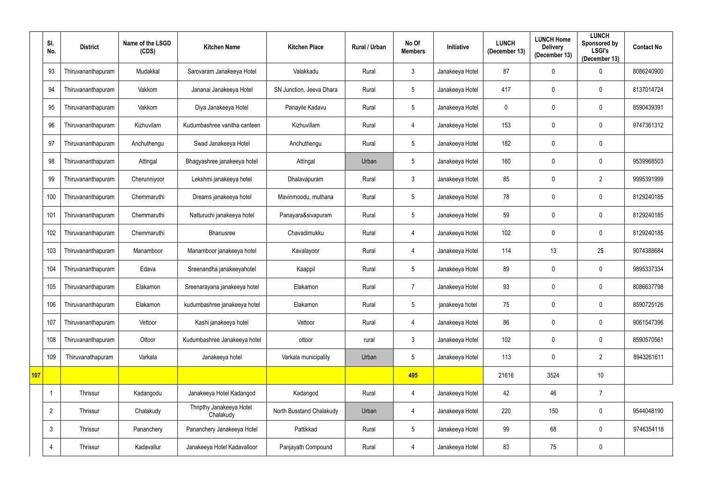|     | SI.<br>No.     | <b>District</b>    | Name of the LSGD<br>(CDS) | <b>Kitchen Name</b>                   | <b>Kitchen Place</b>     | Rural / Urban | No Of<br><b>Members</b> | <b>Initiative</b> | <b>LUNCH</b><br>(December 13) | <b>LUNCH Home</b><br><b>Delivery</b><br>(December 13) | <b>LUNCH</b><br>Sponsored by<br><b>LSGI's</b><br>(December 13) | <b>Contact No</b> |
|-----|----------------|--------------------|---------------------------|---------------------------------------|--------------------------|---------------|-------------------------|-------------------|-------------------------------|-------------------------------------------------------|----------------------------------------------------------------|-------------------|
|     | 93             | Thiruvananthapuram | Mudakkal                  | Sarovaram Janakeeya Hotel             | Valakkadu                | Rural         | $\mathbf{3}$            | Janakeeya Hotel   | 87                            | 0                                                     | 0                                                              | 8086240900        |
|     | 94             | Thiruvananthapuram | Vakkom                    | Jananai Janakeeya Hotel               | SN Junction, Jeeva Dhara | Rural         | $5\phantom{.0}$         | Janakeeya Hotel   | 417                           | $\mathbf 0$                                           | 0                                                              | 8137014724        |
|     | 95             | Thiruvananthapuram | Vakkom                    | Diya Janakeeya Hotel                  | Panayile Kadavu          | Rural         | $\sqrt{5}$              | Janakeeya Hotel   | $\mathbf 0$                   | 0                                                     | 0                                                              | 8590439391        |
|     | 96             | Thiruvananthapuram | Kizhuvilam                | Kudumbashree vanitha canteen          | Kizhuvillam              | Rural         | 4                       | Janakeeya Hotel   | 153                           | 0                                                     | 0                                                              | 9747361312        |
|     | 97             | Thiruvananthapuram | Anchuthengu               | Swad Janakeeya Hotel                  | Anchuthengu              | Rural         | $5\phantom{.0}$         | Janakeeya Hotel   | 182                           | 0                                                     | 0                                                              |                   |
|     | 98             | Thiruvananthapuram | Attingal                  | Bhagyashree janakeeya hotel           | Attingal                 | Urban         | $5\phantom{.0}$         | Janakeeya Hotel   | 160                           | 0                                                     | 0                                                              | 9539968503        |
|     | 99             | Thiruvananthapuram | Cherunniyoor              | Lekshmi janakeeya hotel               | Dhalavapuram             | Rural         | $\mathbf{3}$            | Janakeeya Hotel   | 85                            | $\mathbf 0$                                           | $\overline{2}$                                                 | 9995391999        |
|     | 100            | Thiruvananthapuram | Chemmaruthi               | Dreams janakeeya hotel                | Mavinmoodu, muthana      | Rural         | $5\phantom{.0}$         | Janakeeya Hotel   | 78                            | 0                                                     | 0                                                              | 8129240185        |
|     | 101            | Thiruvananthapuram | Chemmaruthi               | Natturuchi janakeeya hotel            | Panayara&sivapuram       | Rural         | $5\phantom{.0}$         | Janakeeya Hotel   | 59                            | 0                                                     | $\mathbf 0$                                                    | 8129240185        |
|     | 102            | Thiruvananthapuram | Chemmaruthi               | <b>Bhanusree</b>                      | Chavadimukku             | Rural         | 4                       | Janakeeya Hotel   | 102                           | $\mathbf 0$                                           | 0                                                              | 8129240185        |
|     | 103            | Thiruvananthapuram | Manamboor                 | Manamboor janakeeya hotel             | Kavalayoor               | Rural         | 4                       | Janakeeya Hotel   | 114                           | 13                                                    | 2\$                                                            | 9074388684        |
|     | 104            | Thiruvananthapuram | Edava                     | Sreenandha janakeeyahotel             | Kaappil                  | Rural         | $5\phantom{.0}$         | Janakeeya Hotel   | 89                            | 0                                                     | $\mathbf 0$                                                    | 9895337334        |
|     | 105            | Thiruvananthapuram | Elakamon                  | Sreenarayana janakeeya hotel          | Elakamon                 | Rural         | $\overline{7}$          | Janakeeya Hotel   | 93                            | 0                                                     | 0                                                              | 8086637798        |
|     | 106            | Thiruvananthapuram | Elakamon                  | kudumbashree janakeeya hotel          | Elakamon                 | Rural         | $\sqrt{5}$              | janakeeya hotel   | 75                            | $\mathbf 0$                                           | 0                                                              | 8590725126        |
|     | 107            | Thiruvananthapuram | Vettoor                   | Kashi janakeeya hotel                 | Vettoor                  | Rural         | 4                       | Janakeeya Hotel   | 86                            | $\mathbf 0$                                           | 0                                                              | 9061547396        |
|     | 108            | Thiruvananthapuram | Ottoor                    | Kudumbashree Janakeeya hotel          | ottoor                   | rural         | $\mathbf{3}$            | Janakeeya Hotel   | 102                           | $\mathbf 0$                                           | 0                                                              | 8590570561        |
|     | 109            | Thiruvanathapuram  | Varkala                   | Janakeeya hotel                       | Varkala municipality     | Urban         | $\sqrt{5}$              | Janakeeya Hotel   | 113                           | 0                                                     | $\overline{2}$                                                 | 8943261611        |
| 107 |                |                    |                           |                                       |                          |               | 495                     |                   | 21616                         | 3524                                                  | 10                                                             |                   |
|     | -1             | Thrissur           | Kadangodu                 | Janakeeya Hotel Kadangod              | Kadangod                 | Rural         | $\overline{4}$          | Janakeeya Hotel   | 42                            | 46                                                    | $\overline{7}$                                                 |                   |
|     | $\overline{2}$ | Thrissur           | Chalakudy                 | Thripthy Janakeeya Hotel<br>Chalakudy | North Busstand Chalakudy | Urban         | 4                       | Janakeeya Hotel   | 220                           | 150                                                   | 0                                                              | 9544048190        |
|     | $\mathfrak{Z}$ | Thrissur           | Pananchery                | Pananchery Janakeeya Hotel            | Pattikkad                | Rural         | $5\,$                   | Janakeeya Hotel   | 99                            | 68                                                    | 0                                                              | 9746354118        |
|     | 4              | Thrissur           | Kadavallur                | Janakeeya Hotel Kadavalloor           | Panjayath Compound       | Rural         | $\overline{4}$          | Janakeeya Hotel   | 83                            | $75\,$                                                | 0                                                              |                   |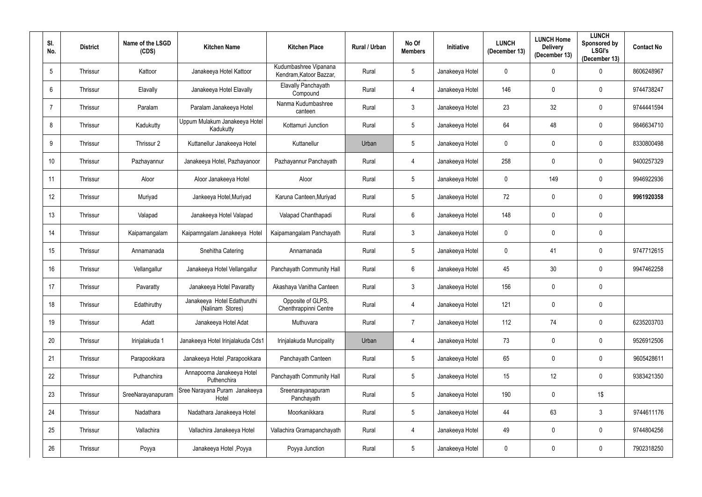| SI.<br>No.      | <b>District</b> | Name of the LSGD<br>(CDS) | <b>Kitchen Name</b>                             | <b>Kitchen Place</b>                             | Rural / Urban | No Of<br><b>Members</b> | Initiative      | <b>LUNCH</b><br>(December 13) | <b>LUNCH Home</b><br><b>Delivery</b><br>(December 13) | <b>LUNCH</b><br><b>Sponsored by</b><br><b>LSGI's</b><br>(December 13) | <b>Contact No</b> |
|-----------------|-----------------|---------------------------|-------------------------------------------------|--------------------------------------------------|---------------|-------------------------|-----------------|-------------------------------|-------------------------------------------------------|-----------------------------------------------------------------------|-------------------|
| $5\phantom{.0}$ | Thrissur        | Kattoor                   | Janakeeya Hotel Kattoor                         | Kudumbashree Vipanana<br>Kendram, Katoor Bazzar, | Rural         | $5\phantom{.0}$         | Janakeeya Hotel | $\mathbf 0$                   | $\mathbf{0}$                                          | $\mathbf 0$                                                           | 8606248967        |
| 6               | Thrissur        | Elavally                  | Janakeeya Hotel Elavally                        | Elavally Panchayath<br>Compound                  | Rural         | 4                       | Janakeeya Hotel | 146                           | $\mathbf{0}$                                          | $\mathbf 0$                                                           | 9744738247        |
| $\overline{7}$  | Thrissur        | Paralam                   | Paralam Janakeeya Hotel                         | Nanma Kudumbashree<br>canteen                    | Rural         | $\mathfrak{Z}$          | Janakeeya Hotel | 23                            | 32                                                    | $\pmb{0}$                                                             | 9744441594        |
| 8               | Thrissur        | Kadukutty                 | Uppum Mulakum Janakeeya Hotel<br>Kadukutty      | Kottamuri Junction                               | Rural         | $5\phantom{.0}$         | Janakeeya Hotel | 64                            | 48                                                    | $\mathbf 0$                                                           | 9846634710        |
| 9               | Thrissur        | Thrissur 2                | Kuttanellur Janakeeya Hotel                     | Kuttanellur                                      | Urban         | $5\phantom{.0}$         | Janakeeya Hotel | $\pmb{0}$                     | $\mathbf{0}$                                          | $\pmb{0}$                                                             | 8330800498        |
| 10 <sup>°</sup> | Thrissur        | Pazhayannur               | Janakeeya Hotel, Pazhayanoor                    | Pazhayannur Panchayath                           | Rural         | 4                       | Janakeeya Hotel | 258                           | 0                                                     | $\mathbf 0$                                                           | 9400257329        |
| 11              | Thrissur        | Aloor                     | Aloor Janakeeya Hotel                           | Aloor                                            | Rural         | $5\phantom{.0}$         | Janakeeya Hotel | $\mathbf 0$                   | 149                                                   | $\mathbf 0$                                                           | 9946922936        |
| 12              | Thrissur        | Muriyad                   | Jankeeya Hotel, Muriyad                         | Karuna Canteen, Muriyad                          | Rural         | $5\phantom{.0}$         | Janakeeya Hotel | 72                            | $\mathbf{0}$                                          | $\mathbf 0$                                                           | 9961920358        |
| 13              | Thrissur        | Valapad                   | Janakeeya Hotel Valapad                         | Valapad Chanthapadi                              | Rural         | $6\overline{6}$         | Janakeeya Hotel | 148                           | $\mathbf{0}$                                          | $\mathbf 0$                                                           |                   |
| 14              | Thrissur        | Kaipamangalam             | Kaipamngalam Janakeeya Hotel                    | Kaipamangalam Panchayath                         | Rural         | $\mathfrak{Z}$          | Janakeeya Hotel | $\mathbf 0$                   | $\mathbf{0}$                                          | $\boldsymbol{0}$                                                      |                   |
| 15              | Thrissur        | Annamanada                | Snehitha Catering                               | Annamanada                                       | Rural         | $5\phantom{.0}$         | Janakeeya Hotel | $\mathbf 0$                   | 41                                                    | $\mathbf 0$                                                           | 9747712615        |
| 16              | Thrissur        | Vellangallur              | Janakeeya Hotel Vellangallur                    | Panchayath Community Hall                        | Rural         | $6\phantom{.0}$         | Janakeeya Hotel | 45                            | 30 <sup>°</sup>                                       | $\boldsymbol{0}$                                                      | 9947462258        |
| 17              | Thrissur        | Pavaratty                 | Janakeeya Hotel Pavaratty                       | Akashaya Vanitha Canteen                         | Rural         | $\mathbf{3}$            | Janakeeya Hotel | 156                           | $\mathbf{0}$                                          | $\mathbf 0$                                                           |                   |
| 18              | Thrissur        | Edathiruthy               | Janakeeya Hotel Edathuruthi<br>(Nalinam Stores) | Opposite of GLPS,<br>Chenthrappinni Centre       | Rural         | $\overline{4}$          | Janakeeya Hotel | 121                           | $\mathbf 0$                                           | $\mathbf 0$                                                           |                   |
| 19              | Thrissur        | Adatt                     | Janakeeya Hotel Adat                            | Muthuvara                                        | Rural         | $\overline{7}$          | Janakeeya Hotel | 112                           | 74                                                    | $\overline{0}$                                                        | 6235203703        |
| 20              | Thrissur        | Irinjalakuda 1            | Janakeeya Hotel Irinjalakuda Cds1               | Irinjalakuda Muncipality                         | Urban         | 4                       | Janakeeya Hotel | 73                            | $\mathbf 0$                                           | $\overline{0}$                                                        | 9526912506        |
| 21              | Thrissur        | Parapookkara              | Janakeeya Hotel, Parapookkara                   | Panchayath Canteen                               | Rural         | $5\phantom{.0}$         | Janakeeya Hotel | 65                            | $\mathbf 0$                                           | $\pmb{0}$                                                             | 9605428611        |
| 22              | Thrissur        | Puthanchira               | Annapoorna Janakeeya Hotel<br>Puthenchira       | Panchayath Community Hall                        | Rural         | $5\phantom{.0}$         | Janakeeya Hotel | 15                            | 12                                                    | $\mathbf 0$                                                           | 9383421350        |
| 23              | Thrissur        | SreeNarayanapuram         | Sree Narayana Puram Janakeeya<br>Hotel          | Sreenarayanapuram<br>Panchayath                  | Rural         | $5\phantom{.0}$         | Janakeeya Hotel | 190                           | $\mathbf 0$                                           | $1\$                                                                  |                   |
| 24              | Thrissur        | Nadathara                 | Nadathara Janakeeya Hotel                       | Moorkanikkara                                    | Rural         | $5\phantom{.0}$         | Janakeeya Hotel | 44                            | 63                                                    | $\mathbf{3}$                                                          | 9744611176        |
| 25              | Thrissur        | Vallachira                | Vallachira Janakeeya Hotel                      | Vallachira Gramapanchayath                       | Rural         | $\overline{4}$          | Janakeeya Hotel | 49                            | 0                                                     | $\mathbf 0$                                                           | 9744804256        |
| 26              | Thrissur        | Poyya                     | Janakeeya Hotel , Poyya                         | Poyya Junction                                   | Rural         | $5\phantom{.0}$         | Janakeeya Hotel | $\mathbf 0$                   | $\mathbf 0$                                           | $\pmb{0}$                                                             | 7902318250        |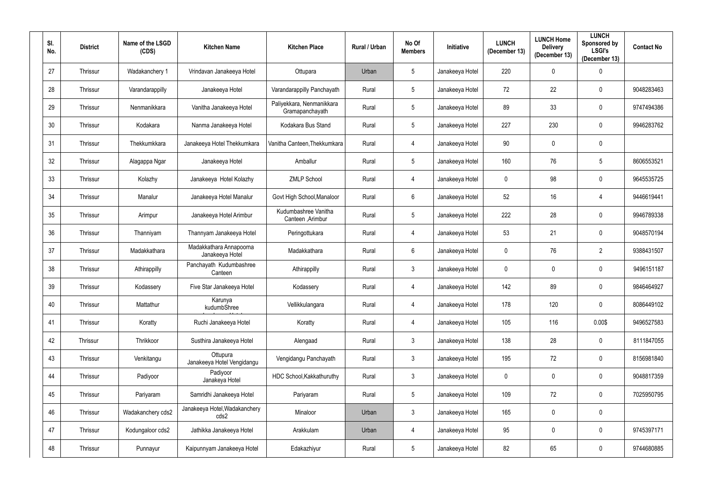| SI.<br>No. | <b>District</b> | Name of the LSGD<br>(CDS) | <b>Kitchen Name</b>                        | <b>Kitchen Place</b>                         | Rural / Urban | No Of<br><b>Members</b> | Initiative      | <b>LUNCH</b><br>(December 13) | <b>LUNCH Home</b><br><b>Delivery</b><br>(December 13) | <b>LUNCH</b><br>Sponsored by<br><b>LSGI's</b><br>(December 13) | <b>Contact No</b> |
|------------|-----------------|---------------------------|--------------------------------------------|----------------------------------------------|---------------|-------------------------|-----------------|-------------------------------|-------------------------------------------------------|----------------------------------------------------------------|-------------------|
| 27         | Thrissur        | Wadakanchery 1            | Vrindavan Janakeeya Hotel                  | Ottupara                                     | Urban         | 5 <sup>5</sup>          | Janakeeya Hotel | 220                           | $\mathbf 0$                                           | $\boldsymbol{0}$                                               |                   |
| 28         | Thrissur        | Varandarappilly           | Janakeeya Hotel                            | Varandarappilly Panchayath                   | Rural         | $5\phantom{.0}$         | Janakeeya Hotel | 72                            | 22                                                    | $\mathbf 0$                                                    | 9048283463        |
| 29         | Thrissur        | Nenmanikkara              | Vanitha Janakeeya Hotel                    | Paliyekkara, Nenmanikkara<br>Gramapanchayath | Rural         | $5\phantom{.0}$         | Janakeeya Hotel | 89                            | 33                                                    | $\mathbf 0$                                                    | 9747494386        |
| 30         | Thrissur        | Kodakara                  | Nanma Janakeeya Hotel                      | Kodakara Bus Stand                           | Rural         | $5\phantom{.0}$         | Janakeeya Hotel | 227                           | 230                                                   | $\mathbf 0$                                                    | 9946283762        |
| 31         | Thrissur        | Thekkumkkara              | Janakeeya Hotel Thekkumkara                | Vanitha Canteen, Thekkumkara                 | Rural         | 4                       | Janakeeya Hotel | 90                            | $\mathbf 0$                                           | $\mathbf 0$                                                    |                   |
| 32         | Thrissur        | Alagappa Ngar             | Janakeeya Hotel                            | Amballur                                     | Rural         | $\overline{5}$          | Janakeeya Hotel | 160                           | 76                                                    | 5                                                              | 8606553521        |
| 33         | Thrissur        | Kolazhy                   | Janakeeya Hotel Kolazhy                    | <b>ZMLP School</b>                           | Rural         | 4                       | Janakeeya Hotel | $\mathbf 0$                   | 98                                                    | $\mathbf 0$                                                    | 9645535725        |
| 34         | Thrissur        | Manalur                   | Janakeeya Hotel Manalur                    | Govt High School, Manaloor                   | Rural         | 6                       | Janakeeya Hotel | 52                            | 16                                                    | 4                                                              | 9446619441        |
| 35         | Thrissur        | Arimpur                   | Janakeeya Hotel Arimbur                    | Kudumbashree Vanitha<br>Canteen , Arimbur    | Rural         | $5\phantom{.0}$         | Janakeeya Hotel | 222                           | 28                                                    | $\mathbf 0$                                                    | 9946789338        |
| 36         | Thrissur        | Thanniyam                 | Thannyam Janakeeya Hotel                   | Peringottukara                               | Rural         | 4                       | Janakeeya Hotel | 53                            | 21                                                    | $\mathbf 0$                                                    | 9048570194        |
| 37         | Thrissur        | Madakkathara              | Madakkathara Annapoorna<br>Janakeeya Hotel | Madakkathara                                 | Rural         | $6\overline{6}$         | Janakeeya Hotel | $\mathbf 0$                   | 76                                                    | $\overline{2}$                                                 | 9388431507        |
| 38         | Thrissur        | Athirappilly              | Panchayath Kudumbashree<br>Canteen         | Athirappilly                                 | Rural         | $\mathfrak{Z}$          | Janakeeya Hotel | $\mathbf 0$                   | $\mathbf 0$                                           | $\pmb{0}$                                                      | 9496151187        |
| 39         | Thrissur        | Kodassery                 | Five Star Janakeeya Hotel                  | Kodassery                                    | Rural         | 4                       | Janakeeya Hotel | 142                           | 89                                                    | $\mathbf 0$                                                    | 9846464927        |
| 40         | Thrissur        | Mattathur                 | Karunya<br>kudumbShree                     | Vellikkulangara                              | Rural         | $\overline{4}$          | Janakeeya Hotel | 178                           | 120                                                   | $\mathbf 0$                                                    | 8086449102        |
| 41         | Thrissur        | Koratty                   | Ruchi Janakeeya Hotel                      | Koratty                                      | Rural         | $\overline{4}$          | Janakeeya Hotel | 105                           | 116                                                   | 0.00\$                                                         | 9496527583        |
| 42         | Thrissur        | Thrikkoor                 | Susthira Janakeeya Hotel                   | Alengaad                                     | Rural         | $\mathfrak{Z}$          | Janakeeya Hotel | 138                           | 28                                                    | $\mathbf 0$                                                    | 8111847055        |
| 43         | Thrissur        | Venkitangu                | Ottupura<br>Janakeeya Hotel Vengidangu     | Vengidangu Panchayath                        | Rural         | $3\overline{3}$         | Janakeeya Hotel | 195                           | 72                                                    | $\mathbf 0$                                                    | 8156981840        |
| 44         | Thrissur        | Padiyoor                  | Padiyoor<br>Janakeya Hotel                 | HDC School, Kakkathuruthy                    | Rural         | $\mathfrak{Z}$          | Janakeeya Hotel | $\mathbf 0$                   | $\mathbf 0$                                           | $\mathbf 0$                                                    | 9048817359        |
| 45         | Thrissur        | Pariyaram                 | Samridhi Janakeeya Hotel                   | Pariyaram                                    | Rural         | $5\phantom{.0}$         | Janakeeya Hotel | 109                           | 72                                                    | $\mathbf 0$                                                    | 7025950795        |
| 46         | Thrissur        | Wadakanchery cds2         | Janakeeya Hotel, Wadakanchery<br>cds2      | Minaloor                                     | Urban         | $\mathfrak{Z}$          | Janakeeya Hotel | 165                           | $\mathbf 0$                                           | $\mathbf 0$                                                    |                   |
| 47         | Thrissur        | Kodungaloor cds2          | Jathikka Janakeeya Hotel                   | Arakkulam                                    | Urban         | $\overline{4}$          | Janakeeya Hotel | 95                            | $\pmb{0}$                                             | $\mathbf 0$                                                    | 9745397171        |
| 48         | Thrissur        | Punnayur                  | Kaipunnyam Janakeeya Hotel                 | Edakazhiyur                                  | Rural         | $5\phantom{.0}$         | Janakeeya Hotel | 82                            | 65                                                    | $\mathbf 0$                                                    | 9744680885        |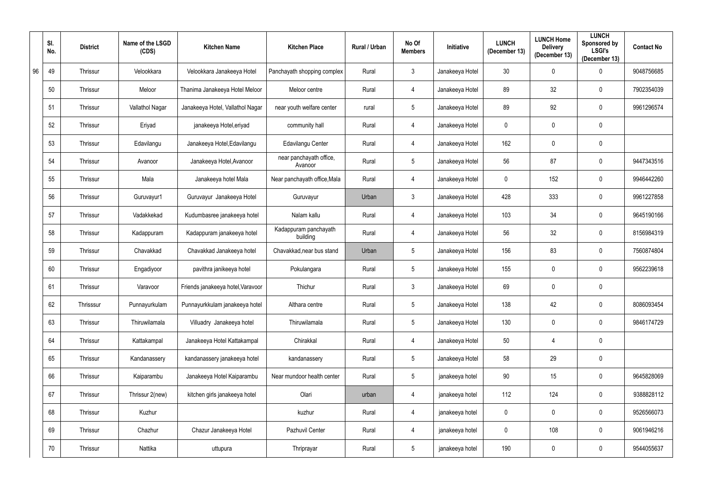|    | SI.<br>No. | <b>District</b> | Name of the LSGD<br>(CDS) | <b>Kitchen Name</b>               | <b>Kitchen Place</b>               | Rural / Urban | No Of<br><b>Members</b> | <b>Initiative</b> | <b>LUNCH</b><br>(December 13) | <b>LUNCH Home</b><br><b>Delivery</b><br>(December 13) | <b>LUNCH</b><br>Sponsored by<br><b>LSGI's</b><br>(December 13) | <b>Contact No</b> |
|----|------------|-----------------|---------------------------|-----------------------------------|------------------------------------|---------------|-------------------------|-------------------|-------------------------------|-------------------------------------------------------|----------------------------------------------------------------|-------------------|
| 96 | 49         | Thrissur        | Velookkara                | Velookkara Janakeeya Hotel        | Panchayath shopping complex        | Rural         | $\mathbf{3}$            | Janakeeya Hotel   | 30                            | $\mathbf 0$                                           | $\boldsymbol{0}$                                               | 9048756685        |
|    | 50         | Thrissur        | Meloor                    | Thanima Janakeeya Hotel Meloor    | Meloor centre                      | Rural         | 4                       | Janakeeya Hotel   | 89                            | 32                                                    | $\mathbf 0$                                                    | 7902354039        |
|    | 51         | Thrissur        | Vallathol Nagar           | Janakeeya Hotel, Vallathol Nagar  | near youth welfare center          | rural         | $\overline{5}$          | Janakeeya Hotel   | 89                            | 92                                                    | $\mathbf 0$                                                    | 9961296574        |
|    | 52         | Thrissur        | Eriyad                    | janakeeya Hotel, eriyad           | community hall                     | Rural         | 4                       | Janakeeya Hotel   | $\mathbf 0$                   | $\mathbf 0$                                           | $\mathbf 0$                                                    |                   |
|    | 53         | Thrissur        | Edavilangu                | Janakeeya Hotel, Edavilangu       | Edavilangu Center                  | Rural         | 4                       | Janakeeya Hotel   | 162                           | $\mathbf 0$                                           | $\pmb{0}$                                                      |                   |
|    | 54         | Thrissur        | Avanoor                   | Janakeeya Hotel, Avanoor          | near panchayath office,<br>Avanoor | Rural         | $5\phantom{.0}$         | Janakeeya Hotel   | 56                            | 87                                                    | $\mathbf 0$                                                    | 9447343516        |
|    | 55         | Thrissur        | Mala                      | Janakeeya hotel Mala              | Near panchayath office, Mala       | Rural         | 4                       | Janakeeya Hotel   | $\mathbf 0$                   | 152                                                   | $\mathbf 0$                                                    | 9946442260        |
|    | 56         | Thrissur        | Guruvayur1                | Guruvayur Janakeeya Hotel         | Guruvayur                          | Urban         | $\mathbf{3}$            | Janakeeya Hotel   | 428                           | 333                                                   | $\mathbf 0$                                                    | 9961227858        |
|    | 57         | Thrissur        | Vadakkekad                | Kudumbasree janakeeya hotel       | Nalam kallu                        | Rural         | 4                       | Janakeeya Hotel   | 103                           | 34                                                    | $\mathbf 0$                                                    | 9645190166        |
|    | 58         | Thrissur        | Kadappuram                | Kadappuram janakeeya hotel        | Kadappuram panchayath<br>building  | Rural         | 4                       | Janakeeya Hotel   | 56                            | 32                                                    | $\mathbf 0$                                                    | 8156984319        |
|    | 59         | Thrissur        | Chavakkad                 | Chavakkad Janakeeya hotel         | Chavakkad, near bus stand          | Urban         | $\sqrt{5}$              | Janakeeya Hotel   | 156                           | 83                                                    | $\mathbf 0$                                                    | 7560874804        |
|    | 60         | Thrissur        | Engadiyoor                | pavithra janikeeya hotel          | Pokulangara                        | Rural         | $5\phantom{.0}$         | Janakeeya Hotel   | 155                           | $\mathbf 0$                                           | $\mathbf 0$                                                    | 9562239618        |
|    | 61         | Thrissur        | Varavoor                  | Friends janakeeya hotel, Varavoor | Thichur                            | Rural         | $\mathfrak{Z}$          | Janakeeya Hotel   | 69                            | $\mathbf 0$                                           | $\mathbf 0$                                                    |                   |
|    | 62         | Thrisssur       | Punnayurkulam             | Punnayurkkulam janakeeya hotel    | Althara centre                     | Rural         | $5\phantom{.0}$         | Janakeeya Hotel   | 138                           | 42                                                    | $\mathbf 0$                                                    | 8086093454        |
|    | 63         | Thrissur        | Thiruwilamala             | Villuadry Janakeeya hotel         | Thiruwilamala                      | Rural         | $\sqrt{5}$              | Janakeeya Hotel   | 130                           | $\mathbf 0$                                           | $\bf{0}$                                                       | 9846174729        |
|    | 64         | Thrissur        | Kattakampal               | Janakeeya Hotel Kattakampal       | Chirakkal                          | Rural         | 4                       | Janakeeya Hotel   | 50                            |                                                       | $\mathbf 0$                                                    |                   |
|    | 65         | Thrissur        | Kandanassery              | kandanassery janakeeya hotel      | kandanassery                       | Rural         | $\sqrt{5}$              | Janakeeya Hotel   | 58                            | 29                                                    | $\mathbf 0$                                                    |                   |
|    | 66         | Thrissur        | Kaiparambu                | Janakeeya Hotel Kaiparambu        | Near mundoor health center         | Rural         | $5\,$                   | janakeeya hotel   | 90                            | 15                                                    | $\mathbf 0$                                                    | 9645828069        |
|    | 67         | Thrissur        | Thrissur 2(new)           | kitchen girls janakeeya hotel     | Olari                              | urban         | 4                       | janakeeya hotel   | 112                           | 124                                                   | $\mathbf 0$                                                    | 9388828112        |
|    | 68         | Thrissur        | Kuzhur                    |                                   | kuzhur                             | Rural         | 4                       | janakeeya hotel   | $\mathbf 0$                   | $\mathbf 0$                                           | $\mathbf 0$                                                    | 9526566073        |
|    | 69         | Thrissur        | Chazhur                   | Chazur Janakeeya Hotel            | Pazhuvil Center                    | Rural         | 4                       | janakeeya hotel   | $\mathbf 0$                   | 108                                                   | $\mathbf 0$                                                    | 9061946216        |
|    | 70         | Thrissur        | Nattika                   | uttupura                          | Thriprayar                         | Rural         | $\sqrt{5}$              | janakeeya hotel   | 190                           | $\mathbf 0$                                           | $\pmb{0}$                                                      | 9544055637        |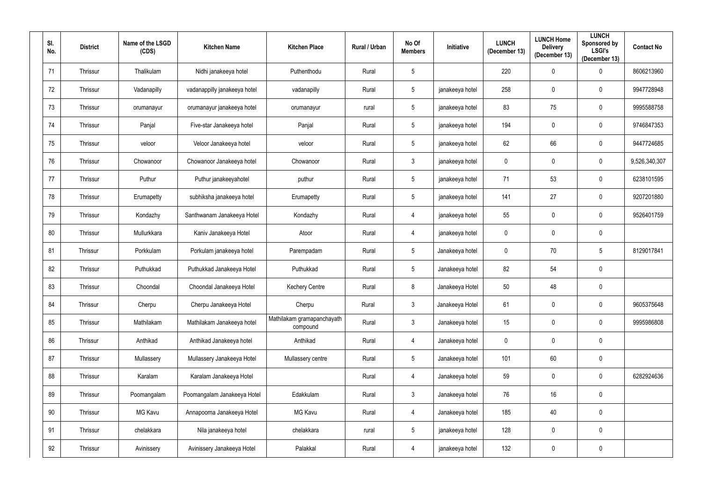| SI.<br>No. | <b>District</b> | Name of the LSGD<br>(CDS) | <b>Kitchen Name</b>          | <b>Kitchen Place</b>                   | Rural / Urban | No Of<br><b>Members</b> | Initiative      | <b>LUNCH</b><br>(December 13) | <b>LUNCH Home</b><br><b>Delivery</b><br>(December 13) | <b>LUNCH</b><br>Sponsored by<br><b>LSGI's</b><br>(December 13) | <b>Contact No</b> |
|------------|-----------------|---------------------------|------------------------------|----------------------------------------|---------------|-------------------------|-----------------|-------------------------------|-------------------------------------------------------|----------------------------------------------------------------|-------------------|
| 71         | Thrissur        | Thalikulam                | Nidhi janakeeya hotel        | Puthenthodu                            | Rural         | $\overline{5}$          |                 | 220                           | $\mathbf 0$                                           | $\mathbf 0$                                                    | 8606213960        |
| 72         | Thrissur        | Vadanapilly               | vadanappilly janakeeya hotel | vadanapilly                            | Rural         | $5\overline{)}$         | janakeeya hotel | 258                           | $\mathbf 0$                                           | $\mathbf 0$                                                    | 9947728948        |
| 73         | Thrissur        | orumanayur                | orumanayur janakeeya hotel   | orumanayur                             | rural         | $5\phantom{.0}$         | janakeeya hotel | 83                            | 75                                                    | $\overline{0}$                                                 | 9995588758        |
| 74         | Thrissur        | Panjal                    | Five-star Janakeeya hotel    | Panjal                                 | Rural         | $5\overline{)}$         | janakeeya hotel | 194                           | $\mathbf 0$                                           | $\mathbf 0$                                                    | 9746847353        |
| 75         | Thrissur        | veloor                    | Veloor Janakeeya hotel       | veloor                                 | Rural         | $5\phantom{.0}$         | janakeeya hotel | 62                            | 66                                                    | $\mathbf 0$                                                    | 9447724685        |
| 76         | Thrissur        | Chowanoor                 | Chowanoor Janakeeya hotel    | Chowanoor                              | Rural         | $\mathbf{3}$            | janakeeya hotel | $\mathbf 0$                   | 0                                                     | $\mathbf 0$                                                    | 9,526,340,307     |
| 77         | Thrissur        | Puthur                    | Puthur janakeeyahotel        | puthur                                 | Rural         | $5\phantom{.0}$         | janakeeya hotel | 71                            | 53                                                    | $\mathbf 0$                                                    | 6238101595        |
| 78         | Thrissur        | Erumapetty                | subhiksha janakeeya hotel    | Erumapetty                             | Rural         | $5\phantom{.0}$         | janakeeya hotel | 141                           | 27                                                    | $\mathbf 0$                                                    | 9207201880        |
| 79         | Thrissur        | Kondazhy                  | Santhwanam Janakeeya Hotel   | Kondazhy                               | Rural         | 4                       | janakeeya hotel | 55                            | $\mathbf 0$                                           | $\mathbf 0$                                                    | 9526401759        |
| 80         | Thrissur        | Mullurkkara               | Kaniv Janakeeya Hotel        | Atoor                                  | Rural         | 4                       | janakeeya hotel | $\mathbf 0$                   | $\mathbf 0$                                           | $\overline{0}$                                                 |                   |
| 81         | Thrissur        | Porkkulam                 | Porkulam janakeeya hotel     | Parempadam                             | Rural         | $5\phantom{.0}$         | Janakeeya hotel | $\mathbf 0$                   | 70                                                    | $5\phantom{.0}$                                                | 8129017841        |
| 82         | Thrissur        | Puthukkad                 | Puthukkad Janakeeya Hotel    | Puthukkad                              | Rural         | $5\phantom{.0}$         | Janakeeya hotel | 82                            | 54                                                    | $\mathbf 0$                                                    |                   |
| 83         | Thrissur        | Choondal                  | Choondal Janakeeya Hotel     | <b>Kechery Centre</b>                  | Rural         | 8                       | Janakeeya Hotel | 50                            | 48                                                    | $\mathbf 0$                                                    |                   |
| 84         | Thrissur        | Cherpu                    | Cherpu Janakeeya Hotel       | Cherpu                                 | Rural         | $\mathbf{3}$            | Janakeeya Hotel | 61                            | $\mathbf 0$                                           | $\mathbf 0$                                                    | 9605375648        |
| 85         | Thrissur        | Mathilakam                | Mathilakam Janakeeya hotel   | Mathilakam gramapanchayath<br>compound | Rural         | $3\phantom{.0}$         | Janakeeya hotel | 15                            | $\mathbf 0$                                           | $\mathbf 0$                                                    | 9995986808        |
| 86         | Thrissur        | Anthikad                  | Anthikad Janakeeya hotel     | Anthikad                               | Rural         | $\overline{4}$          | Janakeeya hotel | $\mathbf 0$                   | $\mathbf 0$                                           | $\mathbf 0$                                                    |                   |
| 87         | Thrissur        | Mullassery                | Mullassery Janakeeya Hotel   | Mullassery centre                      | Rural         | $5\phantom{.0}$         | Janakeeya hotel | 101                           | 60                                                    | $\mathbf 0$                                                    |                   |
| 88         | Thrissur        | Karalam                   | Karalam Janakeeya Hotel      |                                        | Rural         | $\overline{4}$          | Janakeeya hotel | 59                            | $\mathbf 0$                                           | $\mathbf 0$                                                    | 6282924636        |
| 89         | Thrissur        | Poomangalam               | Poomangalam Janakeeya Hotel  | Edakkulam                              | Rural         | $\mathfrak{Z}$          | Janakeeya hotel | 76                            | 16                                                    | $\mathbf 0$                                                    |                   |
| 90         | Thrissur        | MG Kavu                   | Annapoorna Janakeeya Hotel   | MG Kavu                                | Rural         | $\overline{4}$          | Janakeeya hotel | 185                           | 40                                                    | $\mathbf 0$                                                    |                   |
| 91         | Thrissur        | chelakkara                | Nila janakeeya hotel         | chelakkara                             | rural         | $5\phantom{.0}$         | janakeeya hotel | 128                           | $\pmb{0}$                                             | $\mathbf 0$                                                    |                   |
| 92         | Thrissur        | Avinissery                | Avinissery Janakeeya Hotel   | Palakkal                               | Rural         | $\overline{4}$          | janakeeya hotel | 132                           | $\pmb{0}$                                             | $\mathbf 0$                                                    |                   |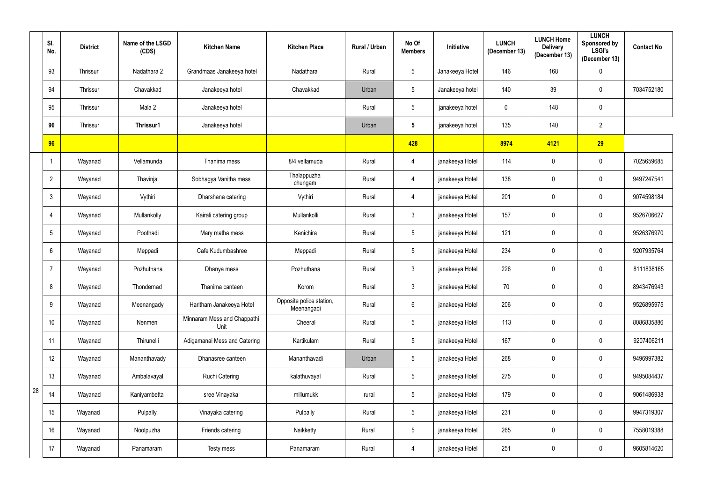|    | SI.<br>No.      | <b>District</b> | Name of the LSGD<br>(CDS) | <b>Kitchen Name</b>                 | <b>Kitchen Place</b>                   | Rural / Urban | No Of<br><b>Members</b> | Initiative      | <b>LUNCH</b><br>(December 13) | <b>LUNCH Home</b><br><b>Delivery</b><br>(December 13) | <b>LUNCH</b><br>Sponsored by<br><b>LSGI's</b><br>(December 13) | <b>Contact No</b> |
|----|-----------------|-----------------|---------------------------|-------------------------------------|----------------------------------------|---------------|-------------------------|-----------------|-------------------------------|-------------------------------------------------------|----------------------------------------------------------------|-------------------|
|    | 93              | Thrissur        | Nadathara 2               | Grandmaas Janakeeya hotel           | Nadathara                              | Rural         | $5\phantom{.0}$         | Janakeeya Hotel | 146                           | 168                                                   | $\bm{0}$                                                       |                   |
|    | 94              | Thrissur        | Chavakkad                 | Janakeeya hotel                     | Chavakkad                              | Urban         | $5\phantom{.0}$         | Janakeeya hotel | 140                           | 39                                                    | $\mathbf 0$                                                    | 7034752180        |
|    | 95              | Thrissur        | Mala 2                    | Janakeeya hotel                     |                                        | Rural         | $5\,$                   | janakeeya hotel | $\overline{0}$                | 148                                                   | $\mathbf 0$                                                    |                   |
|    | 96              | Thrissur        | Thrissur1                 | Janakeeya hotel                     |                                        | Urban         | $5\phantom{.0}$         | janakeeya hotel | 135                           | 140                                                   | $\overline{2}$                                                 |                   |
|    | 96              |                 |                           |                                     |                                        |               | 428                     |                 | 8974                          | 4121                                                  | 29                                                             |                   |
|    |                 | Wayanad         | Vellamunda                | Thanima mess                        | 8/4 vellamuda                          | Rural         | 4                       | janakeeya Hotel | 114                           | $\mathbf 0$                                           | $\overline{0}$                                                 | 7025659685        |
|    | $\overline{2}$  | Wayanad         | Thavinjal                 | Sobhagya Vanitha mess               | Thalappuzha<br>chungam                 | Rural         | 4                       | janakeeya Hotel | 138                           | $\mathbf 0$                                           | $\mathbf 0$                                                    | 9497247541        |
|    | 3               | Wayanad         | Vythiri                   | Dharshana catering                  | Vythiri                                | Rural         | 4                       | janakeeya Hotel | 201                           | $\mathbf 0$                                           | $\mathbf 0$                                                    | 9074598184        |
|    | 4               | Wayanad         | Mullankolly               | Kairali catering group              | Mullankolli                            | Rural         | $\mathbf{3}$            | janakeeya Hotel | 157                           | $\mathbf 0$                                           | $\mathbf 0$                                                    | 9526706627        |
|    | $5^{\circ}$     | Wayanad         | Poothadi                  | Mary matha mess                     | Kenichira                              | Rural         | $5\phantom{.0}$         | janakeeya Hotel | 121                           | $\mathbf 0$                                           | $\mathbf 0$                                                    | 9526376970        |
|    | 6               | Wayanad         | Meppadi                   | Cafe Kudumbashree                   | Meppadi                                | Rural         | $\overline{5}$          | janakeeya Hotel | 234                           | 0                                                     | $\mathbf 0$                                                    | 9207935764        |
|    |                 | Wayanad         | Pozhuthana                | Dhanya mess                         | Pozhuthana                             | Rural         | $\mathfrak{Z}$          | janakeeya Hotel | 226                           | $\pmb{0}$                                             | $\overline{0}$                                                 | 8111838165        |
|    | 8               | Wayanad         | Thondernad                | Thanima canteen                     | Korom                                  | Rural         | $\mathfrak{Z}$          | janakeeya Hotel | 70                            | $\mathbf 0$                                           | $\mathbf 0$                                                    | 8943476943        |
|    | 9               | Wayanad         | Meenangady                | Haritham Janakeeya Hotel            | Opposite police station,<br>Meenangadi | Rural         | $6\,$                   | janakeeya Hotel | 206                           | $\mathbf 0$                                           | $\mathbf 0$                                                    | 9526895975        |
|    | 10 <sup>°</sup> | Wayanad         | Nenmeni                   | Minnaram Mess and Chappathi<br>Unit | Cheeral                                | Rural         | $5\,$                   | janakeeya Hotel | 113                           | $\mathbf 0$                                           | $\mathbf 0$                                                    | 8086835886        |
|    | 11              | Wayanad         | Thirunelli                | Adigamanai Mess and Catering        | Kartikulam                             | Rural         | $\overline{5}$          | janakeeya Hotel | 167                           | $\mathbf 0$                                           | $\mathbf 0$                                                    | 9207406211        |
|    | 12              | Wayanad         | Mananthavady              | Dhanasree canteen                   | Mananthavadi                           | Urban         | $5\,$                   | janakeeya Hotel | 268                           | $\mathbf 0$                                           | $\mathbf 0$                                                    | 9496997382        |
|    | 13              | Wayanad         | Ambalavayal               | <b>Ruchi Catering</b>               | kalathuvayal                           | Rural         | $5\,$                   | janakeeya Hotel | 275                           | $\mathbf 0$                                           | $\mathbf 0$                                                    | 9495084437        |
| 28 | 14              | Wayanad         | Kaniyambetta              | sree Vinayaka                       | millumukk                              | rural         | $\sqrt{5}$              | janakeeya Hotel | 179                           | $\mathbf 0$                                           | $\overline{0}$                                                 | 9061486938        |
|    | 15              | Wayanad         | Pulpally                  | Vinayaka catering                   | Pulpally                               | Rural         | $\sqrt{5}$              | janakeeya Hotel | 231                           | $\pmb{0}$                                             | $\mathbf 0$                                                    | 9947319307        |
|    | 16              | Wayanad         | Noolpuzha                 | Friends catering                    | Naikketty                              | Rural         | $5\,$                   | janakeeya Hotel | 265                           | $\mathbf 0$                                           | $\mathbf 0$                                                    | 7558019388        |
|    | 17              | Wayanad         | Panamaram                 | Testy mess                          | Panamaram                              | Rural         | $\overline{4}$          | janakeeya Hotel | 251                           | $\boldsymbol{0}$                                      | $\boldsymbol{0}$                                               | 9605814620        |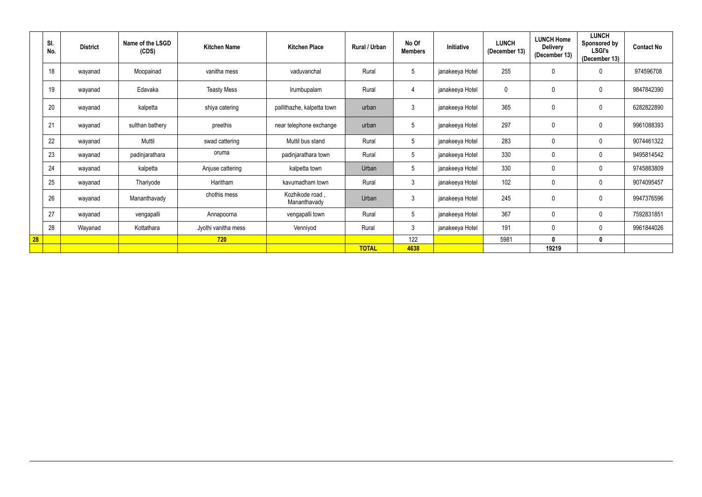|    | SI.<br>No. | <b>District</b> | Name of the LSGD<br>(CDS) | <b>Kitchen Name</b> | <b>Kitchen Place</b>            | Rural / Urban | No Of<br><b>Members</b> | Initiative      | <b>LUNCH</b><br>(December 13) | <b>LUNCH Home</b><br><b>Delivery</b><br>(December 13) | <b>LUNCH</b><br>Sponsored by<br><b>LSGI's</b><br>(December 13) | <b>Contact No</b> |
|----|------------|-----------------|---------------------------|---------------------|---------------------------------|---------------|-------------------------|-----------------|-------------------------------|-------------------------------------------------------|----------------------------------------------------------------|-------------------|
|    | 18         | wayanad         | Moopainad                 | vanitha mess        | vaduvanchal                     | Rural         | $5\phantom{.0}$         | janakeeya Hotel | 255                           | $\mathbf 0$                                           | $\mathbf 0$                                                    | 974596708         |
|    | 19         | wayanad         | Edavaka                   | <b>Teasty Mess</b>  | Irumbupalam                     | Rural         | 4                       | janakeeya Hotel | $\mathbf 0$                   | 0                                                     | $\boldsymbol{0}$                                               | 9847842390        |
|    | 20         | wayanad         | kalpetta                  | shiya catering      | pallithazhe, kalpetta town      | urban         | $\mathfrak{Z}$          | janakeeya Hotel | 365                           | $\mathbf 0$                                           | $\boldsymbol{0}$                                               | 6282822890        |
|    | 21         | wayanad         | sulthan bathery           | preethis            | near telephone exchange         | urban         | $5\phantom{.0}$         | janakeeya Hotel | 297                           | $\mathbf 0$                                           | $\boldsymbol{0}$                                               | 9961088393        |
|    | 22         | wayanad         | Muttil                    | swad cattering      | Muttil bus stand                | Rural         | $5\phantom{.0}$         | janakeeya Hotel | 283                           | $\mathbf 0$                                           | $\mathbf 0$                                                    | 9074461322        |
|    | 23         | wayanad         | padinjarathara            | oruma               | padinjarathara town             | Rural         | $5\phantom{.0}$         | janakeeya Hotel | 330                           | $\mathbf 0$                                           | $\mathbf 0$                                                    | 9495814542        |
|    | 24         | wayanad         | kalpetta                  | Anjuse cattering    | kalpetta town                   | Urban         | $5\phantom{.0}$         | janakeeya Hotel | 330                           | $\mathbf 0$                                           | $\mathbf 0$                                                    | 9745883809        |
|    | 25         | wayanad         | Thariyode                 | Haritham            | kavumadham town                 | Rural         | $\mathfrak{Z}$          | janakeeya Hotel | 102                           | 0                                                     | $\overline{0}$                                                 | 9074095457        |
|    | 26         | wayanad         | Mananthavady              | chothis mess        | Kozhikode road,<br>Mananthavady | Urban         | $\mathfrak{Z}$          | janakeeya Hotel | 245                           | 0                                                     | $\overline{0}$                                                 | 9947376596        |
|    | 27         | wayanad         | vengapalli                | Annapoorna          | vengapalli town                 | Rural         | $5\phantom{.0}$         | janakeeya Hotel | 367                           | $\mathbf 0$                                           | $\mathbf 0$                                                    | 7592831851        |
|    | 28         | Wayanad         | Kottathara                | Jyothi vanitha mess | Venniyod                        | Rural         | $\mathbf{3}$            | janakeeya Hotel | 191                           | $\mathbf 0$                                           | $\mathbf 0$                                                    | 9961844026        |
| 28 |            |                 |                           | 720                 |                                 |               | 122                     |                 | 5981                          | $\mathbf 0$                                           | $\mathbf 0$                                                    |                   |
|    |            |                 |                           |                     |                                 | <b>TOTAL</b>  | 4638                    |                 |                               | 19219                                                 |                                                                |                   |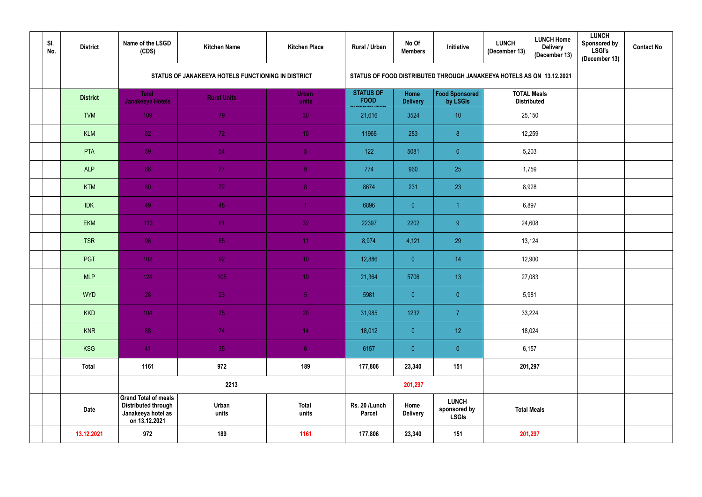| SI.<br>No. | <b>District</b> | Name of the LSGD<br>(CDS)                                                                        | <b>Kitchen Name</b>                                | <b>Kitchen Place</b>  | Rural / Urban                                                        | No Of<br><b>Members</b> | Initiative                                   | <b>LUNCH Home</b><br><b>LUNCH</b><br><b>Delivery</b><br>(December 13)<br>(December 13) | <b>LUNCH</b><br><b>Sponsored by</b><br><b>LSGI's</b><br>(December 13) | <b>Contact No</b> |
|------------|-----------------|--------------------------------------------------------------------------------------------------|----------------------------------------------------|-----------------------|----------------------------------------------------------------------|-------------------------|----------------------------------------------|----------------------------------------------------------------------------------------|-----------------------------------------------------------------------|-------------------|
|            |                 |                                                                                                  | STATUS OF JANAKEEYA HOTELS FUNCTIONING IN DISTRICT |                       | STATUS OF FOOD DISTRIBUTED THROUGH JANAKEEYA HOTELS AS ON 13.12.2021 |                         |                                              |                                                                                        |                                                                       |                   |
|            | <b>District</b> | <b>Total</b><br>Janakeeya Hotels                                                                 | <b>Rural Units</b>                                 | <b>Urban</b><br>units | <b>STATUS OF</b><br><b>FOOD</b>                                      | Home<br><b>Delivery</b> | <b>Food Sponsored</b><br>by LSGIs            | <b>TOTAL Meals</b><br><b>Distributed</b>                                               |                                                                       |                   |
|            | <b>TVM</b>      | 109                                                                                              | 79                                                 | 30 <sup>°</sup>       | 21,616                                                               | 3524                    | 10                                           | 25,150                                                                                 |                                                                       |                   |
|            | <b>KLM</b>      | 82                                                                                               | 72                                                 | 10 <sup>°</sup>       | 11968                                                                | 283                     | 8 <sup>°</sup>                               | 12,259                                                                                 |                                                                       |                   |
|            | <b>PTA</b>      | 59                                                                                               | 54                                                 | $\overline{5}$        | 122                                                                  | 5081                    | $\overline{0}$                               | 5,203                                                                                  |                                                                       |                   |
|            | <b>ALP</b>      | 86                                                                                               | 77                                                 | $\overline{9}$        | 774                                                                  | 960                     | 25                                           | 1,759                                                                                  |                                                                       |                   |
|            | <b>KTM</b>      | 80                                                                                               | 72                                                 | $\overline{8}$        | 8674                                                                 | 231                     | 23                                           | 8,928                                                                                  |                                                                       |                   |
|            | <b>IDK</b>      | 49                                                                                               | 48                                                 | 1                     | 6896                                                                 | $\overline{0}$          |                                              | 6,897                                                                                  |                                                                       |                   |
|            | <b>EKM</b>      | 113                                                                                              | 81                                                 | 32 <sub>1</sub>       | 22397                                                                | 2202                    | 9                                            | 24,608                                                                                 |                                                                       |                   |
|            | <b>TSR</b>      | 96                                                                                               | 85                                                 | 11                    | 8,974                                                                | 4,121                   | 29                                           | 13,124                                                                                 |                                                                       |                   |
|            | PGT             | 102                                                                                              | 92                                                 | 10 <sup>°</sup>       | 12,886                                                               | $\overline{0}$          | 14                                           | 12,900                                                                                 |                                                                       |                   |
|            | <b>MLP</b>      | 124                                                                                              | 105                                                | 19 <sup>°</sup>       | 21,364                                                               | 5706                    | 13 <sup>°</sup>                              | 27,083                                                                                 |                                                                       |                   |
|            | <b>WYD</b>      | 28                                                                                               | 23                                                 | 5 <sub>1</sub>        | 5981                                                                 | $\overline{0}$          | $\overline{0}$                               | 5,981                                                                                  |                                                                       |                   |
|            | <b>KKD</b>      | 104                                                                                              | 75                                                 | 29                    | 31,985                                                               | 1232                    | $\overline{7}$                               | 33,224                                                                                 |                                                                       |                   |
|            | <b>KNR</b>      | 88                                                                                               | 74                                                 | 14 <sub>1</sub>       | 18,012                                                               | $\overline{0}$          | 12 <sub>2</sub>                              | 18,024                                                                                 |                                                                       |                   |
|            | <b>KSG</b>      | 41                                                                                               | 35                                                 | 6 <sub>1</sub>        | 6157                                                                 | $\overline{0}$          | $\overline{0}$                               | 6,157                                                                                  |                                                                       |                   |
|            | <b>Total</b>    | 1161                                                                                             | 972                                                | 189                   | 177,806                                                              | 23,340                  | 151                                          | 201,297                                                                                |                                                                       |                   |
|            |                 |                                                                                                  | 2213                                               |                       |                                                                      | 201,297                 |                                              |                                                                                        |                                                                       |                   |
|            | <b>Date</b>     | <b>Grand Total of meals</b><br><b>Distributed through</b><br>Janakeeya hotel as<br>on 13.12.2021 | Urban<br>units                                     | <b>Total</b><br>units | Rs. 20 /Lunch<br><b>Parcel</b>                                       | Home<br><b>Delivery</b> | <b>LUNCH</b><br>sponsored by<br><b>LSGIs</b> | <b>Total Meals</b>                                                                     |                                                                       |                   |
|            | 13.12.2021      | 972                                                                                              | 189                                                | 1161                  | 177,806                                                              | 23,340                  | 151                                          | 201,297                                                                                |                                                                       |                   |